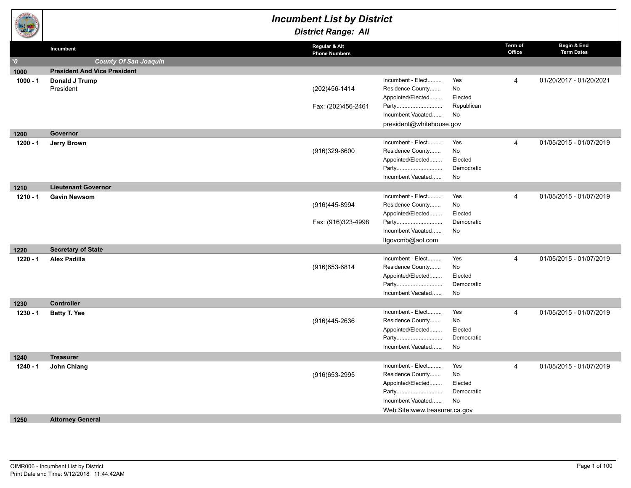|            |                                     | <b>Incumbent List by District</b><br><b>District Range: All</b> |                                                                                                                           |                                          |                   |                                  |
|------------|-------------------------------------|-----------------------------------------------------------------|---------------------------------------------------------------------------------------------------------------------------|------------------------------------------|-------------------|----------------------------------|
|            | Incumbent                           | Regular & Alt<br><b>Phone Numbers</b>                           |                                                                                                                           |                                          | Term of<br>Office | Begin & End<br><b>Term Dates</b> |
| $^*$ 0     | <b>County Of San Joaquin</b>        |                                                                 |                                                                                                                           |                                          |                   |                                  |
| 1000       | <b>President And Vice President</b> |                                                                 |                                                                                                                           |                                          |                   |                                  |
| $1000 - 1$ | Donald J Trump<br>President         | (202) 456-1414<br>Fax: (202)456-2461                            | Incumbent - Elect<br>Residence County<br>Appointed/Elected<br>Party<br>Incumbent Vacated                                  | Yes<br>No<br>Elected<br>Republican<br>No | 4                 | 01/20/2017 - 01/20/2021          |
|            |                                     |                                                                 | president@whitehouse.gov                                                                                                  |                                          |                   |                                  |
| 1200       | <b>Governor</b>                     |                                                                 |                                                                                                                           |                                          |                   |                                  |
| $1200 - 1$ | Jerry Brown                         | (916)329-6600                                                   | Incumbent - Elect<br>Residence County<br>Appointed/Elected<br>Party<br>Incumbent Vacated                                  | Yes<br>No<br>Elected<br>Democratic<br>No | $\overline{4}$    | 01/05/2015 - 01/07/2019          |
| 1210       | <b>Lieutenant Governor</b>          |                                                                 |                                                                                                                           |                                          |                   |                                  |
| $1210 - 1$ | <b>Gavin Newsom</b>                 | (916)445-8994<br>Fax: (916)323-4998                             | Incumbent - Elect<br>Residence County<br>Appointed/Elected<br>Party<br>Incumbent Vacated<br>ltgovcmb@aol.com              | Yes<br>No<br>Elected<br>Democratic<br>No | 4                 | 01/05/2015 - 01/07/2019          |
| 1220       | <b>Secretary of State</b>           |                                                                 |                                                                                                                           |                                          |                   |                                  |
| $1220 - 1$ | <b>Alex Padilla</b>                 | (916) 653-6814                                                  | Incumbent - Elect<br>Residence County<br>Appointed/Elected<br>Party<br>Incumbent Vacated                                  | Yes<br>No<br>Elected<br>Democratic<br>No | $\overline{4}$    | 01/05/2015 - 01/07/2019          |
| 1230       | <b>Controller</b>                   |                                                                 |                                                                                                                           |                                          |                   |                                  |
| $1230 - 1$ | Betty T. Yee                        | (916)445-2636                                                   | Incumbent - Elect<br>Residence County<br>Appointed/Elected<br>Party<br>Incumbent Vacated                                  | Yes<br>No<br>Elected<br>Democratic<br>No | 4                 | 01/05/2015 - 01/07/2019          |
| 1240       | <b>Treasurer</b>                    |                                                                 |                                                                                                                           |                                          |                   |                                  |
| $1240 - 1$ | John Chiang                         | (916) 653-2995                                                  | Incumbent - Elect<br>Residence County<br>Appointed/Elected<br>Party<br>Incumbent Vacated<br>Web Site:www.treasurer.ca.gov | Yes<br>No<br>Elected<br>Democratic<br>No | $\overline{4}$    | 01/05/2015 - 01/07/2019          |
| 1250       | <b>Attorney General</b>             |                                                                 |                                                                                                                           |                                          |                   |                                  |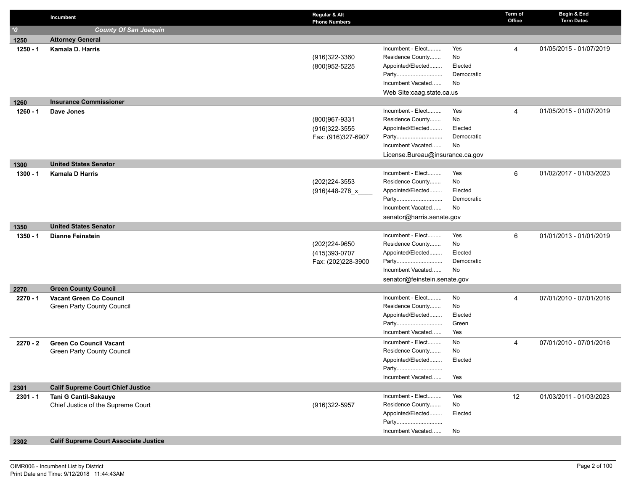|            | Incumbent                                    | Regular & Alt<br><b>Phone Numbers</b> |                                       |                  | Term of<br>Office | Begin & End<br><b>Term Dates</b> |
|------------|----------------------------------------------|---------------------------------------|---------------------------------------|------------------|-------------------|----------------------------------|
| $^{\ast}0$ | <b>County Of San Joaquin</b>                 |                                       |                                       |                  |                   |                                  |
| 1250       | <b>Attorney General</b>                      |                                       |                                       |                  |                   |                                  |
| 1250 - 1   | Kamala D. Harris                             |                                       | Incumbent - Elect                     | Yes              | 4                 | 01/05/2015 - 01/07/2019          |
|            |                                              | (916)322-3360                         | Residence County                      | No               |                   |                                  |
|            |                                              | (800)952-5225                         | Appointed/Elected                     | Elected          |                   |                                  |
|            |                                              |                                       | Party                                 | Democratic       |                   |                                  |
|            |                                              |                                       | Incumbent Vacated                     | No               |                   |                                  |
|            |                                              |                                       | Web Site:caag.state.ca.us             |                  |                   |                                  |
| 1260       | <b>Insurance Commissioner</b>                |                                       |                                       |                  |                   |                                  |
| 1260 - 1   | Dave Jones                                   |                                       | Incumbent - Elect                     | Yes              | 4                 | 01/05/2015 - 01/07/2019          |
|            |                                              | (800)967-9331                         | Residence County<br>Appointed/Elected | No<br>Elected    |                   |                                  |
|            |                                              | (916) 322-3555<br>Fax: (916)327-6907  | Party                                 | Democratic       |                   |                                  |
|            |                                              |                                       | Incumbent Vacated                     | No               |                   |                                  |
|            |                                              |                                       | License.Bureau@insurance.ca.gov       |                  |                   |                                  |
| 1300       | <b>United States Senator</b>                 |                                       |                                       |                  |                   |                                  |
| 1300 - 1   | <b>Kamala D Harris</b>                       |                                       | Incumbent - Elect                     | Yes              | 6                 | 01/02/2017 - 01/03/2023          |
|            |                                              | (202) 224-3553                        | Residence County                      | No               |                   |                                  |
|            |                                              | $(916)448-278$ x                      | Appointed/Elected                     | Elected          |                   |                                  |
|            |                                              |                                       | Party                                 | Democratic       |                   |                                  |
|            |                                              |                                       | Incumbent Vacated                     | No               |                   |                                  |
|            |                                              |                                       | senator@harris.senate.gov             |                  |                   |                                  |
| 1350       | <b>United States Senator</b>                 |                                       |                                       |                  |                   |                                  |
| 1350 - 1   | <b>Dianne Feinstein</b>                      |                                       | Incumbent - Elect                     | Yes              | 6                 | 01/01/2013 - 01/01/2019          |
|            |                                              | (202) 224-9650                        | Residence County                      | No               |                   |                                  |
|            |                                              | (415)393-0707                         | Appointed/Elected                     | Elected          |                   |                                  |
|            |                                              | Fax: (202)228-3900                    | Party<br>Incumbent Vacated            | Democratic<br>No |                   |                                  |
|            |                                              |                                       | senator@feinstein.senate.gov          |                  |                   |                                  |
| 2270       | <b>Green County Council</b>                  |                                       |                                       |                  |                   |                                  |
| $2270 - 1$ | <b>Vacant Green Co Council</b>               |                                       | Incumbent - Elect                     | No               | 4                 | 07/01/2010 - 07/01/2016          |
|            | Green Party County Council                   |                                       | Residence County                      | No               |                   |                                  |
|            |                                              |                                       | Appointed/Elected                     | Elected          |                   |                                  |
|            |                                              |                                       | Party                                 | Green            |                   |                                  |
|            |                                              |                                       | Incumbent Vacated                     | Yes              |                   |                                  |
| $2270 - 2$ | <b>Green Co Council Vacant</b>               |                                       | Incumbent - Elect                     | No               | 4                 | 07/01/2010 - 07/01/2016          |
|            | Green Party County Council                   |                                       | Residence County                      | No               |                   |                                  |
|            |                                              |                                       | Appointed/Elected                     | Elected          |                   |                                  |
|            |                                              |                                       | Party                                 |                  |                   |                                  |
|            |                                              |                                       | Incumbent Vacated                     | Yes              |                   |                                  |
| 2301       | <b>Calif Supreme Court Chief Justice</b>     |                                       |                                       |                  |                   |                                  |
| $2301 - 1$ | Tani G Cantil-Sakauye                        |                                       | Incumbent - Elect<br>Residence County | Yes<br>No        | 12                | 01/03/2011 - 01/03/2023          |
|            | Chief Justice of the Supreme Court           | (916)322-5957                         | Appointed/Elected                     | Elected          |                   |                                  |
|            |                                              |                                       | Party                                 |                  |                   |                                  |
|            |                                              |                                       | Incumbent Vacated                     | No               |                   |                                  |
| 2302       | <b>Calif Supreme Court Associate Justice</b> |                                       |                                       |                  |                   |                                  |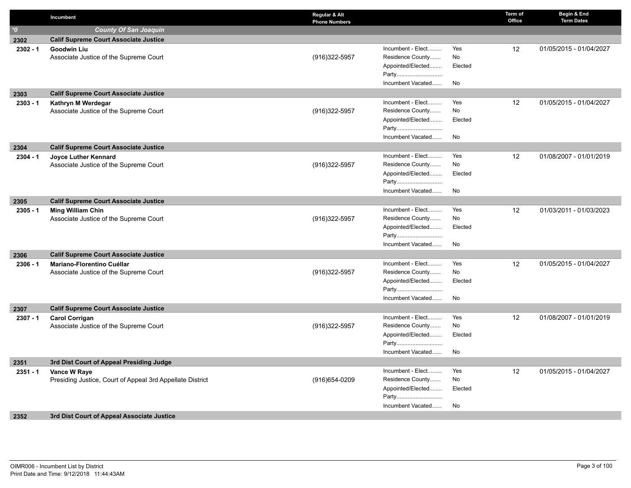|                     | Incumbent                                                                  | Regular & Alt<br><b>Phone Numbers</b> |                            |         | Term of<br>Office | Begin & End<br><b>Term Dates</b> |
|---------------------|----------------------------------------------------------------------------|---------------------------------------|----------------------------|---------|-------------------|----------------------------------|
| $^{\star}\!{\rm O}$ | <b>County Of San Joaquin</b>                                               |                                       |                            |         |                   |                                  |
| 2302                | <b>Calif Supreme Court Associate Justice</b>                               |                                       |                            |         |                   |                                  |
| $2302 - 1$          | <b>Goodwin Liu</b>                                                         |                                       | Incumbent - Elect          | Yes     | 12                | 01/05/2015 - 01/04/2027          |
|                     | Associate Justice of the Supreme Court                                     | (916) 322-5957                        | Residence County           | No      |                   |                                  |
|                     |                                                                            |                                       | Appointed/Elected          | Elected |                   |                                  |
|                     |                                                                            |                                       | Party                      |         |                   |                                  |
|                     |                                                                            |                                       | Incumbent Vacated          | No      |                   |                                  |
| 2303                | <b>Calif Supreme Court Associate Justice</b>                               |                                       |                            |         |                   |                                  |
| $2303 - 1$          | Kathryn M Werdegar                                                         |                                       | Incumbent - Elect          | Yes     | 12                | 01/05/2015 - 01/04/2027          |
|                     | Associate Justice of the Supreme Court                                     | (916) 322-5957                        | Residence County           | No      |                   |                                  |
|                     |                                                                            |                                       | Appointed/Elected          | Elected |                   |                                  |
|                     |                                                                            |                                       | Party                      |         |                   |                                  |
|                     |                                                                            |                                       | Incumbent Vacated          | No      |                   |                                  |
| 2304                | <b>Calif Supreme Court Associate Justice</b>                               |                                       |                            |         |                   |                                  |
| $2304 - 1$          | Joyce Luther Kennard                                                       |                                       | Incumbent - Elect          | Yes     | 12                | 01/08/2007 - 01/01/2019          |
|                     | Associate Justice of the Supreme Court                                     | (916) 322-5957                        | Residence County           | No      |                   |                                  |
|                     |                                                                            |                                       | Appointed/Elected          | Elected |                   |                                  |
|                     |                                                                            |                                       | Party                      |         |                   |                                  |
|                     |                                                                            |                                       | Incumbent Vacated          | No      |                   |                                  |
| 2305                | <b>Calif Supreme Court Associate Justice</b>                               |                                       |                            |         |                   |                                  |
| $2305 - 1$          | <b>Ming William Chin</b>                                                   |                                       | Incumbent - Elect          | Yes     | 12                | 01/03/2011 - 01/03/2023          |
|                     | Associate Justice of the Supreme Court                                     | (916) 322-5957                        | Residence County           | No      |                   |                                  |
|                     |                                                                            |                                       | Appointed/Elected<br>Party | Elected |                   |                                  |
|                     |                                                                            |                                       | Incumbent Vacated          | No      |                   |                                  |
|                     |                                                                            |                                       |                            |         |                   |                                  |
| 2306                | <b>Calif Supreme Court Associate Justice</b><br>Mariano-Florentino Cuéllar |                                       | Incumbent - Elect          | Yes     | $12 \overline{ }$ | 01/05/2015 - 01/04/2027          |
| $2306 - 1$          | Associate Justice of the Supreme Court                                     | (916)322-5957                         | Residence County           | No      |                   |                                  |
|                     |                                                                            |                                       | Appointed/Elected          | Elected |                   |                                  |
|                     |                                                                            |                                       | Party                      |         |                   |                                  |
|                     |                                                                            |                                       | Incumbent Vacated          | No      |                   |                                  |
| 2307                | <b>Calif Supreme Court Associate Justice</b>                               |                                       |                            |         |                   |                                  |
| $2307 - 1$          | <b>Carol Corrigan</b>                                                      |                                       | Incumbent - Elect          | Yes     | $12 \overline{ }$ | 01/08/2007 - 01/01/2019          |
|                     | Associate Justice of the Supreme Court                                     | (916)322-5957                         | Residence County           | No      |                   |                                  |
|                     |                                                                            |                                       | Appointed/Elected          | Elected |                   |                                  |
|                     |                                                                            |                                       | Party                      |         |                   |                                  |
|                     |                                                                            |                                       | Incumbent Vacated          | No      |                   |                                  |
| 2351                | 3rd Dist Court of Appeal Presiding Judge                                   |                                       |                            |         |                   |                                  |
| $2351 - 1$          | Vance W Raye                                                               |                                       | Incumbent - Elect          | Yes     | 12                | 01/05/2015 - 01/04/2027          |
|                     | Presiding Justice, Court of Appeal 3rd Appellate District                  | (916) 654-0209                        | Residence County           | No      |                   |                                  |
|                     |                                                                            |                                       | Appointed/Elected          | Elected |                   |                                  |
|                     |                                                                            |                                       | Party                      |         |                   |                                  |
|                     |                                                                            |                                       | Incumbent Vacated          | No      |                   |                                  |
| 2352                | 3rd Dist Court of Appeal Associate Justice                                 |                                       |                            |         |                   |                                  |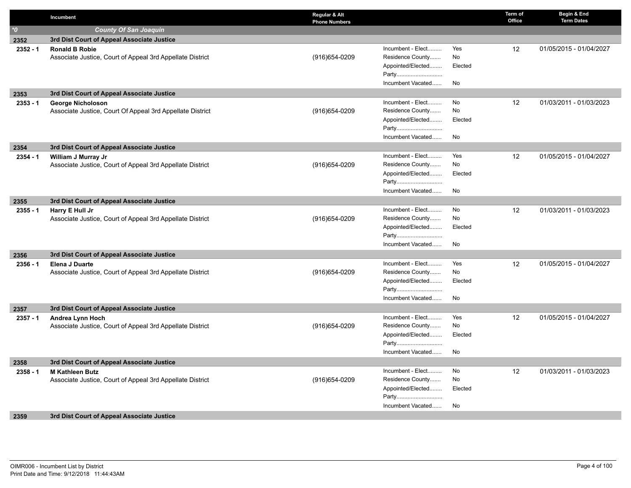|                  | Incumbent                                                                   | Regular & Alt<br><b>Phone Numbers</b> |                                       |         | Term of<br>Office | Begin & End<br><b>Term Dates</b> |
|------------------|-----------------------------------------------------------------------------|---------------------------------------|---------------------------------------|---------|-------------------|----------------------------------|
| $\boldsymbol{v}$ | <b>County Of San Joaquin</b>                                                |                                       |                                       |         |                   |                                  |
| 2352             | 3rd Dist Court of Appeal Associate Justice                                  |                                       |                                       |         |                   |                                  |
| $2352 - 1$       | <b>Ronald B Robie</b>                                                       |                                       | Incumbent - Elect                     | Yes     | $12 \overline{ }$ | 01/05/2015 - 01/04/2027          |
|                  | Associate Justice, Court of Appeal 3rd Appellate District                   | $(916)654 - 0209$                     | Residence County                      | No      |                   |                                  |
|                  |                                                                             |                                       | Appointed/Elected                     | Elected |                   |                                  |
|                  |                                                                             |                                       | Party                                 |         |                   |                                  |
|                  |                                                                             |                                       | Incumbent Vacated                     | No      |                   |                                  |
| 2353             | 3rd Dist Court of Appeal Associate Justice                                  |                                       |                                       |         |                   |                                  |
| $2353 - 1$       | <b>George Nicholoson</b>                                                    |                                       | Incumbent - Elect                     | No      | 12                | 01/03/2011 - 01/03/2023          |
|                  | Associate Justice, Court Of Appeal 3rd Appellate District                   | (916) 654-0209                        | Residence County                      | No      |                   |                                  |
|                  |                                                                             |                                       | Appointed/Elected                     | Elected |                   |                                  |
|                  |                                                                             |                                       | Party                                 |         |                   |                                  |
|                  |                                                                             |                                       | Incumbent Vacated                     | No      |                   |                                  |
| 2354             | 3rd Dist Court of Appeal Associate Justice                                  |                                       |                                       |         |                   |                                  |
| $2354 - 1$       | William J Murray Jr                                                         |                                       | Incumbent - Elect                     | Yes     | 12                | 01/05/2015 - 01/04/2027          |
|                  | Associate Justice, Court of Appeal 3rd Appellate District                   | $(916)654 - 0209$                     | Residence County                      | No      |                   |                                  |
|                  |                                                                             |                                       | Appointed/Elected                     | Elected |                   |                                  |
|                  |                                                                             |                                       | Party                                 |         |                   |                                  |
|                  |                                                                             |                                       | Incumbent Vacated                     | No      |                   |                                  |
| 2355             | 3rd Dist Court of Appeal Associate Justice                                  |                                       |                                       |         |                   |                                  |
| $2355 - 1$       | Harry E Hull Jr                                                             |                                       | Incumbent - Elect                     | No      | 12                | 01/03/2011 - 01/03/2023          |
|                  | Associate Justice, Court of Appeal 3rd Appellate District                   | $(916)654 - 0209$                     | Residence County<br>Appointed/Elected | No      |                   |                                  |
|                  |                                                                             |                                       | Party                                 | Elected |                   |                                  |
|                  |                                                                             |                                       | Incumbent Vacated                     | No      |                   |                                  |
|                  |                                                                             |                                       |                                       |         |                   |                                  |
| 2356             | 3rd Dist Court of Appeal Associate Justice                                  |                                       | Incumbent - Elect                     | Yes     | 12                | 01/05/2015 - 01/04/2027          |
| $2356 - 1$       | Elena J Duarte<br>Associate Justice, Court of Appeal 3rd Appellate District | (916) 654-0209                        | Residence County                      | No      |                   |                                  |
|                  |                                                                             |                                       | Appointed/Elected                     | Elected |                   |                                  |
|                  |                                                                             |                                       | Party                                 |         |                   |                                  |
|                  |                                                                             |                                       | Incumbent Vacated                     | No      |                   |                                  |
| 2357             | 3rd Dist Court of Appeal Associate Justice                                  |                                       |                                       |         |                   |                                  |
| $2357 - 1$       | Andrea Lynn Hoch                                                            |                                       | Incumbent - Elect                     | Yes     | 12                | 01/05/2015 - 01/04/2027          |
|                  | Associate Justice, Court of Appeal 3rd Appellate District                   | (916) 654-0209                        | Residence County                      | No      |                   |                                  |
|                  |                                                                             |                                       | Appointed/Elected                     | Elected |                   |                                  |
|                  |                                                                             |                                       | Party                                 |         |                   |                                  |
|                  |                                                                             |                                       | Incumbent Vacated                     | No      |                   |                                  |
| 2358             | 3rd Dist Court of Appeal Associate Justice                                  |                                       |                                       |         |                   |                                  |
| $2358 - 1$       | <b>M Kathleen Butz</b>                                                      |                                       | Incumbent - Elect                     | No      | 12                | 01/03/2011 - 01/03/2023          |
|                  | Associate Justice, Court of Appeal 3rd Appellate District                   | (916) 654-0209                        | Residence County                      | No      |                   |                                  |
|                  |                                                                             |                                       | Appointed/Elected                     | Elected |                   |                                  |
|                  |                                                                             |                                       | Party                                 |         |                   |                                  |
|                  |                                                                             |                                       | Incumbent Vacated                     | No      |                   |                                  |
| 2359             | 3rd Dist Court of Appeal Associate Justice                                  |                                       |                                       |         |                   |                                  |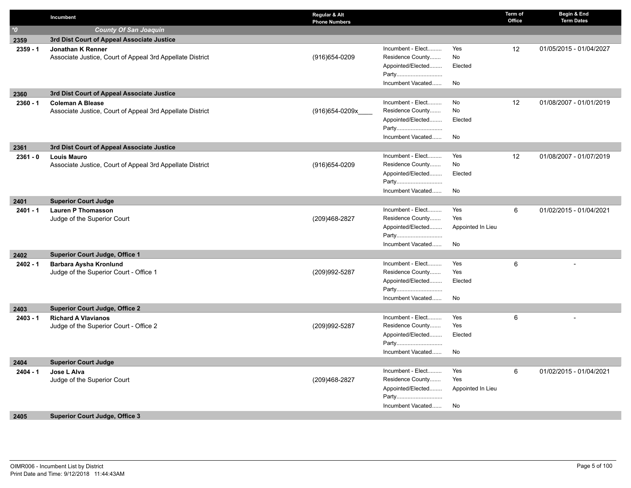|                    | Incumbent                                                 | Regular & Alt<br><b>Phone Numbers</b> |                                       |                   | Term of<br>Office | Begin & End<br><b>Term Dates</b> |
|--------------------|-----------------------------------------------------------|---------------------------------------|---------------------------------------|-------------------|-------------------|----------------------------------|
| $^{\star}$ 0       | <b>County Of San Joaquin</b>                              |                                       |                                       |                   |                   |                                  |
| 2359               | 3rd Dist Court of Appeal Associate Justice                |                                       |                                       |                   |                   |                                  |
| $2359 - 1$         | Jonathan K Renner                                         |                                       | Incumbent - Elect                     | Yes               | 12                | 01/05/2015 - 01/04/2027          |
|                    | Associate Justice, Court of Appeal 3rd Appellate District | (916) 654-0209                        | Residence County                      | No                |                   |                                  |
|                    |                                                           |                                       | Appointed/Elected                     | Elected           |                   |                                  |
|                    |                                                           |                                       | Party                                 |                   |                   |                                  |
|                    |                                                           |                                       | Incumbent Vacated                     | No                |                   |                                  |
| 2360               | 3rd Dist Court of Appeal Associate Justice                |                                       |                                       |                   |                   |                                  |
| $2360 - 1$         | <b>Coleman A Blease</b>                                   |                                       | Incumbent - Elect                     | No                | 12                | 01/08/2007 - 01/01/2019          |
|                    | Associate Justice, Court of Appeal 3rd Appellate District | $(916)$ 654-0209x                     | Residence County                      | No                |                   |                                  |
|                    |                                                           |                                       | Appointed/Elected                     | Elected           |                   |                                  |
|                    |                                                           |                                       | Party                                 |                   |                   |                                  |
|                    |                                                           |                                       | Incumbent Vacated                     | No                |                   |                                  |
| 2361               | 3rd Dist Court of Appeal Associate Justice                |                                       |                                       |                   |                   |                                  |
| $2361 - 0$         | <b>Louis Mauro</b>                                        |                                       | Incumbent - Elect                     | Yes               | 12                | 01/08/2007 - 01/07/2019          |
|                    | Associate Justice, Court of Appeal 3rd Appellate District | (916) 654-0209                        | Residence County                      | No                |                   |                                  |
|                    |                                                           |                                       | Appointed/Elected                     | Elected           |                   |                                  |
|                    |                                                           |                                       | Party<br>Incumbent Vacated            |                   |                   |                                  |
|                    |                                                           |                                       |                                       | No                |                   |                                  |
| 2401               | <b>Superior Court Judge</b>                               |                                       |                                       |                   |                   |                                  |
| $2401 - 1$         | <b>Lauren P Thomasson</b>                                 |                                       | Incumbent - Elect<br>Residence County | Yes<br>Yes        | 6                 | 01/02/2015 - 01/04/2021          |
|                    | Judge of the Superior Court                               | (209)468-2827                         | Appointed/Elected                     |                   |                   |                                  |
|                    |                                                           |                                       | Party                                 | Appointed In Lieu |                   |                                  |
|                    |                                                           |                                       | Incumbent Vacated                     | No                |                   |                                  |
|                    | <b>Superior Court Judge, Office 1</b>                     |                                       |                                       |                   |                   |                                  |
| 2402<br>$2402 - 1$ | Barbara Aysha Kronlund                                    |                                       | Incumbent - Elect                     | Yes               | 6                 |                                  |
|                    | Judge of the Superior Court - Office 1                    | (209)992-5287                         | Residence County                      | Yes               |                   |                                  |
|                    |                                                           |                                       | Appointed/Elected                     | Elected           |                   |                                  |
|                    |                                                           |                                       | Party                                 |                   |                   |                                  |
|                    |                                                           |                                       | Incumbent Vacated                     | No                |                   |                                  |
| 2403               | <b>Superior Court Judge, Office 2</b>                     |                                       |                                       |                   |                   |                                  |
| $2403 - 1$         | <b>Richard A Viavianos</b>                                |                                       | Incumbent - Elect                     | Yes               | 6                 |                                  |
|                    | Judge of the Superior Court - Office 2                    | (209)992-5287                         | Residence County                      | Yes               |                   |                                  |
|                    |                                                           |                                       | Appointed/Elected                     | Elected           |                   |                                  |
|                    |                                                           |                                       | Party                                 |                   |                   |                                  |
|                    |                                                           |                                       | Incumbent Vacated                     | No                |                   |                                  |
| 2404               | <b>Superior Court Judge</b>                               |                                       |                                       |                   |                   |                                  |
| $2404 - 1$         | Jose L Alva                                               |                                       | Incumbent - Elect                     | Yes               | 6                 | 01/02/2015 - 01/04/2021          |
|                    | Judge of the Superior Court                               | (209)468-2827                         | Residence County                      | Yes               |                   |                                  |
|                    |                                                           |                                       | Appointed/Elected                     | Appointed In Lieu |                   |                                  |
|                    |                                                           |                                       | Party                                 |                   |                   |                                  |
|                    |                                                           |                                       | Incumbent Vacated                     | No                |                   |                                  |
| 2405               | <b>Superior Court Judge, Office 3</b>                     |                                       |                                       |                   |                   |                                  |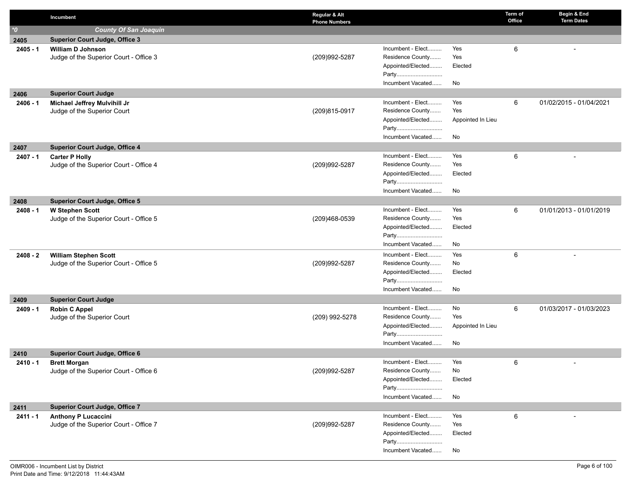|                  | Incumbent                                                              | Regular & Alt<br><b>Phone Numbers</b> |                                       |                   | Term of<br>Office | Begin & End<br><b>Term Dates</b> |
|------------------|------------------------------------------------------------------------|---------------------------------------|---------------------------------------|-------------------|-------------------|----------------------------------|
| $\boldsymbol{v}$ | <b>County Of San Joaquin</b>                                           |                                       |                                       |                   |                   |                                  |
| 2405             | <b>Superior Court Judge, Office 3</b>                                  |                                       |                                       |                   |                   |                                  |
| $2405 - 1$       | <b>William D Johnson</b>                                               |                                       | Incumbent - Elect                     | Yes               | 6                 |                                  |
|                  | Judge of the Superior Court - Office 3                                 | (209)992-5287                         | Residence County                      | Yes               |                   |                                  |
|                  |                                                                        |                                       | Appointed/Elected                     | Elected           |                   |                                  |
|                  |                                                                        |                                       | Party                                 |                   |                   |                                  |
|                  |                                                                        |                                       | Incumbent Vacated                     | No                |                   |                                  |
| 2406             | <b>Superior Court Judge</b>                                            |                                       |                                       |                   |                   |                                  |
| 2406 - 1         | Michael Jeffrey Mulvihill Jr                                           |                                       | Incumbent - Elect                     | Yes               | 6                 | 01/02/2015 - 01/04/2021          |
|                  | Judge of the Superior Court                                            | (209)815-0917                         | Residence County                      | Yes               |                   |                                  |
|                  |                                                                        |                                       | Appointed/Elected                     | Appointed In Lieu |                   |                                  |
|                  |                                                                        |                                       | Party                                 |                   |                   |                                  |
|                  |                                                                        |                                       | Incumbent Vacated                     | No                |                   |                                  |
| 2407             | <b>Superior Court Judge, Office 4</b>                                  |                                       |                                       |                   |                   |                                  |
| $2407 - 1$       | <b>Carter P Holly</b>                                                  |                                       | Incumbent - Elect                     | Yes               | 6                 |                                  |
|                  | Judge of the Superior Court - Office 4                                 | (209)992-5287                         | Residence County                      | Yes               |                   |                                  |
|                  |                                                                        |                                       | Appointed/Elected                     | Elected           |                   |                                  |
|                  |                                                                        |                                       | Party                                 |                   |                   |                                  |
|                  |                                                                        |                                       | Incumbent Vacated                     | No                |                   |                                  |
| 2408             | <b>Superior Court Judge, Office 5</b>                                  |                                       |                                       |                   |                   |                                  |
| $2408 - 1$       | <b>W Stephen Scott</b>                                                 |                                       | Incumbent - Elect<br>Residence County | Yes<br>Yes        | 6                 | 01/01/2013 - 01/01/2019          |
|                  | Judge of the Superior Court - Office 5                                 | (209)468-0539                         | Appointed/Elected                     | Elected           |                   |                                  |
|                  |                                                                        |                                       | Party                                 |                   |                   |                                  |
|                  |                                                                        |                                       | Incumbent Vacated                     | No                |                   |                                  |
| $2408 - 2$       |                                                                        |                                       | Incumbent - Elect                     | Yes               | 6                 |                                  |
|                  | <b>William Stephen Scott</b><br>Judge of the Superior Court - Office 5 | (209)992-5287                         | Residence County                      | No                |                   |                                  |
|                  |                                                                        |                                       | Appointed/Elected                     | Elected           |                   |                                  |
|                  |                                                                        |                                       | Party                                 |                   |                   |                                  |
|                  |                                                                        |                                       | Incumbent Vacated                     | No                |                   |                                  |
| 2409             | <b>Superior Court Judge</b>                                            |                                       |                                       |                   |                   |                                  |
| $2409 - 1$       | <b>Robin C Appel</b>                                                   |                                       | Incumbent - Elect                     | No                | 6                 | 01/03/2017 - 01/03/2023          |
|                  | Judge of the Superior Court                                            | (209) 992-5278                        | Residence County                      | Yes               |                   |                                  |
|                  |                                                                        |                                       | Appointed/Elected                     | Appointed In Lieu |                   |                                  |
|                  |                                                                        |                                       | Party                                 |                   |                   |                                  |
|                  |                                                                        |                                       | Incumbent Vacated                     | No                |                   |                                  |
| 2410             | <b>Superior Court Judge, Office 6</b>                                  |                                       |                                       |                   |                   |                                  |
| 2410 - 1         | <b>Brett Morgan</b>                                                    |                                       | Incumbent - Elect                     | Yes               | 6                 |                                  |
|                  | Judge of the Superior Court - Office 6                                 | (209)992-5287                         | Residence County                      | No                |                   |                                  |
|                  |                                                                        |                                       | Appointed/Elected                     | Elected           |                   |                                  |
|                  |                                                                        |                                       | Party                                 |                   |                   |                                  |
|                  |                                                                        |                                       | Incumbent Vacated                     | No                |                   |                                  |
| 2411             | <b>Superior Court Judge, Office 7</b>                                  |                                       |                                       |                   |                   |                                  |
| $2411 - 1$       | <b>Anthony P Lucaccini</b>                                             |                                       | Incumbent - Elect                     | Yes               | 6                 |                                  |
|                  | Judge of the Superior Court - Office 7                                 | (209)992-5287                         | Residence County                      | Yes               |                   |                                  |
|                  |                                                                        |                                       | Appointed/Elected                     | Elected           |                   |                                  |
|                  |                                                                        |                                       | Party                                 |                   |                   |                                  |
|                  |                                                                        |                                       | Incumbent Vacated                     | No                |                   |                                  |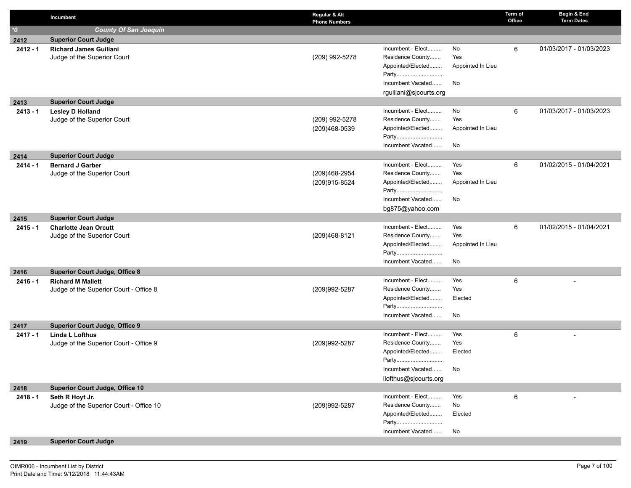|                  | Incumbent                                                   | Regular & Alt<br><b>Phone Numbers</b> |                                       |                   | Term of<br>Office | Begin & End<br><b>Term Dates</b> |
|------------------|-------------------------------------------------------------|---------------------------------------|---------------------------------------|-------------------|-------------------|----------------------------------|
| $\boldsymbol{v}$ | <b>County Of San Joaquin</b>                                |                                       |                                       |                   |                   |                                  |
| 2412             | <b>Superior Court Judge</b>                                 |                                       |                                       |                   |                   |                                  |
| $2412 - 1$       | <b>Richard James Guiliani</b>                               |                                       | Incumbent - Elect                     | No                | 6                 | 01/03/2017 - 01/03/2023          |
|                  | Judge of the Superior Court                                 | (209) 992-5278                        | Residence County                      | Yes               |                   |                                  |
|                  |                                                             |                                       | Appointed/Elected                     | Appointed In Lieu |                   |                                  |
|                  |                                                             |                                       | Party                                 |                   |                   |                                  |
|                  |                                                             |                                       | Incumbent Vacated                     | No                |                   |                                  |
|                  |                                                             |                                       | rguiliani@sjcourts.org                |                   |                   |                                  |
| 2413             | <b>Superior Court Judge</b>                                 |                                       | Incumbent - Elect                     | No                |                   |                                  |
| $2413 - 1$       | <b>Lesley D Holland</b><br>Judge of the Superior Court      | (209) 992-5278                        | Residence County                      | Yes               | 6                 | 01/03/2017 - 01/03/2023          |
|                  |                                                             | (209)468-0539                         | Appointed/Elected                     | Appointed In Lieu |                   |                                  |
|                  |                                                             |                                       | Party                                 |                   |                   |                                  |
|                  |                                                             |                                       | Incumbent Vacated                     | No                |                   |                                  |
| 2414             | <b>Superior Court Judge</b>                                 |                                       |                                       |                   |                   |                                  |
| $2414 - 1$       | <b>Bernard J Garber</b>                                     |                                       | Incumbent - Elect                     | Yes               | 6                 | 01/02/2015 - 01/04/2021          |
|                  | Judge of the Superior Court                                 | (209)468-2954                         | Residence County                      | Yes               |                   |                                  |
|                  |                                                             | (209)915-8524                         | Appointed/Elected                     | Appointed In Lieu |                   |                                  |
|                  |                                                             |                                       | Party                                 |                   |                   |                                  |
|                  |                                                             |                                       | Incumbent Vacated                     | No                |                   |                                  |
|                  |                                                             |                                       | bg875@yahoo.com                       |                   |                   |                                  |
| 2415             | <b>Superior Court Judge</b>                                 |                                       |                                       |                   |                   |                                  |
| $2415 - 1$       | <b>Charlotte Jean Orcutt</b><br>Judge of the Superior Court | (209)468-8121                         | Incumbent - Elect<br>Residence County | Yes<br>Yes        | 6                 | 01/02/2015 - 01/04/2021          |
|                  |                                                             |                                       | Appointed/Elected                     | Appointed In Lieu |                   |                                  |
|                  |                                                             |                                       | Party                                 |                   |                   |                                  |
|                  |                                                             |                                       | Incumbent Vacated                     | No                |                   |                                  |
| 2416             | <b>Superior Court Judge, Office 8</b>                       |                                       |                                       |                   |                   |                                  |
| $2416 - 1$       | <b>Richard M Mallett</b>                                    |                                       | Incumbent - Elect                     | Yes               | 6                 |                                  |
|                  | Judge of the Superior Court - Office 8                      | (209) 992-5287                        | Residence County                      | Yes               |                   |                                  |
|                  |                                                             |                                       | Appointed/Elected                     | Elected           |                   |                                  |
|                  |                                                             |                                       | Party                                 |                   |                   |                                  |
|                  |                                                             |                                       | Incumbent Vacated                     | No                |                   |                                  |
| 2417             | <b>Superior Court Judge, Office 9</b>                       |                                       |                                       |                   |                   |                                  |
| $2417 - 1$       | <b>Linda L Lofthus</b>                                      | (209)992-5287                         | Incumbent - Elect<br>Residence County | Yes<br>Yes        | 6                 |                                  |
|                  | Judge of the Superior Court - Office 9                      |                                       | Appointed/Elected                     | Elected           |                   |                                  |
|                  |                                                             |                                       | Party                                 |                   |                   |                                  |
|                  |                                                             |                                       | Incumbent Vacated                     | No                |                   |                                  |
|                  |                                                             |                                       | llofthus@sjcourts.org                 |                   |                   |                                  |
| 2418             | <b>Superior Court Judge, Office 10</b>                      |                                       |                                       |                   |                   |                                  |
| $2418 - 1$       | Seth R Hoyt Jr.                                             |                                       | Incumbent - Elect                     | Yes               | 6                 |                                  |
|                  | Judge of the Superior Court - Office 10                     | (209)992-5287                         | Residence County                      | No                |                   |                                  |
|                  |                                                             |                                       | Appointed/Elected                     | Elected           |                   |                                  |
|                  |                                                             |                                       | Party                                 |                   |                   |                                  |
|                  |                                                             |                                       | Incumbent Vacated                     | No                |                   |                                  |
| 2419             | <b>Superior Court Judge</b>                                 |                                       |                                       |                   |                   |                                  |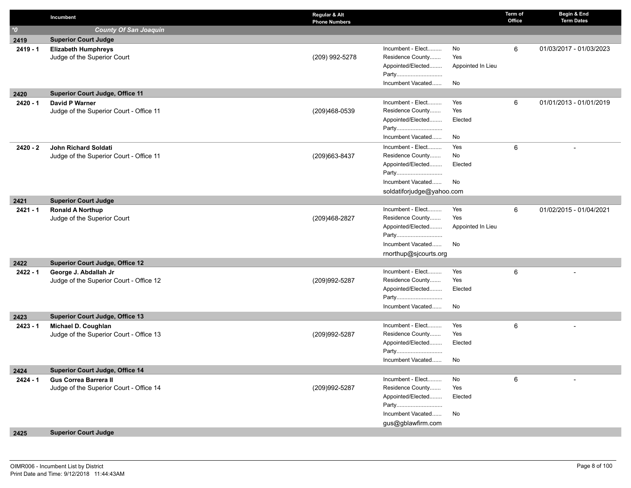|              | Incumbent                               | Regular & Alt<br><b>Phone Numbers</b> |                           |                   | Term of<br>Office | Begin & End<br><b>Term Dates</b> |
|--------------|-----------------------------------------|---------------------------------------|---------------------------|-------------------|-------------------|----------------------------------|
| $^{\ast}\!0$ | <b>County Of San Joaquin</b>            |                                       |                           |                   |                   |                                  |
| 2419         | <b>Superior Court Judge</b>             |                                       |                           |                   |                   |                                  |
| $2419 - 1$   | <b>Elizabeth Humphreys</b>              |                                       | Incumbent - Elect         | No                | 6                 | 01/03/2017 - 01/03/2023          |
|              | Judge of the Superior Court             | (209) 992-5278                        | Residence County          | Yes               |                   |                                  |
|              |                                         |                                       | Appointed/Elected         | Appointed In Lieu |                   |                                  |
|              |                                         |                                       | Party                     |                   |                   |                                  |
|              |                                         |                                       | Incumbent Vacated         | No                |                   |                                  |
| 2420         | <b>Superior Court Judge, Office 11</b>  |                                       |                           |                   |                   |                                  |
| 2420 - 1     | David P Warner                          |                                       | Incumbent - Elect         | Yes               | 6                 | 01/01/2013 - 01/01/2019          |
|              | Judge of the Superior Court - Office 11 | (209)468-0539                         | Residence County          | Yes               |                   |                                  |
|              |                                         |                                       | Appointed/Elected         | Elected           |                   |                                  |
|              |                                         |                                       | Party                     |                   |                   |                                  |
|              |                                         |                                       | Incumbent Vacated         | No                |                   |                                  |
| 2420 - 2     | John Richard Soldati                    |                                       | Incumbent - Elect         | Yes               | 6                 |                                  |
|              | Judge of the Superior Court - Office 11 | (209) 663-8437                        | Residence County          | No                |                   |                                  |
|              |                                         |                                       | Appointed/Elected         | Elected           |                   |                                  |
|              |                                         |                                       | Party                     |                   |                   |                                  |
|              |                                         |                                       | Incumbent Vacated         | No                |                   |                                  |
|              |                                         |                                       | soldatiforjudge@yahoo.com |                   |                   |                                  |
| 2421         | <b>Superior Court Judge</b>             |                                       |                           |                   |                   |                                  |
| 2421 - 1     | <b>Ronald A Northup</b>                 |                                       | Incumbent - Elect         | Yes               | 6                 | 01/02/2015 - 01/04/2021          |
|              | Judge of the Superior Court             | (209)468-2827                         | Residence County          | Yes               |                   |                                  |
|              |                                         |                                       | Appointed/Elected         | Appointed In Lieu |                   |                                  |
|              |                                         |                                       | Party                     |                   |                   |                                  |
|              |                                         |                                       | Incumbent Vacated         | No                |                   |                                  |
|              |                                         |                                       | rnorthup@sjcourts.org     |                   |                   |                                  |
| 2422         | <b>Superior Court Judge, Office 12</b>  |                                       |                           |                   |                   |                                  |
| $2422 - 1$   | George J. Abdallah Jr                   |                                       | Incumbent - Elect         | Yes               | 6                 |                                  |
|              | Judge of the Superior Court - Office 12 | (209)992-5287                         | Residence County          | Yes               |                   |                                  |
|              |                                         |                                       | Appointed/Elected         | Elected           |                   |                                  |
|              |                                         |                                       | Party                     |                   |                   |                                  |
|              |                                         |                                       | Incumbent Vacated         | No                |                   |                                  |
| 2423         | <b>Superior Court Judge, Office 13</b>  |                                       |                           |                   |                   |                                  |
| $2423 - 1$   | Michael D. Coughlan                     |                                       | Incumbent - Elect         | Yes               | 6                 |                                  |
|              | Judge of the Superior Court - Office 13 | (209)992-5287                         | Residence County          | Yes               |                   |                                  |
|              |                                         |                                       | Appointed/Elected         | Elected           |                   |                                  |
|              |                                         |                                       | Party                     |                   |                   |                                  |
|              |                                         |                                       | Incumbent Vacated         | No                |                   |                                  |
| 2424         | Superior Court Judge, Office 14         |                                       |                           |                   |                   |                                  |
| 2424 - 1     | <b>Gus Correa Barrera II</b>            |                                       | Incumbent - Elect         | No                | 6                 |                                  |
|              | Judge of the Superior Court - Office 14 | (209)992-5287                         | Residence County          | Yes               |                   |                                  |
|              |                                         |                                       | Appointed/Elected         | Elected           |                   |                                  |
|              |                                         |                                       | Party                     |                   |                   |                                  |
|              |                                         |                                       | Incumbent Vacated         | No                |                   |                                  |
|              |                                         |                                       | gus@gblawfirm.com         |                   |                   |                                  |
| 0.405        | <b>Cunoriar Court Judge</b>             |                                       |                           |                   |                   |                                  |

## **2425 Superior Court Judge**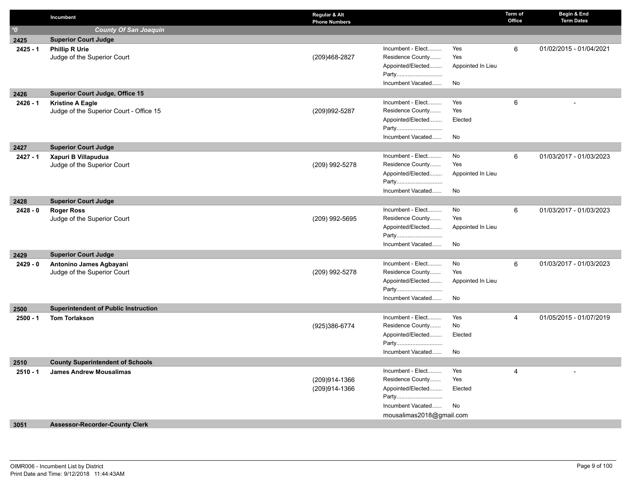|                    | Incumbent                                                           | Regular & Alt<br><b>Phone Numbers</b> |                                | Term of<br>Office | Begin & End<br><b>Term Dates</b> |
|--------------------|---------------------------------------------------------------------|---------------------------------------|--------------------------------|-------------------|----------------------------------|
| $\boldsymbol{0}^*$ | <b>County Of San Joaquin</b>                                        |                                       |                                |                   |                                  |
| 2425               | <b>Superior Court Judge</b>                                         |                                       |                                |                   |                                  |
| $2425 - 1$         | <b>Phillip R Urie</b>                                               |                                       | Incumbent - Elect<br>Yes       | 6                 | 01/02/2015 - 01/04/2021          |
|                    | Judge of the Superior Court                                         | (209)468-2827                         | Residence County<br>Yes        |                   |                                  |
|                    |                                                                     |                                       | Appointed/Elected              | Appointed In Lieu |                                  |
|                    |                                                                     |                                       | Party                          |                   |                                  |
|                    |                                                                     |                                       | Incumbent Vacated<br>No        |                   |                                  |
| 2426               | <b>Superior Court Judge, Office 15</b>                              |                                       | Incumbent - Elect<br>Yes       |                   |                                  |
| $2426 - 1$         | <b>Kristine A Eagle</b><br>Judge of the Superior Court - Office 15  | (209)992-5287                         | Residence County<br>Yes        | 6                 |                                  |
|                    |                                                                     |                                       | Appointed/Elected              | Elected           |                                  |
|                    |                                                                     |                                       | Party                          |                   |                                  |
|                    |                                                                     |                                       | Incumbent Vacated<br>No        |                   |                                  |
| 2427               | <b>Superior Court Judge</b>                                         |                                       |                                |                   |                                  |
| $2427 - 1$         | Xapuri B Villapudua                                                 |                                       | Incumbent - Elect<br>No        | 6                 | 01/03/2017 - 01/03/2023          |
|                    | Judge of the Superior Court                                         | (209) 992-5278                        | Residence County<br>Yes        |                   |                                  |
|                    |                                                                     |                                       | Appointed/Elected              | Appointed In Lieu |                                  |
|                    |                                                                     |                                       | Party                          |                   |                                  |
|                    |                                                                     |                                       | Incumbent Vacated<br>No        |                   |                                  |
| 2428               | <b>Superior Court Judge</b>                                         |                                       | Incumbent - Elect              |                   |                                  |
| $2428 - 0$         | <b>Roger Ross</b><br>Judge of the Superior Court                    | (209) 992-5695                        | No<br>Residence County<br>Yes  | 6                 | 01/03/2017 - 01/03/2023          |
|                    |                                                                     |                                       | Appointed/Elected              | Appointed In Lieu |                                  |
|                    |                                                                     |                                       | Party                          |                   |                                  |
|                    |                                                                     |                                       | Incumbent Vacated<br>No        |                   |                                  |
| 2429               | <b>Superior Court Judge</b>                                         |                                       |                                |                   |                                  |
| $2429 - 0$         | Antonino James Agbayani                                             |                                       | Incumbent - Elect<br>No        | 6                 | 01/03/2017 - 01/03/2023          |
|                    | Judge of the Superior Court                                         | (209) 992-5278                        | Residence County<br>Yes        |                   |                                  |
|                    |                                                                     |                                       | Appointed/Elected              | Appointed In Lieu |                                  |
|                    |                                                                     |                                       | Party                          |                   |                                  |
|                    |                                                                     |                                       | Incumbent Vacated<br>No        |                   |                                  |
| 2500<br>$2500 - 1$ | <b>Superintendent of Public Instruction</b><br><b>Tom Torlakson</b> |                                       | Incumbent - Elect<br>Yes       | $\overline{4}$    | 01/05/2015 - 01/07/2019          |
|                    |                                                                     | (925)386-6774                         | Residence County<br>No         |                   |                                  |
|                    |                                                                     |                                       | Appointed/Elected              | Elected           |                                  |
|                    |                                                                     |                                       | Party                          |                   |                                  |
|                    |                                                                     |                                       | Incumbent Vacated<br>No        |                   |                                  |
| 2510               | <b>County Superintendent of Schools</b>                             |                                       |                                |                   |                                  |
| $2510 - 1$         | <b>James Andrew Mousalimas</b>                                      |                                       | Incumbent - Elect<br>Yes       | 4                 |                                  |
|                    |                                                                     | (209)914-1366                         | Residence County<br>Yes        |                   |                                  |
|                    |                                                                     | (209)914-1366                         | Appointed/Elected              | Elected           |                                  |
|                    |                                                                     |                                       | Party<br>Incumbent Vacated     |                   |                                  |
|                    |                                                                     |                                       | No<br>mousalimas2018@gmail.com |                   |                                  |
| 3051               | <b>Assessor-Recorder-County Clerk</b>                               |                                       |                                |                   |                                  |
|                    |                                                                     |                                       |                                |                   |                                  |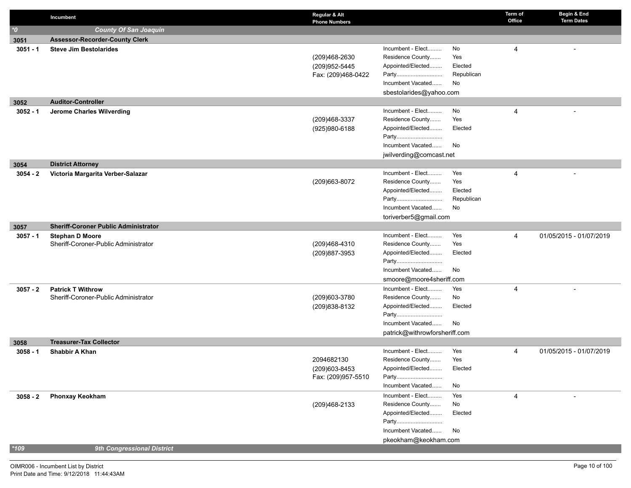|            | Incumbent                                   | Regular & Alt<br><b>Phone Numbers</b> |                               |                  | Term of<br>Office | Begin & End<br><b>Term Dates</b> |
|------------|---------------------------------------------|---------------------------------------|-------------------------------|------------------|-------------------|----------------------------------|
| $^*$ 0     | <b>County Of San Joaquin</b>                |                                       |                               |                  |                   |                                  |
| 3051       | <b>Assessor-Recorder-County Clerk</b>       |                                       |                               |                  |                   |                                  |
| $3051 - 1$ | <b>Steve Jim Bestolarides</b>               |                                       | Incumbent - Elect             | No               | 4                 |                                  |
|            |                                             | (209)468-2630                         | Residence County              | Yes              |                   |                                  |
|            |                                             | (209) 952-5445                        | Appointed/Elected             | Elected          |                   |                                  |
|            |                                             | Fax: (209)468-0422                    | Party                         | Republican       |                   |                                  |
|            |                                             |                                       | Incumbent Vacated             | No               |                   |                                  |
|            |                                             |                                       | sbestolarides@yahoo.com       |                  |                   |                                  |
| 3052       | <b>Auditor-Controller</b>                   |                                       |                               |                  |                   |                                  |
| $3052 - 1$ | Jerome Charles Wilverding                   |                                       | Incumbent - Elect             | No               | 4                 |                                  |
|            |                                             | (209)468-3337                         | Residence County              | Yes              |                   |                                  |
|            |                                             | (925) 980-6188                        | Appointed/Elected             | Elected          |                   |                                  |
|            |                                             |                                       | Party                         |                  |                   |                                  |
|            |                                             |                                       | Incumbent Vacated             | No               |                   |                                  |
|            |                                             |                                       | jwilverding@comcast.net       |                  |                   |                                  |
| 3054       | <b>District Attorney</b>                    |                                       |                               |                  |                   |                                  |
| $3054 - 2$ | Victoria Margarita Verber-Salazar           |                                       | Incumbent - Elect             | Yes              | 4                 |                                  |
|            |                                             | (209) 663-8072                        | Residence County              | Yes              |                   |                                  |
|            |                                             |                                       | Appointed/Elected             | Elected          |                   |                                  |
|            |                                             |                                       | Party<br>Incumbent Vacated    | Republican<br>No |                   |                                  |
|            |                                             |                                       |                               |                  |                   |                                  |
|            | <b>Sheriff-Coroner Public Administrator</b> |                                       | toriverber5@gmail.com         |                  |                   |                                  |
| 3057       | <b>Stephan D Moore</b>                      |                                       | Incumbent - Elect             | Yes              | 4                 | 01/05/2015 - 01/07/2019          |
| $3057 - 1$ | Sheriff-Coroner-Public Administrator        | (209)468-4310                         | Residence County              | Yes              |                   |                                  |
|            |                                             | (209)887-3953                         | Appointed/Elected             | Elected          |                   |                                  |
|            |                                             |                                       | Party                         |                  |                   |                                  |
|            |                                             |                                       | Incumbent Vacated             | No               |                   |                                  |
|            |                                             |                                       | smoore@moore4sheriff.com      |                  |                   |                                  |
| $3057 - 2$ | <b>Patrick T Withrow</b>                    |                                       | Incumbent - Elect             | Yes              | 4                 |                                  |
|            | Sheriff-Coroner-Public Administrator        | (209)603-3780                         | Residence County              | No               |                   |                                  |
|            |                                             | (209) 838-8132                        | Appointed/Elected             | Elected          |                   |                                  |
|            |                                             |                                       | Party                         |                  |                   |                                  |
|            |                                             |                                       | Incumbent Vacated             | No               |                   |                                  |
|            |                                             |                                       | patrick@withrowforsheriff.com |                  |                   |                                  |
| 3058       | <b>Treasurer-Tax Collector</b>              |                                       |                               |                  |                   |                                  |
| $3058 - 1$ | <b>Shabbir A Khan</b>                       |                                       | Incumbent - Elect             | Yes              | 4                 | 01/05/2015 - 01/07/2019          |
|            |                                             | 2094682130                            | Residence County              | Yes              |                   |                                  |
|            |                                             | (209)603-8453                         | Appointed/Elected             | Elected          |                   |                                  |
|            |                                             | Fax: (209)957-5510                    | Party                         |                  |                   |                                  |
|            |                                             |                                       | Incumbent Vacated             | No               |                   |                                  |
| $3058 - 2$ | <b>Phonxay Keokham</b>                      |                                       | Incumbent - Elect             | Yes              | 4                 |                                  |
|            |                                             | (209)468-2133                         | Residence County              | No               |                   |                                  |
|            |                                             |                                       | Appointed/Elected             | Elected          |                   |                                  |
|            |                                             |                                       | Party<br>Incumbent Vacated    |                  |                   |                                  |
|            |                                             |                                       |                               | No               |                   |                                  |
| $*109$     | 9th Congressional District                  |                                       | pkeokham@keokham.com          |                  |                   |                                  |
|            |                                             |                                       |                               |                  |                   |                                  |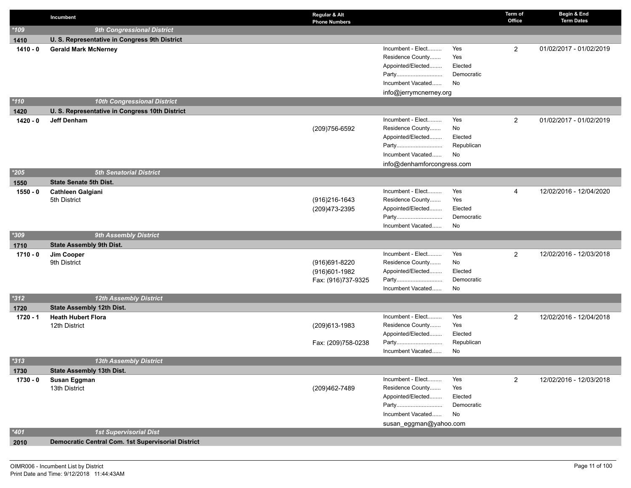|            | Incumbent                                          | Regular & Alt<br><b>Phone Numbers</b>                |                                                                                                                        |                                           | Term of<br>Office | Begin & End<br><b>Term Dates</b> |
|------------|----------------------------------------------------|------------------------------------------------------|------------------------------------------------------------------------------------------------------------------------|-------------------------------------------|-------------------|----------------------------------|
| $*109$     | 9th Congressional District                         |                                                      |                                                                                                                        |                                           |                   |                                  |
| 1410       | U. S. Representative in Congress 9th District      |                                                      |                                                                                                                        |                                           |                   |                                  |
| $1410 - 0$ | <b>Gerald Mark McNerney</b>                        |                                                      | Incumbent - Elect<br>Residence County<br>Appointed/Elected<br>Party<br>Incumbent Vacated<br>info@jerrymcnerney.org     | Yes<br>Yes<br>Elected<br>Democratic<br>No | $\overline{2}$    | 01/02/2017 - 01/02/2019          |
| $*110$     | <b>10th Congressional District</b>                 |                                                      |                                                                                                                        |                                           |                   |                                  |
| 1420       | U. S. Representative in Congress 10th District     |                                                      |                                                                                                                        |                                           |                   |                                  |
| $1420 - 0$ | <b>Jeff Denham</b>                                 | (209)756-6592                                        | Incumbent - Elect<br>Residence County<br>Appointed/Elected<br>Party<br>Incumbent Vacated<br>info@denhamforcongress.com | Yes<br>No<br>Elected<br>Republican<br>No  | 2                 | 01/02/2017 - 01/02/2019          |
| $*205$     | <b>5th Senatorial District</b>                     |                                                      |                                                                                                                        |                                           |                   |                                  |
| 1550       | <b>State Senate 5th Dist.</b>                      |                                                      |                                                                                                                        |                                           |                   |                                  |
| $1550 - 0$ | <b>Cathleen Galgiani</b><br>5th District           | (916) 216-1643<br>(209)473-2395                      | Incumbent - Elect<br>Residence County<br>Appointed/Elected<br>Party<br>Incumbent Vacated                               | Yes<br>Yes<br>Elected<br>Democratic<br>No | 4                 | 12/02/2016 - 12/04/2020          |
| $*309$     | <b>9th Assembly District</b>                       |                                                      |                                                                                                                        |                                           |                   |                                  |
| 1710       | <b>State Assembly 9th Dist.</b>                    |                                                      |                                                                                                                        |                                           |                   |                                  |
| $1710 - 0$ | Jim Cooper<br>9th District                         | (916)691-8220<br>(916)601-1982<br>Fax: (916)737-9325 | Incumbent - Elect<br>Residence County<br>Appointed/Elected<br>Party<br>Incumbent Vacated                               | Yes<br>No<br>Elected<br>Democratic<br>No  | $\overline{2}$    | 12/02/2016 - 12/03/2018          |
| $*312$     | <b>12th Assembly District</b>                      |                                                      |                                                                                                                        |                                           |                   |                                  |
| 1720       | <b>State Assembly 12th Dist.</b>                   |                                                      |                                                                                                                        |                                           |                   |                                  |
| 1720 - 1   | <b>Heath Hubert Flora</b><br>12th District         | (209)613-1983<br>Fax: (209)758-0238                  | Incumbent - Elect<br>Residence County<br>Appointed/Elected<br>Party<br>Incumbent Vacated                               | Yes<br>Yes<br>Elected<br>Republican<br>No | $\overline{2}$    | 12/02/2016 - 12/04/2018          |
| $*313$     | <b>13th Assembly District</b>                      |                                                      |                                                                                                                        |                                           |                   |                                  |
| 1730       | State Assembly 13th Dist.                          |                                                      |                                                                                                                        |                                           |                   |                                  |
| $1730 - 0$ | Susan Eggman<br>13th District                      | (209)462-7489                                        | Incumbent - Elect<br>Residence County<br>Appointed/Elected<br>Party<br>Incumbent Vacated<br>susan_eggman@yahoo.com     | Yes<br>Yes<br>Elected<br>Democratic<br>No | $\overline{2}$    | 12/02/2016 - 12/03/2018          |
| $*401$     | <b>1st Supervisorial Dist</b>                      |                                                      |                                                                                                                        |                                           |                   |                                  |
| 2010       | Democratic Central Com. 1st Supervisorial District |                                                      |                                                                                                                        |                                           |                   |                                  |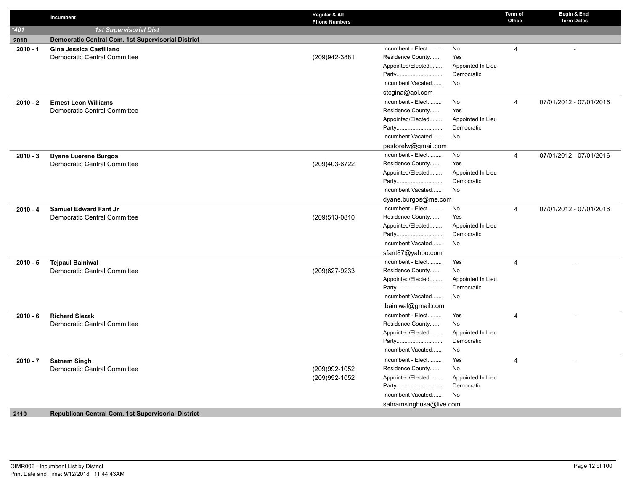|            | Incumbent                                                 | Regular & Alt<br><b>Phone Numbers</b> |                         |                   | Term of<br>Office | Begin & End<br><b>Term Dates</b> |
|------------|-----------------------------------------------------------|---------------------------------------|-------------------------|-------------------|-------------------|----------------------------------|
| $*401$     | <b>1st Supervisorial Dist</b>                             |                                       |                         |                   |                   |                                  |
| 2010       | Democratic Central Com. 1st Supervisorial District        |                                       |                         |                   |                   |                                  |
| $2010 - 1$ | Gina Jessica Castillano                                   |                                       | Incumbent - Elect       | No                | $\overline{4}$    |                                  |
|            | Democratic Central Committee                              | (209)942-3881                         | Residence County        | Yes               |                   |                                  |
|            |                                                           |                                       | Appointed/Elected       | Appointed In Lieu |                   |                                  |
|            |                                                           |                                       | Party                   | Democratic        |                   |                                  |
|            |                                                           |                                       | Incumbent Vacated       | No                |                   |                                  |
|            |                                                           |                                       | stcgina@aol.com         |                   |                   |                                  |
| $2010 - 2$ | <b>Ernest Leon Williams</b>                               |                                       | Incumbent - Elect       | No                | $\overline{4}$    | 07/01/2012 - 07/01/2016          |
|            | <b>Democratic Central Committee</b>                       |                                       | Residence County        | Yes               |                   |                                  |
|            |                                                           |                                       | Appointed/Elected       | Appointed In Lieu |                   |                                  |
|            |                                                           |                                       | Party                   | Democratic        |                   |                                  |
|            |                                                           |                                       | Incumbent Vacated       | No                |                   |                                  |
|            |                                                           |                                       | pastorelw@gmail.com     |                   |                   |                                  |
| $2010 - 3$ | <b>Dyane Luerene Burgos</b>                               |                                       | Incumbent - Elect       | No                | $\overline{4}$    | 07/01/2012 - 07/01/2016          |
|            | Democratic Central Committee                              | (209)403-6722                         | Residence County        | Yes               |                   |                                  |
|            |                                                           |                                       | Appointed/Elected       | Appointed In Lieu |                   |                                  |
|            |                                                           |                                       | Party                   | Democratic        |                   |                                  |
|            |                                                           |                                       | Incumbent Vacated       | <b>No</b>         |                   |                                  |
|            |                                                           |                                       | dyane.burgos@me.com     |                   |                   |                                  |
| $2010 - 4$ | Samuel Edward Fant Jr                                     |                                       | Incumbent - Elect       | No                | $\overline{4}$    | 07/01/2012 - 07/01/2016          |
|            | Democratic Central Committee                              | (209)513-0810                         | Residence County        | Yes               |                   |                                  |
|            |                                                           |                                       | Appointed/Elected       | Appointed In Lieu |                   |                                  |
|            |                                                           |                                       | Party                   | Democratic        |                   |                                  |
|            |                                                           |                                       | Incumbent Vacated       | No                |                   |                                  |
|            |                                                           |                                       | sfant87@yahoo.com       |                   |                   |                                  |
| $2010 - 5$ | <b>Tejpaul Bainiwal</b>                                   |                                       | Incumbent - Elect       | Yes               | 4                 | $\overline{a}$                   |
|            | Democratic Central Committee                              | (209) 627-9233                        | Residence County        | No                |                   |                                  |
|            |                                                           |                                       | Appointed/Elected       | Appointed In Lieu |                   |                                  |
|            |                                                           |                                       | Party                   | Democratic        |                   |                                  |
|            |                                                           |                                       | Incumbent Vacated       | No                |                   |                                  |
|            |                                                           |                                       | tbainiwal@gmail.com     |                   |                   |                                  |
| $2010 - 6$ | <b>Richard Slezak</b>                                     |                                       | Incumbent - Elect       | Yes               | $\overline{4}$    |                                  |
|            | Democratic Central Committee                              |                                       | Residence County        | No                |                   |                                  |
|            |                                                           |                                       | Appointed/Elected       | Appointed In Lieu |                   |                                  |
|            |                                                           |                                       | Party                   | Democratic        |                   |                                  |
|            |                                                           |                                       | Incumbent Vacated       | No                |                   |                                  |
| $2010 - 7$ | <b>Satnam Singh</b>                                       |                                       | Incumbent - Elect       | Yes               | 4                 |                                  |
|            | Democratic Central Committee                              | (209)992-1052                         | Residence County        | No                |                   |                                  |
|            |                                                           | (209)992-1052                         | Appointed/Elected       | Appointed In Lieu |                   |                                  |
|            |                                                           |                                       | Party                   | Democratic        |                   |                                  |
|            |                                                           |                                       | Incumbent Vacated       | <b>No</b>         |                   |                                  |
|            |                                                           |                                       | satnamsinghusa@live.com |                   |                   |                                  |
| 2110       | <b>Republican Central Com. 1st Supervisorial District</b> |                                       |                         |                   |                   |                                  |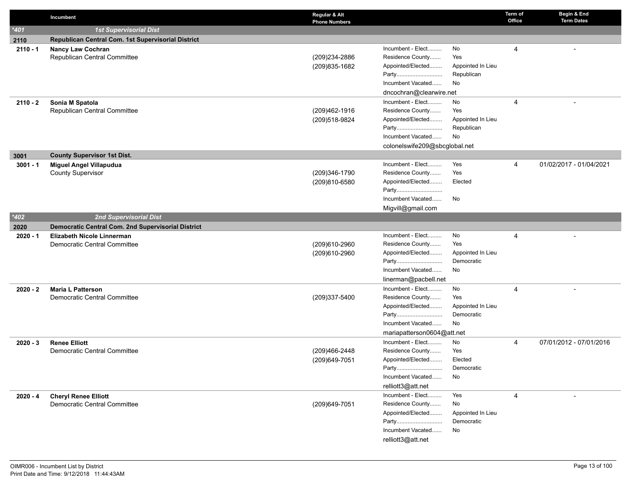|            | Incumbent                                                | Regular & Alt<br><b>Phone Numbers</b> |                                       |                                 | Term of<br>Office | Begin & End<br><b>Term Dates</b> |
|------------|----------------------------------------------------------|---------------------------------------|---------------------------------------|---------------------------------|-------------------|----------------------------------|
| $*401$     | <b>1st Supervisorial Dist</b>                            |                                       |                                       |                                 |                   |                                  |
| 2110       | Republican Central Com. 1st Supervisorial District       |                                       |                                       |                                 |                   |                                  |
| $2110 - 1$ | <b>Nancy Law Cochran</b>                                 |                                       | Incumbent - Elect                     | No                              | $\overline{4}$    |                                  |
|            | Republican Central Committee                             | (209)234-2886                         | Residence County                      | Yes                             |                   |                                  |
|            |                                                          | (209) 835-1682                        | Appointed/Elected                     | Appointed In Lieu               |                   |                                  |
|            |                                                          |                                       | Party                                 | Republican                      |                   |                                  |
|            |                                                          |                                       | Incumbent Vacated                     | No                              |                   |                                  |
|            |                                                          |                                       | dncochran@clearwire.net               |                                 |                   |                                  |
| $2110 - 2$ | Sonia M Spatola                                          |                                       | Incumbent - Elect                     | No                              | $\overline{4}$    |                                  |
|            | Republican Central Committee                             | (209)462-1916                         | Residence County                      | Yes                             |                   |                                  |
|            |                                                          | (209)518-9824                         | Appointed/Elected<br>Party            | Appointed In Lieu<br>Republican |                   |                                  |
|            |                                                          |                                       | Incumbent Vacated                     | No                              |                   |                                  |
|            |                                                          |                                       | colonelswife209@sbcglobal.net         |                                 |                   |                                  |
| 3001       | <b>County Supervisor 1st Dist.</b>                       |                                       |                                       |                                 |                   |                                  |
| $3001 - 1$ | <b>Miguel Angel Villapudua</b>                           |                                       | Incumbent - Elect                     | Yes                             | $\overline{4}$    | 01/02/2017 - 01/04/2021          |
|            | <b>County Supervisor</b>                                 | (209)346-1790                         | Residence County                      | Yes                             |                   |                                  |
|            |                                                          | (209)810-6580                         | Appointed/Elected                     | Elected                         |                   |                                  |
|            |                                                          |                                       | Party                                 |                                 |                   |                                  |
|            |                                                          |                                       | Incumbent Vacated                     | No                              |                   |                                  |
|            |                                                          |                                       | Migvill@gmail.com                     |                                 |                   |                                  |
| $*402$     | 2nd Supervisorial Dist                                   |                                       |                                       |                                 |                   |                                  |
| 2020       | Democratic Central Com. 2nd Supervisorial District       |                                       |                                       |                                 |                   |                                  |
| $2020 - 1$ | Elizabeth Nicole Linnerman                               |                                       | Incumbent - Elect                     | No                              | $\overline{4}$    |                                  |
|            | Democratic Central Committee                             | (209)610-2960                         | Residence County                      | Yes                             |                   |                                  |
|            |                                                          | (209)610-2960                         | Appointed/Elected                     | Appointed In Lieu               |                   |                                  |
|            |                                                          |                                       | Party                                 | Democratic                      |                   |                                  |
|            |                                                          |                                       | Incumbent Vacated                     | No                              |                   |                                  |
|            |                                                          |                                       | linerman@pacbell.net                  |                                 |                   |                                  |
| $2020 - 2$ | <b>Maria L Patterson</b><br>Democratic Central Committee |                                       | Incumbent - Elect<br>Residence County | No<br>Yes                       | 4                 |                                  |
|            |                                                          | (209)337-5400                         | Appointed/Elected                     | Appointed In Lieu               |                   |                                  |
|            |                                                          |                                       | Party                                 | Democratic                      |                   |                                  |
|            |                                                          |                                       | Incumbent Vacated                     | No                              |                   |                                  |
|            |                                                          |                                       | mariapatterson0604@att.net            |                                 |                   |                                  |
| $2020 - 3$ | <b>Renee Elliott</b>                                     |                                       | Incumbent - Elect                     | No                              | $\overline{4}$    | 07/01/2012 - 07/01/2016          |
|            | Democratic Central Committee                             | (209)466-2448                         | Residence County                      | Yes                             |                   |                                  |
|            |                                                          | (209) 649-7051                        | Appointed/Elected                     | Elected                         |                   |                                  |
|            |                                                          |                                       | Party                                 | Democratic                      |                   |                                  |
|            |                                                          |                                       | Incumbent Vacated                     | No                              |                   |                                  |
|            |                                                          |                                       | relliott3@att.net                     |                                 |                   |                                  |
| $2020 - 4$ | <b>Cheryl Renee Elliott</b>                              |                                       | Incumbent - Elect                     | Yes                             | 4                 |                                  |
|            | Democratic Central Committee                             | (209) 649-7051                        | Residence County                      | No                              |                   |                                  |
|            |                                                          |                                       | Appointed/Elected                     | Appointed In Lieu               |                   |                                  |
|            |                                                          |                                       | Party                                 | Democratic                      |                   |                                  |
|            |                                                          |                                       | Incumbent Vacated                     | No                              |                   |                                  |
|            |                                                          |                                       | relliott3@att.net                     |                                 |                   |                                  |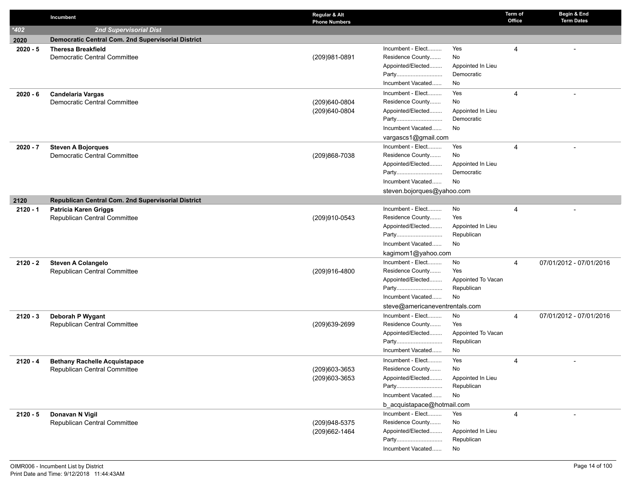|            | Incumbent                                          | Regular & Alt<br><b>Phone Numbers</b> |                                                                | Term of<br>Office | Begin & End<br><b>Term Dates</b> |
|------------|----------------------------------------------------|---------------------------------------|----------------------------------------------------------------|-------------------|----------------------------------|
| $*402$     | <b>2nd Supervisorial Dist</b>                      |                                       |                                                                |                   |                                  |
| 2020       | Democratic Central Com. 2nd Supervisorial District |                                       |                                                                |                   |                                  |
| $2020 - 5$ | <b>Theresa Breakfield</b>                          |                                       | Incumbent - Elect<br>Yes                                       | 4                 |                                  |
|            | Democratic Central Committee                       | (209)981-0891                         | Residence County<br>No                                         |                   |                                  |
|            |                                                    |                                       | Appointed/Elected<br>Appointed In Lieu                         |                   |                                  |
|            |                                                    |                                       | Democratic<br>Party                                            |                   |                                  |
|            |                                                    |                                       | Incumbent Vacated<br>No                                        |                   |                                  |
| $2020 - 6$ | <b>Candelaria Vargas</b>                           |                                       | Incumbent - Elect<br>Yes                                       | 4                 |                                  |
|            | Democratic Central Committee                       | (209)640-0804                         | Residence County<br>No                                         |                   |                                  |
|            |                                                    | (209)640-0804                         | Appointed/Elected<br>Appointed In Lieu<br>Party<br>Democratic  |                   |                                  |
|            |                                                    |                                       | Incumbent Vacated<br>No                                        |                   |                                  |
|            |                                                    |                                       | vargascs1@gmail.com                                            |                   |                                  |
| $2020 - 7$ | <b>Steven A Bojorques</b>                          |                                       | Incumbent - Elect<br>Yes                                       | 4                 |                                  |
|            | Democratic Central Committee                       | (209)868-7038                         | Residence County<br>No                                         |                   |                                  |
|            |                                                    |                                       | Appointed/Elected<br>Appointed In Lieu                         |                   |                                  |
|            |                                                    |                                       | Democratic<br>Party                                            |                   |                                  |
|            |                                                    |                                       | Incumbent Vacated<br>No.                                       |                   |                                  |
|            |                                                    |                                       | steven.bojorques@yahoo.com                                     |                   |                                  |
| 2120       | Republican Central Com. 2nd Supervisorial District |                                       |                                                                |                   |                                  |
| $2120 - 1$ | <b>Patricia Karen Griggs</b>                       |                                       | Incumbent - Elect<br>No                                        | 4                 |                                  |
|            | Republican Central Committee                       | (209)910-0543                         | Residence County<br>Yes                                        |                   |                                  |
|            |                                                    |                                       | Appointed/Elected<br>Appointed In Lieu                         |                   |                                  |
|            |                                                    |                                       | Republican<br>Party                                            |                   |                                  |
|            |                                                    |                                       | Incumbent Vacated<br>No                                        |                   |                                  |
|            |                                                    |                                       | kagimom1@yahoo.com                                             |                   |                                  |
| $2120 - 2$ | <b>Steven A Colangelo</b>                          |                                       | Incumbent - Elect<br>No                                        | 4                 | 07/01/2012 - 07/01/2016          |
|            | Republican Central Committee                       | (209)916-4800                         | Residence County<br>Yes                                        |                   |                                  |
|            |                                                    |                                       | Appointed/Elected<br>Appointed To Vacan<br>Republican<br>Party |                   |                                  |
|            |                                                    |                                       | Incumbent Vacated<br>No                                        |                   |                                  |
|            |                                                    |                                       | steve@americaneventrentals.com                                 |                   |                                  |
| $2120 - 3$ | Deborah P Wygant                                   |                                       | Incumbent - Elect<br>No                                        | 4                 | 07/01/2012 - 07/01/2016          |
|            | Republican Central Committee                       | (209)639-2699                         | Residence County<br>Yes                                        |                   |                                  |
|            |                                                    |                                       | Appointed/Elected<br>Appointed To Vacan                        |                   |                                  |
|            |                                                    |                                       | Party<br>Republican                                            |                   |                                  |
|            |                                                    |                                       | Incumbent Vacated<br>No                                        |                   |                                  |
| $2120 - 4$ | <b>Bethany Rachelle Acquistapace</b>               |                                       | Incumbent - Elect<br>Yes                                       | 4                 |                                  |
|            | Republican Central Committee                       | (209)603-3653                         | Residence County<br>No                                         |                   |                                  |
|            |                                                    | (209)603-3653                         | Appointed/Elected<br>Appointed In Lieu                         |                   |                                  |
|            |                                                    |                                       | Party<br>Republican                                            |                   |                                  |
|            |                                                    |                                       | Incumbent Vacated<br>No                                        |                   |                                  |
|            |                                                    |                                       | b_acquistapace@hotmail.com                                     |                   |                                  |
| $2120 - 5$ | Donavan N Vigil                                    |                                       | Incumbent - Elect<br>Yes                                       | 4                 |                                  |
|            | Republican Central Committee                       | (209)948-5375                         | Residence County<br>No                                         |                   |                                  |
|            |                                                    | (209)662-1464                         | Appointed/Elected<br>Appointed In Lieu                         |                   |                                  |
|            |                                                    |                                       | Republican<br>Party                                            |                   |                                  |
|            |                                                    |                                       | Incumbent Vacated<br>No                                        |                   |                                  |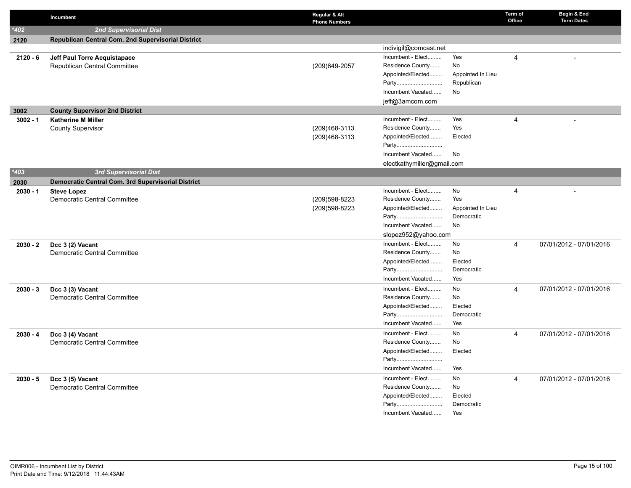|            | Incumbent                                                 | Regular & Alt<br><b>Phone Numbers</b> |                                       |                   | Term of<br>Office | Begin & End<br><b>Term Dates</b> |
|------------|-----------------------------------------------------------|---------------------------------------|---------------------------------------|-------------------|-------------------|----------------------------------|
| $*402$     | 2nd Supervisorial Dist                                    |                                       |                                       |                   |                   |                                  |
| 2120       | <b>Republican Central Com. 2nd Supervisorial District</b> |                                       |                                       |                   |                   |                                  |
|            |                                                           |                                       | indivigil@comcast.net                 |                   |                   |                                  |
| $2120 - 6$ | Jeff Paul Torre Acquistapace                              |                                       | Incumbent - Elect                     | Yes               | $\overline{4}$    |                                  |
|            | Republican Central Committee                              | (209) 649-2057                        | Residence County                      | <b>No</b>         |                   |                                  |
|            |                                                           |                                       | Appointed/Elected                     | Appointed In Lieu |                   |                                  |
|            |                                                           |                                       | Party                                 | Republican        |                   |                                  |
|            |                                                           |                                       | Incumbent Vacated                     | No                |                   |                                  |
|            |                                                           |                                       | jeff@3amcom.com                       |                   |                   |                                  |
| 3002       | <b>County Supervisor 2nd District</b>                     |                                       |                                       |                   |                   |                                  |
| $3002 - 1$ | <b>Katherine M Miller</b>                                 |                                       | Incumbent - Elect                     | Yes               | $\overline{4}$    |                                  |
|            | <b>County Supervisor</b>                                  | (209)468-3113                         | Residence County                      | Yes               |                   |                                  |
|            |                                                           | (209)468-3113                         | Appointed/Elected                     | Elected           |                   |                                  |
|            |                                                           |                                       | Party                                 |                   |                   |                                  |
|            |                                                           |                                       | Incumbent Vacated                     | No                |                   |                                  |
|            |                                                           |                                       | electkathymiller@gmail.com            |                   |                   |                                  |
| $*403$     | 3rd Supervisorial Dist                                    |                                       |                                       |                   |                   |                                  |
| 2030       | Democratic Central Com. 3rd Supervisorial District        |                                       |                                       |                   |                   |                                  |
| $2030 - 1$ | <b>Steve Lopez</b>                                        |                                       | Incumbent - Elect                     | No                | $\overline{4}$    |                                  |
|            | Democratic Central Committee                              | (209) 598-8223                        | Residence County                      | Yes               |                   |                                  |
|            |                                                           | (209) 598-8223                        | Appointed/Elected                     | Appointed In Lieu |                   |                                  |
|            |                                                           |                                       | Party                                 | Democratic        |                   |                                  |
|            |                                                           |                                       | Incumbent Vacated                     | No                |                   |                                  |
|            |                                                           |                                       | slopez952@yahoo.com                   |                   |                   |                                  |
| $2030 - 2$ | Dcc 3 (2) Vacant                                          |                                       | Incumbent - Elect                     | No<br>No          | $\overline{4}$    | 07/01/2012 - 07/01/2016          |
|            | Democratic Central Committee                              |                                       | Residence County<br>Appointed/Elected | Elected           |                   |                                  |
|            |                                                           |                                       | Party                                 | Democratic        |                   |                                  |
|            |                                                           |                                       | Incumbent Vacated                     | Yes               |                   |                                  |
|            |                                                           |                                       |                                       |                   |                   |                                  |
| $2030 - 3$ | Dcc 3 (3) Vacant                                          |                                       | Incumbent - Elect<br>Residence County | No<br>No          | 4                 | 07/01/2012 - 07/01/2016          |
|            | Democratic Central Committee                              |                                       | Appointed/Elected                     | Elected           |                   |                                  |
|            |                                                           |                                       | Party                                 | Democratic        |                   |                                  |
|            |                                                           |                                       | Incumbent Vacated                     | Yes               |                   |                                  |
|            |                                                           |                                       | Incumbent - Elect                     | No                | $\overline{4}$    |                                  |
| $2030 - 4$ | Dcc 3 (4) Vacant<br>Democratic Central Committee          |                                       | Residence County                      | No                |                   | 07/01/2012 - 07/01/2016          |
|            |                                                           |                                       | Appointed/Elected                     | Elected           |                   |                                  |
|            |                                                           |                                       | Party                                 |                   |                   |                                  |
|            |                                                           |                                       | Incumbent Vacated                     | Yes               |                   |                                  |
|            |                                                           |                                       | Incumbent - Elect                     | No                | $\overline{4}$    | 07/01/2012 - 07/01/2016          |
| $2030 - 5$ | Dcc 3 (5) Vacant<br>Democratic Central Committee          |                                       | Residence County                      | No                |                   |                                  |
|            |                                                           |                                       | Appointed/Elected                     | Elected           |                   |                                  |
|            |                                                           |                                       | Party                                 | Democratic        |                   |                                  |
|            |                                                           |                                       | Incumbent Vacated                     | Yes               |                   |                                  |
|            |                                                           |                                       |                                       |                   |                   |                                  |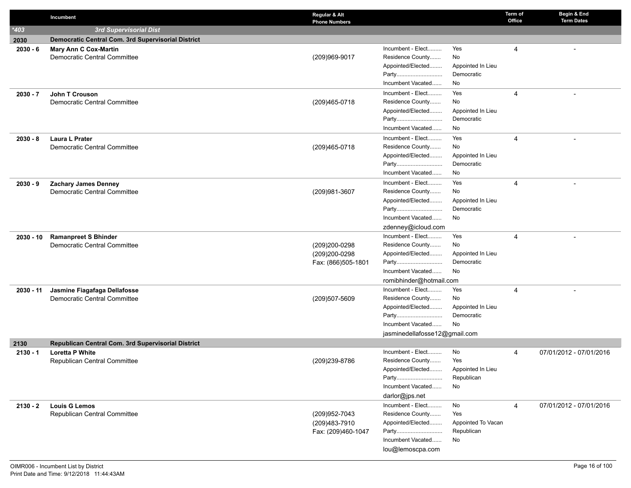|            | Incumbent                                          | Regular & Alt<br><b>Phone Numbers</b> |                               |                                 | Term of<br>Office | Begin & End<br><b>Term Dates</b> |
|------------|----------------------------------------------------|---------------------------------------|-------------------------------|---------------------------------|-------------------|----------------------------------|
| $*403$     | 3rd Supervisorial Dist                             |                                       |                               |                                 |                   |                                  |
| 2030       | Democratic Central Com. 3rd Supervisorial District |                                       |                               |                                 |                   |                                  |
| $2030 - 6$ | <b>Mary Ann C Cox-Martin</b>                       |                                       | Incumbent - Elect             | Yes                             | $\overline{4}$    |                                  |
|            | <b>Democratic Central Committee</b>                | (209)969-9017                         | Residence County              | No                              |                   |                                  |
|            |                                                    |                                       | Appointed/Elected             | Appointed In Lieu               |                   |                                  |
|            |                                                    |                                       | Party                         | Democratic                      |                   |                                  |
|            |                                                    |                                       | Incumbent Vacated             | No                              |                   |                                  |
| $2030 - 7$ | John T Crouson                                     |                                       | Incumbent - Elect             | Yes                             | 4                 |                                  |
|            | Democratic Central Committee                       | (209)465-0718                         | Residence County              | No                              |                   |                                  |
|            |                                                    |                                       | Appointed/Elected             | Appointed In Lieu<br>Democratic |                   |                                  |
|            |                                                    |                                       | Party<br>Incumbent Vacated    | No                              |                   |                                  |
|            |                                                    |                                       | Incumbent - Elect             | Yes                             |                   |                                  |
| $2030 - 8$ | Laura L Prater<br>Democratic Central Committee     | (209)465-0718                         | Residence County              | No                              | 4                 |                                  |
|            |                                                    |                                       | Appointed/Elected             | Appointed In Lieu               |                   |                                  |
|            |                                                    |                                       | Party                         | Democratic                      |                   |                                  |
|            |                                                    |                                       | Incumbent Vacated             | No                              |                   |                                  |
| $2030 - 9$ | <b>Zachary James Denney</b>                        |                                       | Incumbent - Elect             | Yes                             | 4                 | $\overline{a}$                   |
|            | <b>Democratic Central Committee</b>                | (209)981-3607                         | Residence County              | No                              |                   |                                  |
|            |                                                    |                                       | Appointed/Elected             | Appointed In Lieu               |                   |                                  |
|            |                                                    |                                       | Party                         | Democratic                      |                   |                                  |
|            |                                                    |                                       | Incumbent Vacated             | No                              |                   |                                  |
|            |                                                    |                                       | zdenney@icloud.com            |                                 |                   |                                  |
| 2030 - 10  | <b>Ramanpreet S Bhinder</b>                        |                                       | Incumbent - Elect             | Yes                             | 4                 |                                  |
|            | Democratic Central Committee                       | (209)200-0298                         | Residence County              | No                              |                   |                                  |
|            |                                                    | (209)200-0298                         | Appointed/Elected             | Appointed In Lieu               |                   |                                  |
|            |                                                    | Fax: (866)505-1801                    | Party                         | Democratic                      |                   |                                  |
|            |                                                    |                                       | Incumbent Vacated             | No                              |                   |                                  |
|            |                                                    |                                       | romibhinder@hotmail.com       |                                 |                   |                                  |
| 2030 - 11  | Jasmine Fiagafaga Dellafosse                       |                                       | Incumbent - Elect             | Yes                             | 4                 |                                  |
|            | Democratic Central Committee                       | (209)507-5609                         | Residence County              | No                              |                   |                                  |
|            |                                                    |                                       | Appointed/Elected<br>Party    | Appointed In Lieu<br>Democratic |                   |                                  |
|            |                                                    |                                       | Incumbent Vacated             | No                              |                   |                                  |
|            |                                                    |                                       | jasminedellafosse12@gmail.com |                                 |                   |                                  |
| 2130       | Republican Central Com. 3rd Supervisorial District |                                       |                               |                                 |                   |                                  |
| $2130 - 1$ | <b>Loretta P White</b>                             |                                       | Incumbent - Elect             | No                              | 4                 | 07/01/2012 - 07/01/2016          |
|            | Republican Central Committee                       | (209)239-8786                         | Residence County              | Yes                             |                   |                                  |
|            |                                                    |                                       | Appointed/Elected             | Appointed In Lieu               |                   |                                  |
|            |                                                    |                                       | Party                         | Republican                      |                   |                                  |
|            |                                                    |                                       | Incumbent Vacated             | No                              |                   |                                  |
|            |                                                    |                                       | darlor@jps.net                |                                 |                   |                                  |
| $2130 - 2$ | <b>Louis G Lemos</b>                               |                                       | Incumbent - Elect             | No                              | 4                 | 07/01/2012 - 07/01/2016          |
|            | Republican Central Committee                       | (209)952-7043                         | Residence County              | Yes                             |                   |                                  |
|            |                                                    | (209)483-7910                         | Appointed/Elected             | Appointed To Vacan              |                   |                                  |
|            |                                                    | Fax: (209)460-1047                    | Party                         | Republican                      |                   |                                  |
|            |                                                    |                                       | Incumbent Vacated             | No                              |                   |                                  |
|            |                                                    |                                       | lou@lemoscpa.com              |                                 |                   |                                  |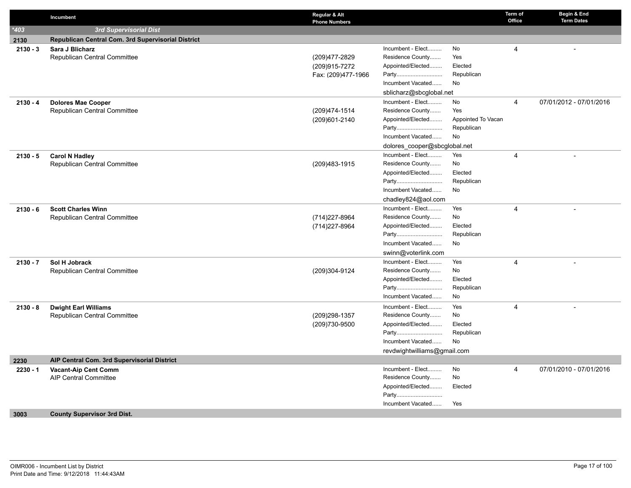|            | Incumbent                                          | Regular & Alt<br><b>Phone Numbers</b> |                              |                    | Term of<br>Office | Begin & End<br><b>Term Dates</b> |
|------------|----------------------------------------------------|---------------------------------------|------------------------------|--------------------|-------------------|----------------------------------|
| $*403$     | <b>3rd Supervisorial Dist</b>                      |                                       |                              |                    |                   |                                  |
| 2130       | Republican Central Com. 3rd Supervisorial District |                                       |                              |                    |                   |                                  |
| $2130 - 3$ | Sara J Blicharz                                    |                                       | Incumbent - Elect            | No                 | $\overline{4}$    |                                  |
|            | <b>Republican Central Committee</b>                | (209)477-2829                         | Residence County             | Yes                |                   |                                  |
|            |                                                    | (209)915-7272                         | Appointed/Elected            | Elected            |                   |                                  |
|            |                                                    | Fax: (209)477-1966                    | Party                        | Republican         |                   |                                  |
|            |                                                    |                                       | Incumbent Vacated            | No                 |                   |                                  |
|            |                                                    |                                       | sblicharz@sbcglobal.net      |                    |                   |                                  |
| $2130 - 4$ | <b>Dolores Mae Cooper</b>                          |                                       | Incumbent - Elect            | No                 | 4                 | 07/01/2012 - 07/01/2016          |
|            | Republican Central Committee                       | (209) 474-1514                        | Residence County             | Yes                |                   |                                  |
|            |                                                    | (209)601-2140                         | Appointed/Elected            | Appointed To Vacan |                   |                                  |
|            |                                                    |                                       | Party                        | Republican         |                   |                                  |
|            |                                                    |                                       | Incumbent Vacated            | No                 |                   |                                  |
|            |                                                    |                                       | dolores cooper@sbcglobal.net |                    |                   |                                  |
| $2130 - 5$ | <b>Carol N Hadley</b>                              |                                       | Incumbent - Elect            | Yes                | $\overline{4}$    |                                  |
|            | <b>Republican Central Committee</b>                | (209) 483-1915                        | Residence County             | No                 |                   |                                  |
|            |                                                    |                                       | Appointed/Elected            | Elected            |                   |                                  |
|            |                                                    |                                       | Party                        | Republican         |                   |                                  |
|            |                                                    |                                       | Incumbent Vacated            | No                 |                   |                                  |
|            |                                                    |                                       | chadley824@aol.com           |                    |                   |                                  |
| $2130 - 6$ | <b>Scott Charles Winn</b>                          |                                       | Incumbent - Elect            | Yes                | $\overline{4}$    |                                  |
|            | <b>Republican Central Committee</b>                | (714) 227-8964                        | Residence County             | No                 |                   |                                  |
|            |                                                    | (714) 227-8964                        | Appointed/Elected            | Elected            |                   |                                  |
|            |                                                    |                                       | Party                        | Republican         |                   |                                  |
|            |                                                    |                                       | Incumbent Vacated            | No                 |                   |                                  |
|            |                                                    |                                       | swinn@voterlink.com          |                    |                   |                                  |
| $2130 - 7$ | Sol H Jobrack                                      |                                       | Incumbent - Elect            | Yes                | 4                 |                                  |
|            | <b>Republican Central Committee</b>                | (209)304-9124                         | Residence County             | No                 |                   |                                  |
|            |                                                    |                                       | Appointed/Elected            | Elected            |                   |                                  |
|            |                                                    |                                       | Party                        | Republican         |                   |                                  |
|            |                                                    |                                       | Incumbent Vacated            | No                 |                   |                                  |
| $2130 - 8$ | <b>Dwight Earl Williams</b>                        |                                       | Incumbent - Elect            | Yes                | 4                 |                                  |
|            | <b>Republican Central Committee</b>                | (209) 298-1357                        | Residence County             | No                 |                   |                                  |
|            |                                                    | (209)730-9500                         | Appointed/Elected            | Elected            |                   |                                  |
|            |                                                    |                                       | Party                        | Republican         |                   |                                  |
|            |                                                    |                                       | Incumbent Vacated            | No                 |                   |                                  |
|            |                                                    |                                       | revdwightwilliams@gmail.com  |                    |                   |                                  |
| 2230       | AIP Central Com. 3rd Supervisorial District        |                                       |                              |                    |                   |                                  |
| $2230 - 1$ | <b>Vacant-Aip Cent Comm</b>                        |                                       | Incumbent - Elect            | No                 | 4                 | 07/01/2010 - 07/01/2016          |
|            | <b>AIP Central Committee</b>                       |                                       | Residence County             | No                 |                   |                                  |
|            |                                                    |                                       | Appointed/Elected            | Elected            |                   |                                  |
|            |                                                    |                                       | Party                        |                    |                   |                                  |
|            |                                                    |                                       | Incumbent Vacated            | Yes                |                   |                                  |
| 3003       | <b>County Supervisor 3rd Dist.</b>                 |                                       |                              |                    |                   |                                  |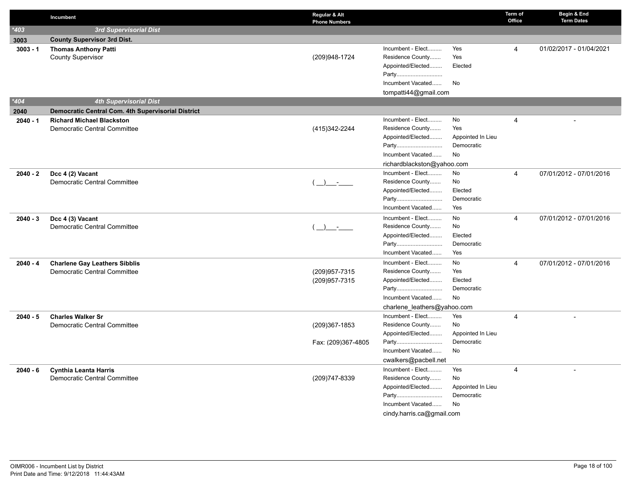|            | Incumbent                                                            | Regular & Alt<br><b>Phone Numbers</b> |                             |                       | Term of<br>Office | Begin & End<br><b>Term Dates</b> |
|------------|----------------------------------------------------------------------|---------------------------------------|-----------------------------|-----------------------|-------------------|----------------------------------|
| $*403$     | 3rd Supervisorial Dist                                               |                                       |                             |                       |                   |                                  |
| 3003       | <b>County Supervisor 3rd Dist.</b>                                   |                                       |                             |                       |                   |                                  |
| $3003 - 1$ | <b>Thomas Anthony Patti</b>                                          |                                       | Incumbent - Elect           | Yes                   | 4                 | 01/02/2017 - 01/04/2021          |
|            | <b>County Supervisor</b>                                             | (209)948-1724                         | Residence County            | Yes                   |                   |                                  |
|            |                                                                      |                                       | Appointed/Elected           | Elected               |                   |                                  |
|            |                                                                      |                                       | Party                       |                       |                   |                                  |
|            |                                                                      |                                       | Incumbent Vacated           | No                    |                   |                                  |
|            |                                                                      |                                       | tompatti44@gmail.com        |                       |                   |                                  |
| $*404$     | <b>4th Supervisorial Dist</b>                                        |                                       |                             |                       |                   |                                  |
| 2040       | <b>Democratic Central Com. 4th Supervisorial District</b>            |                                       |                             |                       |                   |                                  |
| $2040 - 1$ | <b>Richard Michael Blackston</b>                                     |                                       | Incumbent - Elect           | No                    | $\overline{4}$    |                                  |
|            | Democratic Central Committee                                         | (415) 342-2244                        | Residence County            | Yes                   |                   |                                  |
|            |                                                                      |                                       | Appointed/Elected           | Appointed In Lieu     |                   |                                  |
|            |                                                                      |                                       | Party                       | Democratic            |                   |                                  |
|            |                                                                      |                                       | Incumbent Vacated           | No                    |                   |                                  |
|            |                                                                      |                                       | richardblackston@yahoo.com  |                       |                   |                                  |
| $2040 - 2$ | Dcc 4 (2) Vacant                                                     |                                       | Incumbent - Elect           | No                    | 4                 | 07/01/2012 - 07/01/2016          |
|            | Democratic Central Committee                                         | $\rightarrow$                         | Residence County            | No                    |                   |                                  |
|            |                                                                      |                                       | Appointed/Elected           | Elected<br>Democratic |                   |                                  |
|            |                                                                      |                                       | Party<br>Incumbent Vacated  | Yes                   |                   |                                  |
|            |                                                                      |                                       |                             |                       |                   |                                  |
| $2040 - 3$ | Dcc 4 (3) Vacant                                                     |                                       | Incumbent - Elect           | No<br>No              | $\overline{4}$    | 07/01/2012 - 07/01/2016          |
|            | Democratic Central Committee                                         | $\rightarrow$ $-$                     | Residence County            | Elected               |                   |                                  |
|            |                                                                      |                                       | Appointed/Elected<br>Party  | Democratic            |                   |                                  |
|            |                                                                      |                                       | Incumbent Vacated           | Yes                   |                   |                                  |
|            |                                                                      |                                       | Incumbent - Elect           | No                    | $\overline{4}$    | 07/01/2012 - 07/01/2016          |
| $2040 - 4$ | <b>Charlene Gay Leathers Sibblis</b><br>Democratic Central Committee | (209) 957-7315                        | Residence County            | Yes                   |                   |                                  |
|            |                                                                      | (209) 957-7315                        | Appointed/Elected           | Elected               |                   |                                  |
|            |                                                                      |                                       | Party                       | Democratic            |                   |                                  |
|            |                                                                      |                                       | Incumbent Vacated           | <b>No</b>             |                   |                                  |
|            |                                                                      |                                       | charlene_leathers@yahoo.com |                       |                   |                                  |
| $2040 - 5$ | <b>Charles Walker Sr</b>                                             |                                       | Incumbent - Elect           | Yes                   | $\overline{4}$    |                                  |
|            | Democratic Central Committee                                         | (209)367-1853                         | Residence County            | No                    |                   |                                  |
|            |                                                                      |                                       | Appointed/Elected           | Appointed In Lieu     |                   |                                  |
|            |                                                                      | Fax: (209)367-4805                    | Party                       | Democratic            |                   |                                  |
|            |                                                                      |                                       | Incumbent Vacated           | No                    |                   |                                  |
|            |                                                                      |                                       | cwalkers@pacbell.net        |                       |                   |                                  |
| $2040 - 6$ | <b>Cynthia Leanta Harris</b>                                         |                                       | Incumbent - Elect           | Yes                   | 4                 |                                  |
|            | Democratic Central Committee                                         | (209) 747-8339                        | Residence County            | No                    |                   |                                  |
|            |                                                                      |                                       | Appointed/Elected           | Appointed In Lieu     |                   |                                  |
|            |                                                                      |                                       | Party                       | Democratic            |                   |                                  |
|            |                                                                      |                                       | Incumbent Vacated           | No                    |                   |                                  |
|            |                                                                      |                                       | cindy.harris.ca@gmail.com   |                       |                   |                                  |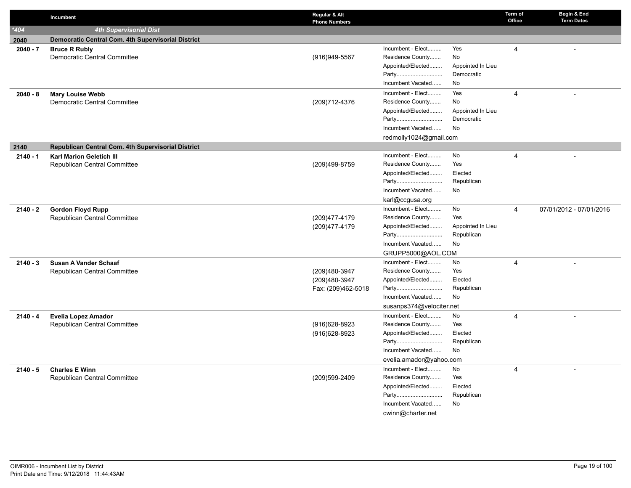|            | Incumbent                                                 | Regular & Alt<br><b>Phone Numbers</b> |                          |                   | Term of<br>Office | Begin & End<br><b>Term Dates</b> |
|------------|-----------------------------------------------------------|---------------------------------------|--------------------------|-------------------|-------------------|----------------------------------|
| $*404$     | <b>4th Supervisorial Dist</b>                             |                                       |                          |                   |                   |                                  |
| 2040       | <b>Democratic Central Com. 4th Supervisorial District</b> |                                       |                          |                   |                   |                                  |
| $2040 - 7$ | <b>Bruce R Rubly</b>                                      |                                       | Incumbent - Elect        | Yes               | 4                 |                                  |
|            | Democratic Central Committee                              | (916) 949-5567                        | Residence County         | No                |                   |                                  |
|            |                                                           |                                       | Appointed/Elected        | Appointed In Lieu |                   |                                  |
|            |                                                           |                                       | Party                    | Democratic        |                   |                                  |
|            |                                                           |                                       | Incumbent Vacated        | No                |                   |                                  |
| $2040 - 8$ | <b>Mary Louise Webb</b>                                   |                                       | Incumbent - Elect        | Yes               | 4                 |                                  |
|            | Democratic Central Committee                              | (209) 712-4376                        | Residence County         | No                |                   |                                  |
|            |                                                           |                                       | Appointed/Elected        | Appointed In Lieu |                   |                                  |
|            |                                                           |                                       | Party                    | Democratic        |                   |                                  |
|            |                                                           |                                       | Incumbent Vacated        | No                |                   |                                  |
|            |                                                           |                                       | redmolly1024@gmail.com   |                   |                   |                                  |
| 2140       | Republican Central Com. 4th Supervisorial District        |                                       |                          |                   |                   |                                  |
| $2140 - 1$ | <b>Karl Marion Geletich III</b>                           |                                       | Incumbent - Elect        | No                | 4                 |                                  |
|            | Republican Central Committee                              | (209)499-8759                         | Residence County         | Yes               |                   |                                  |
|            |                                                           |                                       | Appointed/Elected        | Elected           |                   |                                  |
|            |                                                           |                                       | Party                    | Republican        |                   |                                  |
|            |                                                           |                                       | Incumbent Vacated        | <b>No</b>         |                   |                                  |
|            |                                                           |                                       | karl@ccgusa.org          |                   |                   |                                  |
| $2140 - 2$ | <b>Gordon Floyd Rupp</b>                                  |                                       | Incumbent - Elect        | No                | $\overline{4}$    | 07/01/2012 - 07/01/2016          |
|            | Republican Central Committee                              | (209) 477-4179                        | Residence County         | Yes               |                   |                                  |
|            |                                                           | (209) 477-4179                        | Appointed/Elected        | Appointed In Lieu |                   |                                  |
|            |                                                           |                                       | Party                    | Republican        |                   |                                  |
|            |                                                           |                                       | Incumbent Vacated        | No                |                   |                                  |
|            |                                                           |                                       | GRUPP5000@AOL.COM        |                   |                   |                                  |
| $2140 - 3$ | Susan A Vander Schaaf                                     |                                       | Incumbent - Elect        | No                | 4                 |                                  |
|            | Republican Central Committee                              | (209)480-3947                         | Residence County         | Yes               |                   |                                  |
|            |                                                           | (209)480-3947                         | Appointed/Elected        | Elected           |                   |                                  |
|            |                                                           | Fax: (209)462-5018                    | Party                    | Republican        |                   |                                  |
|            |                                                           |                                       | Incumbent Vacated        | No                |                   |                                  |
|            |                                                           |                                       | susanps374@velociter.net |                   |                   |                                  |
| $2140 - 4$ | <b>Evelia Lopez Amador</b>                                |                                       | Incumbent - Elect        | No                | 4                 |                                  |
|            | Republican Central Committee                              | (916) 628-8923                        | Residence County         | Yes               |                   |                                  |
|            |                                                           | (916) 628-8923                        | Appointed/Elected        | Elected           |                   |                                  |
|            |                                                           |                                       | Party                    | Republican        |                   |                                  |
|            |                                                           |                                       | Incumbent Vacated        | No                |                   |                                  |
|            |                                                           |                                       | evelia.amador@yahoo.com  |                   |                   |                                  |
| $2140 - 5$ | <b>Charles E Winn</b>                                     |                                       | Incumbent - Elect        | No                | 4                 |                                  |
|            | Republican Central Committee                              | (209)599-2409                         | Residence County         | Yes               |                   |                                  |
|            |                                                           |                                       | Appointed/Elected        | Elected           |                   |                                  |
|            |                                                           |                                       | Party                    | Republican        |                   |                                  |
|            |                                                           |                                       | Incumbent Vacated        | No                |                   |                                  |
|            |                                                           |                                       | cwinn@charter.net        |                   |                   |                                  |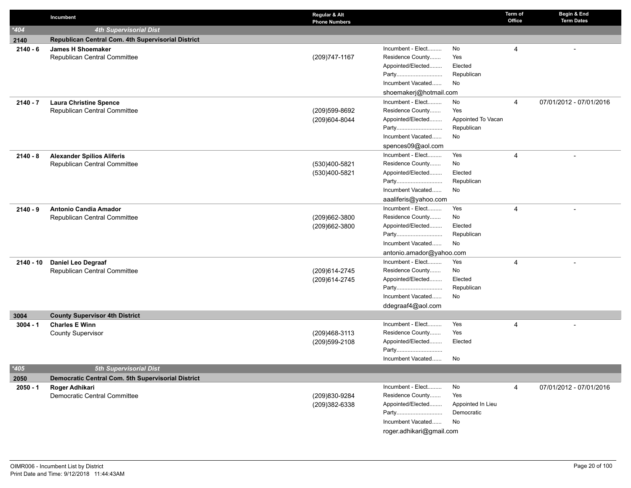|            | Incumbent                                          | Regular & Alt<br><b>Phone Numbers</b> |                          |                    | Term of<br>Office | Begin & End<br><b>Term Dates</b> |
|------------|----------------------------------------------------|---------------------------------------|--------------------------|--------------------|-------------------|----------------------------------|
| $*404$     | <b>4th Supervisorial Dist</b>                      |                                       |                          |                    |                   |                                  |
| 2140       | Republican Central Com. 4th Supervisorial District |                                       |                          |                    |                   |                                  |
| $2140 - 6$ | <b>James H Shoemaker</b>                           |                                       | Incumbent - Elect        | No                 | $\overline{4}$    |                                  |
|            | Republican Central Committee                       | (209) 747-1167                        | Residence County         | Yes                |                   |                                  |
|            |                                                    |                                       | Appointed/Elected        | Elected            |                   |                                  |
|            |                                                    |                                       | Party                    | Republican         |                   |                                  |
|            |                                                    |                                       | Incumbent Vacated        | No                 |                   |                                  |
|            |                                                    |                                       | shoemakerj@hotmail.com   |                    |                   |                                  |
| $2140 - 7$ | <b>Laura Christine Spence</b>                      |                                       | Incumbent - Elect        | No                 | 4                 | 07/01/2012 - 07/01/2016          |
|            | Republican Central Committee                       | (209)599-8692                         | Residence County         | Yes                |                   |                                  |
|            |                                                    | (209)604-8044                         | Appointed/Elected        | Appointed To Vacan |                   |                                  |
|            |                                                    |                                       | Party                    | Republican         |                   |                                  |
|            |                                                    |                                       | Incumbent Vacated        | No                 |                   |                                  |
|            |                                                    |                                       | spences09@aol.com        |                    |                   |                                  |
| $2140 - 8$ | <b>Alexander Spilios Aliferis</b>                  |                                       | Incumbent - Elect        | Yes                | 4                 |                                  |
|            | Republican Central Committee                       | (530)400-5821                         | Residence County         | No                 |                   |                                  |
|            |                                                    | (530)400-5821                         | Appointed/Elected        | Elected            |                   |                                  |
|            |                                                    |                                       | Party                    | Republican         |                   |                                  |
|            |                                                    |                                       | Incumbent Vacated        | No                 |                   |                                  |
|            |                                                    |                                       | aaaliferis@yahoo.com     |                    |                   |                                  |
| $2140 - 9$ | <b>Antonio Candia Amador</b>                       |                                       | Incumbent - Elect        | Yes                | 4                 |                                  |
|            | Republican Central Committee                       | (209)662-3800                         | Residence County         | No                 |                   |                                  |
|            |                                                    | (209)662-3800                         | Appointed/Elected        | Elected            |                   |                                  |
|            |                                                    |                                       | Party                    | Republican         |                   |                                  |
|            |                                                    |                                       | Incumbent Vacated        | No                 |                   |                                  |
|            |                                                    |                                       | antonio.amador@yahoo.com |                    |                   |                                  |
| 2140 - 10  | <b>Daniel Leo Degraaf</b>                          |                                       | Incumbent - Elect        | Yes                | 4                 |                                  |
|            | Republican Central Committee                       | (209) 614-2745                        | Residence County         | No                 |                   |                                  |
|            |                                                    | (209) 614-2745                        | Appointed/Elected        | Elected            |                   |                                  |
|            |                                                    |                                       | Party                    | Republican         |                   |                                  |
|            |                                                    |                                       | Incumbent Vacated        | No                 |                   |                                  |
|            |                                                    |                                       | ddegraaf4@aol.com        |                    |                   |                                  |
| 3004       | <b>County Supervisor 4th District</b>              |                                       |                          |                    |                   |                                  |
| $3004 - 1$ | <b>Charles E Winn</b>                              |                                       | Incumbent - Elect        | Yes                | 4                 |                                  |
|            | <b>County Supervisor</b>                           | (209)468-3113                         | Residence County         | Yes                |                   |                                  |
|            |                                                    | (209)599-2108                         | Appointed/Elected        | Elected            |                   |                                  |
|            |                                                    |                                       | Party                    |                    |                   |                                  |
|            |                                                    |                                       | Incumbent Vacated        | No                 |                   |                                  |
| $*405$     | <b>5th Supervisorial Dist</b>                      |                                       |                          |                    |                   |                                  |
| 2050       | Democratic Central Com. 5th Supervisorial District |                                       |                          |                    |                   |                                  |
| $2050 - 1$ | Roger Adhikari                                     |                                       | Incumbent - Elect        | No                 | 4                 | 07/01/2012 - 07/01/2016          |
|            | Democratic Central Committee                       | (209)830-9284                         | Residence County         | Yes                |                   |                                  |
|            |                                                    | (209)382-6338                         | Appointed/Elected        | Appointed In Lieu  |                   |                                  |
|            |                                                    |                                       | Party                    | Democratic         |                   |                                  |
|            |                                                    |                                       | Incumbent Vacated        | No                 |                   |                                  |
|            |                                                    |                                       | roger.adhikari@gmail.com |                    |                   |                                  |
|            |                                                    |                                       |                          |                    |                   |                                  |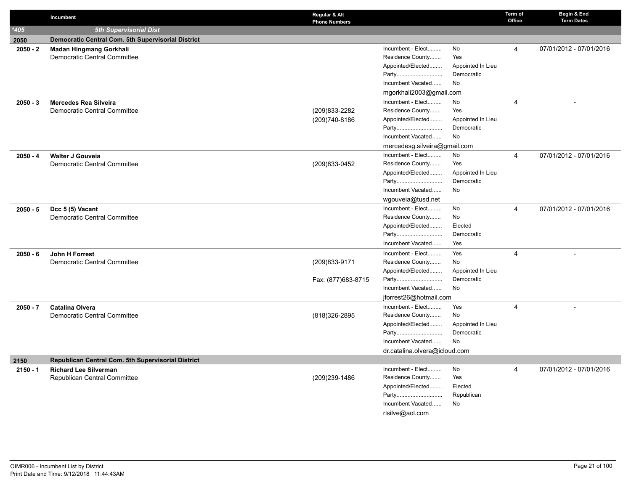|            | Incumbent                                                 | Regular & Alt<br><b>Phone Numbers</b> |                               |                   | Term of<br>Office | Begin & End<br><b>Term Dates</b> |
|------------|-----------------------------------------------------------|---------------------------------------|-------------------------------|-------------------|-------------------|----------------------------------|
| $*405$     | <b>5th Supervisorial Dist</b>                             |                                       |                               |                   |                   |                                  |
| 2050       | <b>Democratic Central Com. 5th Supervisorial District</b> |                                       |                               |                   |                   |                                  |
| $2050 - 2$ | <b>Madan Hingmang Gorkhali</b>                            |                                       | Incumbent - Elect             | No                | 4                 | 07/01/2012 - 07/01/2016          |
|            | Democratic Central Committee                              |                                       | Residence County              | Yes               |                   |                                  |
|            |                                                           |                                       | Appointed/Elected             | Appointed In Lieu |                   |                                  |
|            |                                                           |                                       | Party                         | Democratic        |                   |                                  |
|            |                                                           |                                       | Incumbent Vacated             | <b>No</b>         |                   |                                  |
|            |                                                           |                                       | mgorkhali2003@gmail.com       |                   |                   |                                  |
| $2050 - 3$ | <b>Mercedes Rea Silveira</b>                              |                                       | Incumbent - Elect             | No                | 4                 |                                  |
|            | Democratic Central Committee                              | (209)833-2282                         | Residence County              | Yes               |                   |                                  |
|            |                                                           | (209)740-8186                         | Appointed/Elected             | Appointed In Lieu |                   |                                  |
|            |                                                           |                                       | Party                         | Democratic        |                   |                                  |
|            |                                                           |                                       | Incumbent Vacated             | No                |                   |                                  |
|            |                                                           |                                       | mercedesg.silveira@gmail.com  |                   |                   |                                  |
| $2050 - 4$ | Walter J Gouveia                                          |                                       | Incumbent - Elect             | No                | $\overline{4}$    | 07/01/2012 - 07/01/2016          |
|            | <b>Democratic Central Committee</b>                       | (209)833-0452                         | Residence County              | Yes               |                   |                                  |
|            |                                                           |                                       | Appointed/Elected             | Appointed In Lieu |                   |                                  |
|            |                                                           |                                       | Party                         | Democratic        |                   |                                  |
|            |                                                           |                                       | Incumbent Vacated             | No.               |                   |                                  |
|            |                                                           |                                       | wgouveia@tusd.net             |                   |                   |                                  |
| $2050 - 5$ | Dcc 5 (5) Vacant                                          |                                       | Incumbent - Elect             | No                | $\overline{4}$    | 07/01/2012 - 07/01/2016          |
|            | Democratic Central Committee                              |                                       | Residence County              | No                |                   |                                  |
|            |                                                           |                                       | Appointed/Elected             | Elected           |                   |                                  |
|            |                                                           |                                       | Party                         | Democratic        |                   |                                  |
|            |                                                           |                                       | Incumbent Vacated             | Yes               |                   |                                  |
| $2050 - 6$ | John H Forrest                                            |                                       | Incumbent - Elect             | Yes               | $\overline{4}$    |                                  |
|            | <b>Democratic Central Committee</b>                       | (209) 833-9171                        | Residence County              | No                |                   |                                  |
|            |                                                           |                                       | Appointed/Elected             | Appointed In Lieu |                   |                                  |
|            |                                                           | Fax: (877)683-8715                    | Party                         | Democratic        |                   |                                  |
|            |                                                           |                                       | Incumbent Vacated             | No                |                   |                                  |
|            |                                                           |                                       | jforrest26@hotmail.com        |                   |                   |                                  |
| $2050 - 7$ | <b>Catalina Olvera</b>                                    |                                       | Incumbent - Elect             | Yes               | 4                 |                                  |
|            | <b>Democratic Central Committee</b>                       | (818) 326-2895                        | Residence County              | No                |                   |                                  |
|            |                                                           |                                       | Appointed/Elected             | Appointed In Lieu |                   |                                  |
|            |                                                           |                                       | Party                         | Democratic        |                   |                                  |
|            |                                                           |                                       | Incumbent Vacated             | No                |                   |                                  |
|            |                                                           |                                       | dr.catalina.olvera@icloud.com |                   |                   |                                  |
| 2150       | Republican Central Com. 5th Supervisorial District        |                                       |                               |                   |                   |                                  |
| $2150 - 1$ | <b>Richard Lee Silverman</b>                              |                                       | Incumbent - Elect             | No                | $\overline{4}$    | 07/01/2012 - 07/01/2016          |
|            | Republican Central Committee                              | (209)239-1486                         | Residence County              | Yes               |                   |                                  |
|            |                                                           |                                       | Appointed/Elected             | Elected           |                   |                                  |
|            |                                                           |                                       | Party                         | Republican        |                   |                                  |
|            |                                                           |                                       | Incumbent Vacated             | No                |                   |                                  |
|            |                                                           |                                       | rlsilve@aol.com               |                   |                   |                                  |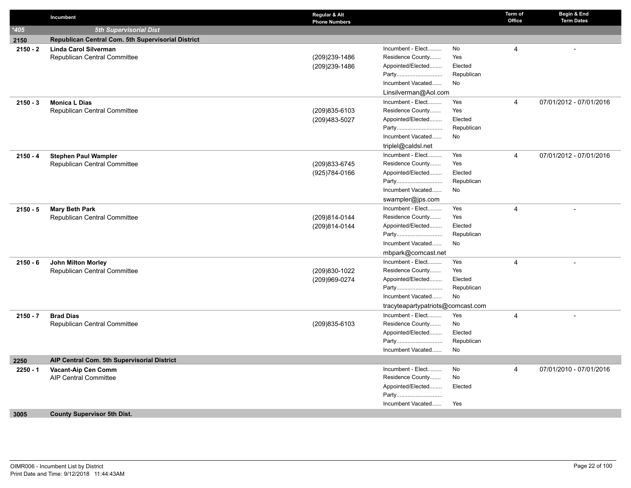|            | Incumbent                                          | Regular & Alt<br><b>Phone Numbers</b> |                                       |                  | Term of<br>Office | Begin & End<br><b>Term Dates</b> |
|------------|----------------------------------------------------|---------------------------------------|---------------------------------------|------------------|-------------------|----------------------------------|
| $*405$     | <b>5th Supervisorial Dist</b>                      |                                       |                                       |                  |                   |                                  |
| 2150       | Republican Central Com. 5th Supervisorial District |                                       |                                       |                  |                   |                                  |
| $2150 - 2$ | <b>Linda Carol Silverman</b>                       |                                       | Incumbent - Elect                     | No               | 4                 |                                  |
|            | Republican Central Committee                       | (209)239-1486                         | Residence County                      | Yes              |                   |                                  |
|            |                                                    | (209)239-1486                         | Appointed/Elected                     | Elected          |                   |                                  |
|            |                                                    |                                       | Party                                 | Republican       |                   |                                  |
|            |                                                    |                                       | Incumbent Vacated                     | No               |                   |                                  |
|            |                                                    |                                       | Linsilverman@Aol.com                  |                  |                   |                                  |
| $2150 - 3$ | <b>Monica L Dias</b>                               |                                       | Incumbent - Elect                     | Yes              | $\overline{4}$    | 07/01/2012 - 07/01/2016          |
|            | Republican Central Committee                       | (209) 835-6103                        | Residence County                      | Yes              |                   |                                  |
|            |                                                    | (209) 483-5027                        | Appointed/Elected                     | Elected          |                   |                                  |
|            |                                                    |                                       | Party                                 | Republican       |                   |                                  |
|            |                                                    |                                       | Incumbent Vacated                     | No               |                   |                                  |
|            |                                                    |                                       | triplel@caldsl.net                    |                  |                   |                                  |
| $2150 - 4$ | <b>Stephen Paul Wampler</b>                        |                                       | Incumbent - Elect                     | Yes              | $\overline{4}$    | 07/01/2012 - 07/01/2016          |
|            | Republican Central Committee                       | (209) 833-6745                        | Residence County                      | Yes              |                   |                                  |
|            |                                                    | (925) 784-0166                        | Appointed/Elected                     | Elected          |                   |                                  |
|            |                                                    |                                       | Party                                 | Republican       |                   |                                  |
|            |                                                    |                                       | Incumbent Vacated                     | No               |                   |                                  |
|            |                                                    |                                       | swampler@jps.com                      |                  |                   |                                  |
| $2150 - 5$ | <b>Mary Beth Park</b>                              |                                       | Incumbent - Elect                     | Yes              | $\overline{4}$    |                                  |
|            | Republican Central Committee                       | (209)814-0144                         | Residence County                      | Yes              |                   |                                  |
|            |                                                    | (209)814-0144                         | Appointed/Elected                     | Elected          |                   |                                  |
|            |                                                    |                                       | Party                                 | Republican       |                   |                                  |
|            |                                                    |                                       | Incumbent Vacated                     | No               |                   |                                  |
|            |                                                    |                                       | mbpark@comcast.net                    |                  |                   |                                  |
| $2150 - 6$ | John Milton Morley                                 |                                       | Incumbent - Elect                     | Yes              | $\overline{4}$    | $\overline{a}$                   |
|            | Republican Central Committee                       | (209)830-1022                         | Residence County                      | Yes              |                   |                                  |
|            |                                                    | (209)969-0274                         | Appointed/Elected                     | Elected          |                   |                                  |
|            |                                                    |                                       | Party                                 | Republican       |                   |                                  |
|            |                                                    |                                       | Incumbent Vacated                     | No               |                   |                                  |
|            |                                                    |                                       | tracyteapartypatriots@comcast.com     |                  |                   |                                  |
| $2150 - 7$ | <b>Brad Dias</b>                                   |                                       | Incumbent - Elect                     | Yes              | 4                 |                                  |
|            | Republican Central Committee                       | (209) 835-6103                        | Residence County                      | No               |                   |                                  |
|            |                                                    |                                       | Appointed/Elected                     | Elected          |                   |                                  |
|            |                                                    |                                       | Party<br>Incumbent Vacated            | Republican<br>No |                   |                                  |
|            |                                                    |                                       |                                       |                  |                   |                                  |
| 2250       | AIP Central Com. 5th Supervisorial District        |                                       |                                       |                  |                   |                                  |
| $2250 - 1$ | Vacant-Aip Cen Comm                                |                                       | Incumbent - Elect<br>Residence County | No<br>No         | $\overline{4}$    | 07/01/2010 - 07/01/2016          |
|            | <b>AIP Central Committee</b>                       |                                       | Appointed/Elected                     | Elected          |                   |                                  |
|            |                                                    |                                       | Party                                 |                  |                   |                                  |
|            |                                                    |                                       | Incumbent Vacated                     | Yes              |                   |                                  |
|            |                                                    |                                       |                                       |                  |                   |                                  |
| 3005       | <b>County Supervisor 5th Dist.</b>                 |                                       |                                       |                  |                   |                                  |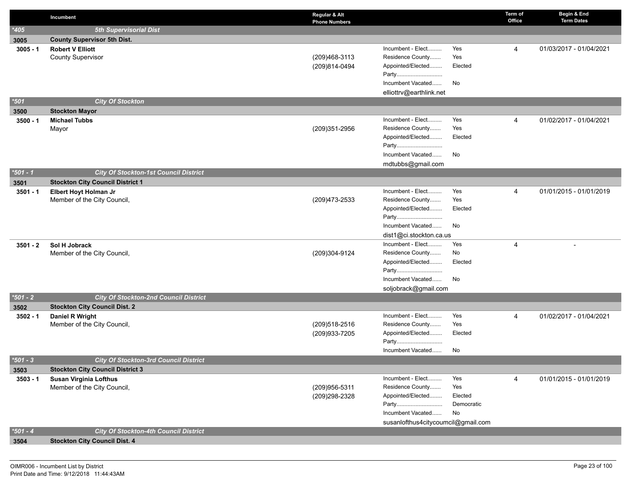|            | Incumbent                                    | Regular & Alt<br><b>Phone Numbers</b> |                                       |                | Term of<br>Office | Begin & End<br><b>Term Dates</b> |
|------------|----------------------------------------------|---------------------------------------|---------------------------------------|----------------|-------------------|----------------------------------|
| $*405$     | <b>5th Supervisorial Dist</b>                |                                       |                                       |                |                   |                                  |
| 3005       | <b>County Supervisor 5th Dist.</b>           |                                       |                                       |                |                   |                                  |
| $3005 - 1$ | <b>Robert V Elliott</b>                      |                                       | Incumbent - Elect                     | Yes            | $\overline{4}$    | 01/03/2017 - 01/04/2021          |
|            | <b>County Supervisor</b>                     | (209)468-3113                         | Residence County                      | Yes            |                   |                                  |
|            |                                              | (209)814-0494                         | Appointed/Elected                     | Elected        |                   |                                  |
|            |                                              |                                       | Party                                 |                |                   |                                  |
|            |                                              |                                       | Incumbent Vacated                     | No             |                   |                                  |
|            |                                              |                                       | elliottrv@earthlink.net               |                |                   |                                  |
| $*501$     | <b>City Of Stockton</b>                      |                                       |                                       |                |                   |                                  |
| 3500       | <b>Stockton Mayor</b>                        |                                       |                                       |                |                   |                                  |
| $3500 - 1$ | <b>Michael Tubbs</b>                         |                                       | Incumbent - Elect                     | Yes            | $\overline{4}$    | 01/02/2017 - 01/04/2021          |
|            | Mayor                                        | (209)351-2956                         | Residence County                      | Yes            |                   |                                  |
|            |                                              |                                       | Appointed/Elected                     | Elected        |                   |                                  |
|            |                                              |                                       | Party                                 |                |                   |                                  |
|            |                                              |                                       | Incumbent Vacated                     | No             |                   |                                  |
|            |                                              |                                       | mdtubbs@gmail.com                     |                |                   |                                  |
| $*501 - 1$ | <b>City Of Stockton-1st Council District</b> |                                       |                                       |                |                   |                                  |
| 3501       | <b>Stockton City Council District 1</b>      |                                       |                                       |                |                   |                                  |
| $3501 - 1$ | Elbert Hoyt Holman Jr                        |                                       | Incumbent - Elect                     | Yes            | 4                 | 01/01/2015 - 01/01/2019          |
|            | Member of the City Council,                  | (209) 473-2533                        | Residence County<br>Appointed/Elected | Yes<br>Elected |                   |                                  |
|            |                                              |                                       | Party                                 |                |                   |                                  |
|            |                                              |                                       | Incumbent Vacated                     | No             |                   |                                  |
|            |                                              |                                       | dist1@ci.stockton.ca.us               |                |                   |                                  |
| $3501 - 2$ | Sol H Jobrack                                |                                       | Incumbent - Elect                     | Yes            | $\overline{4}$    | $\overline{\phantom{a}}$         |
|            | Member of the City Council,                  | (209)304-9124                         | Residence County                      | No             |                   |                                  |
|            |                                              |                                       | Appointed/Elected                     | Elected        |                   |                                  |
|            |                                              |                                       | Party                                 |                |                   |                                  |
|            |                                              |                                       | Incumbent Vacated                     | No             |                   |                                  |
|            |                                              |                                       | soljobrack@gmail.com                  |                |                   |                                  |
| $*501 - 2$ | <b>City Of Stockton-2nd Council District</b> |                                       |                                       |                |                   |                                  |
| 3502       | <b>Stockton City Council Dist. 2</b>         |                                       |                                       |                |                   |                                  |
| $3502 - 1$ | Daniel R Wright                              |                                       | Incumbent - Elect                     | Yes            | $\overline{4}$    | 01/02/2017 - 01/04/2021          |
|            | Member of the City Council,                  | (209) 518-2516                        | Residence County                      | Yes            |                   |                                  |
|            |                                              | (209)933-7205                         | Appointed/Elected                     | Elected        |                   |                                  |
|            |                                              |                                       | Party                                 |                |                   |                                  |
|            |                                              |                                       | Incumbent Vacated                     | No             |                   |                                  |
| $*501 - 3$ | <b>City Of Stockton-3rd Council District</b> |                                       |                                       |                |                   |                                  |
| 3503       | <b>Stockton City Council District 3</b>      |                                       |                                       |                |                   |                                  |
| $3503 - 1$ | <b>Susan Virginia Lofthus</b>                |                                       | Incumbent - Elect                     | Yes            | 4                 | 01/01/2015 - 01/01/2019          |
|            | Member of the City Council,                  | (209)956-5311                         | Residence County                      | Yes            |                   |                                  |
|            |                                              | (209)298-2328                         | Appointed/Elected                     | Elected        |                   |                                  |
|            |                                              |                                       | Party                                 | Democratic     |                   |                                  |
|            |                                              |                                       | Incumbent Vacated                     | No             |                   |                                  |
| $*501 - 4$ | <b>City Of Stockton-4th Council District</b> |                                       | susanlofthus4citycoumcil@gmail.com    |                |                   |                                  |
|            |                                              |                                       |                                       |                |                   |                                  |
| 3504       | <b>Stockton City Council Dist. 4</b>         |                                       |                                       |                |                   |                                  |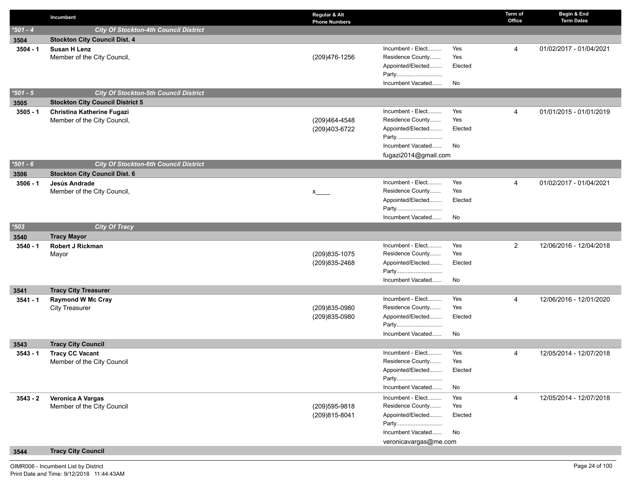|            | Incumbent                                         | Regular & Alt<br><b>Phone Numbers</b> |                                       |                | Term of<br>Office | Begin & End<br><b>Term Dates</b> |
|------------|---------------------------------------------------|---------------------------------------|---------------------------------------|----------------|-------------------|----------------------------------|
| $*501 - 4$ | <b>City Of Stockton-4th Council District</b>      |                                       |                                       |                |                   |                                  |
| 3504       | <b>Stockton City Council Dist. 4</b>              |                                       |                                       |                |                   |                                  |
| $3504 - 1$ | <b>Susan H Lenz</b>                               |                                       | Incumbent - Elect                     | Yes            | 4                 | 01/02/2017 - 01/04/2021          |
|            | Member of the City Council,                       | (209)476-1256                         | Residence County                      | Yes            |                   |                                  |
|            |                                                   |                                       | Appointed/Elected                     | Elected        |                   |                                  |
|            |                                                   |                                       | Party                                 |                |                   |                                  |
|            |                                                   |                                       | Incumbent Vacated                     | No             |                   |                                  |
| $*501 - 5$ | <b>City Of Stockton-5th Council District</b>      |                                       |                                       |                |                   |                                  |
| 3505       | <b>Stockton City Council District 5</b>           |                                       |                                       |                |                   |                                  |
| $3505 - 1$ | Christina Katherine Fugazi                        |                                       | Incumbent - Elect                     | Yes            | 4                 | 01/01/2015 - 01/01/2019          |
|            | Member of the City Council,                       | (209)464-4548                         | Residence County<br>Appointed/Elected | Yes<br>Elected |                   |                                  |
|            |                                                   | (209)403-6722                         | Party                                 |                |                   |                                  |
|            |                                                   |                                       | Incumbent Vacated                     | No             |                   |                                  |
|            |                                                   |                                       | fugazi2014@gmail.com                  |                |                   |                                  |
| $*501 - 6$ | <b>City Of Stockton-6th Council District</b>      |                                       |                                       |                |                   |                                  |
| 3506       | <b>Stockton City Council Dist. 6</b>              |                                       |                                       |                |                   |                                  |
| $3506 - 1$ | Jesús Andrade                                     |                                       | Incumbent - Elect                     | Yes            | 4                 | 01/02/2017 - 01/04/2021          |
|            | Member of the City Council,                       | x                                     | Residence County                      | Yes            |                   |                                  |
|            |                                                   |                                       | Appointed/Elected                     | Elected        |                   |                                  |
|            |                                                   |                                       | Party                                 |                |                   |                                  |
|            |                                                   |                                       | Incumbent Vacated                     | No             |                   |                                  |
| $*503$     | <b>City Of Tracy</b>                              |                                       |                                       |                |                   |                                  |
| 3540       | <b>Tracy Mayor</b>                                |                                       |                                       |                |                   |                                  |
| $3540 - 1$ | <b>Robert J Rickman</b>                           |                                       | Incumbent - Elect                     | Yes            | $\overline{2}$    | 12/06/2016 - 12/04/2018          |
|            | Mayor                                             | (209) 835-1075                        | Residence County                      | Yes            |                   |                                  |
|            |                                                   | (209) 835-2468                        | Appointed/Elected                     | Elected        |                   |                                  |
|            |                                                   |                                       | Party<br>Incumbent Vacated            | No             |                   |                                  |
|            |                                                   |                                       |                                       |                |                   |                                  |
| 3541       | <b>Tracy City Treasurer</b>                       |                                       | Incumbent - Elect                     | Yes            | 4                 | 12/06/2016 - 12/01/2020          |
| $3541 - 1$ | <b>Raymond W Mc Cray</b><br><b>City Treasurer</b> | (209)835-0980                         | Residence County                      | Yes            |                   |                                  |
|            |                                                   | (209)835-0980                         | Appointed/Elected                     | Elected        |                   |                                  |
|            |                                                   |                                       | Party                                 |                |                   |                                  |
|            |                                                   |                                       | Incumbent Vacated                     | No             |                   |                                  |
| 3543       | <b>Tracy City Council</b>                         |                                       |                                       |                |                   |                                  |
| $3543 - 1$ | <b>Tracy CC Vacant</b>                            |                                       | Incumbent - Elect                     | Yes            | 4                 | 12/05/2014 - 12/07/2018          |
|            | Member of the City Council                        |                                       | Residence County                      | Yes            |                   |                                  |
|            |                                                   |                                       | Appointed/Elected                     | Elected        |                   |                                  |
|            |                                                   |                                       | Party                                 |                |                   |                                  |
|            |                                                   |                                       | Incumbent Vacated                     | No             |                   |                                  |
| $3543 - 2$ | Veronica A Vargas                                 |                                       | Incumbent - Elect                     | Yes            | 4                 | 12/05/2014 - 12/07/2018          |
|            | Member of the City Council                        | (209) 595-9818                        | Residence County                      | Yes            |                   |                                  |
|            |                                                   | (209)815-8041                         | Appointed/Elected                     | Elected        |                   |                                  |
|            |                                                   |                                       | Party                                 |                |                   |                                  |
|            |                                                   |                                       | Incumbent Vacated                     | No             |                   |                                  |
|            | <b>Tracy City Council</b>                         |                                       | veronicavargas@me.com                 |                |                   |                                  |
| 3544       |                                                   |                                       |                                       |                |                   |                                  |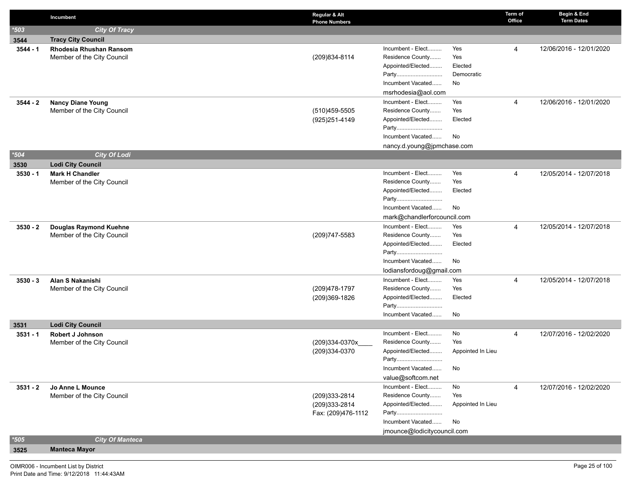|            | Incumbent                                      | Regular & Alt<br><b>Phone Numbers</b> |                                       |                   | Term of<br>Office | Begin & End<br><b>Term Dates</b> |
|------------|------------------------------------------------|---------------------------------------|---------------------------------------|-------------------|-------------------|----------------------------------|
| $*503$     | <b>City Of Tracy</b>                           |                                       |                                       |                   |                   |                                  |
| 3544       | <b>Tracy City Council</b>                      |                                       |                                       |                   |                   |                                  |
| $3544 - 1$ | <b>Rhodesia Rhushan Ransom</b>                 |                                       | Incumbent - Elect                     | Yes               | 4                 | 12/06/2016 - 12/01/2020          |
|            | Member of the City Council                     | (209) 834-8114                        | Residence County                      | Yes               |                   |                                  |
|            |                                                |                                       | Appointed/Elected                     | Elected           |                   |                                  |
|            |                                                |                                       | Party                                 | Democratic        |                   |                                  |
|            |                                                |                                       | Incumbent Vacated                     | No                |                   |                                  |
|            |                                                |                                       | msrhodesia@aol.com                    |                   |                   |                                  |
| $3544 - 2$ | <b>Nancy Diane Young</b>                       |                                       | Incumbent - Elect                     | Yes               | 4                 | 12/06/2016 - 12/01/2020          |
|            | Member of the City Council                     | (510)459-5505                         | Residence County                      | Yes               |                   |                                  |
|            |                                                | (925) 251-4149                        | Appointed/Elected<br>Party            | Elected           |                   |                                  |
|            |                                                |                                       | Incumbent Vacated                     | No                |                   |                                  |
|            |                                                |                                       | nancy.d.young@jpmchase.com            |                   |                   |                                  |
| $*504$     | <b>City Of Lodi</b>                            |                                       |                                       |                   |                   |                                  |
| 3530       | <b>Lodi City Council</b>                       |                                       |                                       |                   |                   |                                  |
| $3530 - 1$ | <b>Mark H Chandler</b>                         |                                       | Incumbent - Elect                     | Yes               | 4                 | 12/05/2014 - 12/07/2018          |
|            | Member of the City Council                     |                                       | Residence County                      | Yes               |                   |                                  |
|            |                                                |                                       | Appointed/Elected                     | Elected           |                   |                                  |
|            |                                                |                                       | Party                                 |                   |                   |                                  |
|            |                                                |                                       | Incumbent Vacated                     | No                |                   |                                  |
|            |                                                |                                       | mark@chandlerforcouncil.com           |                   |                   |                                  |
| $3530 - 2$ | <b>Douglas Raymond Kuehne</b>                  |                                       | Incumbent - Elect                     | Yes               | 4                 | 12/05/2014 - 12/07/2018          |
|            | Member of the City Council                     | (209) 747-5583                        | Residence County                      | Yes               |                   |                                  |
|            |                                                |                                       | Appointed/Elected                     | Elected           |                   |                                  |
|            |                                                |                                       | Party                                 |                   |                   |                                  |
|            |                                                |                                       | Incumbent Vacated                     | No                |                   |                                  |
|            |                                                |                                       | lodiansfordoug@gmail.com              |                   |                   |                                  |
| $3530 - 3$ | Alan S Nakanishi<br>Member of the City Council | (209) 478-1797                        | Incumbent - Elect<br>Residence County | Yes<br>Yes        | 4                 | 12/05/2014 - 12/07/2018          |
|            |                                                | (209)369-1826                         | Appointed/Elected                     | Elected           |                   |                                  |
|            |                                                |                                       | Party                                 |                   |                   |                                  |
|            |                                                |                                       | Incumbent Vacated                     | No                |                   |                                  |
| 3531       | <b>Lodi City Council</b>                       |                                       |                                       |                   |                   |                                  |
| $3531 - 1$ | Robert J Johnson                               |                                       | Incumbent - Elect                     | No                | $\overline{4}$    | 12/07/2016 - 12/02/2020          |
|            | Member of the City Council                     | (209)334-0370x___                     | Residence County                      | Yes               |                   |                                  |
|            |                                                | (209)334-0370                         | Appointed/Elected                     | Appointed In Lieu |                   |                                  |
|            |                                                |                                       | Party                                 |                   |                   |                                  |
|            |                                                |                                       | Incumbent Vacated                     | No                |                   |                                  |
|            |                                                |                                       | value@softcom.net                     |                   |                   |                                  |
| $3531 - 2$ | Jo Anne L Mounce                               |                                       | Incumbent - Elect                     | No                | 4                 | 12/07/2016 - 12/02/2020          |
|            | Member of the City Council                     | (209)333-2814                         | Residence County                      | Yes               |                   |                                  |
|            |                                                | (209)333-2814                         | Appointed/Elected                     | Appointed In Lieu |                   |                                  |
|            |                                                | Fax: (209)476-1112                    | Party<br>Incumbent Vacated            | No                |                   |                                  |
|            |                                                |                                       | jmounce@lodicitycouncil.com           |                   |                   |                                  |
| $*505$     | <b>City Of Manteca</b>                         |                                       |                                       |                   |                   |                                  |
| 3525       | <b>Manteca Mayor</b>                           |                                       |                                       |                   |                   |                                  |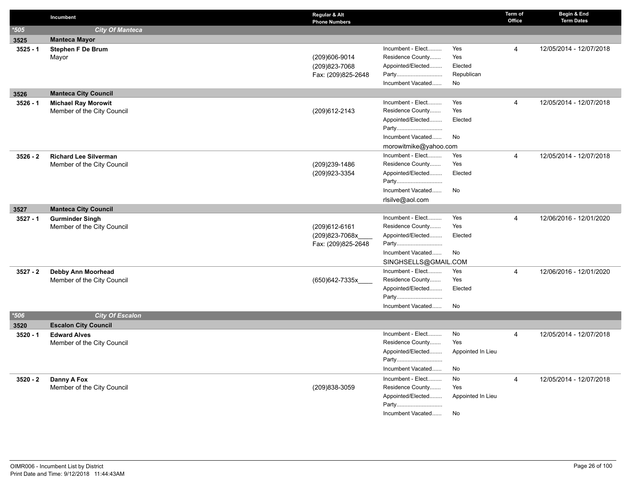|            | Incumbent                                         | Regular & Alt<br><b>Phone Numbers</b> |                            |                   | Term of<br>Office | Begin & End<br><b>Term Dates</b> |
|------------|---------------------------------------------------|---------------------------------------|----------------------------|-------------------|-------------------|----------------------------------|
| $*505$     | <b>City Of Manteca</b>                            |                                       |                            |                   |                   |                                  |
| 3525       | <b>Manteca Mayor</b>                              |                                       |                            |                   |                   |                                  |
| $3525 - 1$ | <b>Stephen F De Brum</b>                          |                                       | Incumbent - Elect          | Yes               | 4                 | 12/05/2014 - 12/07/2018          |
|            | Mayor                                             | (209)606-9014                         | Residence County           | Yes               |                   |                                  |
|            |                                                   | (209) 823-7068                        | Appointed/Elected          | Elected           |                   |                                  |
|            |                                                   | Fax: (209)825-2648                    | Party                      | Republican        |                   |                                  |
|            |                                                   |                                       | Incumbent Vacated          | No                |                   |                                  |
| 3526       | <b>Manteca City Council</b>                       |                                       |                            |                   |                   |                                  |
| $3526 - 1$ | <b>Michael Ray Morowit</b>                        |                                       | Incumbent - Elect          | Yes               | $\overline{4}$    | 12/05/2014 - 12/07/2018          |
|            | Member of the City Council                        | (209) 612-2143                        | Residence County           | Yes               |                   |                                  |
|            |                                                   |                                       | Appointed/Elected          | Elected           |                   |                                  |
|            |                                                   |                                       | Party                      |                   |                   |                                  |
|            |                                                   |                                       | Incumbent Vacated          | No                |                   |                                  |
|            |                                                   |                                       | morowitmike@yahoo.com      |                   |                   |                                  |
| $3526 - 2$ | <b>Richard Lee Silverman</b>                      |                                       | Incumbent - Elect          | Yes               | $\overline{4}$    | 12/05/2014 - 12/07/2018          |
|            | Member of the City Council                        | (209)239-1486                         | Residence County           | Yes               |                   |                                  |
|            |                                                   | (209) 923-3354                        | Appointed/Elected          | Elected           |                   |                                  |
|            |                                                   |                                       | Party                      |                   |                   |                                  |
|            |                                                   |                                       | Incumbent Vacated          | No                |                   |                                  |
|            |                                                   |                                       | rlsilve@aol.com            |                   |                   |                                  |
| 3527       | <b>Manteca City Council</b>                       |                                       |                            |                   |                   |                                  |
| $3527 - 1$ | <b>Gurminder Singh</b>                            |                                       | Incumbent - Elect          | Yes               | $\overline{4}$    | 12/06/2016 - 12/01/2020          |
|            | Member of the City Council                        | (209)612-6161                         | Residence County           | Yes               |                   |                                  |
|            |                                                   | (209)823-7068x                        | Appointed/Elected          | Elected           |                   |                                  |
|            |                                                   | Fax: (209)825-2648                    | Party                      |                   |                   |                                  |
|            |                                                   |                                       | Incumbent Vacated          | No                |                   |                                  |
|            |                                                   |                                       | SINGHSELLS@GMAIL.COM       |                   |                   |                                  |
| $3527 - 2$ | Debby Ann Moorhead                                |                                       | Incumbent - Elect          | Yes               | $\overline{4}$    | 12/06/2016 - 12/01/2020          |
|            | Member of the City Council                        | (650)642-7335x                        | Residence County           | Yes               |                   |                                  |
|            |                                                   |                                       | Appointed/Elected          | Elected           |                   |                                  |
|            |                                                   |                                       | Party<br>Incumbent Vacated | <b>No</b>         |                   |                                  |
| $*506$     | <b>City Of Escalon</b>                            |                                       |                            |                   |                   |                                  |
|            |                                                   |                                       |                            |                   |                   |                                  |
| 3520       | <b>Escalon City Council</b>                       |                                       | Incumbent - Elect          | No                | $\overline{4}$    | 12/05/2014 - 12/07/2018          |
| $3520 - 1$ | <b>Edward Alves</b><br>Member of the City Council |                                       | Residence County           | Yes               |                   |                                  |
|            |                                                   |                                       | Appointed/Elected          | Appointed In Lieu |                   |                                  |
|            |                                                   |                                       | Party                      |                   |                   |                                  |
|            |                                                   |                                       | Incumbent Vacated          | No                |                   |                                  |
| $3520 - 2$ |                                                   |                                       | Incumbent - Elect          | No                | $\overline{4}$    | 12/05/2014 - 12/07/2018          |
|            | Danny A Fox<br>Member of the City Council         | (209)838-3059                         | Residence County           | Yes               |                   |                                  |
|            |                                                   |                                       | Appointed/Elected          | Appointed In Lieu |                   |                                  |
|            |                                                   |                                       | Party                      |                   |                   |                                  |
|            |                                                   |                                       | Incumbent Vacated          | No                |                   |                                  |
|            |                                                   |                                       |                            |                   |                   |                                  |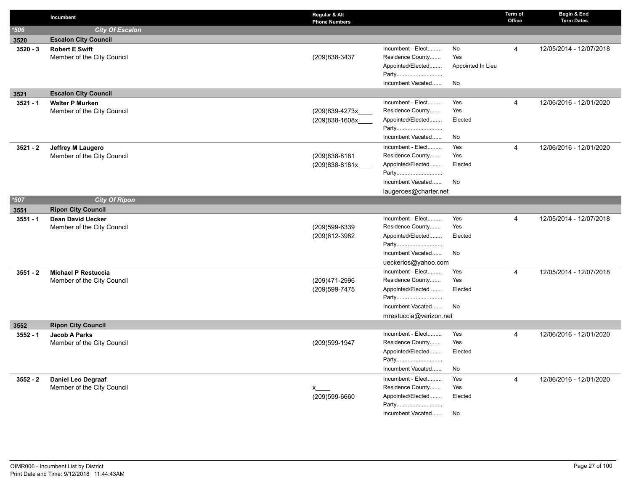|            | Incumbent                   | Regular & Alt<br><b>Phone Numbers</b> |                            |                   | Term of<br>Office | Begin & End<br><b>Term Dates</b> |
|------------|-----------------------------|---------------------------------------|----------------------------|-------------------|-------------------|----------------------------------|
| $*506$     | <b>City Of Escalon</b>      |                                       |                            |                   |                   |                                  |
| 3520       | <b>Escalon City Council</b> |                                       |                            |                   |                   |                                  |
| $3520 - 3$ | <b>Robert E Swift</b>       |                                       | Incumbent - Elect          | No                | $\overline{4}$    | 12/05/2014 - 12/07/2018          |
|            | Member of the City Council  | (209) 838-3437                        | Residence County           | Yes               |                   |                                  |
|            |                             |                                       | Appointed/Elected<br>Party | Appointed In Lieu |                   |                                  |
|            |                             |                                       | Incumbent Vacated          | No                |                   |                                  |
| 3521       | <b>Escalon City Council</b> |                                       |                            |                   |                   |                                  |
| $3521 - 1$ | <b>Walter P Murken</b>      |                                       | Incumbent - Elect          | Yes               | $\overline{4}$    | 12/06/2016 - 12/01/2020          |
|            | Member of the City Council  | (209)839-4273x                        | Residence County           | Yes               |                   |                                  |
|            |                             | (209)838-1608x                        | Appointed/Elected          | Elected           |                   |                                  |
|            |                             |                                       | Party                      |                   |                   |                                  |
|            |                             |                                       | Incumbent Vacated          | No                |                   |                                  |
| $3521 - 2$ | <b>Jeffrey M Laugero</b>    |                                       | Incumbent - Elect          | Yes               | 4                 | 12/06/2016 - 12/01/2020          |
|            | Member of the City Council  | (209) 838-8181                        | Residence County           | Yes               |                   |                                  |
|            |                             | (209)838-8181x                        | Appointed/Elected          | Elected           |                   |                                  |
|            |                             |                                       | Party                      |                   |                   |                                  |
|            |                             |                                       | Incumbent Vacated          | No                |                   |                                  |
|            |                             |                                       | laugeroes@charter.net      |                   |                   |                                  |
| $*507$     | <b>City Of Ripon</b>        |                                       |                            |                   |                   |                                  |
| 3551       | <b>Ripon City Council</b>   |                                       |                            |                   |                   |                                  |
| $3551 - 1$ | <b>Dean David Uecker</b>    |                                       | Incumbent - Elect          | Yes               | $\overline{4}$    | 12/05/2014 - 12/07/2018          |
|            | Member of the City Council  | (209)599-6339                         | Residence County           | Yes               |                   |                                  |
|            |                             | (209)612-3982                         | Appointed/Elected<br>Party | Elected           |                   |                                  |
|            |                             |                                       | Incumbent Vacated          | No                |                   |                                  |
|            |                             |                                       | ueckerios@yahoo.com        |                   |                   |                                  |
| $3551 - 2$ | <b>Michael P Restuccia</b>  |                                       | Incumbent - Elect          | Yes               | 4                 | 12/05/2014 - 12/07/2018          |
|            | Member of the City Council  | (209)471-2996                         | Residence County           | Yes               |                   |                                  |
|            |                             | (209) 599-7475                        | Appointed/Elected          | Elected           |                   |                                  |
|            |                             |                                       | Party                      |                   |                   |                                  |
|            |                             |                                       | Incumbent Vacated          | No                |                   |                                  |
|            |                             |                                       | mrestuccia@verizon.net     |                   |                   |                                  |
| 3552       | <b>Ripon City Council</b>   |                                       |                            |                   |                   |                                  |
| $3552 - 1$ | <b>Jacob A Parks</b>        |                                       | Incumbent - Elect          | Yes               | $\overline{4}$    | 12/06/2016 - 12/01/2020          |
|            | Member of the City Council  | (209) 599-1947                        | Residence County           | Yes               |                   |                                  |
|            |                             |                                       | Appointed/Elected          | Elected           |                   |                                  |
|            |                             |                                       | Party                      |                   |                   |                                  |
|            |                             |                                       | Incumbent Vacated          | No                |                   |                                  |
| $3552 - 2$ | Daniel Leo Degraaf          |                                       | Incumbent - Elect          | Yes               | $\overline{4}$    | 12/06/2016 - 12/01/2020          |
|            | Member of the City Council  | x                                     | Residence County           | Yes               |                   |                                  |
|            |                             | (209)599-6660                         | Appointed/Elected<br>Party | Elected           |                   |                                  |
|            |                             |                                       | Incumbent Vacated          | No                |                   |                                  |
|            |                             |                                       |                            |                   |                   |                                  |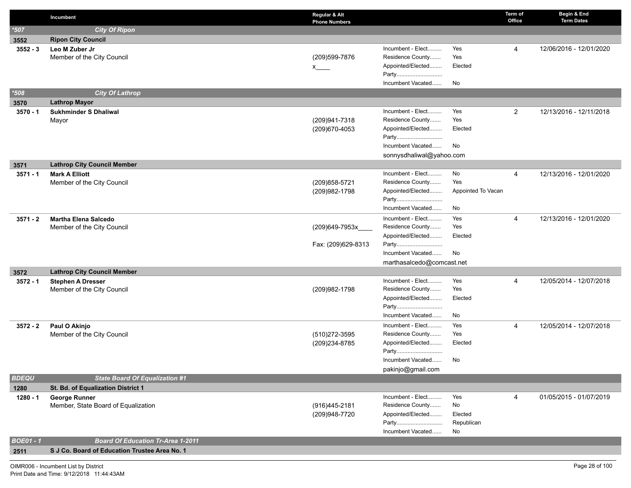|                  | Incumbent                                              | Regular & Alt<br><b>Phone Numbers</b> |                                       |                    | Term of<br>Office | Begin & End<br><b>Term Dates</b> |
|------------------|--------------------------------------------------------|---------------------------------------|---------------------------------------|--------------------|-------------------|----------------------------------|
| $*507$           | <b>City Of Ripon</b>                                   |                                       |                                       |                    |                   |                                  |
| 3552             | <b>Ripon City Council</b>                              |                                       |                                       |                    |                   |                                  |
| $3552 - 3$       | Leo M Zuber Jr                                         |                                       | Incumbent - Elect                     | Yes                | 4                 | 12/06/2016 - 12/01/2020          |
|                  | Member of the City Council                             | (209) 599-7876                        | Residence County                      | Yes                |                   |                                  |
|                  |                                                        | $x =$                                 | Appointed/Elected                     | Elected            |                   |                                  |
|                  |                                                        |                                       | Party                                 |                    |                   |                                  |
|                  |                                                        |                                       | Incumbent Vacated                     | No                 |                   |                                  |
| $*508$           | <b>City Of Lathrop</b>                                 |                                       |                                       |                    |                   |                                  |
| 3570             | <b>Lathrop Mayor</b>                                   |                                       |                                       |                    |                   |                                  |
| $3570 - 1$       | <b>Sukhminder S Dhaliwal</b><br>Mayor                  | (209)941-7318                         | Incumbent - Elect<br>Residence County | Yes<br>Yes         | $\overline{2}$    | 12/13/2016 - 12/11/2018          |
|                  |                                                        | (209) 670-4053                        | Appointed/Elected                     | Elected            |                   |                                  |
|                  |                                                        |                                       | Party                                 |                    |                   |                                  |
|                  |                                                        |                                       | Incumbent Vacated                     | No                 |                   |                                  |
|                  |                                                        |                                       | sonnysdhaliwal@yahoo.com              |                    |                   |                                  |
| 3571             | <b>Lathrop City Council Member</b>                     |                                       |                                       |                    |                   |                                  |
| $3571 - 1$       | <b>Mark A Elliott</b>                                  |                                       | Incumbent - Elect                     | No                 | 4                 | 12/13/2016 - 12/01/2020          |
|                  | Member of the City Council                             | (209) 858-5721                        | Residence County                      | Yes                |                   |                                  |
|                  |                                                        | (209)982-1798                         | Appointed/Elected                     | Appointed To Vacan |                   |                                  |
|                  |                                                        |                                       | Party                                 |                    |                   |                                  |
|                  |                                                        |                                       | Incumbent Vacated                     | No                 |                   |                                  |
| $3571 - 2$       | <b>Martha Elena Salcedo</b>                            |                                       | Incumbent - Elect                     | Yes                | 4                 | 12/13/2016 - 12/01/2020          |
|                  | Member of the City Council                             | (209)649-7953x                        | Residence County                      | Yes                |                   |                                  |
|                  |                                                        |                                       | Appointed/Elected                     | Elected            |                   |                                  |
|                  |                                                        | Fax: (209)629-8313                    | Party                                 |                    |                   |                                  |
|                  |                                                        |                                       | Incumbent Vacated                     | No                 |                   |                                  |
|                  |                                                        |                                       | marthasalcedo@comcast.net             |                    |                   |                                  |
| 3572             | <b>Lathrop City Council Member</b>                     |                                       | Incumbent - Elect                     | Yes                |                   | 12/05/2014 - 12/07/2018          |
| $3572 - 1$       | <b>Stephen A Dresser</b><br>Member of the City Council | (209) 982-1798                        | Residence County                      | Yes                | 4                 |                                  |
|                  |                                                        |                                       | Appointed/Elected                     | Elected            |                   |                                  |
|                  |                                                        |                                       | Party                                 |                    |                   |                                  |
|                  |                                                        |                                       | Incumbent Vacated                     | No                 |                   |                                  |
| $3572 - 2$       | Paul O Akinjo                                          |                                       | Incumbent - Elect                     | Yes                | 4                 | 12/05/2014 - 12/07/2018          |
|                  | Member of the City Council                             | (510)272-3595                         | Residence County                      | Yes                |                   |                                  |
|                  |                                                        | (209)234-8785                         | Appointed/Elected                     | Elected            |                   |                                  |
|                  |                                                        |                                       | Party                                 |                    |                   |                                  |
|                  |                                                        |                                       | Incumbent Vacated                     | No                 |                   |                                  |
|                  |                                                        |                                       | pakinjo@gmail.com                     |                    |                   |                                  |
| <b>BDEQU</b>     | <b>State Board Of Equalization #1</b>                  |                                       |                                       |                    |                   |                                  |
| 1280             | St. Bd. of Equalization District 1                     |                                       |                                       |                    |                   |                                  |
| 1280 - 1         | <b>George Runner</b>                                   |                                       | Incumbent - Elect                     | Yes                | 4                 | 01/05/2015 - 01/07/2019          |
|                  | Member, State Board of Equalization                    | (916)445-2181                         | Residence County                      | No                 |                   |                                  |
|                  |                                                        | (209)948-7720                         | Appointed/Elected                     | Elected            |                   |                                  |
|                  |                                                        |                                       | Party<br>Incumbent Vacated            | Republican<br>No   |                   |                                  |
| <b>BOE01 - 1</b> | <b>Board Of Education Tr-Area 1-2011</b>               |                                       |                                       |                    |                   |                                  |
| 2511             | S J Co. Board of Education Trustee Area No. 1          |                                       |                                       |                    |                   |                                  |
|                  |                                                        |                                       |                                       |                    |                   |                                  |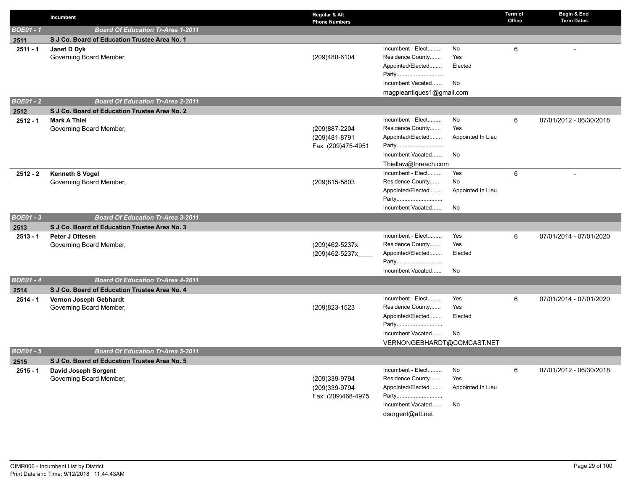|                  | Incumbent                                     | Regular & Alt<br><b>Phone Numbers</b> |                            |                   | Term of<br>Office | Begin & End<br><b>Term Dates</b> |
|------------------|-----------------------------------------------|---------------------------------------|----------------------------|-------------------|-------------------|----------------------------------|
| <b>BOE01 - 1</b> | <b>Board Of Education Tr-Area 1-2011</b>      |                                       |                            |                   |                   |                                  |
| 2511             | S J Co. Board of Education Trustee Area No. 1 |                                       |                            |                   |                   |                                  |
| $2511 - 1$       | Janet D Dyk                                   |                                       | Incumbent - Elect          | No                | 6                 |                                  |
|                  | Governing Board Member,                       | (209)480-6104                         | Residence County           | Yes               |                   |                                  |
|                  |                                               |                                       | Appointed/Elected          | Elected           |                   |                                  |
|                  |                                               |                                       | Party                      |                   |                   |                                  |
|                  |                                               |                                       | Incumbent Vacated          | No                |                   |                                  |
|                  |                                               |                                       | magpieantiques1@gmail.com  |                   |                   |                                  |
| <b>BOE01 - 2</b> | <b>Board Of Education Tr-Area 2-2011</b>      |                                       |                            |                   |                   |                                  |
| 2512             | S J Co. Board of Education Trustee Area No. 2 |                                       |                            |                   |                   |                                  |
| $2512 - 1$       | <b>Mark A Thiel</b>                           |                                       | Incumbent - Elect          | No                | 6                 | 07/01/2012 - 06/30/2018          |
|                  | Governing Board Member,                       | (209)887-2204                         | Residence County           | Yes               |                   |                                  |
|                  |                                               | (209)481-8791                         | Appointed/Elected          | Appointed In Lieu |                   |                                  |
|                  |                                               | Fax: (209)475-4951                    | Party                      |                   |                   |                                  |
|                  |                                               |                                       | Incumbent Vacated          | No                |                   |                                  |
|                  |                                               |                                       | Thiellaw@Inreach.com       |                   |                   |                                  |
| $2512 - 2$       | <b>Kenneth S Vogel</b>                        |                                       | Incumbent - Elect          | Yes               | 6                 |                                  |
|                  | Governing Board Member,                       | (209)815-5803                         | Residence County           | No                |                   |                                  |
|                  |                                               |                                       | Appointed/Elected          | Appointed In Lieu |                   |                                  |
|                  |                                               |                                       | Party                      |                   |                   |                                  |
|                  | <b>Board Of Education Tr-Area 3-2011</b>      |                                       | Incumbent Vacated          | No                |                   |                                  |
| <b>BOE01 - 3</b> |                                               |                                       |                            |                   |                   |                                  |
| 2513             | S J Co. Board of Education Trustee Area No. 3 |                                       |                            |                   |                   |                                  |
| $2513 - 1$       | Peter J Ottesen                               |                                       | Incumbent - Elect          | Yes               | 6                 | 07/01/2014 - 07/01/2020          |
|                  | Governing Board Member,                       | (209)462-5237x                        | Residence County           | Yes               |                   |                                  |
|                  |                                               | (209)462-5237x                        | Appointed/Elected<br>Party | Elected           |                   |                                  |
|                  |                                               |                                       | Incumbent Vacated          | No                |                   |                                  |
| <b>BOE01-4</b>   | <b>Board Of Education Tr-Area 4-2011</b>      |                                       |                            |                   |                   |                                  |
| 2514             | S J Co. Board of Education Trustee Area No. 4 |                                       |                            |                   |                   |                                  |
| $2514 - 1$       | Vernon Joseph Gebhardt                        |                                       | Incumbent - Elect          | Yes               | 6                 | 07/01/2014 - 07/01/2020          |
|                  | Governing Board Member,                       | (209) 823-1523                        | Residence County           | Yes               |                   |                                  |
|                  |                                               |                                       | Appointed/Elected          | Elected           |                   |                                  |
|                  |                                               |                                       | Party                      |                   |                   |                                  |
|                  |                                               |                                       | Incumbent Vacated          | No                |                   |                                  |
|                  |                                               |                                       | VERNONGEBHARDT@COMCAST.NET |                   |                   |                                  |
| $BOE01 - 5$      | <b>Board Of Education Tr-Area 5-2011</b>      |                                       |                            |                   |                   |                                  |
| 2515             | S J Co. Board of Education Trustee Area No. 5 |                                       |                            |                   |                   |                                  |
| $2515 - 1$       | David Joseph Sorgent                          |                                       | Incumbent - Elect          | No                | 6                 | 07/01/2012 - 06/30/2018          |
|                  | Governing Board Member,                       | (209)339-9794                         | Residence County           | Yes               |                   |                                  |
|                  |                                               | (209)339-9794                         | Appointed/Elected          | Appointed In Lieu |                   |                                  |
|                  |                                               | Fax: (209)468-4975                    | Party                      |                   |                   |                                  |
|                  |                                               |                                       | Incumbent Vacated          | No                |                   |                                  |
|                  |                                               |                                       | dsorgent@att.net           |                   |                   |                                  |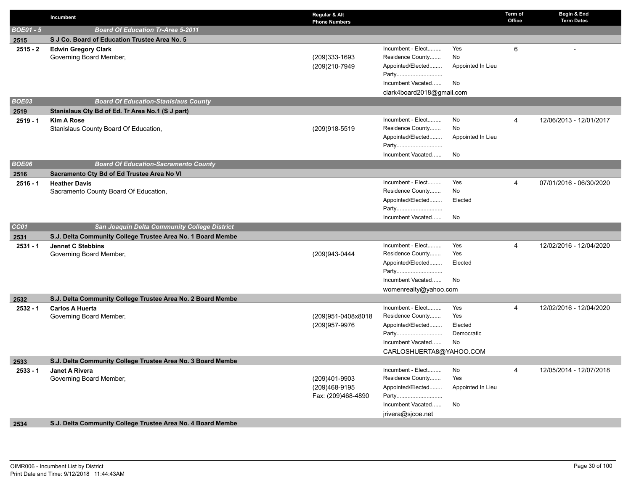|                  | Incumbent                                                   | Regular & Alt<br><b>Phone Numbers</b> |                                       |                   | Term of<br>Office | Begin & End<br><b>Term Dates</b> |
|------------------|-------------------------------------------------------------|---------------------------------------|---------------------------------------|-------------------|-------------------|----------------------------------|
| <b>BOE01 - 5</b> | <b>Board Of Education Tr-Area 5-2011</b>                    |                                       |                                       |                   |                   |                                  |
| 2515             | S J Co. Board of Education Trustee Area No. 5               |                                       |                                       |                   |                   |                                  |
| $2515 - 2$       | <b>Edwin Gregory Clark</b>                                  |                                       | Incumbent - Elect                     | Yes               | 6                 |                                  |
|                  | Governing Board Member,                                     | (209)333-1693                         | Residence County                      | No                |                   |                                  |
|                  |                                                             | (209)210-7949                         | Appointed/Elected                     | Appointed In Lieu |                   |                                  |
|                  |                                                             |                                       | Party                                 |                   |                   |                                  |
|                  |                                                             |                                       | Incumbent Vacated                     | No                |                   |                                  |
|                  |                                                             |                                       | clark4board2018@gmail.com             |                   |                   |                                  |
| BOE03            | <b>Board Of Education-Stanislaus County</b>                 |                                       |                                       |                   |                   |                                  |
| 2519             | Stanislaus Cty Bd of Ed. Tr Area No.1 (S J part)            |                                       |                                       |                   |                   |                                  |
| $2519 - 1$       | <b>Kim A Rose</b>                                           |                                       | Incumbent - Elect                     | No                | $\overline{4}$    | 12/06/2013 - 12/01/2017          |
|                  | Stanislaus County Board Of Education,                       | (209)918-5519                         | Residence County                      | No                |                   |                                  |
|                  |                                                             |                                       | Appointed/Elected                     | Appointed In Lieu |                   |                                  |
|                  |                                                             |                                       | Party<br>Incumbent Vacated            | <b>No</b>         |                   |                                  |
| BOE06            | <b>Board Of Education-Sacramento County</b>                 |                                       |                                       |                   |                   |                                  |
| 2516             | Sacramento Cty Bd of Ed Trustee Area No VI                  |                                       |                                       |                   |                   |                                  |
| $2516 - 1$       | <b>Heather Davis</b>                                        |                                       | Incumbent - Elect                     | Yes               | 4                 | 07/01/2016 - 06/30/2020          |
|                  | Sacramento County Board Of Education,                       |                                       | Residence County                      | No                |                   |                                  |
|                  |                                                             |                                       | Appointed/Elected                     | Elected           |                   |                                  |
|                  |                                                             |                                       | Party                                 |                   |                   |                                  |
|                  |                                                             |                                       | Incumbent Vacated                     | No                |                   |                                  |
| CC01             | <b>San Joaquin Delta Community College District</b>         |                                       |                                       |                   |                   |                                  |
| 2531             | S.J. Delta Community College Trustee Area No. 1 Board Membe |                                       |                                       |                   |                   |                                  |
| $2531 - 1$       | <b>Jennet C Stebbins</b>                                    |                                       | Incumbent - Elect                     | Yes               | $\overline{4}$    | 12/02/2016 - 12/04/2020          |
|                  | Governing Board Member,                                     | (209)943-0444                         | Residence County                      | Yes               |                   |                                  |
|                  |                                                             |                                       | Appointed/Elected                     | Elected           |                   |                                  |
|                  |                                                             |                                       | Party                                 |                   |                   |                                  |
|                  |                                                             |                                       | Incumbent Vacated                     | No                |                   |                                  |
|                  |                                                             |                                       | womenrealty@yahoo.com                 |                   |                   |                                  |
| 2532             | S.J. Delta Community College Trustee Area No. 2 Board Membe |                                       |                                       |                   |                   |                                  |
| $2532 - 1$       | <b>Carlos A Huerta</b>                                      |                                       | Incumbent - Elect                     | Yes               | $\overline{4}$    | 12/02/2016 - 12/04/2020          |
|                  | Governing Board Member,                                     | (209)951-0408x8018                    | Residence County<br>Appointed/Elected | Yes<br>Elected    |                   |                                  |
|                  |                                                             | (209)957-9976                         | Party                                 | Democratic        |                   |                                  |
|                  |                                                             |                                       | Incumbent Vacated                     | <b>No</b>         |                   |                                  |
|                  |                                                             |                                       | CARLOSHUERTA8@YAHOO.COM               |                   |                   |                                  |
| 2533             | S.J. Delta Community College Trustee Area No. 3 Board Membe |                                       |                                       |                   |                   |                                  |
| $2533 - 1$       | Janet A Rivera                                              |                                       | Incumbent - Elect                     | No                | $\overline{4}$    | 12/05/2014 - 12/07/2018          |
|                  | Governing Board Member,                                     | (209)401-9903                         | Residence County                      | Yes               |                   |                                  |
|                  |                                                             | (209)468-9195                         | Appointed/Elected                     | Appointed In Lieu |                   |                                  |
|                  |                                                             | Fax: (209)468-4890                    | Party                                 |                   |                   |                                  |
|                  |                                                             |                                       | Incumbent Vacated                     | No                |                   |                                  |
|                  |                                                             |                                       | jrivera@sjcoe.net                     |                   |                   |                                  |
| 2534             | S.J. Delta Community College Trustee Area No. 4 Board Membe |                                       |                                       |                   |                   |                                  |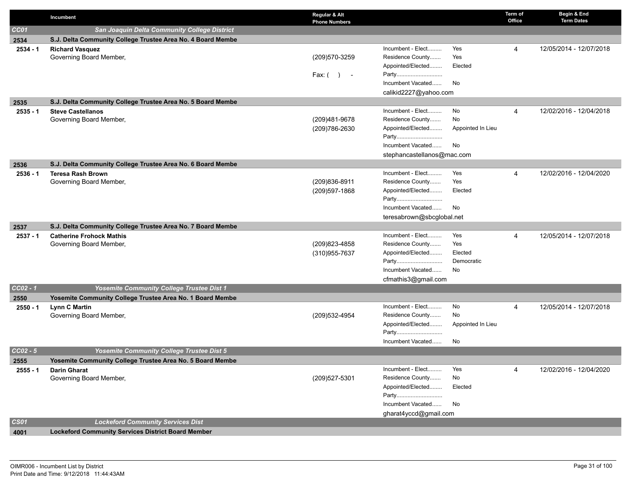|                       | Incumbent                                                   | Regular & Alt<br><b>Phone Numbers</b> |                                       |                   | Term of<br>Office | Begin & End<br><b>Term Dates</b> |
|-----------------------|-------------------------------------------------------------|---------------------------------------|---------------------------------------|-------------------|-------------------|----------------------------------|
| CC01                  | San Joaquin Delta Community College District                |                                       |                                       |                   |                   |                                  |
| 2534                  | S.J. Delta Community College Trustee Area No. 4 Board Membe |                                       |                                       |                   |                   |                                  |
| $2534 - 1$            | <b>Richard Vasquez</b>                                      |                                       | Incumbent - Elect                     | Yes               | $\overline{4}$    | 12/05/2014 - 12/07/2018          |
|                       | Governing Board Member,                                     | (209) 570-3259                        | Residence County                      | Yes               |                   |                                  |
|                       |                                                             |                                       | Appointed/Elected                     | Elected           |                   |                                  |
|                       |                                                             | Fax: $( )$ -                          | Party                                 |                   |                   |                                  |
|                       |                                                             |                                       | Incumbent Vacated                     | No                |                   |                                  |
|                       |                                                             |                                       | calikid2227@yahoo.com                 |                   |                   |                                  |
| 2535                  | S.J. Delta Community College Trustee Area No. 5 Board Membe |                                       |                                       |                   |                   |                                  |
| $2535 - 1$            | <b>Steve Castellanos</b>                                    |                                       | Incumbent - Elect                     | No                | $\overline{4}$    | 12/02/2016 - 12/04/2018          |
|                       | Governing Board Member,                                     | (209)481-9678                         | Residence County                      | No                |                   |                                  |
|                       |                                                             | (209) 786-2630                        | Appointed/Elected                     | Appointed In Lieu |                   |                                  |
|                       |                                                             |                                       | Party                                 |                   |                   |                                  |
|                       |                                                             |                                       | Incumbent Vacated                     | No                |                   |                                  |
|                       |                                                             |                                       | stephancastellanos@mac.com            |                   |                   |                                  |
| 2536                  | S.J. Delta Community College Trustee Area No. 6 Board Membe |                                       |                                       |                   |                   |                                  |
| $2536 - 1$            | <b>Teresa Rash Brown</b>                                    |                                       | Incumbent - Elect<br>Residence County | Yes<br>Yes        | 4                 | 12/02/2016 - 12/04/2020          |
|                       | Governing Board Member,                                     | (209) 836-8911                        | Appointed/Elected                     | Elected           |                   |                                  |
|                       |                                                             | (209) 597-1868                        | Party                                 |                   |                   |                                  |
|                       |                                                             |                                       | Incumbent Vacated                     | No                |                   |                                  |
|                       |                                                             |                                       | teresabrown@sbcglobal.net             |                   |                   |                                  |
| 2537                  | S.J. Delta Community College Trustee Area No. 7 Board Membe |                                       |                                       |                   |                   |                                  |
| $2537 - 1$            | <b>Catherine Frohock Mathis</b>                             |                                       | Incumbent - Elect                     | Yes               | $\overline{4}$    | 12/05/2014 - 12/07/2018          |
|                       | Governing Board Member,                                     | (209) 823-4858                        | Residence County                      | Yes               |                   |                                  |
|                       |                                                             | (310) 955-7637                        | Appointed/Elected                     | Elected           |                   |                                  |
|                       |                                                             |                                       | Party                                 | Democratic        |                   |                                  |
|                       |                                                             |                                       | Incumbent Vacated                     | No                |                   |                                  |
|                       |                                                             |                                       | cfmathis3@gmail.com                   |                   |                   |                                  |
| $CC02 - 1$            | Yosemite Community College Trustee Dist 1                   |                                       |                                       |                   |                   |                                  |
| 2550                  | Yosemite Community College Trustee Area No. 1 Board Membe   |                                       |                                       |                   |                   |                                  |
| $2550 - 1$            | <b>Lynn C Martin</b>                                        |                                       | Incumbent - Elect                     | No                | $\overline{4}$    | 12/05/2014 - 12/07/2018          |
|                       | Governing Board Member,                                     | (209) 532-4954                        | Residence County                      | No                |                   |                                  |
|                       |                                                             |                                       | Appointed/Elected                     | Appointed In Lieu |                   |                                  |
|                       |                                                             |                                       | Party                                 |                   |                   |                                  |
|                       |                                                             |                                       | Incumbent Vacated                     | No                |                   |                                  |
| $\overline{CC02 - 5}$ | <b>Yosemite Community College Trustee Dist 5</b>            |                                       |                                       |                   |                   |                                  |
| 2555                  | Yosemite Community College Trustee Area No. 5 Board Membe   |                                       |                                       |                   |                   |                                  |
| $2555 - 1$            | <b>Darin Gharat</b>                                         |                                       | Incumbent - Elect                     | Yes               | 4                 | 12/02/2016 - 12/04/2020          |
|                       | Governing Board Member,                                     | (209) 527-5301                        | Residence County                      | No                |                   |                                  |
|                       |                                                             |                                       | Appointed/Elected                     | Elected           |                   |                                  |
|                       |                                                             |                                       | Party                                 |                   |                   |                                  |
|                       |                                                             |                                       | Incumbent Vacated                     | No                |                   |                                  |
|                       |                                                             |                                       | gharat4yccd@gmail.com                 |                   |                   |                                  |
| <b>CS01</b>           | <b>Lockeford Community Services Dist</b>                    |                                       |                                       |                   |                   |                                  |
| 4001                  | <b>Lockeford Community Services District Board Member</b>   |                                       |                                       |                   |                   |                                  |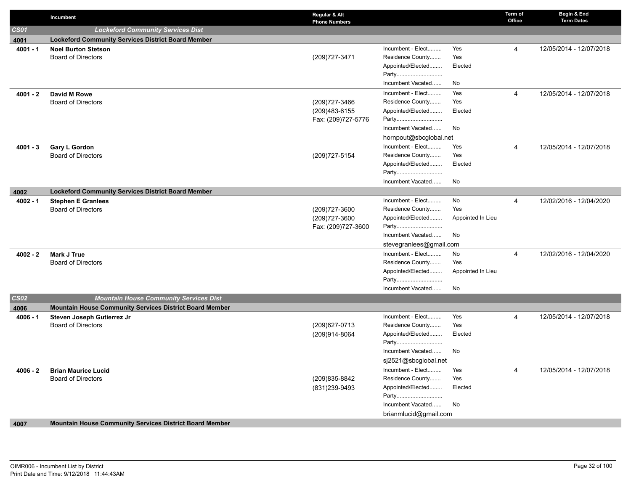|             | Incumbent                                                 | Regular & Alt<br><b>Phone Numbers</b> |                                       |                   | Term of<br>Office | Begin & End<br><b>Term Dates</b> |
|-------------|-----------------------------------------------------------|---------------------------------------|---------------------------------------|-------------------|-------------------|----------------------------------|
| <b>CS01</b> | <b>Lockeford Community Services Dist</b>                  |                                       |                                       |                   |                   |                                  |
| 4001        | <b>Lockeford Community Services District Board Member</b> |                                       |                                       |                   |                   |                                  |
| $4001 - 1$  | <b>Noel Burton Stetson</b>                                |                                       | Incumbent - Elect                     | Yes               | $\overline{4}$    | 12/05/2014 - 12/07/2018          |
|             | <b>Board of Directors</b>                                 | (209) 727-3471                        | Residence County                      | Yes               |                   |                                  |
|             |                                                           |                                       | Appointed/Elected                     | Elected           |                   |                                  |
|             |                                                           |                                       | Party                                 |                   |                   |                                  |
|             |                                                           |                                       | Incumbent Vacated                     | No                |                   |                                  |
| 4001 - 2    | David M Rowe                                              |                                       | Incumbent - Elect                     | Yes               | 4                 | 12/05/2014 - 12/07/2018          |
|             | <b>Board of Directors</b>                                 | (209) 727-3466                        | Residence County                      | Yes               |                   |                                  |
|             |                                                           | (209)483-6155                         | Appointed/Elected                     | Elected           |                   |                                  |
|             |                                                           | Fax: (209)727-5776                    | Party                                 |                   |                   |                                  |
|             |                                                           |                                       | Incumbent Vacated                     | No                |                   |                                  |
|             |                                                           |                                       | hornpout@sbcglobal.net                |                   |                   |                                  |
| $4001 - 3$  | <b>Gary L Gordon</b>                                      |                                       | Incumbent - Elect                     | Yes               | $\overline{4}$    | 12/05/2014 - 12/07/2018          |
|             | <b>Board of Directors</b>                                 | (209) 727-5154                        | Residence County                      | Yes               |                   |                                  |
|             |                                                           |                                       | Appointed/Elected                     | Elected           |                   |                                  |
|             |                                                           |                                       | Party<br>Incumbent Vacated            | No                |                   |                                  |
|             |                                                           |                                       |                                       |                   |                   |                                  |
| 4002        | <b>Lockeford Community Services District Board Member</b> |                                       |                                       |                   |                   |                                  |
| $4002 - 1$  | <b>Stephen E Granlees</b><br><b>Board of Directors</b>    | (209) 727-3600                        | Incumbent - Elect<br>Residence County | No<br>Yes         | 4                 | 12/02/2016 - 12/04/2020          |
|             |                                                           | (209) 727-3600                        | Appointed/Elected                     | Appointed In Lieu |                   |                                  |
|             |                                                           | Fax: (209)727-3600                    | Party                                 |                   |                   |                                  |
|             |                                                           |                                       | Incumbent Vacated                     | No                |                   |                                  |
|             |                                                           |                                       | stevegranlees@gmail.com               |                   |                   |                                  |
| $4002 - 2$  | Mark J True                                               |                                       | Incumbent - Elect                     | No                | $\overline{4}$    | 12/02/2016 - 12/04/2020          |
|             | <b>Board of Directors</b>                                 |                                       | Residence County                      | Yes               |                   |                                  |
|             |                                                           |                                       | Appointed/Elected                     | Appointed In Lieu |                   |                                  |
|             |                                                           |                                       | Party                                 |                   |                   |                                  |
|             |                                                           |                                       | Incumbent Vacated                     | No                |                   |                                  |
| <b>CS02</b> | <b>Mountain House Community Services Dist</b>             |                                       |                                       |                   |                   |                                  |
| 4006        | Mountain House Community Services District Board Member   |                                       |                                       |                   |                   |                                  |
| $4006 - 1$  | Steven Joseph Gutierrez Jr                                |                                       | Incumbent - Elect                     | Yes               | 4                 | 12/05/2014 - 12/07/2018          |
|             | <b>Board of Directors</b>                                 | (209) 627-0713                        | Residence County                      | Yes               |                   |                                  |
|             |                                                           | (209)914-8064                         | Appointed/Elected                     | Elected           |                   |                                  |
|             |                                                           |                                       | Party                                 |                   |                   |                                  |
|             |                                                           |                                       | Incumbent Vacated                     | No                |                   |                                  |
|             |                                                           |                                       | sj2521@sbcglobal.net                  |                   |                   |                                  |
| 4006 - 2    | <b>Brian Maurice Lucid</b>                                |                                       | Incumbent - Elect                     | Yes               | 4                 | 12/05/2014 - 12/07/2018          |
|             | <b>Board of Directors</b>                                 | (209) 835-8842                        | Residence County                      | Yes               |                   |                                  |
|             |                                                           | (831) 239-9493                        | Appointed/Elected                     | Elected           |                   |                                  |
|             |                                                           |                                       | Party<br>Incumbent Vacated            | No                |                   |                                  |
|             |                                                           |                                       | brianmlucid@gmail.com                 |                   |                   |                                  |
| 4007        | Mountain House Community Services District Board Member   |                                       |                                       |                   |                   |                                  |
|             |                                                           |                                       |                                       |                   |                   |                                  |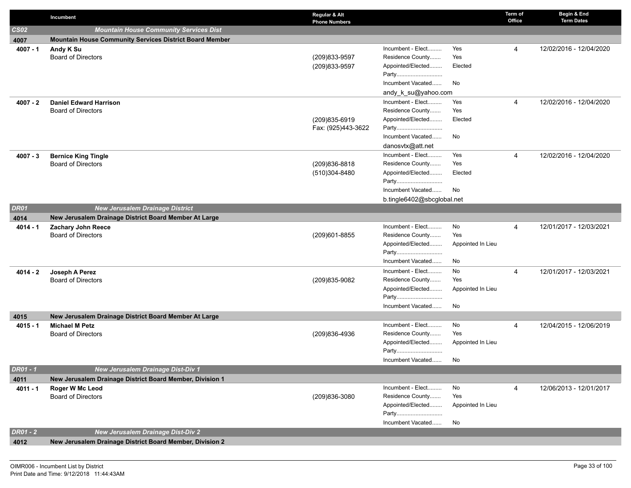|                 | Incumbent                                                  | Regular & Alt<br><b>Phone Numbers</b> |                                       |                   | Term of<br>Office | Begin & End<br><b>Term Dates</b> |
|-----------------|------------------------------------------------------------|---------------------------------------|---------------------------------------|-------------------|-------------------|----------------------------------|
| CS02            | <b>Mountain House Community Services Dist</b>              |                                       |                                       |                   |                   |                                  |
| 4007            | Mountain House Community Services District Board Member    |                                       |                                       |                   |                   |                                  |
| $4007 - 1$      | Andy K Su                                                  |                                       | Incumbent - Elect                     | Yes               | 4                 | 12/02/2016 - 12/04/2020          |
|                 | <b>Board of Directors</b>                                  | (209)833-9597                         | Residence County                      | Yes               |                   |                                  |
|                 |                                                            | (209)833-9597                         | Appointed/Elected                     | Elected           |                   |                                  |
|                 |                                                            |                                       | Party                                 |                   |                   |                                  |
|                 |                                                            |                                       | Incumbent Vacated                     | No                |                   |                                  |
|                 |                                                            |                                       | andy_k_su@yahoo.com                   |                   |                   |                                  |
| $4007 - 2$      | <b>Daniel Edward Harrison</b><br><b>Board of Directors</b> |                                       | Incumbent - Elect<br>Residence County | Yes<br>Yes        | $\overline{4}$    | 12/02/2016 - 12/04/2020          |
|                 |                                                            | (209)835-6919                         | Appointed/Elected                     | Elected           |                   |                                  |
|                 |                                                            | Fax: (925)443-3622                    | Party                                 |                   |                   |                                  |
|                 |                                                            |                                       | Incumbent Vacated                     | No                |                   |                                  |
|                 |                                                            |                                       | danosvtx@att.net                      |                   |                   |                                  |
| $4007 - 3$      | <b>Bernice King Tingle</b>                                 |                                       | Incumbent - Elect                     | Yes               | 4                 | 12/02/2016 - 12/04/2020          |
|                 | <b>Board of Directors</b>                                  | (209) 836-8818                        | Residence County                      | Yes               |                   |                                  |
|                 |                                                            | (510)304-8480                         | Appointed/Elected                     | Elected           |                   |                                  |
|                 |                                                            |                                       | Party                                 |                   |                   |                                  |
|                 |                                                            |                                       | Incumbent Vacated                     | No                |                   |                                  |
|                 |                                                            |                                       | b.tingle6402@sbcglobal.net            |                   |                   |                                  |
| <b>DR01</b>     | <b>New Jerusalem Drainage District</b>                     |                                       |                                       |                   |                   |                                  |
| 4014            | New Jerusalem Drainage District Board Member At Large      |                                       |                                       |                   |                   |                                  |
| $4014 - 1$      | <b>Zachary John Reece</b>                                  |                                       | Incumbent - Elect                     | No                | 4                 | 12/01/2017 - 12/03/2021          |
|                 | <b>Board of Directors</b>                                  | (209)601-8855                         | Residence County                      | Yes               |                   |                                  |
|                 |                                                            |                                       | Appointed/Elected                     | Appointed In Lieu |                   |                                  |
|                 |                                                            |                                       | Party                                 |                   |                   |                                  |
|                 |                                                            |                                       | Incumbent Vacated                     | No                |                   |                                  |
| $4014 - 2$      | Joseph A Perez                                             |                                       | Incumbent - Elect<br>Residence County | No<br>Yes         | 4                 | 12/01/2017 - 12/03/2021          |
|                 | <b>Board of Directors</b>                                  | (209)835-9082                         | Appointed/Elected                     | Appointed In Lieu |                   |                                  |
|                 |                                                            |                                       | Party                                 |                   |                   |                                  |
|                 |                                                            |                                       | Incumbent Vacated                     | No                |                   |                                  |
| 4015            | New Jerusalem Drainage District Board Member At Large      |                                       |                                       |                   |                   |                                  |
| $4015 - 1$      | <b>Michael M Petz</b>                                      |                                       | Incumbent - Elect                     | No                | 4                 | 12/04/2015 - 12/06/2019          |
|                 | <b>Board of Directors</b>                                  | (209)836-4936                         | Residence County                      | Yes               |                   |                                  |
|                 |                                                            |                                       | Appointed/Elected                     | Appointed In Lieu |                   |                                  |
|                 |                                                            |                                       | Party                                 |                   |                   |                                  |
|                 |                                                            |                                       | Incumbent Vacated                     | No                |                   |                                  |
| DR01 - 1        | New Jerusalem Drainage Dist-Div 1                          |                                       |                                       |                   |                   |                                  |
| 4011            | New Jerusalem Drainage District Board Member, Division 1   |                                       |                                       |                   |                   |                                  |
| $4011 - 1$      | Roger W Mc Leod                                            |                                       | Incumbent - Elect                     | No                | 4                 | 12/06/2013 - 12/01/2017          |
|                 | <b>Board of Directors</b>                                  | (209)836-3080                         | Residence County                      | Yes               |                   |                                  |
|                 |                                                            |                                       | Appointed/Elected                     | Appointed In Lieu |                   |                                  |
|                 |                                                            |                                       | Party                                 |                   |                   |                                  |
|                 |                                                            |                                       | Incumbent Vacated                     | No                |                   |                                  |
| <b>DR01 - 2</b> | <b>New Jerusalem Drainage Dist-Div 2</b>                   |                                       |                                       |                   |                   |                                  |
| 4012            | New Jerusalem Drainage District Board Member, Division 2   |                                       |                                       |                   |                   |                                  |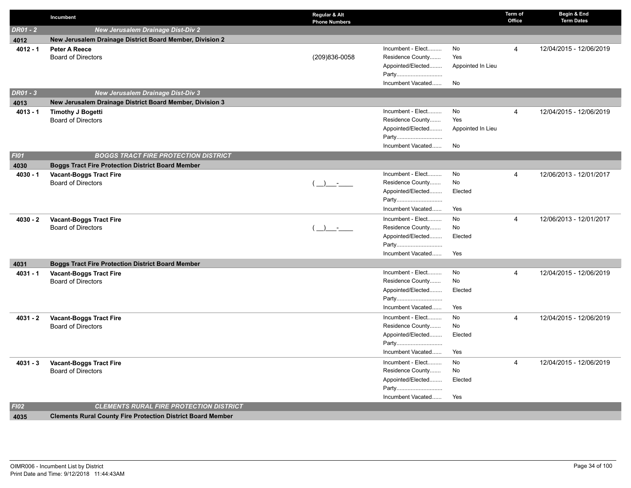|             | Incumbent                                                          | Regular & Alt<br><b>Phone Numbers</b> |                                       |                   | Term of<br>Office | Begin & End<br><b>Term Dates</b> |
|-------------|--------------------------------------------------------------------|---------------------------------------|---------------------------------------|-------------------|-------------------|----------------------------------|
| DR01 - 2    | <b>New Jerusalem Drainage Dist-Div 2</b>                           |                                       |                                       |                   |                   |                                  |
| 4012        | New Jerusalem Drainage District Board Member, Division 2           |                                       |                                       |                   |                   |                                  |
| $4012 - 1$  | Peter A Reece                                                      |                                       | Incumbent - Elect                     | No                | 4                 | 12/04/2015 - 12/06/2019          |
|             | <b>Board of Directors</b>                                          | (209)836-0058                         | Residence County                      | Yes               |                   |                                  |
|             |                                                                    |                                       | Appointed/Elected                     | Appointed In Lieu |                   |                                  |
|             |                                                                    |                                       | Party                                 |                   |                   |                                  |
|             |                                                                    |                                       | Incumbent Vacated                     | No                |                   |                                  |
| DR01 - 3    | <b>New Jerusalem Drainage Dist-Div 3</b>                           |                                       |                                       |                   |                   |                                  |
| 4013        | New Jerusalem Drainage District Board Member, Division 3           |                                       |                                       |                   |                   |                                  |
| $4013 - 1$  | <b>Timothy J Bogetti</b>                                           |                                       | Incumbent - Elect                     | No                | 4                 | 12/04/2015 - 12/06/2019          |
|             | <b>Board of Directors</b>                                          |                                       | Residence County                      | Yes               |                   |                                  |
|             |                                                                    |                                       | Appointed/Elected                     | Appointed In Lieu |                   |                                  |
|             |                                                                    |                                       | Party                                 |                   |                   |                                  |
|             |                                                                    |                                       | Incumbent Vacated                     | No                |                   |                                  |
| <b>FI01</b> | <b>BOGGS TRACT FIRE PROTECTION DISTRICT</b>                        |                                       |                                       |                   |                   |                                  |
| 4030        | <b>Boggs Tract Fire Protection District Board Member</b>           |                                       |                                       |                   |                   |                                  |
| $4030 - 1$  | <b>Vacant-Boggs Tract Fire</b><br><b>Board of Directors</b>        |                                       | Incumbent - Elect<br>Residence County | No<br>No          | 4                 | 12/06/2013 - 12/01/2017          |
|             |                                                                    | $\rightarrow$ $-$                     | Appointed/Elected                     | Elected           |                   |                                  |
|             |                                                                    |                                       | Party                                 |                   |                   |                                  |
|             |                                                                    |                                       | Incumbent Vacated                     | Yes               |                   |                                  |
| $4030 - 2$  |                                                                    |                                       | Incumbent - Elect                     | No                | 4                 | 12/06/2013 - 12/01/2017          |
|             | <b>Vacant-Boggs Tract Fire</b><br><b>Board of Directors</b>        | $(+)$ -                               | Residence County                      | No                |                   |                                  |
|             |                                                                    |                                       | Appointed/Elected                     | Elected           |                   |                                  |
|             |                                                                    |                                       | Party                                 |                   |                   |                                  |
|             |                                                                    |                                       | Incumbent Vacated                     | Yes               |                   |                                  |
| 4031        | <b>Boggs Tract Fire Protection District Board Member</b>           |                                       |                                       |                   |                   |                                  |
| $4031 - 1$  | <b>Vacant-Boggs Tract Fire</b>                                     |                                       | Incumbent - Elect                     | No                | 4                 | 12/04/2015 - 12/06/2019          |
|             | <b>Board of Directors</b>                                          |                                       | Residence County                      | No                |                   |                                  |
|             |                                                                    |                                       | Appointed/Elected                     | Elected           |                   |                                  |
|             |                                                                    |                                       | Party                                 |                   |                   |                                  |
|             |                                                                    |                                       | Incumbent Vacated                     | Yes               |                   |                                  |
| $4031 - 2$  | <b>Vacant-Boggs Tract Fire</b>                                     |                                       | Incumbent - Elect                     | No                | 4                 | 12/04/2015 - 12/06/2019          |
|             | <b>Board of Directors</b>                                          |                                       | Residence County                      | No                |                   |                                  |
|             |                                                                    |                                       | Appointed/Elected                     | Elected           |                   |                                  |
|             |                                                                    |                                       | Party                                 |                   |                   |                                  |
|             |                                                                    |                                       | Incumbent Vacated                     | Yes               |                   |                                  |
| $4031 - 3$  | <b>Vacant-Boggs Tract Fire</b>                                     |                                       | Incumbent - Elect                     | No                | 4                 | 12/04/2015 - 12/06/2019          |
|             | <b>Board of Directors</b>                                          |                                       | Residence County                      | No                |                   |                                  |
|             |                                                                    |                                       | Appointed/Elected                     | Elected           |                   |                                  |
|             |                                                                    |                                       | Party                                 |                   |                   |                                  |
|             |                                                                    |                                       | Incumbent Vacated                     | Yes               |                   |                                  |
| F102        | <b>CLEMENTS RURAL FIRE PROTECTION DISTRICT</b>                     |                                       |                                       |                   |                   |                                  |
| 4035        | <b>Clements Rural County Fire Protection District Board Member</b> |                                       |                                       |                   |                   |                                  |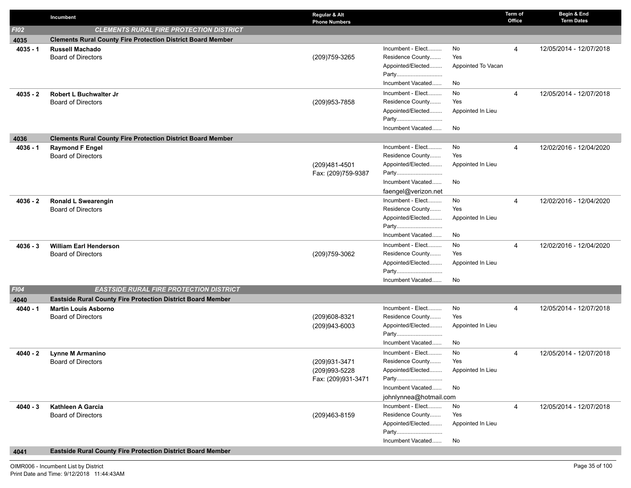|            | Incumbent                                                          | Regular & Alt<br><b>Phone Numbers</b> |                                       |                    | Term of<br>Office | Begin & End<br><b>Term Dates</b> |
|------------|--------------------------------------------------------------------|---------------------------------------|---------------------------------------|--------------------|-------------------|----------------------------------|
| F102       | <b>CLEMENTS RURAL FIRE PROTECTION DISTRICT</b>                     |                                       |                                       |                    |                   |                                  |
| 4035       | <b>Clements Rural County Fire Protection District Board Member</b> |                                       |                                       |                    |                   |                                  |
| $4035 - 1$ | <b>Russell Machado</b>                                             |                                       | Incumbent - Elect                     | No                 | 4                 | 12/05/2014 - 12/07/2018          |
|            | <b>Board of Directors</b>                                          | (209) 759-3265                        | Residence County                      | Yes                |                   |                                  |
|            |                                                                    |                                       | Appointed/Elected                     | Appointed To Vacan |                   |                                  |
|            |                                                                    |                                       | Party<br>Incumbent Vacated            | No                 |                   |                                  |
| $4035 - 2$ | Robert L Buchwalter Jr                                             |                                       | Incumbent - Elect                     | No                 | 4                 | 12/05/2014 - 12/07/2018          |
|            | <b>Board of Directors</b>                                          | (209) 953-7858                        | Residence County                      | Yes                |                   |                                  |
|            |                                                                    |                                       | Appointed/Elected                     | Appointed In Lieu  |                   |                                  |
|            |                                                                    |                                       | Party                                 |                    |                   |                                  |
|            |                                                                    |                                       | Incumbent Vacated                     | No                 |                   |                                  |
| 4036       | <b>Clements Rural County Fire Protection District Board Member</b> |                                       |                                       |                    |                   |                                  |
| $4036 - 1$ | <b>Raymond F Engel</b>                                             |                                       | Incumbent - Elect                     | No                 | 4                 | 12/02/2016 - 12/04/2020          |
|            | <b>Board of Directors</b>                                          |                                       | Residence County                      | Yes                |                   |                                  |
|            |                                                                    | (209)481-4501                         | Appointed/Elected                     | Appointed In Lieu  |                   |                                  |
|            |                                                                    | Fax: (209)759-9387                    | Party<br>Incumbent Vacated            | No                 |                   |                                  |
|            |                                                                    |                                       | faengel@verizon.net                   |                    |                   |                                  |
| 4036 - 2   | <b>Ronald L Swearengin</b>                                         |                                       | Incumbent - Elect                     | No                 | 4                 | 12/02/2016 - 12/04/2020          |
|            | <b>Board of Directors</b>                                          |                                       | Residence County                      | Yes                |                   |                                  |
|            |                                                                    |                                       | Appointed/Elected                     | Appointed In Lieu  |                   |                                  |
|            |                                                                    |                                       | Party                                 |                    |                   |                                  |
|            |                                                                    |                                       | Incumbent Vacated                     | No                 |                   |                                  |
| $4036 - 3$ | <b>William Earl Henderson</b>                                      |                                       | Incumbent - Elect                     | No                 | 4                 | 12/02/2016 - 12/04/2020          |
|            | <b>Board of Directors</b>                                          | (209) 759-3062                        | Residence County                      | Yes                |                   |                                  |
|            |                                                                    |                                       | Appointed/Elected<br>Party            | Appointed In Lieu  |                   |                                  |
|            |                                                                    |                                       | Incumbent Vacated                     | No                 |                   |                                  |
| F104       | <b>EASTSIDE RURAL FIRE PROTECTION DISTRICT</b>                     |                                       |                                       |                    |                   |                                  |
| 4040       | <b>Eastside Rural County Fire Protection District Board Member</b> |                                       |                                       |                    |                   |                                  |
| $4040 - 1$ | <b>Martin Louis Asborno</b>                                        |                                       | Incumbent - Elect                     | No                 | 4                 | 12/05/2014 - 12/07/2018          |
|            | <b>Board of Directors</b>                                          | (209)608-8321                         | Residence County                      | Yes                |                   |                                  |
|            |                                                                    | (209)943-6003                         | Appointed/Elected                     | Appointed In Lieu  |                   |                                  |
|            |                                                                    |                                       | Party                                 |                    |                   |                                  |
|            |                                                                    |                                       | Incumbent Vacated                     | No                 |                   |                                  |
| $4040 - 2$ | <b>Lynne M Armanino</b><br><b>Board of Directors</b>               | (209) 931-3471                        | Incumbent - Elect<br>Residence County | No<br>Yes          | 4                 | 12/05/2014 - 12/07/2018          |
|            |                                                                    | (209)993-5228                         | Appointed/Elected                     | Appointed In Lieu  |                   |                                  |
|            |                                                                    | Fax: (209)931-3471                    | Party                                 |                    |                   |                                  |
|            |                                                                    |                                       | Incumbent Vacated                     | No                 |                   |                                  |
|            |                                                                    |                                       | johnlynnea@hotmail.com                |                    |                   |                                  |
| $4040 - 3$ | Kathleen A Garcia                                                  |                                       | Incumbent - Elect                     | No                 | 4                 | 12/05/2014 - 12/07/2018          |
|            | <b>Board of Directors</b>                                          | (209)463-8159                         | Residence County                      | Yes                |                   |                                  |
|            |                                                                    |                                       | Appointed/Elected                     | Appointed In Lieu  |                   |                                  |
|            |                                                                    |                                       | Party                                 |                    |                   |                                  |
|            |                                                                    |                                       | Incumbent Vacated                     | No                 |                   |                                  |

## **4041 Eastside Rural County Fire Protection District Board Member**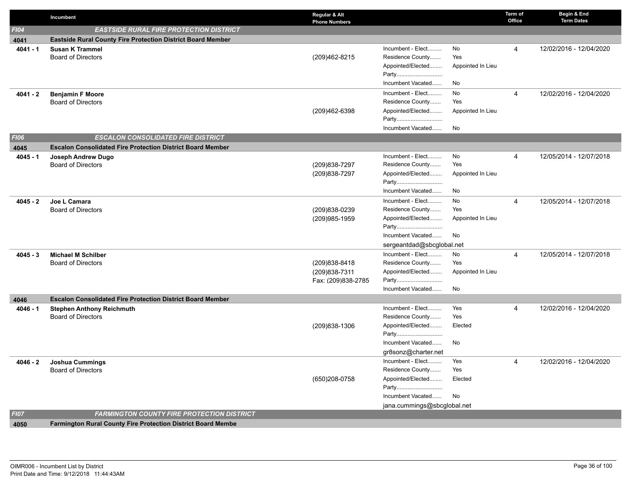|             | Incumbent                                                           | Regular & Alt<br><b>Phone Numbers</b> |                                       |                   | Term of<br>Office | Begin & End<br><b>Term Dates</b> |
|-------------|---------------------------------------------------------------------|---------------------------------------|---------------------------------------|-------------------|-------------------|----------------------------------|
| F104        | <b>EASTSIDE RURAL FIRE PROTECTION DISTRICT</b>                      |                                       |                                       |                   |                   |                                  |
| 4041        | <b>Eastside Rural County Fire Protection District Board Member</b>  |                                       |                                       |                   |                   |                                  |
| $4041 - 1$  | <b>Susan K Trammel</b>                                              |                                       | Incumbent - Elect                     | No                | $\overline{4}$    | 12/02/2016 - 12/04/2020          |
|             | <b>Board of Directors</b>                                           | (209)462-8215                         | Residence County                      | Yes               |                   |                                  |
|             |                                                                     |                                       | Appointed/Elected                     | Appointed In Lieu |                   |                                  |
|             |                                                                     |                                       | Party                                 |                   |                   |                                  |
|             |                                                                     |                                       | Incumbent Vacated                     | No                |                   |                                  |
| 4041 - 2    | <b>Benjamin F Moore</b>                                             |                                       | Incumbent - Elect                     | No                | $\overline{4}$    | 12/02/2016 - 12/04/2020          |
|             | <b>Board of Directors</b>                                           |                                       | Residence County                      | Yes               |                   |                                  |
|             |                                                                     | (209)462-6398                         | Appointed/Elected                     | Appointed In Lieu |                   |                                  |
|             |                                                                     |                                       | Party                                 |                   |                   |                                  |
|             |                                                                     |                                       | Incumbent Vacated                     | No                |                   |                                  |
| <b>FI06</b> | <b>ESCALON CONSOLIDATED FIRE DISTRICT</b>                           |                                       |                                       |                   |                   |                                  |
| 4045        | <b>Escalon Consolidated Fire Protection District Board Member</b>   |                                       | Incumbent - Elect                     | No                |                   |                                  |
| $4045 - 1$  | Joseph Andrew Dugo<br><b>Board of Directors</b>                     | (209) 838-7297                        | Residence County                      | Yes               | $\overline{4}$    | 12/05/2014 - 12/07/2018          |
|             |                                                                     | (209) 838-7297                        | Appointed/Elected                     | Appointed In Lieu |                   |                                  |
|             |                                                                     |                                       | Party                                 |                   |                   |                                  |
|             |                                                                     |                                       | Incumbent Vacated                     | No                |                   |                                  |
| 4045 - 2    | Joe L Camara                                                        |                                       | Incumbent - Elect                     | No                | $\overline{4}$    | 12/05/2014 - 12/07/2018          |
|             | <b>Board of Directors</b>                                           | (209)838-0239                         | Residence County                      | Yes               |                   |                                  |
|             |                                                                     | (209)985-1959                         | Appointed/Elected                     | Appointed In Lieu |                   |                                  |
|             |                                                                     |                                       | Party                                 |                   |                   |                                  |
|             |                                                                     |                                       | Incumbent Vacated                     | No                |                   |                                  |
|             |                                                                     |                                       | sergeantdad@sbcglobal.net             |                   |                   |                                  |
| $4045 - 3$  | <b>Michael M Schilber</b>                                           |                                       | Incumbent - Elect                     | No                | $\overline{4}$    | 12/05/2014 - 12/07/2018          |
|             | <b>Board of Directors</b>                                           | (209) 838-8418                        | Residence County                      | Yes               |                   |                                  |
|             |                                                                     | (209) 838-7311                        | Appointed/Elected                     | Appointed In Lieu |                   |                                  |
|             |                                                                     | Fax: (209)838-2785                    | Party                                 |                   |                   |                                  |
|             |                                                                     |                                       | Incumbent Vacated                     | No                |                   |                                  |
| 4046        | <b>Escalon Consolidated Fire Protection District Board Member</b>   |                                       |                                       |                   |                   |                                  |
| $4046 - 1$  | <b>Stephen Anthony Reichmuth</b><br><b>Board of Directors</b>       |                                       | Incumbent - Elect<br>Residence County | Yes<br>Yes        | $\overline{4}$    | 12/02/2016 - 12/04/2020          |
|             |                                                                     | (209) 838-1306                        | Appointed/Elected                     | Elected           |                   |                                  |
|             |                                                                     |                                       | Party                                 |                   |                   |                                  |
|             |                                                                     |                                       | Incumbent Vacated                     | No                |                   |                                  |
|             |                                                                     |                                       | gr8sonz@charter.net                   |                   |                   |                                  |
| 4046 - 2    | <b>Joshua Cummings</b>                                              |                                       | Incumbent - Elect                     | Yes               | $\overline{4}$    | 12/02/2016 - 12/04/2020          |
|             | <b>Board of Directors</b>                                           |                                       | Residence County                      | Yes               |                   |                                  |
|             |                                                                     | (650)208-0758                         | Appointed/Elected                     | Elected           |                   |                                  |
|             |                                                                     |                                       | Party                                 |                   |                   |                                  |
|             |                                                                     |                                       | Incumbent Vacated                     | No                |                   |                                  |
|             |                                                                     |                                       | jana.cummings@sbcglobal.net           |                   |                   |                                  |
| <b>FI07</b> | <b>FARMINGTON COUNTY FIRE PROTECTION DISTRICT</b>                   |                                       |                                       |                   |                   |                                  |
| 4050        | <b>Farmington Rural County Fire Protection District Board Membe</b> |                                       |                                       |                   |                   |                                  |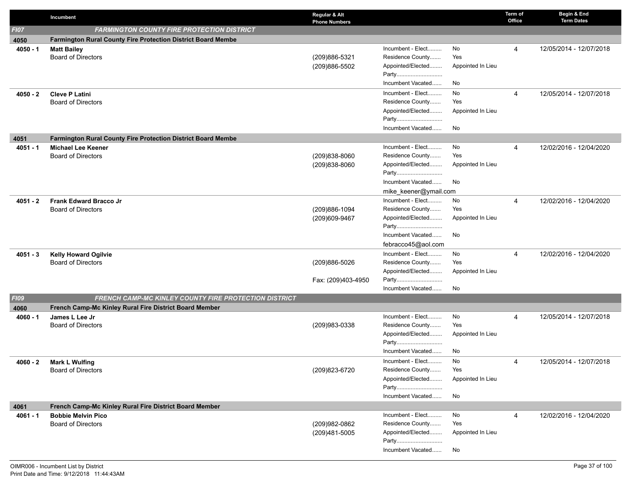|                    | Incumbent                                                    | Regular & Alt<br><b>Phone Numbers</b> |                                       |                   | Term of<br>Office | Begin & End<br><b>Term Dates</b> |
|--------------------|--------------------------------------------------------------|---------------------------------------|---------------------------------------|-------------------|-------------------|----------------------------------|
| <b>FI07</b>        | <b>FARMINGTON COUNTY FIRE PROTECTION DISTRICT</b>            |                                       |                                       |                   |                   |                                  |
| 4050               | Farmington Rural County Fire Protection District Board Membe |                                       |                                       |                   |                   |                                  |
| $4050 - 1$         | <b>Matt Bailey</b>                                           |                                       | Incumbent - Elect                     | No                | 4                 | 12/05/2014 - 12/07/2018          |
|                    | <b>Board of Directors</b>                                    | (209)886-5321                         | Residence County                      | Yes               |                   |                                  |
|                    |                                                              | (209)886-5502                         | Appointed/Elected                     | Appointed In Lieu |                   |                                  |
|                    |                                                              |                                       | Party                                 |                   |                   |                                  |
|                    |                                                              |                                       | Incumbent Vacated                     | No                |                   |                                  |
| $4050 - 2$         | <b>Cleve P Latini</b>                                        |                                       | Incumbent - Elect                     | No                | 4                 | 12/05/2014 - 12/07/2018          |
|                    | <b>Board of Directors</b>                                    |                                       | Residence County                      | Yes               |                   |                                  |
|                    |                                                              |                                       | Appointed/Elected<br>Party            | Appointed In Lieu |                   |                                  |
|                    |                                                              |                                       | Incumbent Vacated                     | No                |                   |                                  |
|                    | Farmington Rural County Fire Protection District Board Membe |                                       |                                       |                   |                   |                                  |
| 4051<br>$4051 - 1$ | <b>Michael Lee Keener</b>                                    |                                       | Incumbent - Elect                     | No                | 4                 | 12/02/2016 - 12/04/2020          |
|                    | <b>Board of Directors</b>                                    | (209)838-8060                         | Residence County                      | Yes               |                   |                                  |
|                    |                                                              | (209)838-8060                         | Appointed/Elected                     | Appointed In Lieu |                   |                                  |
|                    |                                                              |                                       | Party                                 |                   |                   |                                  |
|                    |                                                              |                                       | Incumbent Vacated                     | No                |                   |                                  |
|                    |                                                              |                                       | mike_keener@ymail.com                 |                   |                   |                                  |
| 4051 - 2           | <b>Frank Edward Bracco Jr</b>                                |                                       | Incumbent - Elect                     | No                | 4                 | 12/02/2016 - 12/04/2020          |
|                    | <b>Board of Directors</b>                                    | (209)886-1094                         | Residence County                      | Yes               |                   |                                  |
|                    |                                                              | (209)609-9467                         | Appointed/Elected                     | Appointed In Lieu |                   |                                  |
|                    |                                                              |                                       | Party                                 |                   |                   |                                  |
|                    |                                                              |                                       | Incumbent Vacated                     | No                |                   |                                  |
|                    |                                                              |                                       | febracco45@aol.com                    |                   |                   |                                  |
| $4051 - 3$         | <b>Kelly Howard Ogilvie</b>                                  |                                       | Incumbent - Elect                     | No                | 4                 | 12/02/2016 - 12/04/2020          |
|                    | <b>Board of Directors</b>                                    | (209)886-5026                         | Residence County                      | Yes               |                   |                                  |
|                    |                                                              | Fax: (209)403-4950                    | Appointed/Elected<br>Party            | Appointed In Lieu |                   |                                  |
|                    |                                                              |                                       | Incumbent Vacated                     | No                |                   |                                  |
| <b>FI09</b>        | FRENCH CAMP-MC KINLEY COUNTY FIRE PROTECTION DISTRICT        |                                       |                                       |                   |                   |                                  |
| 4060               | French Camp-Mc Kinley Rural Fire District Board Member       |                                       |                                       |                   |                   |                                  |
| 4060 - 1           | James L Lee Jr                                               |                                       | Incumbent - Elect                     | No                | 4                 | 12/05/2014 - 12/07/2018          |
|                    | <b>Board of Directors</b>                                    | (209)983-0338                         | Residence County                      | Yes               |                   |                                  |
|                    |                                                              |                                       | Appointed/Elected                     | Appointed In Lieu |                   |                                  |
|                    |                                                              |                                       | Party                                 |                   |                   |                                  |
|                    |                                                              |                                       | Incumbent Vacated                     | No                |                   |                                  |
| $4060 - 2$         | <b>Mark L Wulfing</b>                                        |                                       | Incumbent - Elect                     | No                | 4                 | 12/05/2014 - 12/07/2018          |
|                    | <b>Board of Directors</b>                                    | (209) 823-6720                        | Residence County                      | Yes               |                   |                                  |
|                    |                                                              |                                       | Appointed/Elected                     | Appointed In Lieu |                   |                                  |
|                    |                                                              |                                       | Party<br>Incumbent Vacated            |                   |                   |                                  |
|                    |                                                              |                                       |                                       | No                |                   |                                  |
| 4061               | French Camp-Mc Kinley Rural Fire District Board Member       |                                       |                                       |                   |                   |                                  |
| $4061 - 1$         | <b>Bobbie Melvin Pico</b><br><b>Board of Directors</b>       | (209)982-0862                         | Incumbent - Elect<br>Residence County | No<br>Yes         | 4                 | 12/02/2016 - 12/04/2020          |
|                    |                                                              | (209)481-5005                         | Appointed/Elected                     | Appointed In Lieu |                   |                                  |
|                    |                                                              |                                       | Party                                 |                   |                   |                                  |
|                    |                                                              |                                       | Incumbent Vacated                     | No                |                   |                                  |
|                    |                                                              |                                       |                                       |                   |                   |                                  |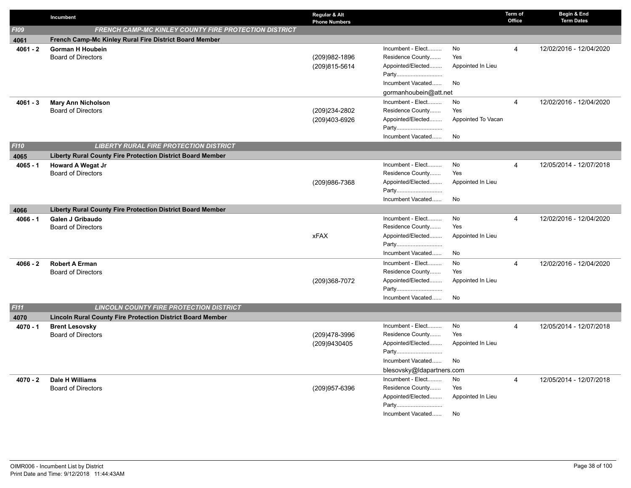|             | Incumbent                                                         | Regular & Alt<br><b>Phone Numbers</b> |                                       |                    | Term of<br>Office | Begin & End<br><b>Term Dates</b> |
|-------------|-------------------------------------------------------------------|---------------------------------------|---------------------------------------|--------------------|-------------------|----------------------------------|
| F109        | FRENCH CAMP-MC KINLEY COUNTY FIRE PROTECTION DISTRICT             |                                       |                                       |                    |                   |                                  |
| 4061        | French Camp-Mc Kinley Rural Fire District Board Member            |                                       |                                       |                    |                   |                                  |
| $4061 - 2$  | <b>Gorman H Houbein</b>                                           |                                       | Incumbent - Elect                     | No                 | $\overline{4}$    | 12/02/2016 - 12/04/2020          |
|             | <b>Board of Directors</b>                                         | (209)982-1896                         | Residence County                      | Yes                |                   |                                  |
|             |                                                                   | (209)815-5614                         | Appointed/Elected                     | Appointed In Lieu  |                   |                                  |
|             |                                                                   |                                       | Party                                 |                    |                   |                                  |
|             |                                                                   |                                       | Incumbent Vacated                     | No                 |                   |                                  |
|             |                                                                   |                                       | gormanhoubein@att.net                 |                    |                   |                                  |
| $4061 - 3$  | <b>Mary Ann Nicholson</b>                                         |                                       | Incumbent - Elect                     | No                 | $\overline{4}$    | 12/02/2016 - 12/04/2020          |
|             | <b>Board of Directors</b>                                         | (209)234-2802                         | Residence County                      | Yes                |                   |                                  |
|             |                                                                   | (209)403-6926                         | Appointed/Elected                     | Appointed To Vacan |                   |                                  |
|             |                                                                   |                                       | Party                                 |                    |                   |                                  |
|             |                                                                   |                                       | Incumbent Vacated                     | No                 |                   |                                  |
| <b>FI10</b> | <b>LIBERTY RURAL FIRE PROTECTION DISTRICT</b>                     |                                       |                                       |                    |                   |                                  |
| 4065        | <b>Liberty Rural County Fire Protection District Board Member</b> |                                       |                                       |                    |                   |                                  |
| $4065 - 1$  | <b>Howard A Wegat Jr</b>                                          |                                       | Incumbent - Elect<br>Residence County | No<br>Yes          | $\overline{4}$    | 12/05/2014 - 12/07/2018          |
|             | <b>Board of Directors</b>                                         |                                       | Appointed/Elected                     |                    |                   |                                  |
|             |                                                                   | (209)986-7368                         | Party                                 | Appointed In Lieu  |                   |                                  |
|             |                                                                   |                                       | Incumbent Vacated                     | No                 |                   |                                  |
|             | <b>Liberty Rural County Fire Protection District Board Member</b> |                                       |                                       |                    |                   |                                  |
| 4066        | Galen J Gribaudo                                                  |                                       | Incumbent - Elect                     | No                 | $\overline{4}$    | 12/02/2016 - 12/04/2020          |
| $4066 - 1$  | <b>Board of Directors</b>                                         |                                       | Residence County                      | Yes                |                   |                                  |
|             |                                                                   | <b>xFAX</b>                           | Appointed/Elected                     | Appointed In Lieu  |                   |                                  |
|             |                                                                   |                                       | Party                                 |                    |                   |                                  |
|             |                                                                   |                                       | Incumbent Vacated                     | No                 |                   |                                  |
| $4066 - 2$  | <b>Robert A Erman</b>                                             |                                       | Incumbent - Elect                     | No                 | $\overline{4}$    | 12/02/2016 - 12/04/2020          |
|             | <b>Board of Directors</b>                                         |                                       | Residence County                      | Yes                |                   |                                  |
|             |                                                                   | (209)368-7072                         | Appointed/Elected                     | Appointed In Lieu  |                   |                                  |
|             |                                                                   |                                       | Party                                 |                    |                   |                                  |
|             |                                                                   |                                       | Incumbent Vacated                     | No                 |                   |                                  |
| F111        | <b>LINCOLN COUNTY FIRE PROTECTION DISTRICT</b>                    |                                       |                                       |                    |                   |                                  |
| 4070        | <b>Lincoln Rural County Fire Protection District Board Member</b> |                                       |                                       |                    |                   |                                  |
| 4070 - 1    | <b>Brent Lesovsky</b>                                             |                                       | Incumbent - Elect                     | No                 | $\overline{4}$    | 12/05/2014 - 12/07/2018          |
|             | <b>Board of Directors</b>                                         | (209)478-3996                         | Residence County                      | Yes                |                   |                                  |
|             |                                                                   | (209)9430405                          | Appointed/Elected                     | Appointed In Lieu  |                   |                                  |
|             |                                                                   |                                       | Party                                 |                    |                   |                                  |
|             |                                                                   |                                       | Incumbent Vacated                     | No                 |                   |                                  |
|             |                                                                   |                                       | blesovsky@ldapartners.com             |                    |                   |                                  |
| 4070 - 2    | <b>Dale H Williams</b>                                            |                                       | Incumbent - Elect                     | No                 | 4                 | 12/05/2014 - 12/07/2018          |
|             | <b>Board of Directors</b>                                         | (209)957-6396                         | Residence County                      | Yes                |                   |                                  |
|             |                                                                   |                                       | Appointed/Elected                     | Appointed In Lieu  |                   |                                  |
|             |                                                                   |                                       | Party                                 |                    |                   |                                  |
|             |                                                                   |                                       | Incumbent Vacated                     | No                 |                   |                                  |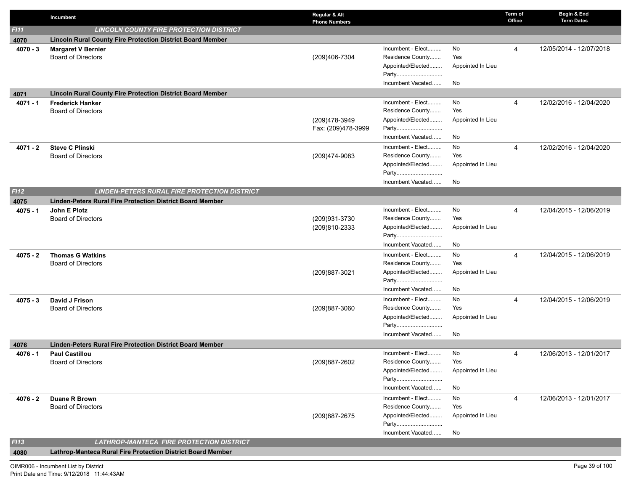|            | Incumbent                                                         | Regular & Alt<br><b>Phone Numbers</b> |                            |                   | Term of<br>Office | Begin & End<br><b>Term Dates</b> |
|------------|-------------------------------------------------------------------|---------------------------------------|----------------------------|-------------------|-------------------|----------------------------------|
| FI11       | <b>LINCOLN COUNTY FIRE PROTECTION DISTRICT</b>                    |                                       |                            |                   |                   |                                  |
| 4070       | <b>Lincoln Rural County Fire Protection District Board Member</b> |                                       |                            |                   |                   |                                  |
| $4070 - 3$ | <b>Margaret V Bernier</b>                                         |                                       | Incumbent - Elect          | No                | 4                 | 12/05/2014 - 12/07/2018          |
|            | <b>Board of Directors</b>                                         | (209)406-7304                         | Residence County           | Yes               |                   |                                  |
|            |                                                                   |                                       | Appointed/Elected          | Appointed In Lieu |                   |                                  |
|            |                                                                   |                                       | Party                      |                   |                   |                                  |
|            |                                                                   |                                       | Incumbent Vacated          | No                |                   |                                  |
| 4071       | Lincoln Rural County Fire Protection District Board Member        |                                       |                            |                   |                   |                                  |
| $4071 - 1$ | <b>Frederick Hanker</b>                                           |                                       | Incumbent - Elect          | No                | 4                 | 12/02/2016 - 12/04/2020          |
|            | <b>Board of Directors</b>                                         |                                       | Residence County           | Yes               |                   |                                  |
|            |                                                                   | (209)478-3949                         | Appointed/Elected<br>Party | Appointed In Lieu |                   |                                  |
|            |                                                                   | Fax: (209)478-3999                    | Incumbent Vacated          | No                |                   |                                  |
|            |                                                                   |                                       | Incumbent - Elect          | No                |                   |                                  |
| $4071 - 2$ | <b>Steve C Plinski</b><br><b>Board of Directors</b>               | (209)474-9083                         | Residence County           | Yes               | 4                 | 12/02/2016 - 12/04/2020          |
|            |                                                                   |                                       | Appointed/Elected          | Appointed In Lieu |                   |                                  |
|            |                                                                   |                                       | Party                      |                   |                   |                                  |
|            |                                                                   |                                       | Incumbent Vacated          | No                |                   |                                  |
| F112       | <b>LINDEN-PETERS RURAL FIRE PROTECTION DISTRICT</b>               |                                       |                            |                   |                   |                                  |
| 4075       | <b>Linden-Peters Rural Fire Protection District Board Member</b>  |                                       |                            |                   |                   |                                  |
| $4075 - 1$ | John E Plotz                                                      |                                       | Incumbent - Elect          | No                | 4                 | 12/04/2015 - 12/06/2019          |
|            | <b>Board of Directors</b>                                         | (209)931-3730                         | Residence County           | Yes               |                   |                                  |
|            |                                                                   | (209)810-2333                         | Appointed/Elected          | Appointed In Lieu |                   |                                  |
|            |                                                                   |                                       | Party                      |                   |                   |                                  |
|            |                                                                   |                                       | Incumbent Vacated          | No                |                   |                                  |
| $4075 - 2$ | <b>Thomas G Watkins</b>                                           |                                       | Incumbent - Elect          | No                | 4                 | 12/04/2015 - 12/06/2019          |
|            | <b>Board of Directors</b>                                         |                                       | Residence County           | Yes               |                   |                                  |
|            |                                                                   | (209)887-3021                         | Appointed/Elected          | Appointed In Lieu |                   |                                  |
|            |                                                                   |                                       | Party                      |                   |                   |                                  |
|            |                                                                   |                                       | Incumbent Vacated          | No                |                   |                                  |
| $4075 - 3$ | David J Frison                                                    |                                       | Incumbent - Elect          | No                | 4                 | 12/04/2015 - 12/06/2019          |
|            | <b>Board of Directors</b>                                         | (209)887-3060                         | Residence County           | Yes               |                   |                                  |
|            |                                                                   |                                       | Appointed/Elected<br>Party | Appointed In Lieu |                   |                                  |
|            |                                                                   |                                       | Incumbent Vacated          | No                |                   |                                  |
| 4076       | <b>Linden-Peters Rural Fire Protection District Board Member</b>  |                                       |                            |                   |                   |                                  |
| $4076 - 1$ | <b>Paul Castillou</b>                                             |                                       | Incumbent - Elect          | No                | 4                 | 12/06/2013 - 12/01/2017          |
|            | <b>Board of Directors</b>                                         | (209) 887-2602                        | Residence County           | Yes               |                   |                                  |
|            |                                                                   |                                       | Appointed/Elected          | Appointed In Lieu |                   |                                  |
|            |                                                                   |                                       | Party                      |                   |                   |                                  |
|            |                                                                   |                                       | Incumbent Vacated          | No                |                   |                                  |
| $4076 - 2$ | <b>Duane R Brown</b>                                              |                                       | Incumbent - Elect          | No                | 4                 | 12/06/2013 - 12/01/2017          |
|            | <b>Board of Directors</b>                                         |                                       | Residence County           | Yes               |                   |                                  |
|            |                                                                   | (209) 887-2675                        | Appointed/Elected          | Appointed In Lieu |                   |                                  |
|            |                                                                   |                                       | Party                      |                   |                   |                                  |
|            |                                                                   |                                       | Incumbent Vacated          | No                |                   |                                  |
| F113       | <b>LATHROP-MANTECA FIRE PROTECTION DISTRICT</b>                   |                                       |                            |                   |                   |                                  |
| 4080       | Lathrop-Manteca Rural Fire Protection District Board Member       |                                       |                            |                   |                   |                                  |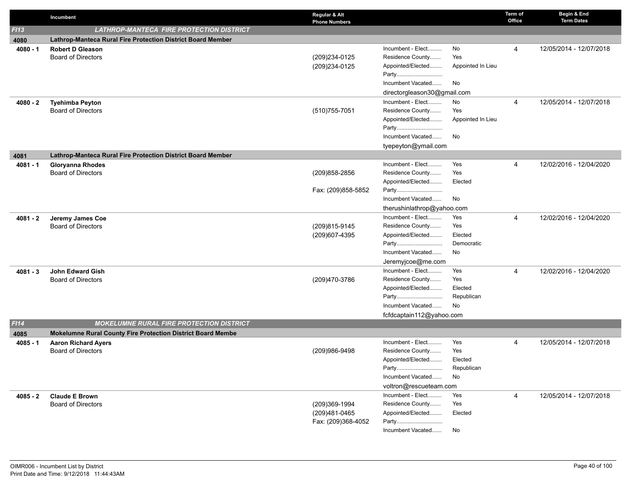|            | Incumbent                                                   | Regular & Alt<br><b>Phone Numbers</b> |                             |                   | Term of<br>Office | Begin & End<br><b>Term Dates</b> |
|------------|-------------------------------------------------------------|---------------------------------------|-----------------------------|-------------------|-------------------|----------------------------------|
| F113       | <b>LATHROP-MANTECA FIRE PROTECTION DISTRICT</b>             |                                       |                             |                   |                   |                                  |
| 4080       | Lathrop-Manteca Rural Fire Protection District Board Member |                                       |                             |                   |                   |                                  |
| $4080 - 1$ | <b>Robert D Gleason</b>                                     |                                       | Incumbent - Elect           | No                | $\overline{4}$    | 12/05/2014 - 12/07/2018          |
|            | <b>Board of Directors</b>                                   | (209)234-0125                         | Residence County            | Yes               |                   |                                  |
|            |                                                             | (209)234-0125                         | Appointed/Elected           | Appointed In Lieu |                   |                                  |
|            |                                                             |                                       | Party                       |                   |                   |                                  |
|            |                                                             |                                       | Incumbent Vacated           | No                |                   |                                  |
|            |                                                             |                                       | directorgleason30@gmail.com |                   |                   |                                  |
| $4080 - 2$ | <b>Tyehimba Peyton</b>                                      |                                       | Incumbent - Elect           | No                | $\overline{4}$    | 12/05/2014 - 12/07/2018          |
|            | <b>Board of Directors</b>                                   | (510) 755-7051                        | Residence County            | Yes               |                   |                                  |
|            |                                                             |                                       | Appointed/Elected           | Appointed In Lieu |                   |                                  |
|            |                                                             |                                       | Party                       |                   |                   |                                  |
|            |                                                             |                                       | Incumbent Vacated           | No                |                   |                                  |
|            |                                                             |                                       | tyepeyton@ymail.com         |                   |                   |                                  |
| 4081       | Lathrop-Manteca Rural Fire Protection District Board Member |                                       |                             |                   |                   |                                  |
| $4081 - 1$ | <b>Gloryanna Rhodes</b>                                     |                                       | Incumbent - Elect           | Yes               | $\overline{4}$    | 12/02/2016 - 12/04/2020          |
|            | <b>Board of Directors</b>                                   | (209) 858-2856                        | Residence County            | Yes               |                   |                                  |
|            |                                                             | Fax: (209)858-5852                    | Appointed/Elected<br>Party  | Elected           |                   |                                  |
|            |                                                             |                                       | Incumbent Vacated           | No                |                   |                                  |
|            |                                                             |                                       | therushinlathrop@yahoo.com  |                   |                   |                                  |
| $4081 - 2$ | Jeremy James Coe                                            |                                       | Incumbent - Elect           | Yes               | $\overline{4}$    | 12/02/2016 - 12/04/2020          |
|            | <b>Board of Directors</b>                                   | (209)815-9145                         | Residence County            | Yes               |                   |                                  |
|            |                                                             | (209)607-4395                         | Appointed/Elected           | Elected           |                   |                                  |
|            |                                                             |                                       | Party                       | Democratic        |                   |                                  |
|            |                                                             |                                       | Incumbent Vacated           | No                |                   |                                  |
|            |                                                             |                                       | Jeremyjcoe@me.com           |                   |                   |                                  |
| $4081 - 3$ | <b>John Edward Gish</b>                                     |                                       | Incumbent - Elect           | Yes               | $\overline{4}$    | 12/02/2016 - 12/04/2020          |
|            | <b>Board of Directors</b>                                   | (209)470-3786                         | Residence County            | Yes               |                   |                                  |
|            |                                                             |                                       | Appointed/Elected           | Elected           |                   |                                  |
|            |                                                             |                                       | Party                       | Republican        |                   |                                  |
|            |                                                             |                                       | Incumbent Vacated           | <b>No</b>         |                   |                                  |
|            |                                                             |                                       | fcfdcaptain112@yahoo.com    |                   |                   |                                  |
| F114       | <b>MOKELUMNE RURAL FIRE PROTECTION DISTRICT</b>             |                                       |                             |                   |                   |                                  |
| 4085       | Mokelumne Rural County Fire Protection District Board Membe |                                       |                             |                   |                   |                                  |
| $4085 - 1$ | <b>Aaron Richard Ayers</b>                                  |                                       | Incumbent - Elect           | Yes               | $\overline{4}$    | 12/05/2014 - 12/07/2018          |
|            | <b>Board of Directors</b>                                   | (209)986-9498                         | Residence County            | Yes               |                   |                                  |
|            |                                                             |                                       | Appointed/Elected           | Elected           |                   |                                  |
|            |                                                             |                                       | Party                       | Republican        |                   |                                  |
|            |                                                             |                                       | Incumbent Vacated           | No                |                   |                                  |
|            |                                                             |                                       | voltron@rescueteam.com      |                   |                   |                                  |
| 4085 - 2   | <b>Claude E Brown</b>                                       |                                       | Incumbent - Elect           | Yes               | 4                 | 12/05/2014 - 12/07/2018          |
|            | <b>Board of Directors</b>                                   | (209)369-1994                         | Residence County            | Yes               |                   |                                  |
|            |                                                             | (209)481-0465<br>Fax: (209)368-4052   | Appointed/Elected<br>Party  | Elected           |                   |                                  |
|            |                                                             |                                       | Incumbent Vacated           | No                |                   |                                  |
|            |                                                             |                                       |                             |                   |                   |                                  |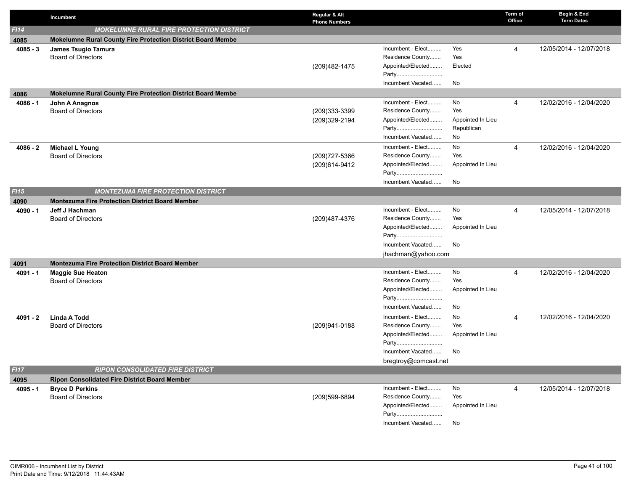|            | Incumbent                                                                                           | Regular & Alt<br><b>Phone Numbers</b> |                      |                   | Term of<br>Office | Begin & End<br><b>Term Dates</b> |
|------------|-----------------------------------------------------------------------------------------------------|---------------------------------------|----------------------|-------------------|-------------------|----------------------------------|
| F114       | <b>MOKELUMNE RURAL FIRE PROTECTION DISTRICT</b>                                                     |                                       |                      |                   |                   |                                  |
| 4085       | <b>Mokelumne Rural County Fire Protection District Board Membe</b>                                  |                                       |                      |                   |                   |                                  |
| $4085 - 3$ | James Tsugio Tamura                                                                                 |                                       | Incumbent - Elect    | Yes               | 4                 | 12/05/2014 - 12/07/2018          |
|            | <b>Board of Directors</b>                                                                           |                                       | Residence County     | Yes               |                   |                                  |
|            |                                                                                                     | (209)482-1475                         | Appointed/Elected    | Elected           |                   |                                  |
|            |                                                                                                     |                                       | Party                |                   |                   |                                  |
|            |                                                                                                     |                                       | Incumbent Vacated    | No                |                   |                                  |
| 4086       | Mokelumne Rural County Fire Protection District Board Membe                                         |                                       |                      |                   |                   |                                  |
| $4086 - 1$ | John A Anagnos                                                                                      |                                       | Incumbent - Elect    | No                | $\overline{4}$    | 12/02/2016 - 12/04/2020          |
|            | <b>Board of Directors</b>                                                                           | (209)333-3399                         | Residence County     | Yes               |                   |                                  |
|            |                                                                                                     | (209)329-2194                         | Appointed/Elected    | Appointed In Lieu |                   |                                  |
|            |                                                                                                     |                                       | Party                | Republican        |                   |                                  |
|            |                                                                                                     |                                       | Incumbent Vacated    | No                |                   |                                  |
| $4086 - 2$ | <b>Michael L Young</b>                                                                              |                                       | Incumbent - Elect    | No                | $\overline{4}$    | 12/02/2016 - 12/04/2020          |
|            | <b>Board of Directors</b>                                                                           | (209) 727-5366                        | Residence County     | Yes               |                   |                                  |
|            |                                                                                                     | (209)614-9412                         | Appointed/Elected    | Appointed In Lieu |                   |                                  |
|            |                                                                                                     |                                       | Party                |                   |                   |                                  |
|            |                                                                                                     |                                       | Incumbent Vacated    | No                |                   |                                  |
| FI15       | <b>MONTEZUMA FIRE PROTECTION DISTRICT</b><br><b>Montezuma Fire Protection District Board Member</b> |                                       |                      |                   |                   |                                  |
| 4090       |                                                                                                     |                                       | Incumbent - Elect    | No                | $\overline{4}$    | 12/05/2014 - 12/07/2018          |
| $4090 - 1$ | Jeff J Hachman<br><b>Board of Directors</b>                                                         | (209)487-4376                         | Residence County     | Yes               |                   |                                  |
|            |                                                                                                     |                                       | Appointed/Elected    | Appointed In Lieu |                   |                                  |
|            |                                                                                                     |                                       | Party                |                   |                   |                                  |
|            |                                                                                                     |                                       | Incumbent Vacated    | No                |                   |                                  |
|            |                                                                                                     |                                       | jhachman@yahoo.com   |                   |                   |                                  |
| 4091       | <b>Montezuma Fire Protection District Board Member</b>                                              |                                       |                      |                   |                   |                                  |
| $4091 - 1$ | <b>Maggie Sue Heaton</b>                                                                            |                                       | Incumbent - Elect    | No                | 4                 | 12/02/2016 - 12/04/2020          |
|            | <b>Board of Directors</b>                                                                           |                                       | Residence County     | Yes               |                   |                                  |
|            |                                                                                                     |                                       | Appointed/Elected    | Appointed In Lieu |                   |                                  |
|            |                                                                                                     |                                       | Party                |                   |                   |                                  |
|            |                                                                                                     |                                       | Incumbent Vacated    | No                |                   |                                  |
| $4091 - 2$ | <b>Linda A Todd</b>                                                                                 |                                       | Incumbent - Elect    | No                | $\overline{4}$    | 12/02/2016 - 12/04/2020          |
|            | <b>Board of Directors</b>                                                                           | (209)941-0188                         | Residence County     | Yes               |                   |                                  |
|            |                                                                                                     |                                       | Appointed/Elected    | Appointed In Lieu |                   |                                  |
|            |                                                                                                     |                                       | Party                |                   |                   |                                  |
|            |                                                                                                     |                                       | Incumbent Vacated    | No                |                   |                                  |
|            |                                                                                                     |                                       | bregtroy@comcast.net |                   |                   |                                  |
| F117       | <b>RIPON CONSOLIDATED FIRE DISTRICT</b>                                                             |                                       |                      |                   |                   |                                  |
| 4095       | <b>Ripon Consolidated Fire District Board Member</b>                                                |                                       |                      |                   |                   |                                  |
| $4095 - 1$ | <b>Bryce D Perkins</b>                                                                              |                                       | Incumbent - Elect    | No                | $\overline{4}$    | 12/05/2014 - 12/07/2018          |
|            | <b>Board of Directors</b>                                                                           | (209)599-6894                         | Residence County     | Yes               |                   |                                  |
|            |                                                                                                     |                                       | Appointed/Elected    | Appointed In Lieu |                   |                                  |
|            |                                                                                                     |                                       | Party                |                   |                   |                                  |
|            |                                                                                                     |                                       | Incumbent Vacated    | No                |                   |                                  |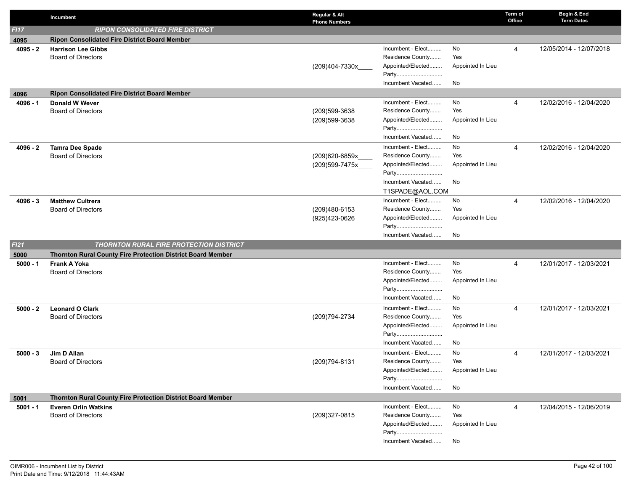|            | Incumbent                                                          | Regular & Alt<br><b>Phone Numbers</b> |                                       |                          | Term of<br>Office | Begin & End<br><b>Term Dates</b> |
|------------|--------------------------------------------------------------------|---------------------------------------|---------------------------------------|--------------------------|-------------------|----------------------------------|
| F117       | <b>RIPON CONSOLIDATED FIRE DISTRICT</b>                            |                                       |                                       |                          |                   |                                  |
| 4095       | <b>Ripon Consolidated Fire District Board Member</b>               |                                       |                                       |                          |                   |                                  |
| $4095 - 2$ | <b>Harrison Lee Gibbs</b>                                          |                                       | Incumbent - Elect                     | No                       | 4                 | 12/05/2014 - 12/07/2018          |
|            | <b>Board of Directors</b>                                          |                                       | Residence County                      | Yes                      |                   |                                  |
|            |                                                                    | (209)404-7330x                        | Appointed/Elected                     | Appointed In Lieu        |                   |                                  |
|            |                                                                    |                                       | Party                                 |                          |                   |                                  |
|            |                                                                    |                                       | Incumbent Vacated                     | No                       |                   |                                  |
| 4096       | <b>Ripon Consolidated Fire District Board Member</b>               |                                       |                                       |                          |                   |                                  |
| 4096 - 1   | <b>Donald W Wever</b>                                              |                                       | Incumbent - Elect<br>Residence County | No<br>Yes                | 4                 | 12/02/2016 - 12/04/2020          |
|            | <b>Board of Directors</b>                                          | (209)599-3638                         | Appointed/Elected                     | Appointed In Lieu        |                   |                                  |
|            |                                                                    | (209)599-3638                         | Party                                 |                          |                   |                                  |
|            |                                                                    |                                       | Incumbent Vacated                     | No                       |                   |                                  |
| 4096 - 2   | <b>Tamra Dee Spade</b>                                             |                                       | Incumbent - Elect                     | No                       | 4                 | 12/02/2016 - 12/04/2020          |
|            | <b>Board of Directors</b>                                          | (209)620-6859x                        | Residence County                      | Yes                      |                   |                                  |
|            |                                                                    | (209)599-7475x____                    | Appointed/Elected                     | Appointed In Lieu        |                   |                                  |
|            |                                                                    |                                       | Party                                 |                          |                   |                                  |
|            |                                                                    |                                       | Incumbent Vacated                     | No                       |                   |                                  |
|            |                                                                    |                                       | T1SPADE@AOL.COM                       |                          |                   |                                  |
| $4096 - 3$ | <b>Matthew Cultrera</b>                                            |                                       | Incumbent - Elect                     | No                       | 4                 | 12/02/2016 - 12/04/2020          |
|            | <b>Board of Directors</b>                                          | (209)480-6153                         | Residence County                      | Yes                      |                   |                                  |
|            |                                                                    | (925)423-0626                         | Appointed/Elected                     | Appointed In Lieu        |                   |                                  |
|            |                                                                    |                                       | Party                                 |                          |                   |                                  |
|            |                                                                    |                                       | Incumbent Vacated                     | No                       |                   |                                  |
| F121       | <b>THORNTON RURAL FIRE PROTECTION DISTRICT</b>                     |                                       |                                       |                          |                   |                                  |
| 5000       | <b>Thornton Rural County Fire Protection District Board Member</b> |                                       |                                       |                          |                   |                                  |
| $5000 - 1$ | Frank A Yoka                                                       |                                       | Incumbent - Elect                     | No                       | 4                 | 12/01/2017 - 12/03/2021          |
|            | <b>Board of Directors</b>                                          |                                       | Residence County<br>Appointed/Elected | Yes<br>Appointed In Lieu |                   |                                  |
|            |                                                                    |                                       | Party                                 |                          |                   |                                  |
|            |                                                                    |                                       | Incumbent Vacated                     | No                       |                   |                                  |
| $5000 - 2$ | <b>Leonard O Clark</b>                                             |                                       | Incumbent - Elect                     | No                       | 4                 | 12/01/2017 - 12/03/2021          |
|            | <b>Board of Directors</b>                                          | (209)794-2734                         | Residence County                      | Yes                      |                   |                                  |
|            |                                                                    |                                       | Appointed/Elected                     | Appointed In Lieu        |                   |                                  |
|            |                                                                    |                                       | Party                                 |                          |                   |                                  |
|            |                                                                    |                                       | Incumbent Vacated                     | No                       |                   |                                  |
| $5000 - 3$ | Jim D Allan                                                        |                                       | Incumbent - Elect                     | No                       | 4                 | 12/01/2017 - 12/03/2021          |
|            | <b>Board of Directors</b>                                          | (209) 794-8131                        | Residence County                      | Yes                      |                   |                                  |
|            |                                                                    |                                       | Appointed/Elected                     | Appointed In Lieu        |                   |                                  |
|            |                                                                    |                                       | Party                                 |                          |                   |                                  |
|            |                                                                    |                                       | Incumbent Vacated                     | No                       |                   |                                  |
| 5001       | Thornton Rural County Fire Protection District Board Member        |                                       |                                       |                          |                   |                                  |
| $5001 - 1$ | <b>Everen Orlin Watkins</b>                                        |                                       | Incumbent - Elect                     | No                       | 4                 | 12/04/2015 - 12/06/2019          |
|            | <b>Board of Directors</b>                                          | (209)327-0815                         | Residence County                      | Yes                      |                   |                                  |
|            |                                                                    |                                       | Appointed/Elected                     | Appointed In Lieu        |                   |                                  |
|            |                                                                    |                                       | Party                                 |                          |                   |                                  |
|            |                                                                    |                                       | Incumbent Vacated                     | No                       |                   |                                  |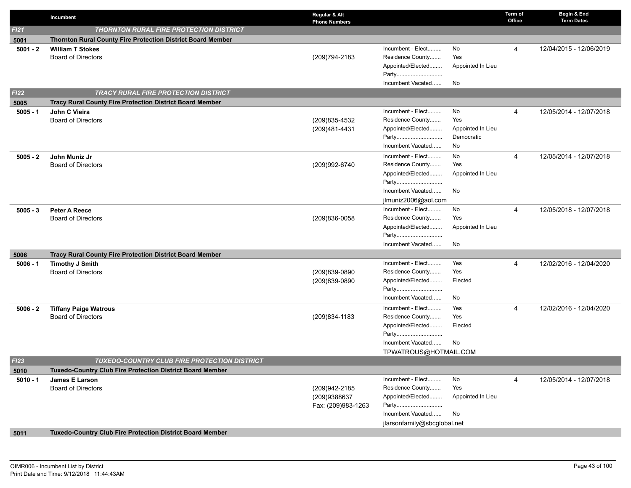|            | Incumbent                                                          | Regular & Alt<br><b>Phone Numbers</b> |                             |                   | Term of<br>Office | Begin & End<br><b>Term Dates</b> |
|------------|--------------------------------------------------------------------|---------------------------------------|-----------------------------|-------------------|-------------------|----------------------------------|
| FI21       | THORNTON RURAL FIRE PROTECTION DISTRICT                            |                                       |                             |                   |                   |                                  |
| 5001       | <b>Thornton Rural County Fire Protection District Board Member</b> |                                       |                             |                   |                   |                                  |
| $5001 - 2$ | <b>William T Stokes</b>                                            |                                       | Incumbent - Elect           | No                | 4                 | 12/04/2015 - 12/06/2019          |
|            | <b>Board of Directors</b>                                          | (209) 794-2183                        | Residence County            | Yes               |                   |                                  |
|            |                                                                    |                                       | Appointed/Elected           | Appointed In Lieu |                   |                                  |
|            |                                                                    |                                       | Party                       |                   |                   |                                  |
|            |                                                                    |                                       | Incumbent Vacated           | No                |                   |                                  |
| FI22       | <b>TRACY RURAL FIRE PROTECTION DISTRICT</b>                        |                                       |                             |                   |                   |                                  |
| 5005       | Tracy Rural County Fire Protection District Board Member           |                                       |                             |                   |                   |                                  |
| $5005 - 1$ | John C Vieira                                                      |                                       | Incumbent - Elect           | No                | 4                 | 12/05/2014 - 12/07/2018          |
|            | <b>Board of Directors</b>                                          | (209)835-4532                         | Residence County            | Yes               |                   |                                  |
|            |                                                                    | (209)481-4431                         | Appointed/Elected           | Appointed In Lieu |                   |                                  |
|            |                                                                    |                                       | Party                       | Democratic        |                   |                                  |
|            |                                                                    |                                       | Incumbent Vacated           | No                |                   |                                  |
| $5005 - 2$ | John Muniz Jr                                                      |                                       | Incumbent - Elect           | No                | 4                 | 12/05/2014 - 12/07/2018          |
|            | <b>Board of Directors</b>                                          | (209)992-6740                         | Residence County            | Yes               |                   |                                  |
|            |                                                                    |                                       | Appointed/Elected           | Appointed In Lieu |                   |                                  |
|            |                                                                    |                                       | Party                       |                   |                   |                                  |
|            |                                                                    |                                       | Incumbent Vacated           | No                |                   |                                  |
|            |                                                                    |                                       | jlmuniz2006@aol.com         |                   |                   |                                  |
| $5005 - 3$ | Peter A Reece                                                      |                                       | Incumbent - Elect           | No                | 4                 | 12/05/2018 - 12/07/2018          |
|            | <b>Board of Directors</b>                                          | (209)836-0058                         | Residence County            | Yes               |                   |                                  |
|            |                                                                    |                                       | Appointed/Elected<br>Party  | Appointed In Lieu |                   |                                  |
|            |                                                                    |                                       | Incumbent Vacated           | No                |                   |                                  |
|            |                                                                    |                                       |                             |                   |                   |                                  |
| 5006       | <b>Tracy Rural County Fire Protection District Board Member</b>    |                                       | Incumbent - Elect           | Yes               | 4                 | 12/02/2016 - 12/04/2020          |
| $5006 - 1$ | <b>Timothy J Smith</b><br><b>Board of Directors</b>                | (209)839-0890                         | Residence County            | Yes               |                   |                                  |
|            |                                                                    | (209)839-0890                         | Appointed/Elected           | Elected           |                   |                                  |
|            |                                                                    |                                       | Party                       |                   |                   |                                  |
|            |                                                                    |                                       | Incumbent Vacated           | No                |                   |                                  |
| $5006 - 2$ | <b>Tiffany Paige Watrous</b>                                       |                                       | Incumbent - Elect           | Yes               | 4                 | 12/02/2016 - 12/04/2020          |
|            | <b>Board of Directors</b>                                          | (209) 834-1183                        | Residence County            | Yes               |                   |                                  |
|            |                                                                    |                                       | Appointed/Elected           | Elected           |                   |                                  |
|            |                                                                    |                                       | Party                       |                   |                   |                                  |
|            |                                                                    |                                       | Incumbent Vacated           | No                |                   |                                  |
|            |                                                                    |                                       | TPWATROUS@HOTMAIL.COM       |                   |                   |                                  |
| FI23       | <b>TUXEDO-COUNTRY CLUB FIRE PROTECTION DISTRICT</b>                |                                       |                             |                   |                   |                                  |
| 5010       | Tuxedo-Country Club Fire Protection District Board Member          |                                       |                             |                   |                   |                                  |
| $5010 - 1$ | James E Larson                                                     |                                       | Incumbent - Elect           | No                | 4                 | 12/05/2014 - 12/07/2018          |
|            | <b>Board of Directors</b>                                          | (209) 942-2185                        | Residence County            | Yes               |                   |                                  |
|            |                                                                    | (209)9388637                          | Appointed/Elected           | Appointed In Lieu |                   |                                  |
|            |                                                                    | Fax: (209)983-1263                    | Party                       |                   |                   |                                  |
|            |                                                                    |                                       | Incumbent Vacated           | No                |                   |                                  |
|            |                                                                    |                                       | jlarsonfamily@sbcglobal.net |                   |                   |                                  |
| 5011       | Tuxedo-Country Club Fire Protection District Board Member          |                                       |                             |                   |                   |                                  |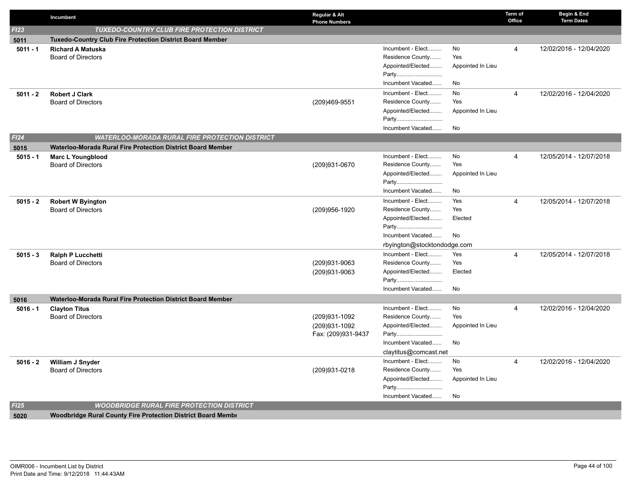| FI23<br><b>TUXEDO-COUNTRY CLUB FIRE PROTECTION DISTRICT</b><br><b>Tuxedo-Country Club Fire Protection District Board Member</b><br>5011<br>Incumbent - Elect<br>No<br>4<br>12/02/2016 - 12/04/2020<br>$5011 - 1$<br><b>Richard A Matuska</b><br>Residence County<br>Yes<br><b>Board of Directors</b><br>Appointed/Elected<br>Appointed In Lieu<br>Party<br>Incumbent Vacated<br>No<br>Incumbent - Elect<br>No<br><b>Robert J Clark</b><br>4<br>12/02/2016 - 12/04/2020<br>$5011 - 2$<br>Residence County<br>Yes<br><b>Board of Directors</b><br>(209)469-9551<br>Appointed/Elected<br>Appointed In Lieu<br>Party |  |
|------------------------------------------------------------------------------------------------------------------------------------------------------------------------------------------------------------------------------------------------------------------------------------------------------------------------------------------------------------------------------------------------------------------------------------------------------------------------------------------------------------------------------------------------------------------------------------------------------------------|--|
|                                                                                                                                                                                                                                                                                                                                                                                                                                                                                                                                                                                                                  |  |
|                                                                                                                                                                                                                                                                                                                                                                                                                                                                                                                                                                                                                  |  |
|                                                                                                                                                                                                                                                                                                                                                                                                                                                                                                                                                                                                                  |  |
|                                                                                                                                                                                                                                                                                                                                                                                                                                                                                                                                                                                                                  |  |
|                                                                                                                                                                                                                                                                                                                                                                                                                                                                                                                                                                                                                  |  |
|                                                                                                                                                                                                                                                                                                                                                                                                                                                                                                                                                                                                                  |  |
|                                                                                                                                                                                                                                                                                                                                                                                                                                                                                                                                                                                                                  |  |
|                                                                                                                                                                                                                                                                                                                                                                                                                                                                                                                                                                                                                  |  |
|                                                                                                                                                                                                                                                                                                                                                                                                                                                                                                                                                                                                                  |  |
|                                                                                                                                                                                                                                                                                                                                                                                                                                                                                                                                                                                                                  |  |
|                                                                                                                                                                                                                                                                                                                                                                                                                                                                                                                                                                                                                  |  |
| Incumbent Vacated<br>No                                                                                                                                                                                                                                                                                                                                                                                                                                                                                                                                                                                          |  |
| FI24<br>WATERLOO-MORADA RURAL FIRE PROTECTION DISTRICT                                                                                                                                                                                                                                                                                                                                                                                                                                                                                                                                                           |  |
| Waterloo-Morada Rural Fire Protection District Board Member<br>5015                                                                                                                                                                                                                                                                                                                                                                                                                                                                                                                                              |  |
| Incumbent - Elect<br>No<br>4<br>12/05/2014 - 12/07/2018<br>$5015 - 1$<br><b>Marc L Youngblood</b>                                                                                                                                                                                                                                                                                                                                                                                                                                                                                                                |  |
| Residence County<br><b>Board of Directors</b><br>Yes<br>(209)931-0670                                                                                                                                                                                                                                                                                                                                                                                                                                                                                                                                            |  |
| Appointed/Elected<br>Appointed In Lieu                                                                                                                                                                                                                                                                                                                                                                                                                                                                                                                                                                           |  |
| Party                                                                                                                                                                                                                                                                                                                                                                                                                                                                                                                                                                                                            |  |
| Incumbent Vacated<br>No                                                                                                                                                                                                                                                                                                                                                                                                                                                                                                                                                                                          |  |
| Incumbent - Elect<br>Yes<br>12/05/2014 - 12/07/2018<br>$\overline{4}$<br><b>Robert W Byington</b><br>$5015 - 2$                                                                                                                                                                                                                                                                                                                                                                                                                                                                                                  |  |
| Residence County<br>Yes<br><b>Board of Directors</b><br>(209)956-1920                                                                                                                                                                                                                                                                                                                                                                                                                                                                                                                                            |  |
| Appointed/Elected<br>Elected                                                                                                                                                                                                                                                                                                                                                                                                                                                                                                                                                                                     |  |
| Party                                                                                                                                                                                                                                                                                                                                                                                                                                                                                                                                                                                                            |  |
| Incumbent Vacated<br>No                                                                                                                                                                                                                                                                                                                                                                                                                                                                                                                                                                                          |  |
| rbyington@stocktondodge.com                                                                                                                                                                                                                                                                                                                                                                                                                                                                                                                                                                                      |  |
| Incumbent - Elect<br>Yes<br>12/05/2014 - 12/07/2018<br>$5015 - 3$<br><b>Ralph P Lucchetti</b><br>4                                                                                                                                                                                                                                                                                                                                                                                                                                                                                                               |  |
| Residence County<br>Yes<br><b>Board of Directors</b><br>(209)931-9063                                                                                                                                                                                                                                                                                                                                                                                                                                                                                                                                            |  |
| Appointed/Elected<br>(209)931-9063<br>Elected                                                                                                                                                                                                                                                                                                                                                                                                                                                                                                                                                                    |  |
| Party                                                                                                                                                                                                                                                                                                                                                                                                                                                                                                                                                                                                            |  |
| Incumbent Vacated<br>No                                                                                                                                                                                                                                                                                                                                                                                                                                                                                                                                                                                          |  |
| Waterloo-Morada Rural Fire Protection District Board Member<br>5016                                                                                                                                                                                                                                                                                                                                                                                                                                                                                                                                              |  |
| Incumbent - Elect<br>No<br>12/02/2016 - 12/04/2020<br><b>Clayton Titus</b><br>4<br>$5016 - 1$                                                                                                                                                                                                                                                                                                                                                                                                                                                                                                                    |  |
| Residence County<br><b>Board of Directors</b><br>(209)931-1092<br>Yes                                                                                                                                                                                                                                                                                                                                                                                                                                                                                                                                            |  |
| (209)931-1092<br>Appointed/Elected<br>Appointed In Lieu                                                                                                                                                                                                                                                                                                                                                                                                                                                                                                                                                          |  |
| Fax: (209)931-9437<br>Party                                                                                                                                                                                                                                                                                                                                                                                                                                                                                                                                                                                      |  |
| Incumbent Vacated<br>No                                                                                                                                                                                                                                                                                                                                                                                                                                                                                                                                                                                          |  |
| claytitus@comcast.net                                                                                                                                                                                                                                                                                                                                                                                                                                                                                                                                                                                            |  |
| Incumbent - Elect<br>No<br>12/02/2016 - 12/04/2020<br>William J Snyder<br>$\overline{4}$<br>$5016 - 2$                                                                                                                                                                                                                                                                                                                                                                                                                                                                                                           |  |
| Residence County<br>Yes<br><b>Board of Directors</b><br>(209)931-0218                                                                                                                                                                                                                                                                                                                                                                                                                                                                                                                                            |  |
| Appointed/Elected<br>Appointed In Lieu                                                                                                                                                                                                                                                                                                                                                                                                                                                                                                                                                                           |  |
| Party                                                                                                                                                                                                                                                                                                                                                                                                                                                                                                                                                                                                            |  |
| Incumbent Vacated<br>No                                                                                                                                                                                                                                                                                                                                                                                                                                                                                                                                                                                          |  |
| FI25<br><b>WOODBRIDGE RURAL FIRE PROTECTION DISTRICT</b>                                                                                                                                                                                                                                                                                                                                                                                                                                                                                                                                                         |  |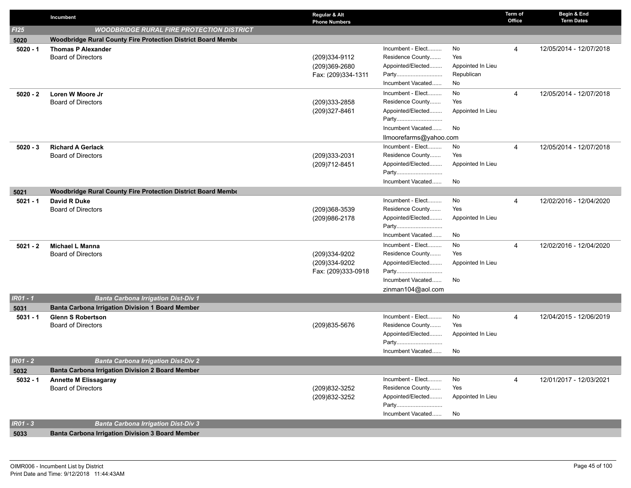|            | Incumbent                                                    | Regular & Alt<br><b>Phone Numbers</b> |                            |                   | Term of<br>Office | Begin & End<br><b>Term Dates</b> |
|------------|--------------------------------------------------------------|---------------------------------------|----------------------------|-------------------|-------------------|----------------------------------|
| FI25       | <b>WOODBRIDGE RURAL FIRE PROTECTION DISTRICT</b>             |                                       |                            |                   |                   |                                  |
| 5020       | Woodbridge Rural County Fire Protection District Board Membe |                                       |                            |                   |                   |                                  |
| $5020 - 1$ | <b>Thomas P Alexander</b>                                    |                                       | Incumbent - Elect          | No                | 4                 | 12/05/2014 - 12/07/2018          |
|            | <b>Board of Directors</b>                                    | (209)334-9112                         | Residence County           | Yes               |                   |                                  |
|            |                                                              | (209)369-2680                         | Appointed/Elected          | Appointed In Lieu |                   |                                  |
|            |                                                              | Fax: (209)334-1311                    | Party                      | Republican        |                   |                                  |
|            |                                                              |                                       | Incumbent Vacated          | No                |                   |                                  |
| $5020 - 2$ | Loren W Moore Jr                                             |                                       | Incumbent - Elect          | No                | 4                 | 12/05/2014 - 12/07/2018          |
|            | <b>Board of Directors</b>                                    | (209)333-2858                         | Residence County           | Yes               |                   |                                  |
|            |                                                              | (209)327-8461                         | Appointed/Elected          | Appointed In Lieu |                   |                                  |
|            |                                                              |                                       | Party                      |                   |                   |                                  |
|            |                                                              |                                       | Incumbent Vacated          | No                |                   |                                  |
|            |                                                              |                                       | llmoorefarms@yahoo.com     |                   |                   |                                  |
| $5020 - 3$ | <b>Richard A Gerlack</b>                                     |                                       | Incumbent - Elect          | No                | 4                 | 12/05/2014 - 12/07/2018          |
|            | <b>Board of Directors</b>                                    | (209)333-2031                         | Residence County           | Yes               |                   |                                  |
|            |                                                              | (209) 712-8451                        | Appointed/Elected          | Appointed In Lieu |                   |                                  |
|            |                                                              |                                       | Party<br>Incumbent Vacated | No                |                   |                                  |
|            |                                                              |                                       |                            |                   |                   |                                  |
| 5021       | Woodbridge Rural County Fire Protection District Board Membe |                                       | Incumbent - Elect          | No                |                   |                                  |
| $5021 - 1$ | David R Duke<br><b>Board of Directors</b>                    | (209)368-3539                         | Residence County           | Yes               | 4                 | 12/02/2016 - 12/04/2020          |
|            |                                                              | (209) 986-2178                        | Appointed/Elected          | Appointed In Lieu |                   |                                  |
|            |                                                              |                                       | Party                      |                   |                   |                                  |
|            |                                                              |                                       | Incumbent Vacated          | No                |                   |                                  |
| $5021 - 2$ | Michael L Manna                                              |                                       | Incumbent - Elect          | No                | 4                 | 12/02/2016 - 12/04/2020          |
|            | <b>Board of Directors</b>                                    | (209)334-9202                         | Residence County           | Yes               |                   |                                  |
|            |                                                              | (209)334-9202                         | Appointed/Elected          | Appointed In Lieu |                   |                                  |
|            |                                                              | Fax: (209)333-0918                    | Party                      |                   |                   |                                  |
|            |                                                              |                                       | Incumbent Vacated          | No                |                   |                                  |
|            |                                                              |                                       | zinman104@aol.com          |                   |                   |                                  |
| $IR01 - 1$ | <b>Banta Carbona Irrigation Dist-Div 1</b>                   |                                       |                            |                   |                   |                                  |
| 5031       | Banta Carbona Irrigation Division 1 Board Member             |                                       |                            |                   |                   |                                  |
| $5031 - 1$ | <b>Glenn S Robertson</b>                                     |                                       | Incumbent - Elect          | No                | 4                 | 12/04/2015 - 12/06/2019          |
|            | <b>Board of Directors</b>                                    | (209) 835-5676                        | Residence County           | Yes               |                   |                                  |
|            |                                                              |                                       | Appointed/Elected          | Appointed In Lieu |                   |                                  |
|            |                                                              |                                       | Party                      |                   |                   |                                  |
|            |                                                              |                                       | Incumbent Vacated          | No                |                   |                                  |
| $IR01 - 2$ | <b>Banta Carbona Irrigation Dist-Div 2</b>                   |                                       |                            |                   |                   |                                  |
| 5032       | Banta Carbona Irrigation Division 2 Board Member             |                                       |                            |                   |                   |                                  |
| $5032 - 1$ | <b>Annette M Elissagaray</b>                                 |                                       | Incumbent - Elect          | No                | 4                 | 12/01/2017 - 12/03/2021          |
|            | <b>Board of Directors</b>                                    | (209) 832-3252                        | Residence County           | Yes               |                   |                                  |
|            |                                                              | (209) 832-3252                        | Appointed/Elected          | Appointed In Lieu |                   |                                  |
|            |                                                              |                                       | Party<br>Incumbent Vacated | No                |                   |                                  |
| $IRO1 - 3$ |                                                              |                                       |                            |                   |                   |                                  |
|            | <b>Banta Carbona Irrigation Dist-Div 3</b>                   |                                       |                            |                   |                   |                                  |
| 5033       | <b>Banta Carbona Irrigation Division 3 Board Member</b>      |                                       |                            |                   |                   |                                  |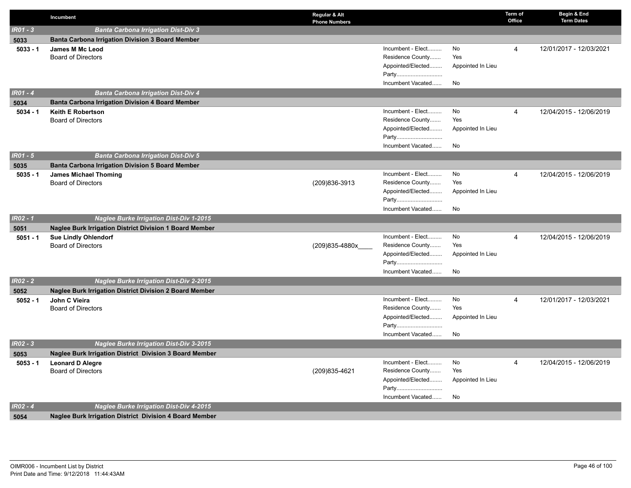|                 | Incumbent                                                      | Regular & Alt<br><b>Phone Numbers</b> |                                       |                   | Term of<br>Office | Begin & End<br><b>Term Dates</b> |
|-----------------|----------------------------------------------------------------|---------------------------------------|---------------------------------------|-------------------|-------------------|----------------------------------|
| $IRO1 - 3$      | <b>Banta Carbona Irrigation Dist-Div 3</b>                     |                                       |                                       |                   |                   |                                  |
| 5033            | <b>Banta Carbona Irrigation Division 3 Board Member</b>        |                                       |                                       |                   |                   |                                  |
| $5033 - 1$      | <b>James M Mc Leod</b>                                         |                                       | Incumbent - Elect                     | No                | 4                 | 12/01/2017 - 12/03/2021          |
|                 | <b>Board of Directors</b>                                      |                                       | Residence County                      | Yes               |                   |                                  |
|                 |                                                                |                                       | Appointed/Elected                     | Appointed In Lieu |                   |                                  |
|                 |                                                                |                                       | Party                                 |                   |                   |                                  |
|                 |                                                                |                                       | Incumbent Vacated                     | No                |                   |                                  |
| $IR01 - 4$      | <b>Banta Carbona Irrigation Dist-Div 4</b>                     |                                       |                                       |                   |                   |                                  |
| 5034            | <b>Banta Carbona Irrigation Division 4 Board Member</b>        |                                       |                                       |                   |                   |                                  |
| $5034 - 1$      | <b>Keith E Robertson</b>                                       |                                       | Incumbent - Elect                     | No                | $\overline{4}$    | 12/04/2015 - 12/06/2019          |
|                 | <b>Board of Directors</b>                                      |                                       | Residence County                      | Yes               |                   |                                  |
|                 |                                                                |                                       | Appointed/Elected                     | Appointed In Lieu |                   |                                  |
|                 |                                                                |                                       | Party                                 |                   |                   |                                  |
|                 |                                                                |                                       | Incumbent Vacated                     | No                |                   |                                  |
| <b>IR01 - 5</b> | <b>Banta Carbona Irrigation Dist-Div 5</b>                     |                                       |                                       |                   |                   |                                  |
| 5035            | <b>Banta Carbona Irrigation Division 5 Board Member</b>        |                                       |                                       |                   |                   |                                  |
| $5035 - 1$      | <b>James Michael Thoming</b>                                   |                                       | Incumbent - Elect<br>Residence County | No<br>Yes         | 4                 | 12/04/2015 - 12/06/2019          |
|                 | <b>Board of Directors</b>                                      | (209)836-3913                         | Appointed/Elected                     | Appointed In Lieu |                   |                                  |
|                 |                                                                |                                       | Party                                 |                   |                   |                                  |
|                 |                                                                |                                       | Incumbent Vacated                     | No                |                   |                                  |
| $IR02 - 1$      | <b>Naglee Burke Irrigation Dist-Div 1-2015</b>                 |                                       |                                       |                   |                   |                                  |
| 5051            | <b>Naglee Burk Irrigation District Division 1 Board Member</b> |                                       |                                       |                   |                   |                                  |
| $5051 - 1$      | <b>Sue Lindly Ohlendorf</b>                                    |                                       | Incumbent - Elect                     | No                | $\overline{4}$    | 12/04/2015 - 12/06/2019          |
|                 | <b>Board of Directors</b>                                      | (209)835-4880x                        | Residence County                      | Yes               |                   |                                  |
|                 |                                                                |                                       | Appointed/Elected                     | Appointed In Lieu |                   |                                  |
|                 |                                                                |                                       |                                       |                   |                   |                                  |
|                 |                                                                |                                       | Incumbent Vacated                     | No                |                   |                                  |
| $IRO2 - 2$      | <b>Naglee Burke Irrigation Dist-Div 2-2015</b>                 |                                       |                                       |                   |                   |                                  |
| 5052            | <b>Naglee Burk Irrigation District Division 2 Board Member</b> |                                       |                                       |                   |                   |                                  |
| $5052 - 1$      | John C Vieira                                                  |                                       | Incumbent - Elect                     | No                | $\overline{4}$    | 12/01/2017 - 12/03/2021          |
|                 | <b>Board of Directors</b>                                      |                                       | Residence County                      | Yes               |                   |                                  |
|                 |                                                                |                                       | Appointed/Elected                     | Appointed In Lieu |                   |                                  |
|                 |                                                                |                                       | Party                                 |                   |                   |                                  |
|                 |                                                                |                                       | Incumbent Vacated                     | No                |                   |                                  |
| $IRO2 - 3$      | <b>Naglee Burke Irrigation Dist-Div 3-2015</b>                 |                                       |                                       |                   |                   |                                  |
| 5053            | <b>Naglee Burk Irrigation District Division 3 Board Member</b> |                                       |                                       |                   |                   |                                  |
| $5053 - 1$      | <b>Leonard D Alegre</b>                                        |                                       | Incumbent - Elect                     | No                | $\overline{4}$    | 12/04/2015 - 12/06/2019          |
|                 | <b>Board of Directors</b>                                      | (209) 835-4621                        | Residence County                      | Yes               |                   |                                  |
|                 |                                                                |                                       | Appointed/Elected                     | Appointed In Lieu |                   |                                  |
|                 |                                                                |                                       | Party                                 |                   |                   |                                  |
| $IR02 - 4$      |                                                                |                                       | Incumbent Vacated                     | No                |                   |                                  |
|                 | <b>Naglee Burke Irrigation Dist-Div 4-2015</b>                 |                                       |                                       |                   |                   |                                  |
| 5054            | <b>Naglee Burk Irrigation District Division 4 Board Member</b> |                                       |                                       |                   |                   |                                  |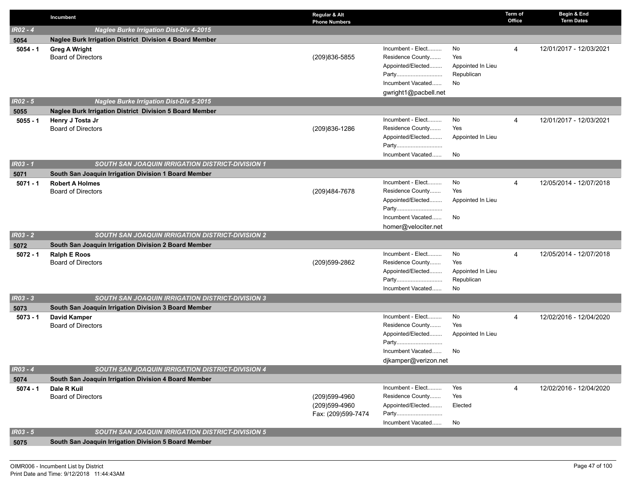|            | Incumbent                                               | Regular & Alt<br><b>Phone Numbers</b> |                            |                   | Term of<br>Office | Begin & End<br><b>Term Dates</b> |
|------------|---------------------------------------------------------|---------------------------------------|----------------------------|-------------------|-------------------|----------------------------------|
| $IR02 - 4$ | <b>Naglee Burke Irrigation Dist-Div 4-2015</b>          |                                       |                            |                   |                   |                                  |
| 5054       | Naglee Burk Irrigation District Division 4 Board Member |                                       |                            |                   |                   |                                  |
| $5054 - 1$ | <b>Greg A Wright</b>                                    |                                       | Incumbent - Elect          | No                | 4                 | 12/01/2017 - 12/03/2021          |
|            | <b>Board of Directors</b>                               | (209)836-5855                         | Residence County           | Yes               |                   |                                  |
|            |                                                         |                                       | Appointed/Elected          | Appointed In Lieu |                   |                                  |
|            |                                                         |                                       | Party                      | Republican        |                   |                                  |
|            |                                                         |                                       | Incumbent Vacated          | No                |                   |                                  |
| $IR02 - 5$ |                                                         |                                       | gwright1@pacbell.net       |                   |                   |                                  |
|            | <b>Naglee Burke Irrigation Dist-Div 5-2015</b>          |                                       |                            |                   |                   |                                  |
| 5055       | Naglee Burk Irrigation District Division 5 Board Member |                                       | Incumbent - Elect          | No                | 4                 |                                  |
| $5055 - 1$ | Henry J Tosta Jr<br><b>Board of Directors</b>           | (209) 836-1286                        | Residence County           | Yes               |                   | 12/01/2017 - 12/03/2021          |
|            |                                                         |                                       | Appointed/Elected          | Appointed In Lieu |                   |                                  |
|            |                                                         |                                       | Party                      |                   |                   |                                  |
|            |                                                         |                                       | Incumbent Vacated          | No                |                   |                                  |
| $IR03 - 1$ | <b>SOUTH SAN JOAQUIN IRRIGATION DISTRICT-DIVISION 1</b> |                                       |                            |                   |                   |                                  |
| 5071       | South San Joaquin Irrigation Division 1 Board Member    |                                       |                            |                   |                   |                                  |
| $5071 - 1$ | <b>Robert A Holmes</b>                                  |                                       | Incumbent - Elect          | No                | 4                 | 12/05/2014 - 12/07/2018          |
|            | <b>Board of Directors</b>                               | (209)484-7678                         | Residence County           | Yes               |                   |                                  |
|            |                                                         |                                       | Appointed/Elected          | Appointed In Lieu |                   |                                  |
|            |                                                         |                                       | Party                      |                   |                   |                                  |
|            |                                                         |                                       | Incumbent Vacated          | No                |                   |                                  |
| $IR03 - 2$ | <b>SOUTH SAN JOAQUIN IRRIGATION DISTRICT-DIVISION 2</b> |                                       | homer@velociter.net        |                   |                   |                                  |
| 5072       | South San Joaquin Irrigation Division 2 Board Member    |                                       |                            |                   |                   |                                  |
| $5072 - 1$ | <b>Ralph E Roos</b>                                     |                                       | Incumbent - Elect          | No                | 4                 | 12/05/2014 - 12/07/2018          |
|            | <b>Board of Directors</b>                               | (209)599-2862                         | Residence County           | Yes               |                   |                                  |
|            |                                                         |                                       | Appointed/Elected          | Appointed In Lieu |                   |                                  |
|            |                                                         |                                       | Party                      | Republican        |                   |                                  |
|            |                                                         |                                       | Incumbent Vacated          | No                |                   |                                  |
| $IR03 - 3$ | <b>SOUTH SAN JOAQUIN IRRIGATION DISTRICT-DIVISION 3</b> |                                       |                            |                   |                   |                                  |
| 5073       | South San Joaquin Irrigation Division 3 Board Member    |                                       |                            |                   |                   |                                  |
| $5073 - 1$ | David Kamper                                            |                                       | Incumbent - Elect          | No                | 4                 | 12/02/2016 - 12/04/2020          |
|            | <b>Board of Directors</b>                               |                                       | Residence County           | Yes               |                   |                                  |
|            |                                                         |                                       | Appointed/Elected          | Appointed In Lieu |                   |                                  |
|            |                                                         |                                       | Party<br>Incumbent Vacated | No                |                   |                                  |
|            |                                                         |                                       | djkamper@verizon.net       |                   |                   |                                  |
| $IR03 - 4$ | SOUTH SAN JOAQUIN IRRIGATION DISTRICT-DIVISION 4        |                                       |                            |                   |                   |                                  |
| 5074       | South San Joaquin Irrigation Division 4 Board Member    |                                       |                            |                   |                   |                                  |
| $5074 - 1$ | Dale R Kuil                                             |                                       | Incumbent - Elect          | Yes               | 4                 | 12/02/2016 - 12/04/2020          |
|            | <b>Board of Directors</b>                               | (209)599-4960                         | Residence County           | Yes               |                   |                                  |
|            |                                                         | (209)599-4960                         | Appointed/Elected          | Elected           |                   |                                  |
|            |                                                         | Fax: (209)599-7474                    | Party                      |                   |                   |                                  |
|            |                                                         |                                       | Incumbent Vacated          | No                |                   |                                  |
| $IR03 - 5$ | <b>SOUTH SAN JOAQUIN IRRIGATION DISTRICT-DIVISION 5</b> |                                       |                            |                   |                   |                                  |
| 5075       | South San Joaquin Irrigation Division 5 Board Member    |                                       |                            |                   |                   |                                  |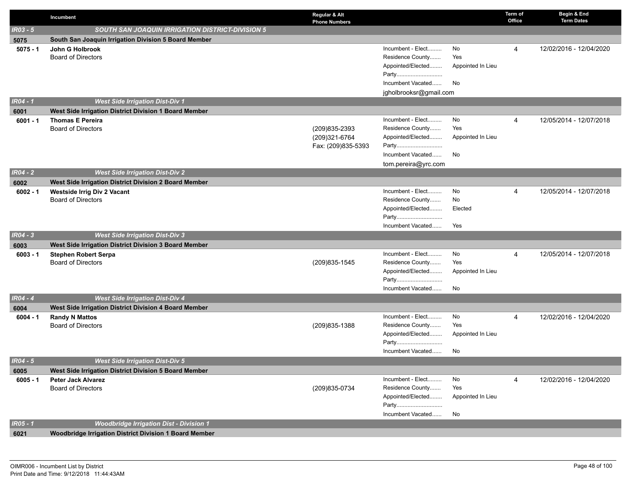|                 | Incumbent                                                | Regular & Alt<br><b>Phone Numbers</b> |                                       |                   | Term of<br>Office | Begin & End<br><b>Term Dates</b> |
|-----------------|----------------------------------------------------------|---------------------------------------|---------------------------------------|-------------------|-------------------|----------------------------------|
| $IR03 - 5$      | <b>SOUTH SAN JOAQUIN IRRIGATION DISTRICT-DIVISION 5</b>  |                                       |                                       |                   |                   |                                  |
| 5075            | South San Joaquin Irrigation Division 5 Board Member     |                                       |                                       |                   |                   |                                  |
| $5075 - 1$      | John G Holbrook                                          |                                       | Incumbent - Elect                     | No                | 4                 | 12/02/2016 - 12/04/2020          |
|                 | <b>Board of Directors</b>                                |                                       | Residence County                      | Yes               |                   |                                  |
|                 |                                                          |                                       | Appointed/Elected                     | Appointed In Lieu |                   |                                  |
|                 |                                                          |                                       | Party                                 |                   |                   |                                  |
|                 |                                                          |                                       | Incumbent Vacated                     | No                |                   |                                  |
|                 |                                                          |                                       | jgholbrooksr@gmail.com                |                   |                   |                                  |
| <b>IR04 - 1</b> | <b>West Side Irrigation Dist-Div 1</b>                   |                                       |                                       |                   |                   |                                  |
| 6001            | West Side Irrigation District Division 1 Board Member    |                                       |                                       |                   |                   |                                  |
| $6001 - 1$      | <b>Thomas E Pereira</b><br><b>Board of Directors</b>     | (209)835-2393                         | Incumbent - Elect<br>Residence County | No<br>Yes         | 4                 | 12/05/2014 - 12/07/2018          |
|                 |                                                          | (209)321-6764                         | Appointed/Elected                     | Appointed In Lieu |                   |                                  |
|                 |                                                          | Fax: (209)835-5393                    | Party                                 |                   |                   |                                  |
|                 |                                                          |                                       | Incumbent Vacated                     | No                |                   |                                  |
|                 |                                                          |                                       | tom.pereira@yrc.com                   |                   |                   |                                  |
| $IR04 - 2$      | <b>West Side Irrigation Dist-Div 2</b>                   |                                       |                                       |                   |                   |                                  |
| 6002            | West Side Irrigation District Division 2 Board Member    |                                       |                                       |                   |                   |                                  |
| $6002 - 1$      | <b>Westside Irrig Div 2 Vacant</b>                       |                                       | Incumbent - Elect                     | No                | 4                 | 12/05/2014 - 12/07/2018          |
|                 | <b>Board of Directors</b>                                |                                       | Residence County                      | No                |                   |                                  |
|                 |                                                          |                                       | Appointed/Elected                     | Elected           |                   |                                  |
|                 |                                                          |                                       | Party                                 |                   |                   |                                  |
|                 |                                                          |                                       | Incumbent Vacated                     | Yes               |                   |                                  |
| IR04 - 3        | <b>West Side Irrigation Dist-Div 3</b>                   |                                       |                                       |                   |                   |                                  |
| 6003            | West Side Irrigation District Division 3 Board Member    |                                       |                                       |                   |                   |                                  |
| $6003 - 1$      | <b>Stephen Robert Serpa</b><br><b>Board of Directors</b> | (209) 835-1545                        | Incumbent - Elect<br>Residence County | No<br>Yes         | 4                 | 12/05/2014 - 12/07/2018          |
|                 |                                                          |                                       | Appointed/Elected                     | Appointed In Lieu |                   |                                  |
|                 |                                                          |                                       | Party                                 |                   |                   |                                  |
|                 |                                                          |                                       | Incumbent Vacated                     | No                |                   |                                  |
| <b>IR04 - 4</b> | <b>West Side Irrigation Dist-Div 4</b>                   |                                       |                                       |                   |                   |                                  |
| 6004            | West Side Irrigation District Division 4 Board Member    |                                       |                                       |                   |                   |                                  |
| $6004 - 1$      | <b>Randy N Mattos</b>                                    |                                       | Incumbent - Elect                     | No                | 4                 | 12/02/2016 - 12/04/2020          |
|                 | <b>Board of Directors</b>                                | (209) 835-1388                        | Residence County                      | Yes               |                   |                                  |
|                 |                                                          |                                       | Appointed/Elected                     | Appointed In Lieu |                   |                                  |
|                 |                                                          |                                       | Party                                 |                   |                   |                                  |
|                 |                                                          |                                       | Incumbent Vacated                     | No                |                   |                                  |
| $IR04 - 5$      | <b>West Side Irrigation Dist-Div 5</b>                   |                                       |                                       |                   |                   |                                  |
| 6005            | West Side Irrigation District Division 5 Board Member    |                                       | Incumbent - Elect                     | No                |                   | 12/02/2016 - 12/04/2020          |
| $6005 - 1$      | <b>Peter Jack Alvarez</b><br><b>Board of Directors</b>   | (209) 835-0734                        | Residence County                      | Yes               | 4                 |                                  |
|                 |                                                          |                                       | Appointed/Elected                     | Appointed In Lieu |                   |                                  |
|                 |                                                          |                                       | Party                                 |                   |                   |                                  |
|                 |                                                          |                                       | Incumbent Vacated                     | No                |                   |                                  |
| IR05 - 1        | <b>Woodbridge Irrigation Dist - Division 1</b>           |                                       |                                       |                   |                   |                                  |
| 6021            | Woodbridge Irrigation District Division 1 Board Member   |                                       |                                       |                   |                   |                                  |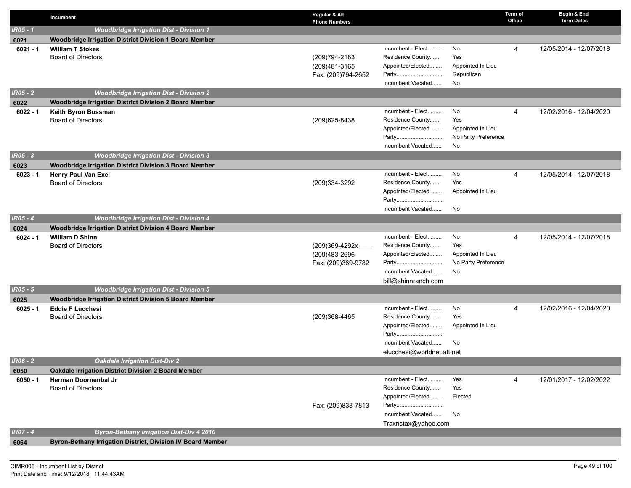|                 | Incumbent                                                   | Regular & Alt<br><b>Phone Numbers</b>                 |                                                                                                                        |                                                             | Term of<br>Office | Begin & End<br><b>Term Dates</b> |
|-----------------|-------------------------------------------------------------|-------------------------------------------------------|------------------------------------------------------------------------------------------------------------------------|-------------------------------------------------------------|-------------------|----------------------------------|
| <b>IR05 - 1</b> | <b>Woodbridge Irrigation Dist - Division 1</b>              |                                                       |                                                                                                                        |                                                             |                   |                                  |
| 6021            | Woodbridge Irrigation District Division 1 Board Member      |                                                       |                                                                                                                        |                                                             |                   |                                  |
| $6021 - 1$      | <b>William T Stokes</b><br><b>Board of Directors</b>        | (209) 794-2183<br>(209)481-3165<br>Fax: (209)794-2652 | Incumbent - Elect<br>Residence County<br>Appointed/Elected<br>Party<br>Incumbent Vacated                               | No<br>Yes<br>Appointed In Lieu<br>Republican<br>No          | 4                 | 12/05/2014 - 12/07/2018          |
| $IRO5 - 2$      | <b>Woodbridge Irrigation Dist - Division 2</b>              |                                                       |                                                                                                                        |                                                             |                   |                                  |
| 6022            | Woodbridge Irrigation District Division 2 Board Member      |                                                       |                                                                                                                        |                                                             |                   |                                  |
| $6022 - 1$      | Keith Byron Bussman<br><b>Board of Directors</b>            | (209) 625-8438                                        | Incumbent - Elect<br>Residence County<br>Appointed/Elected<br>Party<br>Incumbent Vacated                               | No<br>Yes<br>Appointed In Lieu<br>No Party Preference<br>No | 4                 | 12/02/2016 - 12/04/2020          |
| $IRO5 - 3$      | <b>Woodbridge Irrigation Dist - Division 3</b>              |                                                       |                                                                                                                        |                                                             |                   |                                  |
| 6023            | Woodbridge Irrigation District Division 3 Board Member      |                                                       |                                                                                                                        |                                                             |                   |                                  |
| $6023 - 1$      | <b>Henry Paul Van Exel</b><br><b>Board of Directors</b>     | (209)334-3292                                         | Incumbent - Elect<br>Residence County<br>Appointed/Elected<br>Party<br>Incumbent Vacated                               | No<br>Yes<br>Appointed In Lieu<br>No                        | $\overline{4}$    | 12/05/2014 - 12/07/2018          |
| $IR05 - 4$      | <b>Woodbridge Irrigation Dist - Division 4</b>              |                                                       |                                                                                                                        |                                                             |                   |                                  |
| 6024            | Woodbridge Irrigation District Division 4 Board Member      |                                                       |                                                                                                                        |                                                             |                   |                                  |
| $6024 - 1$      | <b>William D Shinn</b><br><b>Board of Directors</b>         | (209)369-4292x<br>(209)483-2696<br>Fax: (209)369-9782 | Incumbent - Elect<br>Residence County<br>Appointed/Elected<br>Party<br>Incumbent Vacated<br>bill@shinnranch.com        | No<br>Yes<br>Appointed In Lieu<br>No Party Preference<br>No | 4                 | 12/05/2014 - 12/07/2018          |
| $IR05 - 5$      | <b>Woodbridge Irrigation Dist - Division 5</b>              |                                                       |                                                                                                                        |                                                             |                   |                                  |
| 6025            | Woodbridge Irrigation District Division 5 Board Member      |                                                       |                                                                                                                        |                                                             |                   |                                  |
| $6025 - 1$      | <b>Eddie F Lucchesi</b><br><b>Board of Directors</b>        | (209)368-4465                                         | Incumbent - Elect<br>Residence County<br>Appointed/Elected<br>Party<br>Incumbent Vacated<br>elucchesi@worldnet.att.net | No<br>Yes<br>Appointed In Lieu<br>No                        | 4                 | 12/02/2016 - 12/04/2020          |
| <b>IR06 - 2</b> | <b>Oakdale Irrigation Dist-Div 2</b>                        |                                                       |                                                                                                                        |                                                             |                   |                                  |
| 6050            | Oakdale Irrigation District Division 2 Board Member         |                                                       |                                                                                                                        |                                                             |                   |                                  |
| $6050 - 1$      | <b>Herman Doornenbal Jr</b><br><b>Board of Directors</b>    | Fax: (209)838-7813                                    | Incumbent - Elect<br>Residence County<br>Appointed/Elected<br>Party<br>Incumbent Vacated<br>Traxnstax@yahoo.com        | Yes<br>Yes<br>Elected<br>No                                 | 4                 | 12/01/2017 - 12/02/2022          |
| $IRO7 - 4$      | <b>Byron-Bethany Irrigation Dist-Div 4 2010</b>             |                                                       |                                                                                                                        |                                                             |                   |                                  |
| 6064            | Byron-Bethany Irrigation District, Division IV Board Member |                                                       |                                                                                                                        |                                                             |                   |                                  |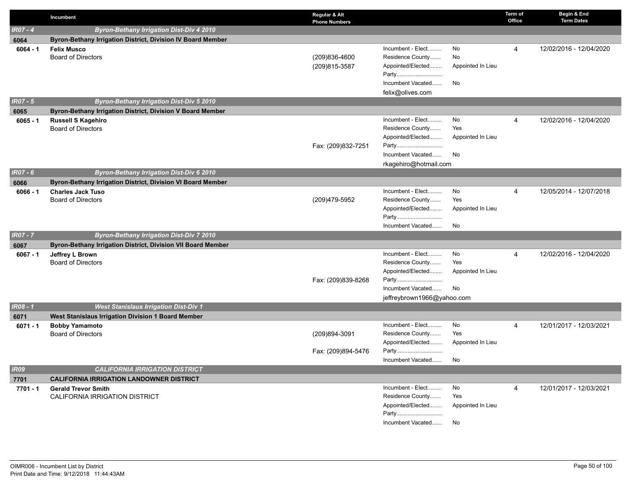|                 | Incumbent                                                    | Regular & Alt<br><b>Phone Numbers</b> |                                       |                   | Term of<br>Office | Begin & End<br><b>Term Dates</b> |
|-----------------|--------------------------------------------------------------|---------------------------------------|---------------------------------------|-------------------|-------------------|----------------------------------|
| $IR07 - 4$      | <b>Byron-Bethany Irrigation Dist-Div 4 2010</b>              |                                       |                                       |                   |                   |                                  |
| 6064            | Byron-Bethany Irrigation District, Division IV Board Member  |                                       |                                       |                   |                   |                                  |
| $6064 - 1$      | <b>Felix Musco</b>                                           |                                       | Incumbent - Elect                     | No                | 4                 | 12/02/2016 - 12/04/2020          |
|                 | <b>Board of Directors</b>                                    | (209)836-4600                         | Residence County                      | No                |                   |                                  |
|                 |                                                              | (209)815-3587                         | Appointed/Elected                     | Appointed In Lieu |                   |                                  |
|                 |                                                              |                                       | Party                                 |                   |                   |                                  |
|                 |                                                              |                                       | Incumbent Vacated                     | No                |                   |                                  |
|                 |                                                              |                                       | felix@olives.com                      |                   |                   |                                  |
| <b>IR07 - 5</b> | <b>Byron-Bethany Irrigation Dist-Div 5 2010</b>              |                                       |                                       |                   |                   |                                  |
| 6065            | Byron-Bethany Irrigation District, Division V Board Member   |                                       |                                       |                   |                   |                                  |
| $6065 - 1$      | <b>Russell S Kagehiro</b><br><b>Board of Directors</b>       |                                       | Incumbent - Elect<br>Residence County | No<br>Yes         | 4                 | 12/02/2016 - 12/04/2020          |
|                 |                                                              |                                       | Appointed/Elected                     | Appointed In Lieu |                   |                                  |
|                 |                                                              | Fax: (209)832-7251                    | Party                                 |                   |                   |                                  |
|                 |                                                              |                                       | Incumbent Vacated                     | No                |                   |                                  |
|                 |                                                              |                                       | rkagehiro@hotmail.com                 |                   |                   |                                  |
| <b>IR07 - 6</b> | <b>Byron-Bethany Irrigation Dist-Div 6 2010</b>              |                                       |                                       |                   |                   |                                  |
| 6066            | Byron-Bethany Irrigation District, Division VI Board Member  |                                       |                                       |                   |                   |                                  |
| $6066 - 1$      | <b>Charles Jack Tuso</b>                                     |                                       | Incumbent - Elect                     | No                | 4                 | 12/05/2014 - 12/07/2018          |
|                 | <b>Board of Directors</b>                                    | (209)479-5952                         | Residence County                      | Yes               |                   |                                  |
|                 |                                                              |                                       | Appointed/Elected                     | Appointed In Lieu |                   |                                  |
|                 |                                                              |                                       | Party                                 |                   |                   |                                  |
|                 |                                                              |                                       | Incumbent Vacated                     | No                |                   |                                  |
| <b>IR07 - 7</b> | <b>Byron-Bethany Irrigation Dist-Div 7 2010</b>              |                                       |                                       |                   |                   |                                  |
| 6067            | Byron-Bethany Irrigation District, Division VII Board Member |                                       |                                       |                   |                   |                                  |
| $6067 - 1$      | Jeffrey L Brown                                              |                                       | Incumbent - Elect                     | No                | 4                 | 12/02/2016 - 12/04/2020          |
|                 | <b>Board of Directors</b>                                    |                                       | Residence County                      | Yes               |                   |                                  |
|                 |                                                              |                                       | Appointed/Elected                     | Appointed In Lieu |                   |                                  |
|                 |                                                              | Fax: (209)839-8268                    | Party                                 |                   |                   |                                  |
|                 |                                                              |                                       | Incumbent Vacated                     | No                |                   |                                  |
|                 |                                                              |                                       | jeffreybrown1966@yahoo.com            |                   |                   |                                  |
| IR08 - 1        | <b>West Stanislaus Irrigation Dist-Div 1</b>                 |                                       |                                       |                   |                   |                                  |
| 6071            | West Stanislaus Irrigation Division 1 Board Member           |                                       |                                       |                   |                   |                                  |
| $6071 - 1$      | <b>Bobby Yamamoto</b>                                        | (209)894-3091                         | Incumbent - Elect<br>Residence County | No<br>Yes         | 4                 | 12/01/2017 - 12/03/2021          |
|                 | <b>Board of Directors</b>                                    |                                       | Appointed/Elected                     | Appointed In Lieu |                   |                                  |
|                 |                                                              | Fax: (209)894-5476                    | Party                                 |                   |                   |                                  |
|                 |                                                              |                                       | Incumbent Vacated                     | No                |                   |                                  |
| <b>IR09</b>     | <b>CALIFORNIA IRRIGATION DISTRICT</b>                        |                                       |                                       |                   |                   |                                  |
| 7701            | <b>CALIFORNIA IRRIGATION LANDOWNER DISTRICT</b>              |                                       |                                       |                   |                   |                                  |
| 7701 - 1        | <b>Gerald Trevor Smith</b>                                   |                                       | Incumbent - Elect                     | No                | 4                 | 12/01/2017 - 12/03/2021          |
|                 | <b>CALIFORNIA IRRIGATION DISTRICT</b>                        |                                       | Residence County                      | Yes               |                   |                                  |
|                 |                                                              |                                       | Appointed/Elected                     | Appointed In Lieu |                   |                                  |
|                 |                                                              |                                       | Party                                 |                   |                   |                                  |
|                 |                                                              |                                       | Incumbent Vacated                     | No                |                   |                                  |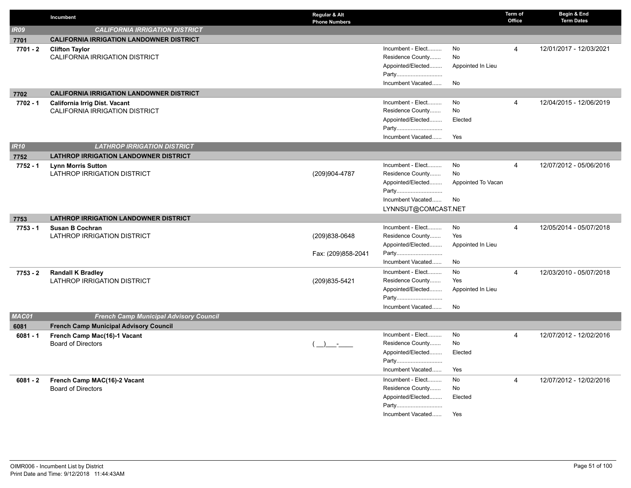|             | Incumbent                                       | Regular & Alt<br><b>Phone Numbers</b> |                            |                    | Term of<br>Office | Begin & End<br><b>Term Dates</b> |
|-------------|-------------------------------------------------|---------------------------------------|----------------------------|--------------------|-------------------|----------------------------------|
| <b>IR09</b> | <b>CALIFORNIA IRRIGATION DISTRICT</b>           |                                       |                            |                    |                   |                                  |
| 7701        | <b>CALIFORNIA IRRIGATION LANDOWNER DISTRICT</b> |                                       |                            |                    |                   |                                  |
| 7701 - 2    | <b>Clifton Taylor</b>                           |                                       | Incumbent - Elect          | No                 | $\overline{4}$    | 12/01/2017 - 12/03/2021          |
|             | <b>CALIFORNIA IRRIGATION DISTRICT</b>           |                                       | Residence County           | No                 |                   |                                  |
|             |                                                 |                                       | Appointed/Elected          | Appointed In Lieu  |                   |                                  |
|             |                                                 |                                       | Party                      |                    |                   |                                  |
|             |                                                 |                                       | Incumbent Vacated          | No                 |                   |                                  |
| 7702        | <b>CALIFORNIA IRRIGATION LANDOWNER DISTRICT</b> |                                       |                            |                    |                   |                                  |
| 7702 - 1    | <b>California Irrig Dist. Vacant</b>            |                                       | Incumbent - Elect          | No                 | $\overline{4}$    | 12/04/2015 - 12/06/2019          |
|             | CALIFORNIA IRRIGATION DISTRICT                  |                                       | Residence County           | No                 |                   |                                  |
|             |                                                 |                                       | Appointed/Elected          | Elected            |                   |                                  |
|             |                                                 |                                       | Party                      |                    |                   |                                  |
|             |                                                 |                                       | Incumbent Vacated          | Yes                |                   |                                  |
| IR10        | <b>LATHROP IRRIGATION DISTRICT</b>              |                                       |                            |                    |                   |                                  |
| 7752        | <b>LATHROP IRRIGATION LANDOWNER DISTRICT</b>    |                                       |                            |                    |                   |                                  |
| $7752 - 1$  | <b>Lynn Morris Sutton</b>                       |                                       | Incumbent - Elect          | No                 | $\overline{4}$    | 12/07/2012 - 05/06/2016          |
|             | <b>LATHROP IRRIGATION DISTRICT</b>              | (209)904-4787                         | Residence County           | No                 |                   |                                  |
|             |                                                 |                                       | Appointed/Elected          | Appointed To Vacan |                   |                                  |
|             |                                                 |                                       | Party                      |                    |                   |                                  |
|             |                                                 |                                       | Incumbent Vacated          | No                 |                   |                                  |
|             |                                                 |                                       | LYNNSUT@COMCAST.NET        |                    |                   |                                  |
| 7753        | <b>LATHROP IRRIGATION LANDOWNER DISTRICT</b>    |                                       |                            |                    |                   |                                  |
| 7753 - 1    | <b>Susan B Cochran</b>                          |                                       | Incumbent - Elect          | No                 | $\overline{4}$    | 12/05/2014 - 05/07/2018          |
|             | LATHROP IRRIGATION DISTRICT                     | (209)838-0648                         | Residence County           | Yes                |                   |                                  |
|             |                                                 |                                       | Appointed/Elected          | Appointed In Lieu  |                   |                                  |
|             |                                                 | Fax: (209)858-2041                    | Party                      |                    |                   |                                  |
|             |                                                 |                                       | Incumbent Vacated          | No                 |                   |                                  |
| $7753 - 2$  | <b>Randall K Bradley</b>                        |                                       | Incumbent - Elect          | No                 | $\overline{4}$    | 12/03/2010 - 05/07/2018          |
|             | LATHROP IRRIGATION DISTRICT                     | (209) 835-5421                        | Residence County           | Yes                |                   |                                  |
|             |                                                 |                                       | Appointed/Elected          | Appointed In Lieu  |                   |                                  |
|             |                                                 |                                       | Party                      |                    |                   |                                  |
|             |                                                 |                                       | Incumbent Vacated          | No                 |                   |                                  |
| MAC01       | <b>French Camp Municipal Advisory Council</b>   |                                       |                            |                    |                   |                                  |
| 6081        | <b>French Camp Municipal Advisory Council</b>   |                                       | Incumbent - Elect          | <b>No</b>          |                   |                                  |
| $6081 - 1$  | French Camp Mac(16)-1 Vacant                    |                                       | Residence County           | No                 | 4                 | 12/07/2012 - 12/02/2016          |
|             | <b>Board of Directors</b>                       |                                       | Appointed/Elected          | Elected            |                   |                                  |
|             |                                                 |                                       | Party                      |                    |                   |                                  |
|             |                                                 |                                       | Incumbent Vacated          | Yes                |                   |                                  |
|             |                                                 |                                       |                            |                    |                   |                                  |
| $6081 - 2$  | French Camp MAC(16)-2 Vacant                    |                                       | Incumbent - Elect          | No                 | $\overline{4}$    | 12/07/2012 - 12/02/2016          |
|             | <b>Board of Directors</b>                       |                                       | Residence County           | No                 |                   |                                  |
|             |                                                 |                                       | Appointed/Elected          | Elected            |                   |                                  |
|             |                                                 |                                       | Party<br>Incumbent Vacated |                    |                   |                                  |
|             |                                                 |                                       |                            | Yes                |                   |                                  |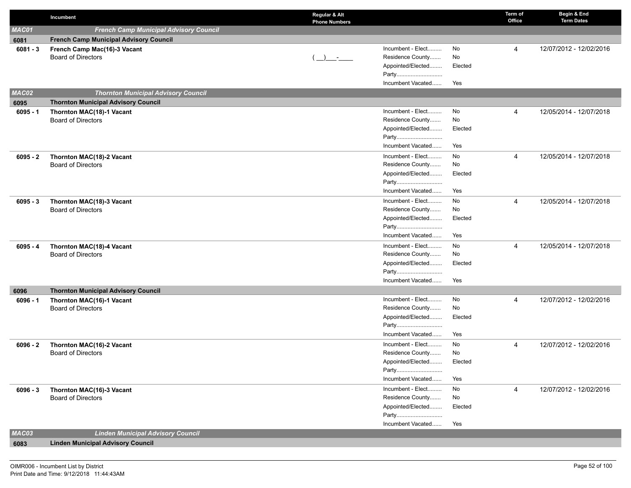|            | Incumbent                                              | Regular & Alt<br><b>Phone Numbers</b> | Term of<br>Office          | Begin & End<br><b>Term Dates</b> |
|------------|--------------------------------------------------------|---------------------------------------|----------------------------|----------------------------------|
| MAC01      | <b>French Camp Municipal Advisory Council</b>          |                                       |                            |                                  |
| 6081       | <b>French Camp Municipal Advisory Council</b>          |                                       |                            |                                  |
| $6081 - 3$ | French Camp Mac(16)-3 Vacant                           | Incumbent - Elect                     | No<br>$\overline{4}$       | 12/07/2012 - 12/02/2016          |
|            | <b>Board of Directors</b>                              | Residence County<br>$(\_)$ -          | No                         |                                  |
|            |                                                        | Appointed/Elected                     | Elected                    |                                  |
|            |                                                        | Party                                 |                            |                                  |
|            |                                                        | Incumbent Vacated                     | Yes                        |                                  |
| MAC02      | <b>Thornton Municipal Advisory Council</b>             |                                       |                            |                                  |
| 6095       | <b>Thornton Municipal Advisory Council</b>             |                                       |                            |                                  |
| $6095 - 1$ | Thornton MAC(18)-1 Vacant                              | Incumbent - Elect                     | No<br>4                    | 12/05/2014 - 12/07/2018          |
|            | <b>Board of Directors</b>                              | Residence County                      | No                         |                                  |
|            |                                                        | Appointed/Elected<br>Party            | Elected                    |                                  |
|            |                                                        | Incumbent Vacated                     | Yes                        |                                  |
|            |                                                        | Incumbent - Elect                     | No<br>$\overline{4}$       | 12/05/2014 - 12/07/2018          |
| $6095 - 2$ | Thornton MAC(18)-2 Vacant<br><b>Board of Directors</b> | Residence County                      | No                         |                                  |
|            |                                                        | Appointed/Elected                     | Elected                    |                                  |
|            |                                                        | Party                                 |                            |                                  |
|            |                                                        | Incumbent Vacated                     | Yes                        |                                  |
| $6095 - 3$ | Thornton MAC(18)-3 Vacant                              | Incumbent - Elect                     | No<br>4                    | 12/05/2014 - 12/07/2018          |
|            | <b>Board of Directors</b>                              | Residence County                      | No                         |                                  |
|            |                                                        | Appointed/Elected                     | Elected                    |                                  |
|            |                                                        | Party                                 |                            |                                  |
|            |                                                        | Incumbent Vacated                     | Yes                        |                                  |
| $6095 - 4$ | Thornton MAC(18)-4 Vacant                              | Incumbent - Elect                     | No<br>$\overline{4}$       | 12/05/2014 - 12/07/2018          |
|            | <b>Board of Directors</b>                              | Residence County                      | No                         |                                  |
|            |                                                        | Appointed/Elected                     | Elected                    |                                  |
|            |                                                        | Party                                 |                            |                                  |
|            |                                                        | Incumbent Vacated                     | Yes                        |                                  |
| 6096       | <b>Thornton Municipal Advisory Council</b>             |                                       |                            |                                  |
| $6096 - 1$ | Thornton MAC(16)-1 Vacant<br><b>Board of Directors</b> | Incumbent - Elect<br>Residence County | No<br>$\overline{4}$<br>No | 12/07/2012 - 12/02/2016          |
|            |                                                        | Appointed/Elected                     | Elected                    |                                  |
|            |                                                        | Party                                 |                            |                                  |
|            |                                                        | Incumbent Vacated                     | Yes                        |                                  |
| $6096 - 2$ | Thornton MAC(16)-2 Vacant                              | Incumbent - Elect                     | No<br>$\overline{4}$       | 12/07/2012 - 12/02/2016          |
|            | <b>Board of Directors</b>                              | Residence County                      | No                         |                                  |
|            |                                                        | Appointed/Elected                     | Elected                    |                                  |
|            |                                                        | Party                                 |                            |                                  |
|            |                                                        | Incumbent Vacated                     | Yes                        |                                  |
| $6096 - 3$ | Thornton MAC(16)-3 Vacant                              | Incumbent - Elect                     | No<br>$\overline{4}$       | 12/07/2012 - 12/02/2016          |
|            | <b>Board of Directors</b>                              | Residence County                      | No                         |                                  |
|            |                                                        | Appointed/Elected                     | Elected                    |                                  |
|            |                                                        | Party                                 |                            |                                  |
|            |                                                        | Incumbent Vacated                     | Yes                        |                                  |
| MAC03      | <b>Linden Municipal Advisory Council</b>               |                                       |                            |                                  |
| 6083       | <b>Linden Municipal Advisory Council</b>               |                                       |                            |                                  |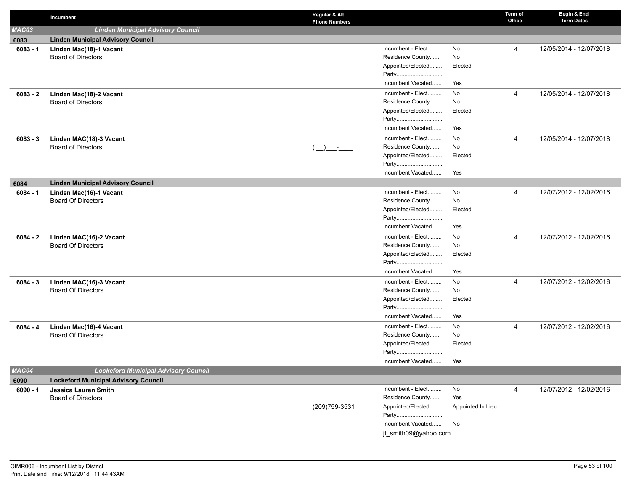|            | Incumbent                                   | Regular & Alt<br><b>Phone Numbers</b> |                      |                   | Term of<br>Office | Begin & End<br><b>Term Dates</b> |
|------------|---------------------------------------------|---------------------------------------|----------------------|-------------------|-------------------|----------------------------------|
| MAC03      | <b>Linden Municipal Advisory Council</b>    |                                       |                      |                   |                   |                                  |
| 6083       | <b>Linden Municipal Advisory Council</b>    |                                       |                      |                   |                   |                                  |
| $6083 - 1$ | Linden Mac(18)-1 Vacant                     |                                       | Incumbent - Elect    | No                | 4                 | 12/05/2014 - 12/07/2018          |
|            | <b>Board of Directors</b>                   |                                       | Residence County     | No                |                   |                                  |
|            |                                             |                                       | Appointed/Elected    | Elected           |                   |                                  |
|            |                                             |                                       | Party                |                   |                   |                                  |
|            |                                             |                                       | Incumbent Vacated    | Yes               |                   |                                  |
| $6083 - 2$ | Linden Mac(18)-2 Vacant                     |                                       | Incumbent - Elect    | No                | 4                 | 12/05/2014 - 12/07/2018          |
|            | <b>Board of Directors</b>                   |                                       | Residence County     | No                |                   |                                  |
|            |                                             |                                       | Appointed/Elected    | Elected           |                   |                                  |
|            |                                             |                                       | Party                |                   |                   |                                  |
|            |                                             |                                       | Incumbent Vacated    | Yes               |                   |                                  |
| $6083 - 3$ | Linden MAC(18)-3 Vacant                     |                                       | Incumbent - Elect    | No                | 4                 | 12/05/2014 - 12/07/2018          |
|            | <b>Board of Directors</b>                   | $\rightarrow$                         | Residence County     | No                |                   |                                  |
|            |                                             |                                       | Appointed/Elected    | Elected           |                   |                                  |
|            |                                             |                                       | Party                |                   |                   |                                  |
|            |                                             |                                       | Incumbent Vacated    | Yes               |                   |                                  |
| 6084       | <b>Linden Municipal Advisory Council</b>    |                                       |                      |                   |                   |                                  |
| $6084 - 1$ | Linden Mac(16)-1 Vacant                     |                                       | Incumbent - Elect    | No                | 4                 | 12/07/2012 - 12/02/2016          |
|            | <b>Board Of Directors</b>                   |                                       | Residence County     | No                |                   |                                  |
|            |                                             |                                       | Appointed/Elected    | Elected           |                   |                                  |
|            |                                             |                                       | Party                |                   |                   |                                  |
|            |                                             |                                       | Incumbent Vacated    | Yes               |                   |                                  |
| $6084 - 2$ | Linden MAC(16)-2 Vacant                     |                                       | Incumbent - Elect    | No                | 4                 | 12/07/2012 - 12/02/2016          |
|            | <b>Board Of Directors</b>                   |                                       | Residence County     | No                |                   |                                  |
|            |                                             |                                       | Appointed/Elected    | Elected           |                   |                                  |
|            |                                             |                                       | Party                |                   |                   |                                  |
|            |                                             |                                       | Incumbent Vacated    | Yes               |                   |                                  |
| $6084 - 3$ | Linden MAC(16)-3 Vacant                     |                                       | Incumbent - Elect    | No                | 4                 | 12/07/2012 - 12/02/2016          |
|            | <b>Board Of Directors</b>                   |                                       | Residence County     | No                |                   |                                  |
|            |                                             |                                       | Appointed/Elected    | Elected           |                   |                                  |
|            |                                             |                                       | Party                |                   |                   |                                  |
|            |                                             |                                       | Incumbent Vacated    | Yes               |                   |                                  |
| $6084 - 4$ | Linden Mac(16)-4 Vacant                     |                                       | Incumbent - Elect    | No                | 4                 | 12/07/2012 - 12/02/2016          |
|            | <b>Board Of Directors</b>                   |                                       | Residence County     | No                |                   |                                  |
|            |                                             |                                       | Appointed/Elected    | Elected           |                   |                                  |
|            |                                             |                                       | Party                |                   |                   |                                  |
|            |                                             |                                       | Incumbent Vacated    | Yes               |                   |                                  |
| MAC04      | <b>Lockeford Municipal Advisory Council</b> |                                       |                      |                   |                   |                                  |
| 6090       | <b>Lockeford Municipal Advisory Council</b> |                                       |                      |                   |                   |                                  |
| $6090 - 1$ | Jessica Lauren Smith                        |                                       | Incumbent - Elect    | No                | 4                 | 12/07/2012 - 12/02/2016          |
|            | Board of Directors                          |                                       | Residence County     | Yes               |                   |                                  |
|            |                                             | (209) 759-3531                        | Appointed/Elected    | Appointed In Lieu |                   |                                  |
|            |                                             |                                       | Party                |                   |                   |                                  |
|            |                                             |                                       | Incumbent Vacated No |                   |                   |                                  |
|            |                                             |                                       | jt_smith09@yahoo.com |                   |                   |                                  |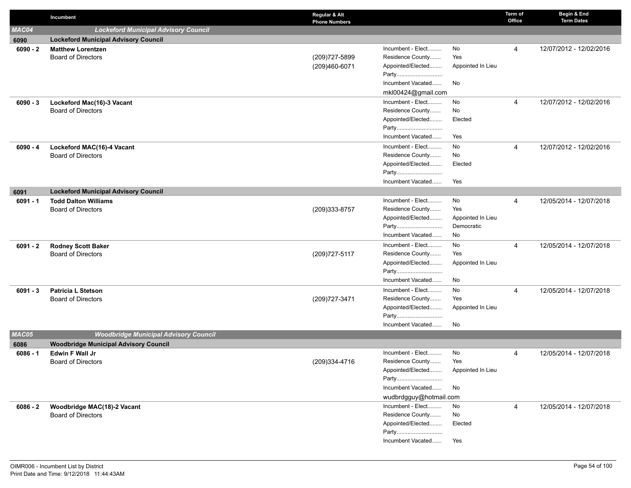|            | Incumbent                                                       | Regular & Alt<br><b>Phone Numbers</b> |                                       |                                 | Term of<br>Office | Begin & End<br><b>Term Dates</b> |
|------------|-----------------------------------------------------------------|---------------------------------------|---------------------------------------|---------------------------------|-------------------|----------------------------------|
| MAC04      | <b>Lockeford Municipal Advisory Council</b>                     |                                       |                                       |                                 |                   |                                  |
| 6090       | <b>Lockeford Municipal Advisory Council</b>                     |                                       |                                       |                                 |                   |                                  |
| $6090 - 2$ | <b>Matthew Lorentzen</b>                                        |                                       | Incumbent - Elect                     | No                              | 4                 | 12/07/2012 - 12/02/2016          |
|            | <b>Board of Directors</b>                                       | (209) 727-5899                        | Residence County                      | Yes                             |                   |                                  |
|            |                                                                 | (209)460-6071                         | Appointed/Elected                     | Appointed In Lieu               |                   |                                  |
|            |                                                                 |                                       | Party                                 |                                 |                   |                                  |
|            |                                                                 |                                       | Incumbent Vacated                     | No                              |                   |                                  |
|            |                                                                 |                                       | mkl00424@gmail.com                    |                                 |                   | 12/07/2012 - 12/02/2016          |
| $6090 - 3$ | Lockeford Mac(16)-3 Vacant<br><b>Board of Directors</b>         |                                       | Incumbent - Elect<br>Residence County | No<br>No                        | $\overline{4}$    |                                  |
|            |                                                                 |                                       | Appointed/Elected                     | Elected                         |                   |                                  |
|            |                                                                 |                                       | Party                                 |                                 |                   |                                  |
|            |                                                                 |                                       | Incumbent Vacated                     | Yes                             |                   |                                  |
| $6090 - 4$ | Lockeford MAC(16)-4 Vacant                                      |                                       | Incumbent - Elect                     | No                              | 4                 | 12/07/2012 - 12/02/2016          |
|            | <b>Board of Directors</b>                                       |                                       | Residence County                      | No                              |                   |                                  |
|            |                                                                 |                                       | Appointed/Elected                     | Elected                         |                   |                                  |
|            |                                                                 |                                       | Party                                 |                                 |                   |                                  |
|            |                                                                 |                                       | Incumbent Vacated                     | Yes                             |                   |                                  |
| 6091       | <b>Lockeford Municipal Advisory Council</b>                     |                                       |                                       |                                 |                   |                                  |
| $6091 - 1$ | <b>Todd Dalton Williams</b>                                     |                                       | Incumbent - Elect                     | No                              | 4                 | 12/05/2014 - 12/07/2018          |
|            | <b>Board of Directors</b>                                       | (209)333-8757                         | Residence County                      | Yes                             |                   |                                  |
|            |                                                                 |                                       | Appointed/Elected<br>Party            | Appointed In Lieu<br>Democratic |                   |                                  |
|            |                                                                 |                                       | Incumbent Vacated                     | No                              |                   |                                  |
| $6091 - 2$ | <b>Rodney Scott Baker</b>                                       |                                       | Incumbent - Elect                     | No                              | 4                 | 12/05/2014 - 12/07/2018          |
|            | <b>Board of Directors</b>                                       | (209) 727-5117                        | Residence County                      | Yes                             |                   |                                  |
|            |                                                                 |                                       | Appointed/Elected                     | Appointed In Lieu               |                   |                                  |
|            |                                                                 |                                       | Party                                 |                                 |                   |                                  |
|            |                                                                 |                                       | Incumbent Vacated                     | No                              |                   |                                  |
| $6091 - 3$ | <b>Patricia L Stetson</b>                                       |                                       | Incumbent - Elect                     | No                              | 4                 | 12/05/2014 - 12/07/2018          |
|            | <b>Board of Directors</b>                                       | (209) 727-3471                        | Residence County                      | Yes                             |                   |                                  |
|            |                                                                 |                                       | Appointed/Elected                     | Appointed In Lieu               |                   |                                  |
|            |                                                                 |                                       | Party                                 |                                 |                   |                                  |
|            |                                                                 |                                       | Incumbent Vacated                     | No                              |                   |                                  |
| MAC05      | <b>Woodbridge Municipal Advisory Council</b>                    |                                       |                                       |                                 |                   |                                  |
| 6086       | <b>Woodbridge Municipal Advisory Council</b><br>Edwin F Wall Jr |                                       | Incumbent - Elect                     | No                              | 4                 | 12/05/2014 - 12/07/2018          |
| $6086 - 1$ | <b>Board of Directors</b>                                       | (209)334-4716                         | Residence County                      | Yes                             |                   |                                  |
|            |                                                                 |                                       | Appointed/Elected                     | Appointed In Lieu               |                   |                                  |
|            |                                                                 |                                       | Party                                 |                                 |                   |                                  |
|            |                                                                 |                                       | Incumbent Vacated                     | No                              |                   |                                  |
|            |                                                                 |                                       | wudbrdgguy@hotmail.com                |                                 |                   |                                  |
| $6086 - 2$ | Woodbridge MAC(18)-2 Vacant                                     |                                       | Incumbent - Elect                     | No                              | 4                 | 12/05/2014 - 12/07/2018          |
|            | <b>Board of Directors</b>                                       |                                       | Residence County                      | No                              |                   |                                  |
|            |                                                                 |                                       | Appointed/Elected                     | Elected                         |                   |                                  |
|            |                                                                 |                                       | Party                                 |                                 |                   |                                  |
|            |                                                                 |                                       | Incumbent Vacated                     | Yes                             |                   |                                  |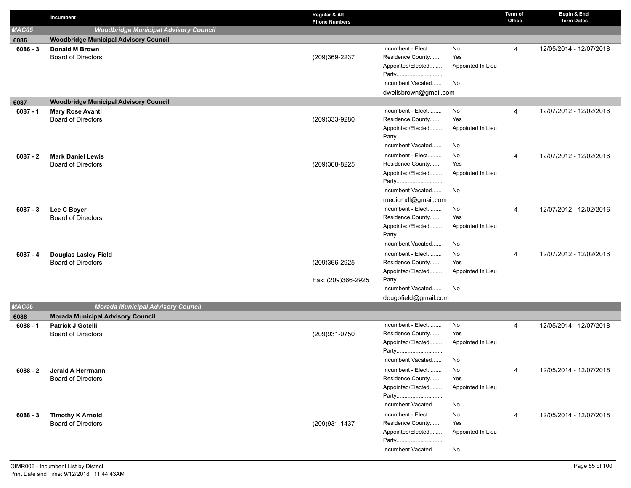|            | Incumbent                                    | Regular & Alt<br><b>Phone Numbers</b> |                            |                   | Term of<br>Office | Begin & End<br><b>Term Dates</b> |
|------------|----------------------------------------------|---------------------------------------|----------------------------|-------------------|-------------------|----------------------------------|
| MAC05      | <b>Woodbridge Municipal Advisory Council</b> |                                       |                            |                   |                   |                                  |
| 6086       | <b>Woodbridge Municipal Advisory Council</b> |                                       |                            |                   |                   |                                  |
| $6086 - 3$ | Donald M Brown                               |                                       | Incumbent - Elect          | No                | 4                 | 12/05/2014 - 12/07/2018          |
|            | <b>Board of Directors</b>                    | (209)369-2237                         | Residence County           | Yes               |                   |                                  |
|            |                                              |                                       | Appointed/Elected          | Appointed In Lieu |                   |                                  |
|            |                                              |                                       | Party                      |                   |                   |                                  |
|            |                                              |                                       | Incumbent Vacated          | No                |                   |                                  |
|            |                                              |                                       | dwellsbrown@gmail.com      |                   |                   |                                  |
| 6087       | <b>Woodbridge Municipal Advisory Council</b> |                                       |                            |                   |                   |                                  |
| $6087 - 1$ | <b>Mary Rose Avanti</b>                      |                                       | Incumbent - Elect          | No                | 4                 | 12/07/2012 - 12/02/2016          |
|            | <b>Board of Directors</b>                    | (209)333-9280                         | Residence County           | Yes               |                   |                                  |
|            |                                              |                                       | Appointed/Elected<br>Party | Appointed In Lieu |                   |                                  |
|            |                                              |                                       | Incumbent Vacated          | No                |                   |                                  |
| $6087 - 2$ | <b>Mark Daniel Lewis</b>                     |                                       | Incumbent - Elect          | No                | $\overline{4}$    | 12/07/2012 - 12/02/2016          |
|            | <b>Board of Directors</b>                    | (209)368-8225                         | Residence County           | Yes               |                   |                                  |
|            |                                              |                                       | Appointed/Elected          | Appointed In Lieu |                   |                                  |
|            |                                              |                                       | Party                      |                   |                   |                                  |
|            |                                              |                                       | Incumbent Vacated          | No                |                   |                                  |
|            |                                              |                                       | medicmdl@gmail.com         |                   |                   |                                  |
| $6087 - 3$ | Lee C Boyer                                  |                                       | Incumbent - Elect          | No                | $\overline{4}$    | 12/07/2012 - 12/02/2016          |
|            | <b>Board of Directors</b>                    |                                       | Residence County           | Yes               |                   |                                  |
|            |                                              |                                       | Appointed/Elected          | Appointed In Lieu |                   |                                  |
|            |                                              |                                       | Party                      |                   |                   |                                  |
|            |                                              |                                       | Incumbent Vacated          | No                |                   |                                  |
| $6087 - 4$ | <b>Douglas Lasley Field</b>                  |                                       | Incumbent - Elect          | No                | 4                 | 12/07/2012 - 12/02/2016          |
|            | <b>Board of Directors</b>                    | (209)366-2925                         | Residence County           | Yes               |                   |                                  |
|            |                                              |                                       | Appointed/Elected          | Appointed In Lieu |                   |                                  |
|            |                                              | Fax: (209)366-2925                    | Party                      |                   |                   |                                  |
|            |                                              |                                       | Incumbent Vacated          | No                |                   |                                  |
| MAC06      | <b>Morada Municipal Advisory Council</b>     |                                       | dougofield@gmail.com       |                   |                   |                                  |
| 6088       | <b>Morada Municipal Advisory Council</b>     |                                       |                            |                   |                   |                                  |
| $6088 - 1$ | <b>Patrick J Gotelli</b>                     |                                       | Incumbent - Elect          | No                | 4                 | 12/05/2014 - 12/07/2018          |
|            | <b>Board of Directors</b>                    | (209)931-0750                         | Residence County           | Yes               |                   |                                  |
|            |                                              |                                       | Appointed/Elected          | Appointed In Lieu |                   |                                  |
|            |                                              |                                       | Party                      |                   |                   |                                  |
|            |                                              |                                       | Incumbent Vacated          | No                |                   |                                  |
| $6088 - 2$ | Jerald A Herrmann                            |                                       | Incumbent - Elect          | No                | 4                 | 12/05/2014 - 12/07/2018          |
|            | <b>Board of Directors</b>                    |                                       | Residence County           | Yes               |                   |                                  |
|            |                                              |                                       | Appointed/Elected          | Appointed In Lieu |                   |                                  |
|            |                                              |                                       | Party                      |                   |                   |                                  |
|            |                                              |                                       | Incumbent Vacated          | No                |                   |                                  |
| $6088 - 3$ | <b>Timothy K Arnold</b>                      |                                       | Incumbent - Elect          | No                | 4                 | 12/05/2014 - 12/07/2018          |
|            | <b>Board of Directors</b>                    | (209)931-1437                         | Residence County           | Yes               |                   |                                  |
|            |                                              |                                       | Appointed/Elected          | Appointed In Lieu |                   |                                  |
|            |                                              |                                       | Party                      |                   |                   |                                  |
|            |                                              |                                       | Incumbent Vacated          | No                |                   |                                  |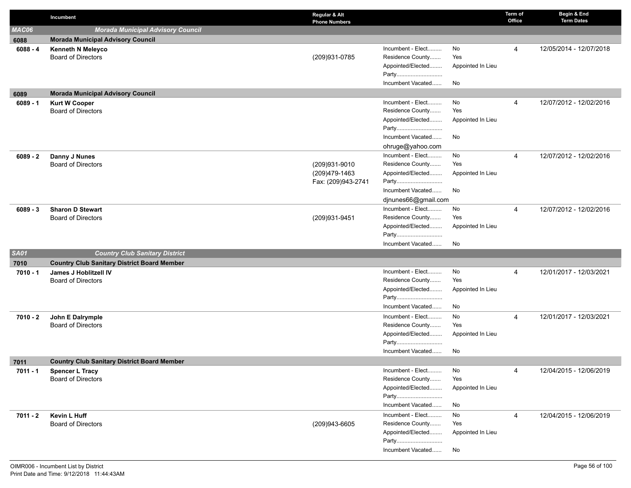|             | Incumbent                                          | Regular & Alt<br><b>Phone Numbers</b> |                                       |                   | Term of<br>Office | Begin & End<br><b>Term Dates</b> |
|-------------|----------------------------------------------------|---------------------------------------|---------------------------------------|-------------------|-------------------|----------------------------------|
| MAC06       | <b>Morada Municipal Advisory Council</b>           |                                       |                                       |                   |                   |                                  |
| 6088        | <b>Morada Municipal Advisory Council</b>           |                                       |                                       |                   |                   |                                  |
| $6088 - 4$  | <b>Kenneth N Meleyco</b>                           |                                       | Incumbent - Elect                     | No                | 4                 | 12/05/2014 - 12/07/2018          |
|             | <b>Board of Directors</b>                          | (209)931-0785                         | Residence County                      | Yes               |                   |                                  |
|             |                                                    |                                       | Appointed/Elected                     | Appointed In Lieu |                   |                                  |
|             |                                                    |                                       | Party                                 |                   |                   |                                  |
|             |                                                    |                                       | Incumbent Vacated                     | No                |                   |                                  |
| 6089        | <b>Morada Municipal Advisory Council</b>           |                                       |                                       |                   |                   |                                  |
| $6089 - 1$  | <b>Kurt W Cooper</b>                               |                                       | Incumbent - Elect                     | No                | 4                 | 12/07/2012 - 12/02/2016          |
|             | <b>Board of Directors</b>                          |                                       | Residence County                      | Yes               |                   |                                  |
|             |                                                    |                                       | Appointed/Elected                     | Appointed In Lieu |                   |                                  |
|             |                                                    |                                       | Party                                 |                   |                   |                                  |
|             |                                                    |                                       | Incumbent Vacated                     | No                |                   |                                  |
|             |                                                    |                                       | ohruge@yahoo.com                      |                   |                   |                                  |
| $6089 - 2$  | Danny J Nunes<br><b>Board of Directors</b>         | (209)931-9010                         | Incumbent - Elect<br>Residence County | No<br>Yes         | $\overline{4}$    | 12/07/2012 - 12/02/2016          |
|             |                                                    | (209)479-1463                         | Appointed/Elected                     | Appointed In Lieu |                   |                                  |
|             |                                                    | Fax: (209)943-2741                    | Party                                 |                   |                   |                                  |
|             |                                                    |                                       | Incumbent Vacated                     | No                |                   |                                  |
|             |                                                    |                                       | djnunes66@gmail.com                   |                   |                   |                                  |
| $6089 - 3$  | <b>Sharon D Stewart</b>                            |                                       | Incumbent - Elect                     | No                | 4                 | 12/07/2012 - 12/02/2016          |
|             | <b>Board of Directors</b>                          | (209) 931-9451                        | Residence County                      | Yes               |                   |                                  |
|             |                                                    |                                       | Appointed/Elected                     | Appointed In Lieu |                   |                                  |
|             |                                                    |                                       | Party                                 |                   |                   |                                  |
|             |                                                    |                                       | Incumbent Vacated                     | No                |                   |                                  |
| <b>SA01</b> | <b>Country Club Sanitary District</b>              |                                       |                                       |                   |                   |                                  |
| 7010        | <b>Country Club Sanitary District Board Member</b> |                                       |                                       |                   |                   |                                  |
| 7010 - 1    | James J Hoblitzell IV                              |                                       | Incumbent - Elect                     | No                | 4                 | 12/01/2017 - 12/03/2021          |
|             | <b>Board of Directors</b>                          |                                       | Residence County                      | Yes               |                   |                                  |
|             |                                                    |                                       | Appointed/Elected                     | Appointed In Lieu |                   |                                  |
|             |                                                    |                                       | Party                                 |                   |                   |                                  |
|             |                                                    |                                       | Incumbent Vacated                     | No                |                   |                                  |
| $7010 - 2$  | John E Dalrymple                                   |                                       | Incumbent - Elect                     | No                | 4                 | 12/01/2017 - 12/03/2021          |
|             | <b>Board of Directors</b>                          |                                       | Residence County                      | Yes               |                   |                                  |
|             |                                                    |                                       | Appointed/Elected                     | Appointed In Lieu |                   |                                  |
|             |                                                    |                                       | Party                                 |                   |                   |                                  |
|             |                                                    |                                       | Incumbent Vacated                     | No                |                   |                                  |
| 7011        | <b>Country Club Sanitary District Board Member</b> |                                       |                                       |                   |                   |                                  |
| 7011 - 1    | <b>Spencer L Tracy</b>                             |                                       | Incumbent - Elect                     | No                | 4                 | 12/04/2015 - 12/06/2019          |
|             | <b>Board of Directors</b>                          |                                       | Residence County                      | Yes               |                   |                                  |
|             |                                                    |                                       | Appointed/Elected<br>Party            | Appointed In Lieu |                   |                                  |
|             |                                                    |                                       | Incumbent Vacated                     | No                |                   |                                  |
|             |                                                    |                                       | Incumbent - Elect                     | No                |                   |                                  |
| 7011 - 2    | Kevin L Huff<br><b>Board of Directors</b>          | (209)943-6605                         | Residence County                      | Yes               | 4                 | 12/04/2015 - 12/06/2019          |
|             |                                                    |                                       | Appointed/Elected                     | Appointed In Lieu |                   |                                  |
|             |                                                    |                                       | Party                                 |                   |                   |                                  |
|             |                                                    |                                       | Incumbent Vacated                     | No                |                   |                                  |
|             |                                                    |                                       |                                       |                   |                   |                                  |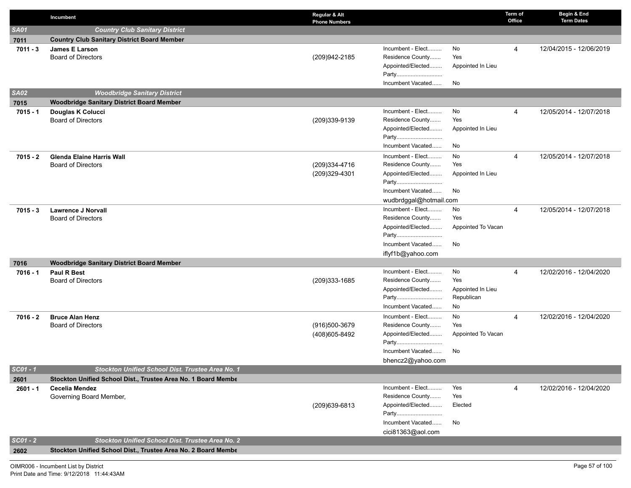|             | Incumbent                                                     | Regular & Alt<br><b>Phone Numbers</b> |                            |                    | Term of<br>Office | Begin & End<br><b>Term Dates</b> |
|-------------|---------------------------------------------------------------|---------------------------------------|----------------------------|--------------------|-------------------|----------------------------------|
| <b>SA01</b> | <b>Country Club Sanitary District</b>                         |                                       |                            |                    |                   |                                  |
| 7011        | <b>Country Club Sanitary District Board Member</b>            |                                       |                            |                    |                   |                                  |
| $7011 - 3$  | James E Larson                                                |                                       | Incumbent - Elect          | No                 | 4                 | 12/04/2015 - 12/06/2019          |
|             | <b>Board of Directors</b>                                     | (209)942-2185                         | Residence County           | Yes                |                   |                                  |
|             |                                                               |                                       | Appointed/Elected          | Appointed In Lieu  |                   |                                  |
|             |                                                               |                                       | Party                      |                    |                   |                                  |
|             |                                                               |                                       | Incumbent Vacated          | No                 |                   |                                  |
| <b>SA02</b> | <b>Woodbridge Sanitary District</b>                           |                                       |                            |                    |                   |                                  |
| 7015        | <b>Woodbridge Sanitary District Board Member</b>              |                                       | Incumbent - Elect          |                    |                   |                                  |
| $7015 - 1$  | Douglas K Colucci<br><b>Board of Directors</b>                | (209)339-9139                         | Residence County           | No<br>Yes          | 4                 | 12/05/2014 - 12/07/2018          |
|             |                                                               |                                       | Appointed/Elected          | Appointed In Lieu  |                   |                                  |
|             |                                                               |                                       | Party                      |                    |                   |                                  |
|             |                                                               |                                       | Incumbent Vacated          | No                 |                   |                                  |
| $7015 - 2$  | <b>Glenda Elaine Harris Wall</b>                              |                                       | Incumbent - Elect          | No                 | 4                 | 12/05/2014 - 12/07/2018          |
|             | <b>Board of Directors</b>                                     | (209)334-4716                         | Residence County           | Yes                |                   |                                  |
|             |                                                               | (209)329-4301                         | Appointed/Elected          | Appointed In Lieu  |                   |                                  |
|             |                                                               |                                       | Party                      |                    |                   |                                  |
|             |                                                               |                                       | Incumbent Vacated          | No                 |                   |                                  |
|             |                                                               |                                       | wudbrdggal@hotmail.com     |                    |                   |                                  |
| $7015 - 3$  | <b>Lawrence J Norvall</b>                                     |                                       | Incumbent - Elect          | No                 | 4                 | 12/05/2014 - 12/07/2018          |
|             | <b>Board of Directors</b>                                     |                                       | Residence County           | Yes                |                   |                                  |
|             |                                                               |                                       | Appointed/Elected<br>Party | Appointed To Vacan |                   |                                  |
|             |                                                               |                                       | Incumbent Vacated          | No                 |                   |                                  |
|             |                                                               |                                       | iflyf1b@yahoo.com          |                    |                   |                                  |
| 7016        | <b>Woodbridge Sanitary District Board Member</b>              |                                       |                            |                    |                   |                                  |
| $7016 - 1$  | <b>Paul R Best</b>                                            |                                       | Incumbent - Elect          | No                 | 4                 | 12/02/2016 - 12/04/2020          |
|             | <b>Board of Directors</b>                                     | (209)333-1685                         | Residence County           | Yes                |                   |                                  |
|             |                                                               |                                       | Appointed/Elected          | Appointed In Lieu  |                   |                                  |
|             |                                                               |                                       | Party                      | Republican         |                   |                                  |
|             |                                                               |                                       | Incumbent Vacated          | No                 |                   |                                  |
| $7016 - 2$  | <b>Bruce Alan Henz</b>                                        |                                       | Incumbent - Elect          | No                 | 4                 | 12/02/2016 - 12/04/2020          |
|             | <b>Board of Directors</b>                                     | (916)500-3679                         | Residence County           | Yes                |                   |                                  |
|             |                                                               | (408) 605-8492                        | Appointed/Elected          | Appointed To Vacan |                   |                                  |
|             |                                                               |                                       | Party<br>Incumbent Vacated | No                 |                   |                                  |
|             |                                                               |                                       | bhencz2@yahoo.com          |                    |                   |                                  |
| $SCO1 - 1$  | Stockton Unified School Dist. Trustee Area No. 1              |                                       |                            |                    |                   |                                  |
| 2601        | Stockton Unified School Dist., Trustee Area No. 1 Board Membe |                                       |                            |                    |                   |                                  |
| 2601 - 1    | <b>Cecelia Mendez</b>                                         |                                       | Incumbent - Elect          | Yes                | 4                 | 12/02/2016 - 12/04/2020          |
|             | Governing Board Member,                                       |                                       | Residence County           | Yes                |                   |                                  |
|             |                                                               | (209)639-6813                         | Appointed/Elected          | Elected            |                   |                                  |
|             |                                                               |                                       | Party                      |                    |                   |                                  |
|             |                                                               |                                       | Incumbent Vacated          | No                 |                   |                                  |
|             |                                                               |                                       | cici81363@aol.com          |                    |                   |                                  |
| $SCO1 - 2$  | <b>Stockton Unified School Dist. Trustee Area No. 2</b>       |                                       |                            |                    |                   |                                  |
| 2602        | Stockton Unified School Dist., Trustee Area No. 2 Board Membe |                                       |                            |                    |                   |                                  |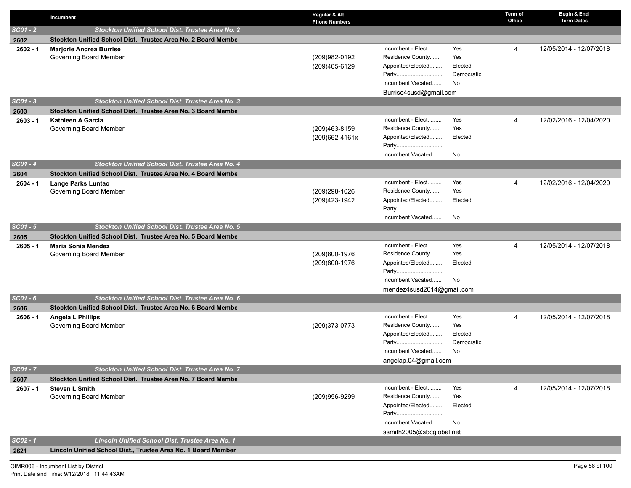|            | Incumbent                                                     | Regular & Alt<br><b>Phone Numbers</b> |                                                                                                                                                                 | Term of<br>Office | Begin & End<br><b>Term Dates</b> |
|------------|---------------------------------------------------------------|---------------------------------------|-----------------------------------------------------------------------------------------------------------------------------------------------------------------|-------------------|----------------------------------|
| $SCO1 - 2$ | Stockton Unified School Dist. Trustee Area No. 2              |                                       |                                                                                                                                                                 |                   |                                  |
| 2602       | Stockton Unified School Dist., Trustee Area No. 2 Board Membe |                                       |                                                                                                                                                                 |                   |                                  |
| $2602 - 1$ | <b>Marjorie Andrea Burrise</b><br>Governing Board Member,     | (209)982-0192<br>(209)405-6129        | Incumbent - Elect<br>Yes<br>Residence County<br>Yes<br>Appointed/Elected<br>Elected<br>Democratic<br>Party<br>Incumbent Vacated<br>No<br>Burrise4susd@gmail.com | 4                 | 12/05/2014 - 12/07/2018          |
| $SCO1 - 3$ | Stockton Unified School Dist. Trustee Area No. 3              |                                       |                                                                                                                                                                 |                   |                                  |
| 2603       | Stockton Unified School Dist., Trustee Area No. 3 Board Membe |                                       |                                                                                                                                                                 |                   |                                  |
| $2603 - 1$ | <b>Kathleen A Garcia</b><br>Governing Board Member,           | (209)463-8159<br>(209)662-4161x____   | Incumbent - Elect<br>Yes<br>Residence County<br>Yes<br>Appointed/Elected<br>Elected<br>Party<br>Incumbent Vacated<br>No                                         | 4                 | 12/02/2016 - 12/04/2020          |
| $SCO1 - 4$ | Stockton Unified School Dist. Trustee Area No. 4              |                                       |                                                                                                                                                                 |                   |                                  |
| 2604       | Stockton Unified School Dist., Trustee Area No. 4 Board Membe |                                       |                                                                                                                                                                 |                   |                                  |
| $2604 - 1$ | Lange Parks Luntao<br>Governing Board Member,                 | (209)298-1026<br>(209)423-1942        | Incumbent - Elect<br>Yes<br>Residence County<br>Yes<br>Appointed/Elected<br>Elected<br>Party<br>Incumbent Vacated<br>No                                         | 4                 | 12/02/2016 - 12/04/2020          |
| $SCO1 - 5$ | Stockton Unified School Dist. Trustee Area No. 5              |                                       |                                                                                                                                                                 |                   |                                  |
| 2605       | Stockton Unified School Dist., Trustee Area No. 5 Board Membe |                                       |                                                                                                                                                                 |                   |                                  |
| $2605 - 1$ | <b>Maria Sonia Mendez</b><br>Governing Board Member           | (209)800-1976<br>(209)800-1976        | Incumbent - Elect<br>Yes<br>Residence County<br>Yes<br>Appointed/Elected<br>Elected<br>Party<br>Incumbent Vacated<br>No<br>mendez4susd2014@gmail.com            | 4                 | 12/05/2014 - 12/07/2018          |
| $SCO1 - 6$ | Stockton Unified School Dist. Trustee Area No. 6              |                                       |                                                                                                                                                                 |                   |                                  |
| 2606       | Stockton Unified School Dist., Trustee Area No. 6 Board Membe |                                       |                                                                                                                                                                 |                   |                                  |
| $2606 - 1$ | <b>Angela L Phillips</b><br>Governing Board Member,           | (209) 373-0773                        | Incumbent - Elect<br>Yes<br>Residence County<br>Yes<br>Appointed/Elected<br>Elected<br>Democratic<br>Incumbent Vacated<br>No<br>angelap.04@gmail.com            | 4                 | 12/05/2014 - 12/07/2018          |
| $SCO1 - 7$ | Stockton Unified School Dist. Trustee Area No. 7              |                                       |                                                                                                                                                                 |                   |                                  |
| 2607       | Stockton Unified School Dist., Trustee Area No. 7 Board Membe |                                       |                                                                                                                                                                 |                   |                                  |
| $2607 - 1$ | <b>Steven L Smith</b><br>Governing Board Member,              | (209)956-9299                         | Incumbent - Elect<br>Yes<br>Residence County<br>Yes<br>Appointed/Elected<br>Elected<br>Party<br>Incumbent Vacated<br>No<br>ssmith2005@sbcglobal.net             | 4                 | 12/05/2014 - 12/07/2018          |
| $SCO2 - 1$ | Lincoln Unified School Dist. Trustee Area No. 1               |                                       |                                                                                                                                                                 |                   |                                  |
| 2621       | Lincoln Unified School Dist., Trustee Area No. 1 Board Member |                                       |                                                                                                                                                                 |                   |                                  |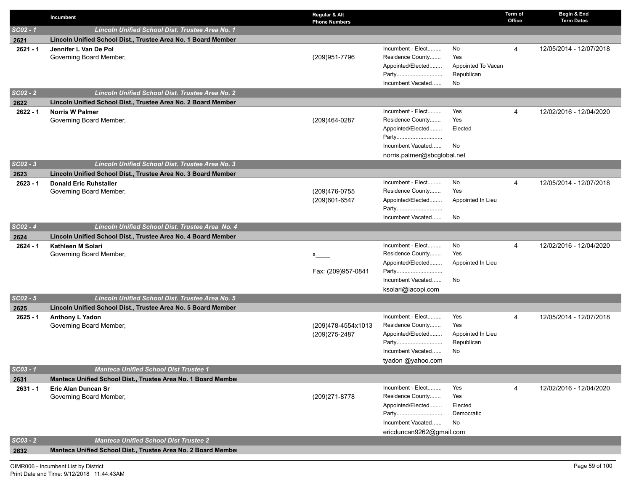|                    | Incumbent                                                                                                   | Regular & Alt<br><b>Phone Numbers</b> |                                                                                                                         |                                                     | Term of<br>Office | Begin & End<br><b>Term Dates</b> |
|--------------------|-------------------------------------------------------------------------------------------------------------|---------------------------------------|-------------------------------------------------------------------------------------------------------------------------|-----------------------------------------------------|-------------------|----------------------------------|
| $SCO2 - 1$         | Lincoln Unified School Dist. Trustee Area No. 1                                                             |                                       |                                                                                                                         |                                                     |                   |                                  |
| 2621               | Lincoln Unified School Dist., Trustee Area No. 1 Board Member                                               |                                       |                                                                                                                         |                                                     |                   |                                  |
| $2621 - 1$         | Jennifer L Van De Pol<br>Governing Board Member,                                                            | (209) 951-7796                        | Incumbent - Elect<br>Residence County<br>Appointed/Elected<br>Party<br>Incumbent Vacated                                | No<br>Yes<br>Appointed To Vacan<br>Republican<br>No | $\overline{4}$    | 12/05/2014 - 12/07/2018          |
| $SCO2 - 2$         | Lincoln Unified School Dist. Trustee Area No. 2                                                             |                                       |                                                                                                                         |                                                     |                   |                                  |
| 2622               | Lincoln Unified School Dist., Trustee Area No. 2 Board Member                                               |                                       |                                                                                                                         |                                                     |                   |                                  |
| $2622 - 1$         | <b>Norris W Palmer</b><br>Governing Board Member,                                                           | (209)464-0287                         | Incumbent - Elect<br>Residence County<br>Appointed/Elected<br>Party<br>Incumbent Vacated<br>norris.palmer@sbcglobal.net | Yes<br>Yes<br>Elected<br>No                         | 4                 | 12/02/2016 - 12/04/2020          |
| $SCO2 - 3$         | Lincoln Unified School Dist. Trustee Area No. 3                                                             |                                       |                                                                                                                         |                                                     |                   |                                  |
| 2623               | Lincoln Unified School Dist., Trustee Area No. 3 Board Member                                               |                                       |                                                                                                                         |                                                     |                   |                                  |
| $2623 - 1$         | <b>Donald Eric Ruhstaller</b><br>Governing Board Member,                                                    | (209)476-0755<br>(209)601-6547        | Incumbent - Elect<br>Residence County<br>Appointed/Elected<br>Party<br>Incumbent Vacated                                | No<br>Yes<br>Appointed In Lieu<br>No                | 4                 | 12/05/2014 - 12/07/2018          |
| $SCO2 - 4$         | Lincoln Unified School Dist. Trustee Area No. 4                                                             |                                       |                                                                                                                         |                                                     |                   |                                  |
| 2624               | Lincoln Unified School Dist., Trustee Area No. 4 Board Member                                               |                                       |                                                                                                                         |                                                     |                   |                                  |
| $2624 - 1$         | Kathleen M Solari<br>Governing Board Member,                                                                | X —<br>Fax: (209)957-0841             | Incumbent - Elect<br>Residence County<br>Appointed/Elected<br>Party<br>Incumbent Vacated                                | No<br>Yes<br>Appointed In Lieu<br>No                | 4                 | 12/02/2016 - 12/04/2020          |
| $SCO2 - 5$         | Lincoln Unified School Dist. Trustee Area No. 5                                                             |                                       | ksolari@iacopi.com                                                                                                      |                                                     |                   |                                  |
|                    |                                                                                                             |                                       |                                                                                                                         |                                                     |                   |                                  |
| 2625<br>$2625 - 1$ | Lincoln Unified School Dist., Trustee Area No. 5 Board Member<br>Anthony L Yadon<br>Governing Board Member, | (209)478-4554x1013<br>(209) 275-2487  | Incumbent - Elect<br>Residence County<br>Appointed/Elected<br>Party<br>Incumbent Vacated<br>tyadon @yahoo.com           | Yes<br>Yes<br>Appointed In Lieu<br>Republican<br>No | 4                 | 12/05/2014 - 12/07/2018          |
| $SCO3 - 1$         | <b>Manteca Unified School Dist Trustee 1</b>                                                                |                                       |                                                                                                                         |                                                     |                   |                                  |
| 2631               | Manteca Unified School Dist., Trustee Area No. 1 Board Member                                               |                                       |                                                                                                                         |                                                     |                   |                                  |
| $2631 - 1$         | Eric Alan Duncan Sr<br>Governing Board Member,                                                              | (209) 271-8778                        | Incumbent - Elect<br>Residence County<br>Appointed/Elected<br>Party<br>Incumbent Vacated<br>ericduncan9262@gmail.com    | Yes<br>Yes<br>Elected<br>Democratic<br>No           | 4                 | 12/02/2016 - 12/04/2020          |
| $SCO3 - 2$         | <b>Manteca Unified School Dist Trustee 2</b>                                                                |                                       |                                                                                                                         |                                                     |                   |                                  |
| 2632               | Manteca Unified School Dist., Trustee Area No. 2 Board Member                                               |                                       |                                                                                                                         |                                                     |                   |                                  |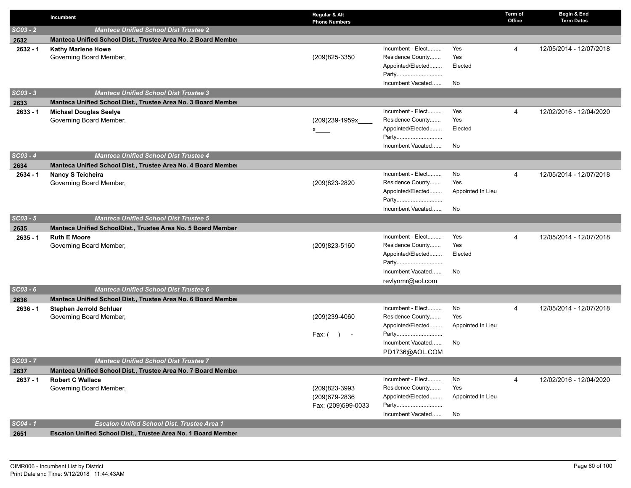|            | Incumbent                                                     | Regular & Alt<br><b>Phone Numbers</b> |                            |                   | Term of<br>Office | Begin & End<br><b>Term Dates</b> |
|------------|---------------------------------------------------------------|---------------------------------------|----------------------------|-------------------|-------------------|----------------------------------|
| $SCO3 - 2$ | <b>Manteca Unified School Dist Trustee 2</b>                  |                                       |                            |                   |                   |                                  |
| 2632       | Manteca Unified School Dist., Trustee Area No. 2 Board Member |                                       |                            |                   |                   |                                  |
| $2632 - 1$ | <b>Kathy Marlene Howe</b>                                     |                                       | Incumbent - Elect          | Yes               | 4                 | 12/05/2014 - 12/07/2018          |
|            | Governing Board Member,                                       | (209) 825-3350                        | Residence County           | Yes               |                   |                                  |
|            |                                                               |                                       | Appointed/Elected          | Elected           |                   |                                  |
|            |                                                               |                                       | Party                      |                   |                   |                                  |
|            |                                                               |                                       | Incumbent Vacated          | No                |                   |                                  |
| $SCO3 - 3$ | <b>Manteca Unified School Dist Trustee 3</b>                  |                                       |                            |                   |                   |                                  |
| 2633       | Manteca Unified School Dist., Trustee Area No. 3 Board Member |                                       |                            |                   |                   |                                  |
| $2633 - 1$ | <b>Michael Douglas Seelye</b>                                 |                                       | Incumbent - Elect          | Yes               | 4                 | 12/02/2016 - 12/04/2020          |
|            | Governing Board Member,                                       | (209)239-1959x_                       | Residence County           | Yes               |                   |                                  |
|            |                                                               | x                                     | Appointed/Elected<br>Party | Elected           |                   |                                  |
|            |                                                               |                                       | Incumbent Vacated          | No                |                   |                                  |
| $SCO3 - 4$ | <b>Manteca Unified School Dist Trustee 4</b>                  |                                       |                            |                   |                   |                                  |
| 2634       | Manteca Unified School Dist., Trustee Area No. 4 Board Member |                                       |                            |                   |                   |                                  |
| $2634 - 1$ | <b>Nancy S Teicheira</b>                                      |                                       | Incumbent - Elect          | No                | 4                 | 12/05/2014 - 12/07/2018          |
|            | Governing Board Member,                                       | (209) 823-2820                        | Residence County           | Yes               |                   |                                  |
|            |                                                               |                                       | Appointed/Elected          | Appointed In Lieu |                   |                                  |
|            |                                                               |                                       | Party                      |                   |                   |                                  |
|            |                                                               |                                       | Incumbent Vacated          | No                |                   |                                  |
| $SCO3 - 5$ | <b>Manteca Unified School Dist Trustee 5</b>                  |                                       |                            |                   |                   |                                  |
| 2635       | Manteca Unified SchoolDist., Trustee Area No. 5 Board Member  |                                       |                            |                   |                   |                                  |
| $2635 - 1$ | <b>Ruth E Moore</b>                                           |                                       | Incumbent - Elect          | Yes               | 4                 | 12/05/2014 - 12/07/2018          |
|            | Governing Board Member,                                       | (209) 823-5160                        | Residence County           | Yes               |                   |                                  |
|            |                                                               |                                       | Appointed/Elected          | Elected           |                   |                                  |
|            |                                                               |                                       | Party                      |                   |                   |                                  |
|            |                                                               |                                       | Incumbent Vacated          | No                |                   |                                  |
|            |                                                               |                                       | revlynmr@aol.com           |                   |                   |                                  |
| $SCO3 - 6$ | <b>Manteca Unified School Dist Trustee 6</b>                  |                                       |                            |                   |                   |                                  |
| 2636       | Manteca Unified School Dist., Trustee Area No. 6 Board Member |                                       | Incumbent - Elect          | No                |                   | 12/05/2014 - 12/07/2018          |
| $2636 - 1$ | <b>Stephen Jerrold Schluer</b><br>Governing Board Member,     | (209)239-4060                         | Residence County           | Yes               | 4                 |                                  |
|            |                                                               |                                       | Appointed/Elected          | Appointed In Lieu |                   |                                  |
|            |                                                               | Fax: $($ __ $)$ __ -                  | Party                      |                   |                   |                                  |
|            |                                                               |                                       | Incumbent Vacated          | No                |                   |                                  |
|            |                                                               |                                       | PD1736@AOL.COM             |                   |                   |                                  |
| $SCO3 - 7$ | <b>Manteca Unified School Dist Trustee 7</b>                  |                                       |                            |                   |                   |                                  |
| 2637       | Manteca Unified School Dist., Trustee Area No. 7 Board Member |                                       |                            |                   |                   |                                  |
| $2637 - 1$ | <b>Robert C Wallace</b>                                       |                                       | Incumbent - Elect          | No                | 4                 | 12/02/2016 - 12/04/2020          |
|            | Governing Board Member,                                       | (209) 823-3993                        | Residence County           | Yes               |                   |                                  |
|            |                                                               | (209) 679-2836                        | Appointed/Elected          | Appointed In Lieu |                   |                                  |
|            |                                                               | Fax: (209)599-0033                    | Party                      |                   |                   |                                  |
|            |                                                               |                                       | Incumbent Vacated          | No                |                   |                                  |
| $SC04 - 1$ | <b>Escalon Unifed School Dist. Trustee Area 1</b>             |                                       |                            |                   |                   |                                  |
| 2651       | Escalon Unified School Dist., Trustee Area No. 1 Board Member |                                       |                            |                   |                   |                                  |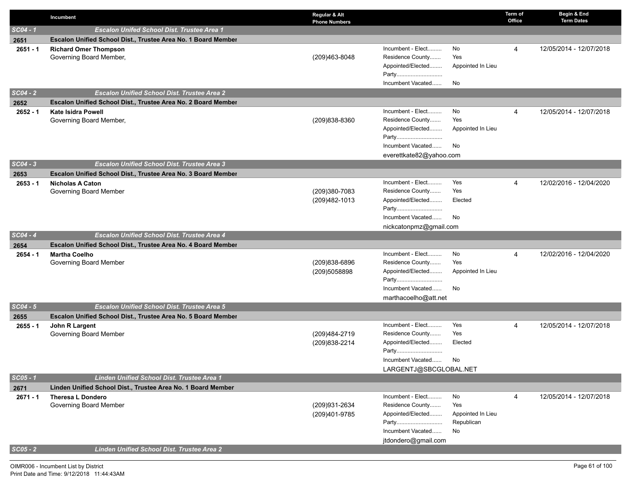|                    | Incumbent                                                                                | Regular & Alt<br><b>Phone Numbers</b> |                                                            |                                 | Term of<br>Office | Begin & End<br><b>Term Dates</b> |
|--------------------|------------------------------------------------------------------------------------------|---------------------------------------|------------------------------------------------------------|---------------------------------|-------------------|----------------------------------|
| $SC04 - 1$         | <b>Escalon Unifed School Dist. Trustee Area 1</b>                                        |                                       |                                                            |                                 |                   |                                  |
| 2651               | Escalon Unified School Dist., Trustee Area No. 1 Board Member                            |                                       |                                                            |                                 |                   |                                  |
| $2651 - 1$         | <b>Richard Omer Thompson</b><br>Governing Board Member,                                  | (209)463-8048                         | Incumbent - Elect<br>Residence County<br>Appointed/Elected | No<br>Yes<br>Appointed In Lieu  | 4                 | 12/05/2014 - 12/07/2018          |
|                    |                                                                                          |                                       | Party<br>Incumbent Vacated                                 | No                              |                   |                                  |
| $SC04 - 2$         | <b>Escalon Unified School Dist. Trustee Area 2</b>                                       |                                       |                                                            |                                 |                   |                                  |
| 2652               | Escalon Unified School Dist., Trustee Area No. 2 Board Member                            |                                       |                                                            |                                 |                   |                                  |
| $2652 - 1$         | <b>Kate Isidra Powell</b><br>Governing Board Member,                                     | (209)838-8360                         | Incumbent - Elect<br>Residence County                      | No<br>Yes                       | 4                 | 12/05/2014 - 12/07/2018          |
|                    |                                                                                          |                                       | Appointed/Elected<br>Party                                 | Appointed In Lieu               |                   |                                  |
|                    |                                                                                          |                                       | Incumbent Vacated                                          | No                              |                   |                                  |
|                    |                                                                                          |                                       | everettkate82@yahoo.com                                    |                                 |                   |                                  |
| $SC04 - 3$         | <b>Escalon Unified School Dist. Trustee Area 3</b>                                       |                                       |                                                            |                                 |                   |                                  |
| 2653<br>$2653 - 1$ | Escalon Unified School Dist., Trustee Area No. 3 Board Member<br><b>Nicholas A Caton</b> |                                       | Incumbent - Elect                                          | Yes                             | 4                 | 12/02/2016 - 12/04/2020          |
|                    | Governing Board Member                                                                   | (209)380-7083                         | Residence County                                           | Yes                             |                   |                                  |
|                    |                                                                                          | (209)482-1013                         | Appointed/Elected<br>Party                                 | Elected                         |                   |                                  |
|                    |                                                                                          |                                       | Incumbent Vacated                                          | No                              |                   |                                  |
|                    |                                                                                          |                                       | nickcatonpmz@gmail.com                                     |                                 |                   |                                  |
| $SC04 - 4$         | <b>Escalon Unified School Dist. Trustee Area 4</b>                                       |                                       |                                                            |                                 |                   |                                  |
| 2654               | Escalon Unified School Dist., Trustee Area No. 4 Board Member                            |                                       |                                                            |                                 |                   |                                  |
| $2654 - 1$         | <b>Martha Coelho</b>                                                                     |                                       | Incumbent - Elect                                          | No<br>Yes                       | 4                 | 12/02/2016 - 12/04/2020          |
|                    | Governing Board Member                                                                   | (209)838-6896<br>(209)5058898         | Residence County<br>Appointed/Elected                      | Appointed In Lieu               |                   |                                  |
|                    |                                                                                          |                                       | Party                                                      |                                 |                   |                                  |
|                    |                                                                                          |                                       | Incumbent Vacated                                          | No                              |                   |                                  |
|                    |                                                                                          |                                       | marthacoelho@att.net                                       |                                 |                   |                                  |
| $SC04 - 5$         | <b>Escalon Unified School Dist. Trustee Area 5</b>                                       |                                       |                                                            |                                 |                   |                                  |
| 2655               | Escalon Unified School Dist., Trustee Area No. 5 Board Member                            |                                       |                                                            |                                 |                   |                                  |
| $2655 - 1$         | John R Largent                                                                           |                                       | Incumbent - Elect<br>Residence County                      | Yes<br>Yes                      | 4                 | 12/05/2014 - 12/07/2018          |
|                    | Governing Board Member                                                                   | (209)484-2719<br>(209) 838-2214       | Appointed/Elected                                          | Elected                         |                   |                                  |
|                    |                                                                                          |                                       | Party                                                      |                                 |                   |                                  |
|                    |                                                                                          |                                       | Incumbent Vacated                                          | No.                             |                   |                                  |
|                    |                                                                                          |                                       | LARGENTJ@SBCGLOBAL.NET                                     |                                 |                   |                                  |
| $SCO5 - 1$         | <b>Linden Unified School Dist. Trustee Area 1</b>                                        |                                       |                                                            |                                 |                   |                                  |
| 2671               | Linden Unified School Dist., Trustee Area No. 1 Board Member                             |                                       |                                                            |                                 |                   |                                  |
| $2671 - 1$         | <b>Theresa L Dondero</b>                                                                 |                                       | Incumbent - Elect                                          | No                              | 4                 | 12/05/2014 - 12/07/2018          |
|                    | Governing Board Member                                                                   | (209)931-2634                         | Residence County<br>Appointed/Elected                      | Yes                             |                   |                                  |
|                    |                                                                                          | (209)401-9785                         | Party                                                      | Appointed In Lieu<br>Republican |                   |                                  |
|                    |                                                                                          |                                       | Incumbent Vacated                                          | No                              |                   |                                  |
|                    |                                                                                          |                                       | jtdondero@gmail.com                                        |                                 |                   |                                  |
| $SCO5 - 2$         | <b>Linden Unified School Dist. Trustee Area 2</b>                                        |                                       |                                                            |                                 |                   |                                  |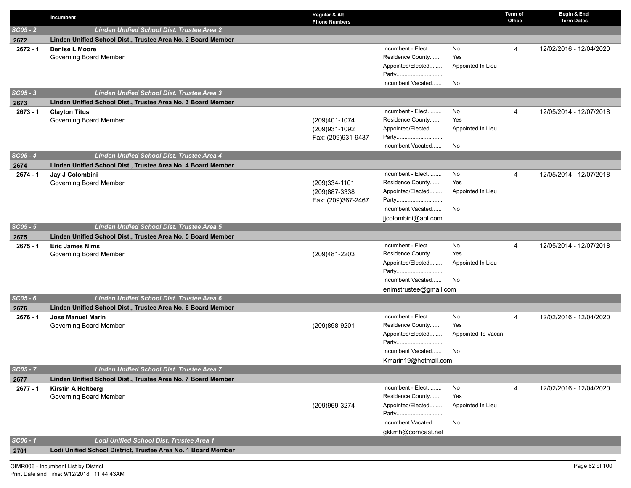|            | Incumbent                                                     | Regular & Alt<br><b>Phone Numbers</b>                 |                                                                                                                    |                                       | Term of<br>Office | Begin & End<br><b>Term Dates</b> |
|------------|---------------------------------------------------------------|-------------------------------------------------------|--------------------------------------------------------------------------------------------------------------------|---------------------------------------|-------------------|----------------------------------|
| $SCO5 - 2$ | <b>Linden Unified School Dist. Trustee Area 2</b>             |                                                       |                                                                                                                    |                                       |                   |                                  |
| 2672       | Linden Unified School Dist., Trustee Area No. 2 Board Member  |                                                       |                                                                                                                    |                                       |                   |                                  |
| $2672 - 1$ | <b>Denise L Moore</b><br>Governing Board Member               |                                                       | Incumbent - Elect<br>Residence County<br>Appointed/Elected                                                         | No<br>Yes<br>Appointed In Lieu        | 4                 | 12/02/2016 - 12/04/2020          |
|            |                                                               |                                                       | Party<br>Incumbent Vacated                                                                                         | No                                    |                   |                                  |
| $SCO5 - 3$ | Linden Unified School Dist. Trustee Area 3                    |                                                       |                                                                                                                    |                                       |                   |                                  |
| 2673       | Linden Unified School Dist., Trustee Area No. 3 Board Member  |                                                       |                                                                                                                    |                                       |                   |                                  |
| $2673 - 1$ | <b>Clayton Titus</b><br>Governing Board Member                | (209)401-1074<br>(209)931-1092<br>Fax: (209)931-9437  | Incumbent - Elect<br>Residence County<br>Appointed/Elected<br>Party<br>Incumbent Vacated                           | No<br>Yes<br>Appointed In Lieu<br>No  | 4                 | 12/05/2014 - 12/07/2018          |
| $SC05 - 4$ | <b>Linden Unified School Dist. Trustee Area 4</b>             |                                                       |                                                                                                                    |                                       |                   |                                  |
| 2674       | Linden Unified School Dist., Trustee Area No. 4 Board Member  |                                                       |                                                                                                                    |                                       |                   |                                  |
| $2674 - 1$ | Jay J Colombini<br>Governing Board Member                     | (209)334-1101<br>(209) 887-3338<br>Fax: (209)367-2467 | Incumbent - Elect<br>Residence County<br>Appointed/Elected<br>Party<br>Incumbent Vacated<br>jjcolombini@aol.com    | No<br>Yes<br>Appointed In Lieu<br>No  | $\overline{4}$    | 12/05/2014 - 12/07/2018          |
| $SCO5 - 5$ | <b>Linden Unified School Dist. Trustee Area 5</b>             |                                                       |                                                                                                                    |                                       |                   |                                  |
| 2675       | Linden Unified School Dist., Trustee Area No. 5 Board Member  |                                                       |                                                                                                                    |                                       |                   |                                  |
| $2675 - 1$ | <b>Eric James Nims</b><br>Governing Board Member              | (209)481-2203                                         | Incumbent - Elect<br>Residence County<br>Appointed/Elected<br>Party<br>Incumbent Vacated<br>enimstrustee@gmail.com | No<br>Yes<br>Appointed In Lieu<br>No  | $\overline{4}$    | 12/05/2014 - 12/07/2018          |
| $SCO5 - 6$ | Linden Unified School Dist. Trustee Area 6                    |                                                       |                                                                                                                    |                                       |                   |                                  |
| 2676       | Linden Unified School Dist., Trustee Area No. 6 Board Member  |                                                       |                                                                                                                    |                                       |                   |                                  |
| $2676 - 1$ | <b>Jose Manuel Marin</b><br>Governing Board Member            | (209)898-9201                                         | Incumbent - Elect<br>Residence County<br>Appointed/Elected<br>Party<br>Incumbent Vacated<br>Kmarin19@hotmail.com   | No<br>Yes<br>Appointed To Vacan<br>No | 4                 | 12/02/2016 - 12/04/2020          |
| $SC05 - 7$ | Linden Unified School Dist. Trustee Area 7                    |                                                       |                                                                                                                    |                                       |                   |                                  |
| 2677       | Linden Unified School Dist., Trustee Area No. 7 Board Member  |                                                       |                                                                                                                    |                                       |                   |                                  |
| $2677 - 1$ | <b>Kirstin A Holtberg</b><br>Governing Board Member           | (209)969-3274                                         | Incumbent - Elect<br>Residence County<br>Appointed/Elected<br>Party<br>Incumbent Vacated<br>gkkmh@comcast.net      | No<br>Yes<br>Appointed In Lieu<br>No  | 4                 | 12/02/2016 - 12/04/2020          |
| $SC06 - 1$ | Lodi Unified School Dist. Trustee Area 1                      |                                                       |                                                                                                                    |                                       |                   |                                  |
| 2701       | Lodi Unified School District, Trustee Area No. 1 Board Member |                                                       |                                                                                                                    |                                       |                   |                                  |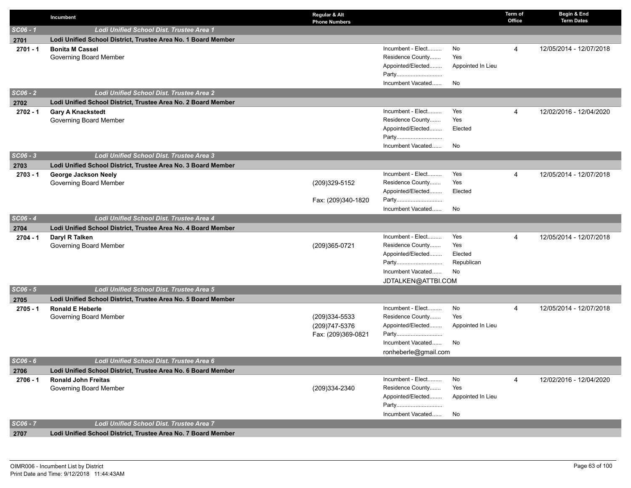|            | Incumbent                                                     | Regular & Alt<br><b>Phone Numbers</b> |                                       |                   | Term of<br>Office | Begin & End<br><b>Term Dates</b> |
|------------|---------------------------------------------------------------|---------------------------------------|---------------------------------------|-------------------|-------------------|----------------------------------|
| $SC06 - 1$ | Lodi Unified School Dist. Trustee Area 1                      |                                       |                                       |                   |                   |                                  |
| 2701       | Lodi Unified School District, Trustee Area No. 1 Board Member |                                       |                                       |                   |                   |                                  |
| $2701 - 1$ | <b>Bonita M Cassel</b>                                        |                                       | Incumbent - Elect                     | No                | 4                 | 12/05/2014 - 12/07/2018          |
|            | Governing Board Member                                        |                                       | Residence County                      | Yes               |                   |                                  |
|            |                                                               |                                       | Appointed/Elected                     | Appointed In Lieu |                   |                                  |
|            |                                                               |                                       | Party                                 |                   |                   |                                  |
|            |                                                               |                                       | Incumbent Vacated                     | No                |                   |                                  |
| $SC06 - 2$ | Lodi Unified School Dist. Trustee Area 2                      |                                       |                                       |                   |                   |                                  |
| 2702       | Lodi Unified School District, Trustee Area No. 2 Board Member |                                       |                                       |                   |                   |                                  |
| $2702 - 1$ | <b>Gary A Knackstedt</b>                                      |                                       | Incumbent - Elect                     | Yes<br>Yes        | 4                 | 12/02/2016 - 12/04/2020          |
|            | Governing Board Member                                        |                                       | Residence County<br>Appointed/Elected | Elected           |                   |                                  |
|            |                                                               |                                       | Party                                 |                   |                   |                                  |
|            |                                                               |                                       | Incumbent Vacated                     | No                |                   |                                  |
| $SC06 - 3$ | Lodi Unified School Dist. Trustee Area 3                      |                                       |                                       |                   |                   |                                  |
| 2703       | Lodi Unified School District, Trustee Area No. 3 Board Member |                                       |                                       |                   |                   |                                  |
| $2703 - 1$ | George Jackson Neely                                          |                                       | Incumbent - Elect                     | Yes               | 4                 | 12/05/2014 - 12/07/2018          |
|            | Governing Board Member                                        | (209)329-5152                         | Residence County                      | Yes               |                   |                                  |
|            |                                                               |                                       | Appointed/Elected                     | Elected           |                   |                                  |
|            |                                                               | Fax: (209)340-1820                    | Party                                 |                   |                   |                                  |
|            |                                                               |                                       | Incumbent Vacated                     | No                |                   |                                  |
| $SC06 - 4$ | Lodi Unified School Dist. Trustee Area 4                      |                                       |                                       |                   |                   |                                  |
| 2704       | Lodi Unified School District, Trustee Area No. 4 Board Member |                                       |                                       |                   |                   |                                  |
| $2704 - 1$ | Daryl R Talken                                                |                                       | Incumbent - Elect                     | Yes               | 4                 | 12/05/2014 - 12/07/2018          |
|            | Governing Board Member                                        | (209)365-0721                         | Residence County                      | Yes               |                   |                                  |
|            |                                                               |                                       | Appointed/Elected                     | Elected           |                   |                                  |
|            |                                                               |                                       | Party                                 | Republican        |                   |                                  |
|            |                                                               |                                       | Incumbent Vacated                     | No                |                   |                                  |
| $SC06 - 5$ | Lodi Unified School Dist. Trustee Area 5                      |                                       | JDTALKEN@ATTBI.COM                    |                   |                   |                                  |
| 2705       | Lodi Unified School District, Trustee Area No. 5 Board Member |                                       |                                       |                   |                   |                                  |
| $2705 - 1$ | <b>Ronald E Heberle</b>                                       |                                       | Incumbent - Elect                     | No                | 4                 | 12/05/2014 - 12/07/2018          |
|            | Governing Board Member                                        | (209)334-5533                         | Residence County                      | Yes               |                   |                                  |
|            |                                                               | (209) 747-5376                        | Appointed/Elected                     | Appointed In Lieu |                   |                                  |
|            |                                                               | Fax: (209)369-0821                    | Party                                 |                   |                   |                                  |
|            |                                                               |                                       | Incumbent Vacated                     | No                |                   |                                  |
|            |                                                               |                                       | ronheberle@gmail.com                  |                   |                   |                                  |
| $SC06 - 6$ | Lodi Unified School Dist. Trustee Area 6                      |                                       |                                       |                   |                   |                                  |
| 2706       | Lodi Unified School District, Trustee Area No. 6 Board Member |                                       |                                       |                   |                   |                                  |
| $2706 - 1$ | <b>Ronald John Freitas</b>                                    |                                       | Incumbent - Elect                     | No                | 4                 | 12/02/2016 - 12/04/2020          |
|            | Governing Board Member                                        | (209)334-2340                         | Residence County                      | Yes               |                   |                                  |
|            |                                                               |                                       | Appointed/Elected                     | Appointed In Lieu |                   |                                  |
|            |                                                               |                                       | Party<br>Incumbent Vacated            | No                |                   |                                  |
| SC06 - 7   | Lodi Unified School Dist. Trustee Area 7                      |                                       |                                       |                   |                   |                                  |
| 2707       | Lodi Unified School District, Trustee Area No. 7 Board Member |                                       |                                       |                   |                   |                                  |
|            |                                                               |                                       |                                       |                   |                   |                                  |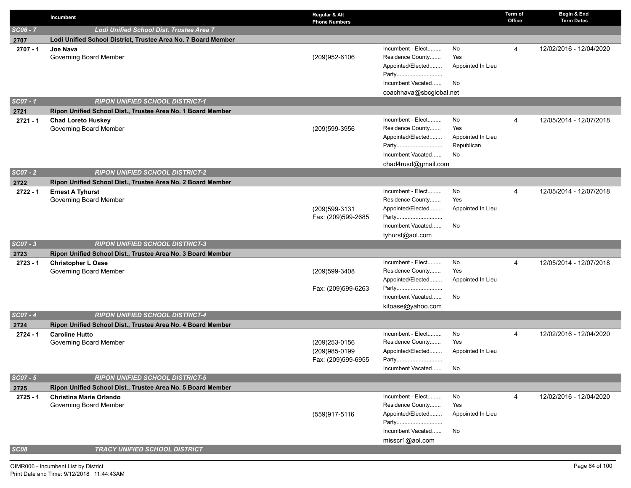|                    | Incumbent                                                                                                          | Regular & Alt<br><b>Phone Numbers</b>                 |                                                                                                                 |                                                    | Term of<br>Office | Begin & End<br><b>Term Dates</b> |
|--------------------|--------------------------------------------------------------------------------------------------------------------|-------------------------------------------------------|-----------------------------------------------------------------------------------------------------------------|----------------------------------------------------|-------------------|----------------------------------|
| $SC06 - 7$         | Lodi Unified School Dist. Trustee Area 7                                                                           |                                                       |                                                                                                                 |                                                    |                   |                                  |
| 2707               | Lodi Unified School District, Trustee Area No. 7 Board Member                                                      |                                                       |                                                                                                                 |                                                    |                   |                                  |
| $2707 - 1$         | Joe Nava<br>Governing Board Member                                                                                 | (209)952-6106                                         | Incumbent - Elect<br>Residence County<br>Appointed/Elected<br>Party<br>Incumbent Vacated                        | No<br>Yes<br>Appointed In Lieu<br>No               | 4                 | 12/02/2016 - 12/04/2020          |
| SC07 - 1           | <b>RIPON UNIFIED SCHOOL DISTRICT-1</b>                                                                             |                                                       | coachnava@sbcglobal.net                                                                                         |                                                    |                   |                                  |
|                    |                                                                                                                    |                                                       |                                                                                                                 |                                                    |                   |                                  |
| 2721<br>$2721 - 1$ | Ripon Unified School Dist., Trustee Area No. 1 Board Member<br><b>Chad Loreto Huskey</b><br>Governing Board Member | (209)599-3956                                         | Incumbent - Elect<br>Residence County<br>Appointed/Elected<br>Party<br>Incumbent Vacated<br>chad4rusd@gmail.com | No<br>Yes<br>Appointed In Lieu<br>Republican<br>No | 4                 | 12/05/2014 - 12/07/2018          |
| $SCO7 - 2$         | <b>RIPON UNIFIED SCHOOL DISTRICT-2</b>                                                                             |                                                       |                                                                                                                 |                                                    |                   |                                  |
| 2722               | Ripon Unified School Dist., Trustee Area No. 2 Board Member                                                        |                                                       |                                                                                                                 |                                                    |                   |                                  |
| $2722 - 1$         | <b>Ernest A Tyhurst</b><br>Governing Board Member                                                                  | (209) 599-3131<br>Fax: (209)599-2685                  | Incumbent - Elect<br>Residence County<br>Appointed/Elected<br>Party<br>Incumbent Vacated<br>tyhurst@aol.com     | No<br>Yes<br>Appointed In Lieu<br>No               | 4                 | 12/05/2014 - 12/07/2018          |
| $SCO7 - 3$         | <b>RIPON UNIFIED SCHOOL DISTRICT-3</b>                                                                             |                                                       |                                                                                                                 |                                                    |                   |                                  |
| 2723               | Ripon Unified School Dist., Trustee Area No. 3 Board Member                                                        |                                                       |                                                                                                                 |                                                    |                   |                                  |
| $2723 - 1$         | <b>Christopher L Oase</b><br>Governing Board Member                                                                | (209)599-3408<br>Fax: (209)599-6263                   | Incumbent - Elect<br>Residence County<br>Appointed/Elected<br>Party<br>Incumbent Vacated                        | No<br>Yes<br>Appointed In Lieu<br>No               | 4                 | 12/05/2014 - 12/07/2018          |
| $SCO7 - 4$         | <b>RIPON UNIFIED SCHOOL DISTRICT-4</b>                                                                             |                                                       | kitoase@yahoo.com                                                                                               |                                                    |                   |                                  |
| 2724               | Ripon Unified School Dist., Trustee Area No. 4 Board Member                                                        |                                                       |                                                                                                                 |                                                    |                   |                                  |
| $2724 - 1$         | <b>Caroline Hutto</b><br>Governing Board Member                                                                    | (209) 253-0156<br>(209)985-0199<br>Fax: (209)599-6955 | Incumbent - Elect<br>Residence County<br>Appointed/Elected<br>Party<br>Incumbent Vacated                        | No<br>Yes<br>Appointed In Lieu<br>No               | 4                 | 12/02/2016 - 12/04/2020          |
| $SCO7 - 5$         | <b>RIPON UNIFIED SCHOOL DISTRICT-5</b>                                                                             |                                                       |                                                                                                                 |                                                    |                   |                                  |
| 2725               | Ripon Unified School Dist., Trustee Area No. 5 Board Member                                                        |                                                       |                                                                                                                 |                                                    |                   |                                  |
| $2725 - 1$         | <b>Christina Marie Orlando</b><br>Governing Board Member                                                           | (559)917-5116                                         | Incumbent - Elect<br>Residence County<br>Appointed/Elected<br>Party<br>Incumbent Vacated<br>misscr1@aol.com     | No<br>Yes<br>Appointed In Lieu<br>No               | 4                 | 12/02/2016 - 12/04/2020          |
| SC08               | <b>TRACY UNIFIED SCHOOL DISTRICT</b>                                                                               |                                                       |                                                                                                                 |                                                    |                   |                                  |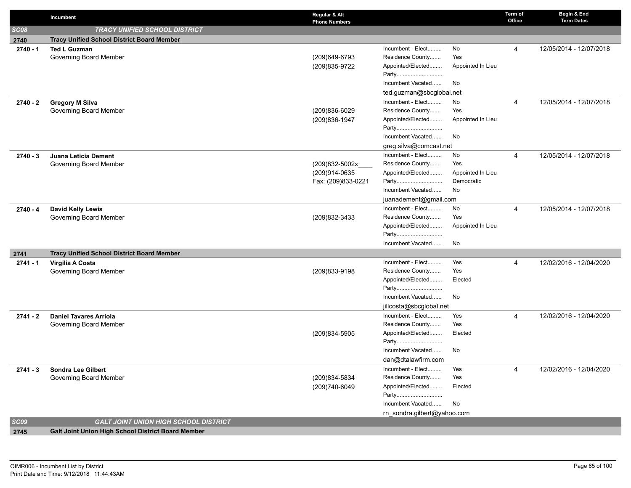|            | Incumbent                                          | Regular & Alt<br><b>Phone Numbers</b> |                             |                   | Term of<br>Office | Begin & End<br><b>Term Dates</b> |
|------------|----------------------------------------------------|---------------------------------------|-----------------------------|-------------------|-------------------|----------------------------------|
| SC08       | <b>TRACY UNIFIED SCHOOL DISTRICT</b>               |                                       |                             |                   |                   |                                  |
| 2740       | <b>Tracy Unified School District Board Member</b>  |                                       |                             |                   |                   |                                  |
| $2740 - 1$ | <b>Ted L Guzman</b>                                |                                       | Incumbent - Elect           | No.               | 4                 | 12/05/2014 - 12/07/2018          |
|            | Governing Board Member                             | (209)649-6793                         | Residence County            | Yes               |                   |                                  |
|            |                                                    | (209) 835-9722                        | Appointed/Elected           | Appointed In Lieu |                   |                                  |
|            |                                                    |                                       | Party                       |                   |                   |                                  |
|            |                                                    |                                       | Incumbent Vacated           | No                |                   |                                  |
|            |                                                    |                                       | ted.guzman@sbcglobal.net    |                   |                   |                                  |
| $2740 - 2$ | <b>Gregory M Silva</b>                             |                                       | Incumbent - Elect           | No                | 4                 | 12/05/2014 - 12/07/2018          |
|            | Governing Board Member                             | (209)836-6029                         | Residence County            | Yes               |                   |                                  |
|            |                                                    | (209) 836-1947                        | Appointed/Elected           | Appointed In Lieu |                   |                                  |
|            |                                                    |                                       | Party<br>Incumbent Vacated  | No                |                   |                                  |
|            |                                                    |                                       | greg.silva@comcast.net      |                   |                   |                                  |
|            |                                                    |                                       | Incumbent - Elect           | No                | $\overline{4}$    | 12/05/2014 - 12/07/2018          |
| $2740 - 3$ | Juana Leticia Dement<br>Governing Board Member     | (209)832-5002x                        | Residence County            | Yes               |                   |                                  |
|            |                                                    | (209)914-0635                         | Appointed/Elected           | Appointed In Lieu |                   |                                  |
|            |                                                    | Fax: (209)833-0221                    | Party                       | Democratic        |                   |                                  |
|            |                                                    |                                       | Incumbent Vacated           | No                |                   |                                  |
|            |                                                    |                                       | juanadement@gmail.com       |                   |                   |                                  |
| $2740 - 4$ | <b>David Kelly Lewis</b>                           |                                       | Incumbent - Elect           | No                | $\overline{4}$    | 12/05/2014 - 12/07/2018          |
|            | Governing Board Member                             | (209)832-3433                         | Residence County            | Yes               |                   |                                  |
|            |                                                    |                                       | Appointed/Elected           | Appointed In Lieu |                   |                                  |
|            |                                                    |                                       | Party                       |                   |                   |                                  |
|            |                                                    |                                       | Incumbent Vacated           | No                |                   |                                  |
| 2741       | <b>Tracy Unified School District Board Member</b>  |                                       |                             |                   |                   |                                  |
| $2741 - 1$ | Virgilia A Costa                                   |                                       | Incumbent - Elect           | Yes               | 4                 | 12/02/2016 - 12/04/2020          |
|            | Governing Board Member                             | (209)833-9198                         | Residence County            | Yes               |                   |                                  |
|            |                                                    |                                       | Appointed/Elected<br>Party  | Elected           |                   |                                  |
|            |                                                    |                                       | Incumbent Vacated           | No                |                   |                                  |
|            |                                                    |                                       | jillcosta@sbcglobal.net     |                   |                   |                                  |
| $2741 - 2$ | <b>Daniel Tavares Arriola</b>                      |                                       | Incumbent - Elect           | Yes               | $\overline{4}$    | 12/02/2016 - 12/04/2020          |
|            | Governing Board Member                             |                                       | Residence County            | Yes               |                   |                                  |
|            |                                                    | (209)834-5905                         | Appointed/Elected           | Elected           |                   |                                  |
|            |                                                    |                                       | Party                       |                   |                   |                                  |
|            |                                                    |                                       | Incumbent Vacated           | No                |                   |                                  |
|            |                                                    |                                       | dan@dtalawfirm.com          |                   |                   |                                  |
| $2741 - 3$ | <b>Sondra Lee Gilbert</b>                          |                                       | Incumbent - Elect           | Yes               | 4                 | 12/02/2016 - 12/04/2020          |
|            | Governing Board Member                             | (209)834-5834                         | Residence County            | Yes               |                   |                                  |
|            |                                                    | (209)740-6049                         | Appointed/Elected           | Elected           |                   |                                  |
|            |                                                    |                                       | Party                       |                   |                   |                                  |
|            |                                                    |                                       | Incumbent Vacated           | No                |                   |                                  |
|            |                                                    |                                       | rn_sondra.gilbert@yahoo.com |                   |                   |                                  |
| SC09       | <b>GALT JOINT UNION HIGH SCHOOL DISTRICT</b>       |                                       |                             |                   |                   |                                  |
| 2745       | Galt Joint Union High School District Board Member |                                       |                             |                   |                   |                                  |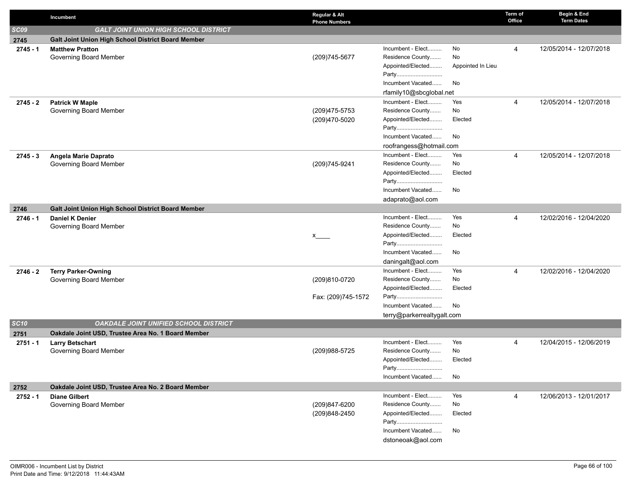|             | Incumbent                                            | Regular & Alt<br><b>Phone Numbers</b> |                                              |                   | Term of<br>Office | Begin & End<br><b>Term Dates</b> |
|-------------|------------------------------------------------------|---------------------------------------|----------------------------------------------|-------------------|-------------------|----------------------------------|
| <b>SC09</b> | <b>GALT JOINT UNION HIGH SCHOOL DISTRICT</b>         |                                       |                                              |                   |                   |                                  |
| 2745        | Galt Joint Union High School District Board Member   |                                       |                                              |                   |                   |                                  |
| $2745 - 1$  | <b>Matthew Pratton</b>                               |                                       | Incumbent - Elect                            | No                | 4                 | 12/05/2014 - 12/07/2018          |
|             | Governing Board Member                               | (209)745-5677                         | Residence County                             | No                |                   |                                  |
|             |                                                      |                                       | Appointed/Elected                            | Appointed In Lieu |                   |                                  |
|             |                                                      |                                       | Party                                        |                   |                   |                                  |
|             |                                                      |                                       | Incumbent Vacated                            | No                |                   |                                  |
|             |                                                      |                                       | rfamily10@sbcglobal.net<br>Incumbent - Elect | Yes               |                   |                                  |
| $2745 - 2$  | <b>Patrick W Maple</b><br>Governing Board Member     | (209)475-5753                         | Residence County                             | No                | $\overline{4}$    | 12/05/2014 - 12/07/2018          |
|             |                                                      | (209)470-5020                         | Appointed/Elected                            | Elected           |                   |                                  |
|             |                                                      |                                       | Party                                        |                   |                   |                                  |
|             |                                                      |                                       | Incumbent Vacated                            | No                |                   |                                  |
|             |                                                      |                                       | roofrangess@hotmail.com                      |                   |                   |                                  |
| $2745 - 3$  | Angela Marie Daprato                                 |                                       | Incumbent - Elect                            | Yes               | $\overline{4}$    | 12/05/2014 - 12/07/2018          |
|             | Governing Board Member                               | (209)745-9241                         | Residence County                             | No                |                   |                                  |
|             |                                                      |                                       | Appointed/Elected                            | Elected           |                   |                                  |
|             |                                                      |                                       | Party                                        |                   |                   |                                  |
|             |                                                      |                                       | Incumbent Vacated                            | No                |                   |                                  |
|             |                                                      |                                       | adaprato@aol.com                             |                   |                   |                                  |
| 2746        | Galt Joint Union High School District Board Member   |                                       |                                              |                   |                   |                                  |
| $2746 - 1$  | <b>Daniel K Denier</b>                               |                                       | Incumbent - Elect                            | Yes               | $\overline{4}$    | 12/02/2016 - 12/04/2020          |
|             | Governing Board Member                               |                                       | Residence County                             | No                |                   |                                  |
|             |                                                      |                                       | Appointed/Elected                            | Elected           |                   |                                  |
|             |                                                      |                                       | Party<br>Incumbent Vacated                   | No                |                   |                                  |
|             |                                                      |                                       | daningalt@aol.com                            |                   |                   |                                  |
|             |                                                      |                                       | Incumbent - Elect                            | Yes               | $\overline{4}$    | 12/02/2016 - 12/04/2020          |
| $2746 - 2$  | <b>Terry Parker-Owning</b><br>Governing Board Member | (209)810-0720                         | Residence County                             | No                |                   |                                  |
|             |                                                      |                                       | Appointed/Elected                            | Elected           |                   |                                  |
|             |                                                      | Fax: (209)745-1572                    | Party                                        |                   |                   |                                  |
|             |                                                      |                                       | Incumbent Vacated                            | No                |                   |                                  |
|             |                                                      |                                       | terry@parkerrealtygalt.com                   |                   |                   |                                  |
| <b>SC10</b> | <b>OAKDALE JOINT UNIFIED SCHOOL DISTRICT</b>         |                                       |                                              |                   |                   |                                  |
| 2751        | Oakdale Joint USD, Trustee Area No. 1 Board Member   |                                       |                                              |                   |                   |                                  |
| $2751 - 1$  | <b>Larry Betschart</b>                               |                                       | Incumbent - Elect                            | Yes               | $\overline{4}$    | 12/04/2015 - 12/06/2019          |
|             | Governing Board Member                               | (209)988-5725                         | Residence County                             | No                |                   |                                  |
|             |                                                      |                                       | Appointed/Elected                            | Elected           |                   |                                  |
|             |                                                      |                                       | Party                                        |                   |                   |                                  |
|             |                                                      |                                       | Incumbent Vacated                            | No                |                   |                                  |
| 2752        | Oakdale Joint USD, Trustee Area No. 2 Board Member   |                                       |                                              |                   |                   |                                  |
| 2752 - 1    | <b>Diane Gilbert</b>                                 |                                       | Incumbent - Elect                            | Yes               | 4                 | 12/06/2013 - 12/01/2017          |
|             | Governing Board Member                               | (209)847-6200                         | Residence County<br>Appointed/Elected        | No<br>Elected     |                   |                                  |
|             |                                                      | (209)848-2450                         | Party                                        |                   |                   |                                  |
|             |                                                      |                                       | Incumbent Vacated                            | No                |                   |                                  |
|             |                                                      |                                       | dstoneoak@aol.com                            |                   |                   |                                  |
|             |                                                      |                                       |                                              |                   |                   |                                  |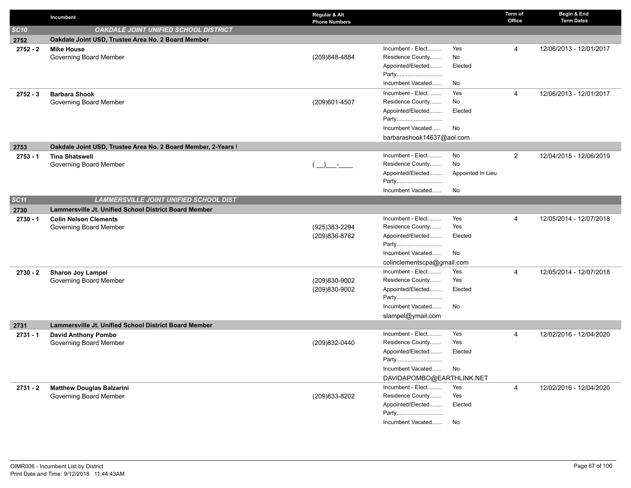|             | Incumbent                                                     | Regular & Alt<br><b>Phone Numbers</b> |                            |                   | Term of<br>Office | Begin & End<br><b>Term Dates</b> |
|-------------|---------------------------------------------------------------|---------------------------------------|----------------------------|-------------------|-------------------|----------------------------------|
| <b>SC10</b> | OAKDALE JOINT UNIFIED SCHOOL DISTRICT                         |                                       |                            |                   |                   |                                  |
| 2752        | Oakdale Joint USD, Trustee Area No. 2 Board Member            |                                       |                            |                   |                   |                                  |
| $2752 - 2$  | <b>Mike House</b>                                             |                                       | Incumbent - Elect          | Yes               | 4                 | 12/06/2013 - 12/01/2017          |
|             | Governing Board Member                                        | (209)848-4884                         | Residence County           | No                |                   |                                  |
|             |                                                               |                                       | Appointed/Elected          | Elected           |                   |                                  |
|             |                                                               |                                       | Party                      |                   |                   |                                  |
|             |                                                               |                                       | Incumbent Vacated          | No                |                   |                                  |
| $2752 - 3$  | <b>Barbara Shook</b>                                          |                                       | Incumbent - Elect          | Yes               | 4                 | 12/06/2013 - 12/01/2017          |
|             | Governing Board Member                                        | (209)601-4507                         | Residence County           | No                |                   |                                  |
|             |                                                               |                                       | Appointed/Elected          | Elected           |                   |                                  |
|             |                                                               |                                       | Party                      |                   |                   |                                  |
|             |                                                               |                                       | Incumbent Vacated          | No                |                   |                                  |
|             |                                                               |                                       | barbarashook14637@aol.com  |                   |                   |                                  |
| 2753        | Oakdale Joint USD, Trustee Area No. 2 Board Member, 2-Years I |                                       |                            |                   |                   |                                  |
| $2753 - 1$  | <b>Tina Shatswell</b>                                         |                                       | Incumbent - Elect          | No                | $\overline{2}$    | 12/04/2015 - 12/06/2019          |
|             | Governing Board Member                                        | $\rightarrow$ $-$                     | Residence County           | No                |                   |                                  |
|             |                                                               |                                       | Appointed/Elected          | Appointed In Lieu |                   |                                  |
|             |                                                               |                                       | Party                      |                   |                   |                                  |
|             |                                                               |                                       | Incumbent Vacated          | No                |                   |                                  |
| SC11        | <b>LAMMERSVILLE JOINT UNIFIED SCHOOL DIST</b>                 |                                       |                            |                   |                   |                                  |
| 2730        | <b>Lammersville Jt. Unified School District Board Member</b>  |                                       | Incumbent - Elect          |                   |                   |                                  |
| $2730 - 1$  | <b>Colin Nelson Clements</b><br>Governing Board Member        | (925)383-2294                         | Residence County           | Yes<br>Yes        | 4                 | 12/05/2014 - 12/07/2018          |
|             |                                                               | (209)836-8762                         | Appointed/Elected          | Elected           |                   |                                  |
|             |                                                               |                                       | Party                      |                   |                   |                                  |
|             |                                                               |                                       | Incumbent Vacated          | No                |                   |                                  |
|             |                                                               |                                       | colinclementscpa@gmail.com |                   |                   |                                  |
| 2730 - 2    | <b>Sharon Joy Lampel</b>                                      |                                       | Incumbent - Elect          | Yes               | 4                 | 12/05/2014 - 12/07/2018          |
|             | Governing Board Member                                        | (209)830-9002                         | Residence County           | Yes               |                   |                                  |
|             |                                                               | (209)830-9002                         | Appointed/Elected          | Elected           |                   |                                  |
|             |                                                               |                                       | Party                      |                   |                   |                                  |
|             |                                                               |                                       | Incumbent Vacated          | No                |                   |                                  |
|             |                                                               |                                       | slampel@ymail.com          |                   |                   |                                  |
| 2731        | Lammersville Jt. Unified School District Board Member         |                                       |                            |                   |                   |                                  |
| $2731 - 1$  | <b>David Anthony Pombo</b>                                    |                                       | Incumbent - Elect          | Yes               | 4                 | 12/02/2016 - 12/04/2020          |
|             | Governing Board Member                                        | (209)832-0440                         | Residence County           | Yes               |                   |                                  |
|             |                                                               |                                       | Appointed/Elected          | Elected           |                   |                                  |
|             |                                                               |                                       | Party                      |                   |                   |                                  |
|             |                                                               |                                       | Incumbent Vacated          | No                |                   |                                  |
|             |                                                               |                                       | DAVIDAPOMBO@EARTHLINK.NET  |                   |                   |                                  |
| 2731 - 2    | <b>Matthew Douglas Balzarini</b>                              |                                       | Incumbent - Elect          | Yes               | 4                 | 12/02/2016 - 12/04/2020          |
|             | Governing Board Member                                        | (209)833-8202                         | Residence County           | Yes               |                   |                                  |
|             |                                                               |                                       | Appointed/Elected          | Elected           |                   |                                  |
|             |                                                               |                                       | Party                      |                   |                   |                                  |
|             |                                                               |                                       | Incumbent Vacated          | No                |                   |                                  |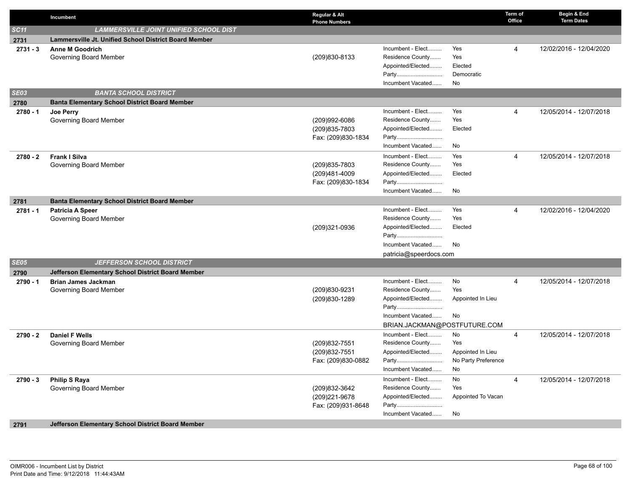|            | Incumbent                                             | Regular & Alt<br><b>Phone Numbers</b> |                                                   |                     | Term of<br>Office | Begin & End<br><b>Term Dates</b> |
|------------|-------------------------------------------------------|---------------------------------------|---------------------------------------------------|---------------------|-------------------|----------------------------------|
| SC11       | <b>LAMMERSVILLE JOINT UNIFIED SCHOOL DIST</b>         |                                       |                                                   |                     |                   |                                  |
| 2731       | Lammersville Jt. Unified School District Board Member |                                       |                                                   |                     |                   |                                  |
| $2731 - 3$ | <b>Anne M Goodrich</b>                                |                                       | Incumbent - Elect                                 | Yes                 | 4                 | 12/02/2016 - 12/04/2020          |
|            | Governing Board Member                                | (209)830-8133                         | Residence County                                  | Yes                 |                   |                                  |
|            |                                                       |                                       | Appointed/Elected                                 | Elected             |                   |                                  |
|            |                                                       |                                       | Party                                             | Democratic          |                   |                                  |
|            |                                                       |                                       | Incumbent Vacated                                 | No                  |                   |                                  |
| SEO3       | <b>BANTA SCHOOL DISTRICT</b>                          |                                       |                                                   |                     |                   |                                  |
| 2780       | <b>Banta Elementary School District Board Member</b>  |                                       |                                                   |                     |                   |                                  |
| $2780 - 1$ | Joe Perry                                             |                                       | Incumbent - Elect                                 | Yes                 | 4                 | 12/05/2014 - 12/07/2018          |
|            | Governing Board Member                                | (209)992-6086                         | Residence County                                  | Yes                 |                   |                                  |
|            |                                                       | (209) 835-7803                        | Appointed/Elected                                 | Elected             |                   |                                  |
|            |                                                       | Fax: (209)830-1834                    | Party<br>Incumbent Vacated                        |                     |                   |                                  |
|            |                                                       |                                       |                                                   | No                  |                   |                                  |
| 2780 - 2   | <b>Frank I Silva</b>                                  |                                       | Incumbent - Elect<br>Residence County             | Yes<br>Yes          | 4                 | 12/05/2014 - 12/07/2018          |
|            | Governing Board Member                                | (209) 835-7803                        | Appointed/Elected                                 | Elected             |                   |                                  |
|            |                                                       | (209)481-4009<br>Fax: (209)830-1834   | Party                                             |                     |                   |                                  |
|            |                                                       |                                       | Incumbent Vacated                                 | No                  |                   |                                  |
| 2781       | <b>Banta Elementary School District Board Member</b>  |                                       |                                                   |                     |                   |                                  |
| $2781 - 1$ | <b>Patricia A Speer</b>                               |                                       | Incumbent - Elect                                 | Yes                 | 4                 | 12/02/2016 - 12/04/2020          |
|            | Governing Board Member                                |                                       | Residence County                                  | Yes                 |                   |                                  |
|            |                                                       | (209)321-0936                         | Appointed/Elected                                 | Elected             |                   |                                  |
|            |                                                       |                                       | Party                                             |                     |                   |                                  |
|            |                                                       |                                       | Incumbent Vacated                                 | No                  |                   |                                  |
|            |                                                       |                                       | patricia@speerdocs.com                            |                     |                   |                                  |
| SE05       | <b>JEFFERSON SCHOOL DISTRICT</b>                      |                                       |                                                   |                     |                   |                                  |
| 2790       | Jefferson Elementary School District Board Member     |                                       |                                                   |                     |                   |                                  |
| 2790 - 1   | <b>Brian James Jackman</b>                            |                                       | Incumbent - Elect                                 | No                  | 4                 | 12/05/2014 - 12/07/2018          |
|            | Governing Board Member                                | (209)830-9231                         | Residence County                                  | Yes                 |                   |                                  |
|            |                                                       | (209)830-1289                         | Appointed/Elected                                 | Appointed In Lieu   |                   |                                  |
|            |                                                       |                                       | Party                                             |                     |                   |                                  |
|            |                                                       |                                       | Incumbent Vacated                                 | No                  |                   |                                  |
|            |                                                       |                                       | BRIAN.JACKMAN@POSTFUTURE.COM<br>Incumbent - Elect | No                  |                   |                                  |
| $2790 - 2$ | <b>Daniel F Wells</b><br>Governing Board Member       | (209) 832-7551                        | Residence County                                  | Yes                 | 4                 | 12/05/2014 - 12/07/2018          |
|            |                                                       | (209) 832-7551                        | Appointed/Elected                                 | Appointed In Lieu   |                   |                                  |
|            |                                                       | Fax: (209)830-0882                    | Party                                             | No Party Preference |                   |                                  |
|            |                                                       |                                       | Incumbent Vacated                                 | No                  |                   |                                  |
| $2790 - 3$ | <b>Philip S Raya</b>                                  |                                       | Incumbent - Elect                                 | No                  | 4                 | 12/05/2014 - 12/07/2018          |
|            | Governing Board Member                                | (209) 832-3642                        | Residence County                                  | Yes                 |                   |                                  |
|            |                                                       | (209) 221-9678                        | Appointed/Elected                                 | Appointed To Vacan  |                   |                                  |
|            |                                                       | Fax: (209)931-8648                    | Party                                             |                     |                   |                                  |
|            |                                                       |                                       | Incumbent Vacated                                 | No                  |                   |                                  |
| 2791       | Jefferson Elementary School District Board Member     |                                       |                                                   |                     |                   |                                  |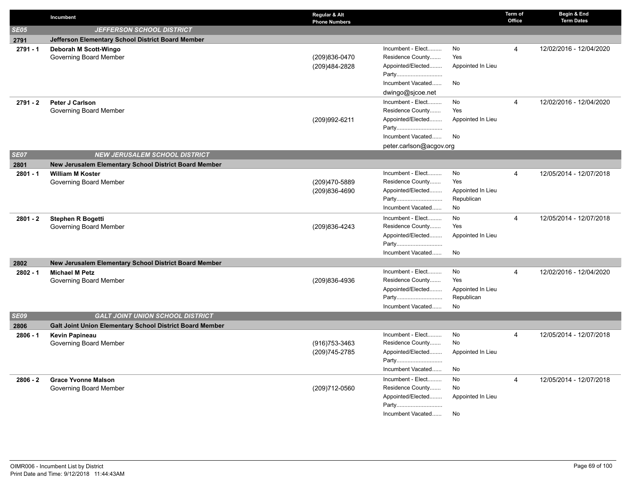|             | Incumbent                                                                      | Regular & Alt<br><b>Phone Numbers</b> |                            |                   | Term of<br>Office | Begin & End<br><b>Term Dates</b> |
|-------------|--------------------------------------------------------------------------------|---------------------------------------|----------------------------|-------------------|-------------------|----------------------------------|
| <b>SE05</b> | <b>JEFFERSON SCHOOL DISTRICT</b>                                               |                                       |                            |                   |                   |                                  |
| 2791        | Jefferson Elementary School District Board Member                              |                                       |                            |                   |                   |                                  |
| $2791 - 1$  | Deborah M Scott-Wingo                                                          |                                       | Incumbent - Elect          | No                | $\overline{4}$    | 12/02/2016 - 12/04/2020          |
|             | Governing Board Member                                                         | (209)836-0470                         | Residence County           | Yes               |                   |                                  |
|             |                                                                                | (209)484-2828                         | Appointed/Elected          | Appointed In Lieu |                   |                                  |
|             |                                                                                |                                       | Party                      |                   |                   |                                  |
|             |                                                                                |                                       | Incumbent Vacated          | No                |                   |                                  |
|             |                                                                                |                                       | dwingo@sjcoe.net           |                   |                   |                                  |
| 2791 - 2    | Peter J Carlson                                                                |                                       | Incumbent - Elect          | No                | $\overline{4}$    | 12/02/2016 - 12/04/2020          |
|             | Governing Board Member                                                         |                                       | Residence County           | Yes               |                   |                                  |
|             |                                                                                | (209)992-6211                         | Appointed/Elected          | Appointed In Lieu |                   |                                  |
|             |                                                                                |                                       | Party                      |                   |                   |                                  |
|             |                                                                                |                                       | Incumbent Vacated          | No                |                   |                                  |
|             |                                                                                |                                       | peter.carlson@acgov.org    |                   |                   |                                  |
| <b>SE07</b> | <b>NEW JERUSALEM SCHOOL DISTRICT</b>                                           |                                       |                            |                   |                   |                                  |
| 2801        | New Jerusalem Elementary School District Board Member                          |                                       |                            |                   |                   |                                  |
| 2801 - 1    | <b>William M Koster</b>                                                        |                                       | Incumbent - Elect          | No                | $\overline{4}$    | 12/05/2014 - 12/07/2018          |
|             | Governing Board Member                                                         | (209)470-5889                         | Residence County           | Yes               |                   |                                  |
|             |                                                                                | (209)836-4690                         | Appointed/Elected          | Appointed In Lieu |                   |                                  |
|             |                                                                                |                                       | Party                      | Republican        |                   |                                  |
|             |                                                                                |                                       | Incumbent Vacated          | No                |                   |                                  |
| $2801 - 2$  | <b>Stephen R Bogetti</b>                                                       |                                       | Incumbent - Elect          | No                | $\overline{4}$    | 12/05/2014 - 12/07/2018          |
|             | Governing Board Member                                                         | (209)836-4243                         | Residence County           | Yes               |                   |                                  |
|             |                                                                                |                                       | Appointed/Elected<br>Party | Appointed In Lieu |                   |                                  |
|             |                                                                                |                                       | Incumbent Vacated          | No                |                   |                                  |
|             |                                                                                |                                       |                            |                   |                   |                                  |
| 2802        | New Jerusalem Elementary School District Board Member<br><b>Michael M Petz</b> |                                       | Incumbent - Elect          | No                | $\overline{4}$    |                                  |
| $2802 - 1$  | Governing Board Member                                                         | (209)836-4936                         | Residence County           | Yes               |                   | 12/02/2016 - 12/04/2020          |
|             |                                                                                |                                       | Appointed/Elected          | Appointed In Lieu |                   |                                  |
|             |                                                                                |                                       | Party                      | Republican        |                   |                                  |
|             |                                                                                |                                       | Incumbent Vacated          | No                |                   |                                  |
| <b>SE09</b> | <b>GALT JOINT UNION SCHOOL DISTRICT</b>                                        |                                       |                            |                   |                   |                                  |
| 2806        | <b>Galt Joint Union Elementary School District Board Member</b>                |                                       |                            |                   |                   |                                  |
| $2806 - 1$  | <b>Kevin Papineau</b>                                                          |                                       | Incumbent - Elect          | No                | $\overline{4}$    | 12/05/2014 - 12/07/2018          |
|             | Governing Board Member                                                         | $(916)753-3463$                       | Residence County           | No                |                   |                                  |
|             |                                                                                | (209) 745-2785                        | Appointed/Elected          | Appointed In Lieu |                   |                                  |
|             |                                                                                |                                       | Party                      |                   |                   |                                  |
|             |                                                                                |                                       | Incumbent Vacated          | No                |                   |                                  |
| $2806 - 2$  | <b>Grace Yvonne Malson</b>                                                     |                                       | Incumbent - Elect          | No                | $\overline{4}$    | 12/05/2014 - 12/07/2018          |
|             | Governing Board Member                                                         | (209)712-0560                         | Residence County           | No                |                   |                                  |
|             |                                                                                |                                       | Appointed/Elected          | Appointed In Lieu |                   |                                  |
|             |                                                                                |                                       | Party                      |                   |                   |                                  |
|             |                                                                                |                                       | Incumbent Vacated          | No                |                   |                                  |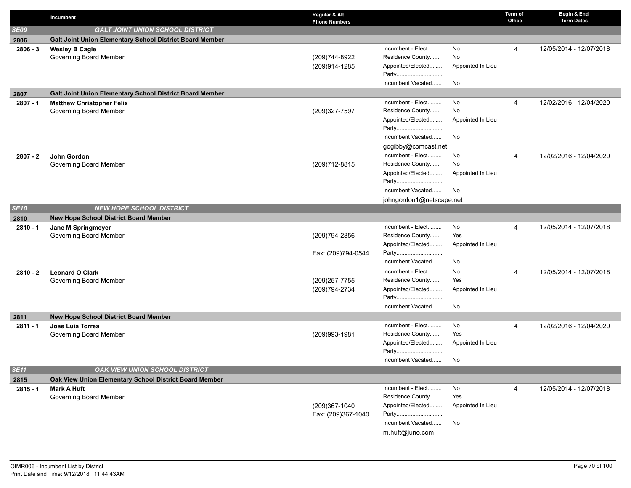|                    | Incumbent                                                                    | Regular & Alt<br><b>Phone Numbers</b> |                                                                                                                      |                                            | Term of<br>Office | Begin & End<br><b>Term Dates</b> |
|--------------------|------------------------------------------------------------------------------|---------------------------------------|----------------------------------------------------------------------------------------------------------------------|--------------------------------------------|-------------------|----------------------------------|
| <b>SE09</b>        | <b>GALT JOINT UNION SCHOOL DISTRICT</b>                                      |                                       |                                                                                                                      |                                            |                   |                                  |
| 2806               | Galt Joint Union Elementary School District Board Member                     |                                       |                                                                                                                      |                                            |                   |                                  |
| $2806 - 3$         | <b>Wesley B Cagle</b><br>Governing Board Member                              | (209)744-8922<br>(209)914-1285        | Incumbent - Elect<br>Residence County<br>Appointed/Elected<br>Party<br>Incumbent Vacated                             | No<br>No<br>Appointed In Lieu<br>No        | 4                 | 12/05/2014 - 12/07/2018          |
| 2807               | Galt Joint Union Elementary School District Board Member                     |                                       |                                                                                                                      |                                            |                   |                                  |
| $2807 - 1$         | <b>Matthew Christopher Felix</b><br>Governing Board Member                   | (209)327-7597                         | Incumbent - Elect<br>Residence County<br>Appointed/Elected<br>Party<br>Incumbent Vacated<br>gogibby@comcast.net      | No<br>No<br>Appointed In Lieu<br>No        | 4                 | 12/02/2016 - 12/04/2020          |
| $2807 - 2$         | John Gordon<br>Governing Board Member                                        | (209)712-8815                         | Incumbent - Elect<br>Residence County<br>Appointed/Elected<br>Party<br>Incumbent Vacated<br>johngordon1@netscape.net | No<br>No<br>Appointed In Lieu<br>No        | 4                 | 12/02/2016 - 12/04/2020          |
| <b>SE10</b>        | <b>NEW HOPE SCHOOL DISTRICT</b>                                              |                                       |                                                                                                                      |                                            |                   |                                  |
| 2810               | <b>New Hope School District Board Member</b>                                 |                                       |                                                                                                                      |                                            |                   |                                  |
| $2810 - 1$         | Jane M Springmeyer<br>Governing Board Member                                 | (209)794-2856<br>Fax: (209)794-0544   | Incumbent - Elect<br>Residence County<br>Appointed/Elected<br>Party                                                  | No<br>Yes<br>Appointed In Lieu             | 4                 | 12/05/2014 - 12/07/2018          |
| $2810 - 2$         | <b>Leonard O Clark</b><br>Governing Board Member                             | (209) 257-7755<br>(209)794-2734       | Incumbent Vacated<br>Incumbent - Elect<br>Residence County<br>Appointed/Elected<br>Party<br>Incumbent Vacated        | No<br>No<br>Yes<br>Appointed In Lieu<br>No | 4                 | 12/05/2014 - 12/07/2018          |
| 2811               | New Hope School District Board Member                                        |                                       |                                                                                                                      |                                            |                   |                                  |
| $2811 - 1$         | <b>Jose Luis Torres</b><br>Governing Board Member                            | (209)993-1981                         | Incumbent - Elect<br>Residence County<br>Appointed/Elected<br>Party<br>Incumbent Vacated                             | No<br>Yes<br>Appointed In Lieu<br>No       | 4                 | 12/02/2016 - 12/04/2020          |
| <b>SE11</b>        | OAK VIEW UNION SCHOOL DISTRICT                                               |                                       |                                                                                                                      |                                            |                   |                                  |
| 2815<br>$2815 - 1$ | Oak View Union Elementary School District Board Member<br><b>Mark A Huft</b> |                                       | Incumbent - Elect                                                                                                    | No                                         | 4                 | 12/05/2014 - 12/07/2018          |
|                    | Governing Board Member                                                       | (209)367-1040<br>Fax: (209)367-1040   | Residence County<br>Appointed/Elected<br>Party<br>Incumbent Vacated<br>m.huft@juno.com                               | Yes<br>Appointed In Lieu<br>No             |                   |                                  |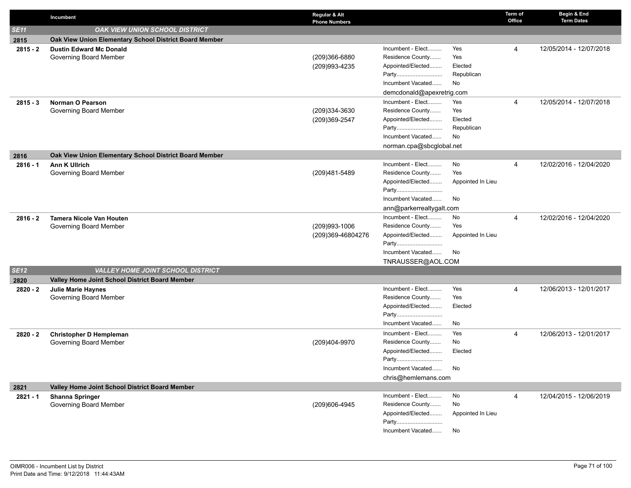|                    | Incumbent                                              | Regular & Alt<br><b>Phone Numbers</b> |                                       |                   | Term of<br>Office | Begin & End<br><b>Term Dates</b> |
|--------------------|--------------------------------------------------------|---------------------------------------|---------------------------------------|-------------------|-------------------|----------------------------------|
| <b>SE11</b>        | <b>OAK VIEW UNION SCHOOL DISTRICT</b>                  |                                       |                                       |                   |                   |                                  |
| 2815               | Oak View Union Elementary School District Board Member |                                       |                                       |                   |                   |                                  |
| $2815 - 2$         | <b>Dustin Edward Mc Donald</b>                         |                                       | Incumbent - Elect                     | Yes               | 4                 | 12/05/2014 - 12/07/2018          |
|                    | Governing Board Member                                 | (209)366-6880                         | Residence County                      | Yes               |                   |                                  |
|                    |                                                        | (209)993-4235                         | Appointed/Elected                     | Elected           |                   |                                  |
|                    |                                                        |                                       | Party                                 | Republican        |                   |                                  |
|                    |                                                        |                                       | Incumbent Vacated                     | No                |                   |                                  |
|                    |                                                        |                                       | demcdonald@apexretrig.com             |                   |                   |                                  |
| $2815 - 3$         | Norman O Pearson                                       |                                       | Incumbent - Elect                     | Yes               | 4                 | 12/05/2014 - 12/07/2018          |
|                    | Governing Board Member                                 | (209)334-3630                         | Residence County                      | Yes               |                   |                                  |
|                    |                                                        | (209)369-2547                         | Appointed/Elected                     | Elected           |                   |                                  |
|                    |                                                        |                                       | Incumbent Vacated                     | Republican        |                   |                                  |
|                    |                                                        |                                       |                                       | No                |                   |                                  |
|                    | Oak View Union Elementary School District Board Member |                                       | norman.cpa@sbcglobal.net              |                   |                   |                                  |
| 2816<br>$2816 - 1$ | <b>Ann K Ullrich</b>                                   |                                       | Incumbent - Elect                     | No                | 4                 | 12/02/2016 - 12/04/2020          |
|                    | Governing Board Member                                 | (209)481-5489                         | Residence County                      | Yes               |                   |                                  |
|                    |                                                        |                                       | Appointed/Elected                     | Appointed In Lieu |                   |                                  |
|                    |                                                        |                                       | Party                                 |                   |                   |                                  |
|                    |                                                        |                                       | Incumbent Vacated                     | No                |                   |                                  |
|                    |                                                        |                                       | ann@parkerrealtygalt.com              |                   |                   |                                  |
| $2816 - 2$         | <b>Tamera Nicole Van Houten</b>                        |                                       | Incumbent - Elect                     | No                | 4                 | 12/02/2016 - 12/04/2020          |
|                    | Governing Board Member                                 | (209)993-1006                         | Residence County                      | Yes               |                   |                                  |
|                    |                                                        | (209)369-46804276                     | Appointed/Elected                     | Appointed In Lieu |                   |                                  |
|                    |                                                        |                                       | Party                                 |                   |                   |                                  |
|                    |                                                        |                                       | Incumbent Vacated                     | No                |                   |                                  |
|                    |                                                        |                                       | TNRAUSSER@AOL.COM                     |                   |                   |                                  |
| <b>SE12</b>        | VALLEY HOME JOINT SCHOOL DISTRICT                      |                                       |                                       |                   |                   |                                  |
| 2820               | Valley Home Joint School District Board Member         |                                       |                                       |                   |                   |                                  |
| $2820 - 2$         | Julie Marie Haynes                                     |                                       | Incumbent - Elect<br>Residence County | Yes<br>Yes        | 4                 | 12/06/2013 - 12/01/2017          |
|                    | Governing Board Member                                 |                                       | Appointed/Elected                     | Elected           |                   |                                  |
|                    |                                                        |                                       | Party                                 |                   |                   |                                  |
|                    |                                                        |                                       | Incumbent Vacated                     | No                |                   |                                  |
| $2820 - 2$         | <b>Christopher D Hempleman</b>                         |                                       | Incumbent - Elect                     | Yes               | 4                 | 12/06/2013 - 12/01/2017          |
|                    | Governing Board Member                                 | (209)404-9970                         | Residence County                      | No                |                   |                                  |
|                    |                                                        |                                       | Appointed/Elected                     | Elected           |                   |                                  |
|                    |                                                        |                                       | Party                                 |                   |                   |                                  |
|                    |                                                        |                                       | Incumbent Vacated                     | No                |                   |                                  |
|                    |                                                        |                                       | chris@hemlemans.com                   |                   |                   |                                  |
| 2821               | Valley Home Joint School District Board Member         |                                       |                                       |                   |                   |                                  |
| 2821 - 1           | <b>Shanna Springer</b>                                 |                                       | Incumbent - Elect                     | No                | 4                 | 12/04/2015 - 12/06/2019          |
|                    | Governing Board Member                                 | (209)606-4945                         | Residence County                      | No                |                   |                                  |
|                    |                                                        |                                       | Appointed/Elected                     | Appointed In Lieu |                   |                                  |
|                    |                                                        |                                       | Party                                 |                   |                   |                                  |
|                    |                                                        |                                       | Incumbent Vacated                     | No                |                   |                                  |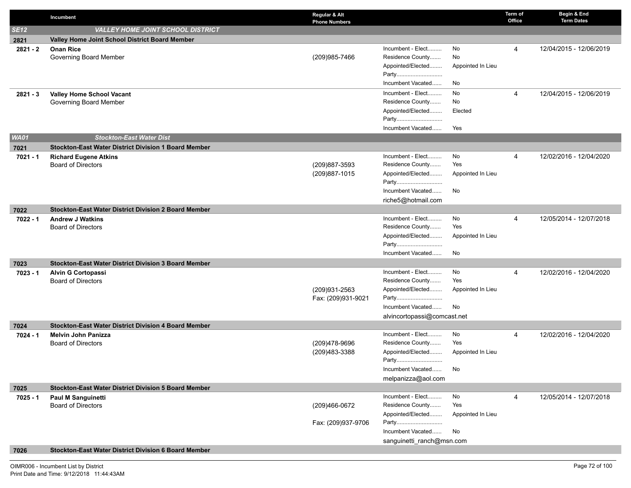|             | Incumbent                                                   | Regular & Alt<br><b>Phone Numbers</b> |                                                            |                               | Term of<br>Office | Begin & End<br><b>Term Dates</b> |
|-------------|-------------------------------------------------------------|---------------------------------------|------------------------------------------------------------|-------------------------------|-------------------|----------------------------------|
| <b>SE12</b> | <b>VALLEY HOME JOINT SCHOOL DISTRICT</b>                    |                                       |                                                            |                               |                   |                                  |
| 2821        | Valley Home Joint School District Board Member              |                                       |                                                            |                               |                   |                                  |
| $2821 - 2$  | <b>Onan Rice</b><br>Governing Board Member                  | (209) 985-7466                        | Incumbent - Elect<br>Residence County<br>Appointed/Elected | No<br>No<br>Appointed In Lieu | 4                 | 12/04/2015 - 12/06/2019          |
|             |                                                             |                                       | Party<br>Incumbent Vacated                                 | No                            |                   |                                  |
| $2821 - 3$  | <b>Valley Home School Vacant</b><br>Governing Board Member  |                                       | Incumbent - Elect<br>Residence County                      | No<br>No                      | $\overline{4}$    | 12/04/2015 - 12/06/2019          |
|             |                                                             |                                       | Appointed/Elected<br>Party                                 | Elected                       |                   |                                  |
|             |                                                             |                                       | Incumbent Vacated                                          | Yes                           |                   |                                  |
| <b>WA01</b> | <b>Stockton-East Water Dist</b>                             |                                       |                                                            |                               |                   |                                  |
| 7021        | <b>Stockton-East Water District Division 1 Board Member</b> |                                       |                                                            |                               |                   |                                  |
| $7021 - 1$  | <b>Richard Eugene Atkins</b>                                |                                       | Incumbent - Elect                                          | No                            | 4                 | 12/02/2016 - 12/04/2020          |
|             | <b>Board of Directors</b>                                   | (209) 887-3593                        | Residence County                                           | Yes                           |                   |                                  |
|             |                                                             | (209) 887-1015                        | Appointed/Elected<br>Party                                 | Appointed In Lieu             |                   |                                  |
|             |                                                             |                                       | Incumbent Vacated                                          | No                            |                   |                                  |
|             |                                                             |                                       | riche5@hotmail.com                                         |                               |                   |                                  |
| 7022        | <b>Stockton-East Water District Division 2 Board Member</b> |                                       |                                                            |                               |                   |                                  |
| 7022 - 1    | <b>Andrew J Watkins</b>                                     |                                       | Incumbent - Elect<br>Residence County                      | No<br>Yes                     | 4                 | 12/05/2014 - 12/07/2018          |
|             | <b>Board of Directors</b>                                   |                                       | Appointed/Elected                                          | Appointed In Lieu             |                   |                                  |
|             |                                                             |                                       | Party                                                      |                               |                   |                                  |
|             |                                                             |                                       | Incumbent Vacated                                          | No                            |                   |                                  |
| 7023        | <b>Stockton-East Water District Division 3 Board Member</b> |                                       |                                                            |                               |                   |                                  |
| 7023 - 1    | <b>Alvin G Cortopassi</b>                                   |                                       | Incumbent - Elect                                          | No                            | 4                 | 12/02/2016 - 12/04/2020          |
|             | <b>Board of Directors</b>                                   |                                       | Residence County                                           | Yes                           |                   |                                  |
|             |                                                             | (209)931-2563                         | Appointed/Elected                                          | Appointed In Lieu             |                   |                                  |
|             |                                                             | Fax: (209)931-9021                    | Party                                                      |                               |                   |                                  |
|             |                                                             |                                       | Incumbent Vacated                                          | No                            |                   |                                  |
|             |                                                             |                                       | alvincortopassi@comcast.net                                |                               |                   |                                  |
| 7024        | Stockton-East Water District Division 4 Board Member        |                                       |                                                            |                               |                   |                                  |
| 7024 - 1    | <b>Melvin John Panizza</b>                                  |                                       | Incumbent - Elect<br>Residence County                      | No<br>Yes                     | 4                 | 12/02/2016 - 12/04/2020          |
|             | <b>Board of Directors</b>                                   | (209)478-9696<br>(209) 483 - 3388     | Appointed/Elected                                          | Appointed In Lieu             |                   |                                  |
|             |                                                             |                                       | Party                                                      |                               |                   |                                  |
|             |                                                             |                                       | Incumbent Vacated                                          | No                            |                   |                                  |
|             |                                                             |                                       | melpanizza@aol.com                                         |                               |                   |                                  |
| 7025        | <b>Stockton-East Water District Division 5 Board Member</b> |                                       |                                                            |                               |                   |                                  |
| $7025 - 1$  | Paul M Sanguinetti                                          |                                       | Incumbent - Elect                                          | No                            | 4                 | 12/05/2014 - 12/07/2018          |
|             | <b>Board of Directors</b>                                   | (209)466-0672                         | Residence County                                           | Yes                           |                   |                                  |
|             |                                                             | Fax: (209)937-9706                    | Appointed/Elected<br>Party                                 | Appointed In Lieu             |                   |                                  |
|             |                                                             |                                       | Incumbent Vacated                                          | No                            |                   |                                  |
|             |                                                             |                                       | sanguinetti_ranch@msn.com                                  |                               |                   |                                  |
| 7026        | Stockton-East Water District Division 6 Board Member        |                                       |                                                            |                               |                   |                                  |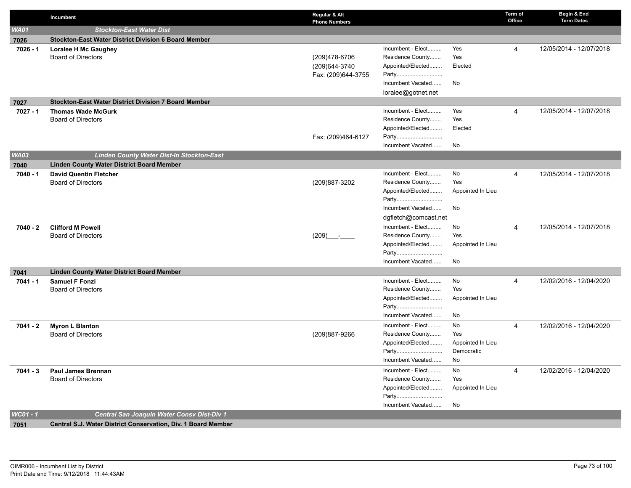|             | Incumbent                                                     | Regular & Alt<br><b>Phone Numbers</b> |                                       |                   | Term of<br>Office | Begin & End<br><b>Term Dates</b> |
|-------------|---------------------------------------------------------------|---------------------------------------|---------------------------------------|-------------------|-------------------|----------------------------------|
| <b>WA01</b> | <b>Stockton-East Water Dist</b>                               |                                       |                                       |                   |                   |                                  |
| 7026        | Stockton-East Water District Division 6 Board Member          |                                       |                                       |                   |                   |                                  |
| 7026 - 1    | <b>Loralee H Mc Gaughey</b>                                   |                                       | Incumbent - Elect                     | Yes               | $\overline{4}$    | 12/05/2014 - 12/07/2018          |
|             | <b>Board of Directors</b>                                     | (209)478-6706                         | Residence County                      | Yes               |                   |                                  |
|             |                                                               | (209) 644-3740                        | Appointed/Elected                     | Elected           |                   |                                  |
|             |                                                               | Fax: (209)644-3755                    | Party                                 |                   |                   |                                  |
|             |                                                               |                                       | Incumbent Vacated                     | No                |                   |                                  |
|             |                                                               |                                       | loralee@gotnet.net                    |                   |                   |                                  |
| 7027        | Stockton-East Water District Division 7 Board Member          |                                       |                                       |                   |                   |                                  |
| 7027 - 1    | <b>Thomas Wade McGurk</b>                                     |                                       | Incumbent - Elect                     | Yes               | $\overline{4}$    | 12/05/2014 - 12/07/2018          |
|             | <b>Board of Directors</b>                                     |                                       | Residence County                      | Yes               |                   |                                  |
|             |                                                               |                                       | Appointed/Elected                     | Elected           |                   |                                  |
|             |                                                               | Fax: (209)464-6127                    | Party                                 |                   |                   |                                  |
|             |                                                               |                                       | Incumbent Vacated                     | No                |                   |                                  |
| <b>WA03</b> | Linden County Water Dist-In Stockton-East                     |                                       |                                       |                   |                   |                                  |
| 7040        | <b>Linden County Water District Board Member</b>              |                                       | Incumbent - Elect                     | No                |                   |                                  |
| 7040 - 1    | <b>David Quentin Fletcher</b><br><b>Board of Directors</b>    | (209)887-3202                         | Residence County                      | Yes               | 4                 | 12/05/2014 - 12/07/2018          |
|             |                                                               |                                       | Appointed/Elected                     | Appointed In Lieu |                   |                                  |
|             |                                                               |                                       | Party                                 |                   |                   |                                  |
|             |                                                               |                                       | Incumbent Vacated                     | No                |                   |                                  |
|             |                                                               |                                       | dgfletch@comcast.net                  |                   |                   |                                  |
| 7040 - 2    | <b>Clifford M Powell</b>                                      |                                       | Incumbent - Elect                     | No                | 4                 | 12/05/2014 - 12/07/2018          |
|             | <b>Board of Directors</b>                                     | $(209)$ -                             | Residence County                      | Yes               |                   |                                  |
|             |                                                               |                                       | Appointed/Elected                     | Appointed In Lieu |                   |                                  |
|             |                                                               |                                       | Party                                 |                   |                   |                                  |
|             |                                                               |                                       | Incumbent Vacated                     | No                |                   |                                  |
| 7041        | <b>Linden County Water District Board Member</b>              |                                       |                                       |                   |                   |                                  |
| 7041 - 1    | <b>Samuel F Fonzi</b>                                         |                                       | Incumbent - Elect                     | No                | 4                 | 12/02/2016 - 12/04/2020          |
|             | <b>Board of Directors</b>                                     |                                       | Residence County                      | Yes               |                   |                                  |
|             |                                                               |                                       | Appointed/Elected                     | Appointed In Lieu |                   |                                  |
|             |                                                               |                                       | Party                                 |                   |                   |                                  |
|             |                                                               |                                       | Incumbent Vacated                     | No                |                   |                                  |
| 7041 - 2    | <b>Myron L Blanton</b>                                        |                                       | Incumbent - Elect                     | No                | $\overline{4}$    | 12/02/2016 - 12/04/2020          |
|             | Board of Directors                                            | (209)887-9266                         | Residence County                      | Yes               |                   |                                  |
|             |                                                               |                                       | Appointed/Elected                     | Appointed In Lieu |                   |                                  |
|             |                                                               |                                       | Party<br>Incumbent Vacated            | Democratic        |                   |                                  |
|             |                                                               |                                       |                                       | No                |                   |                                  |
| $7041 - 3$  | <b>Paul James Brennan</b><br><b>Board of Directors</b>        |                                       | Incumbent - Elect<br>Residence County | No<br>Yes         | 4                 | 12/02/2016 - 12/04/2020          |
|             |                                                               |                                       | Appointed/Elected                     | Appointed In Lieu |                   |                                  |
|             |                                                               |                                       | Party                                 |                   |                   |                                  |
|             |                                                               |                                       | Incumbent Vacated                     | No                |                   |                                  |
| WC01 - 1    | Central San Joaquin Water Consv Dist-Div 1                    |                                       |                                       |                   |                   |                                  |
| 7051        | Central S.J. Water District Conservation, Div. 1 Board Member |                                       |                                       |                   |                   |                                  |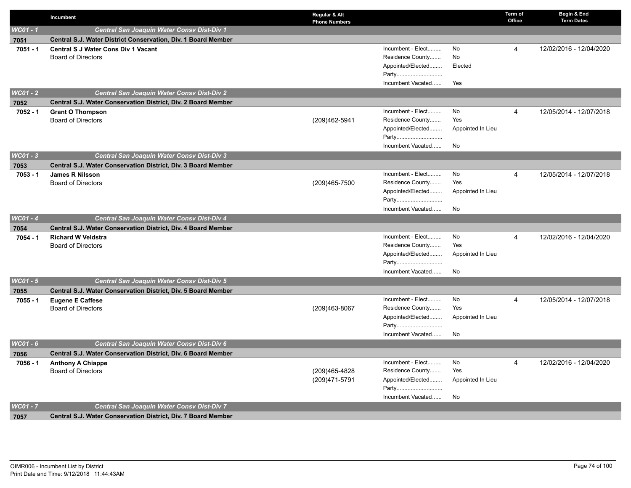|            | Incumbent                                                     | Regular & Alt<br><b>Phone Numbers</b> |                            |                   | Term of<br>Office | Begin & End<br><b>Term Dates</b> |
|------------|---------------------------------------------------------------|---------------------------------------|----------------------------|-------------------|-------------------|----------------------------------|
| $WC01 - 1$ | Central San Joaquin Water Consv Dist-Div 1                    |                                       |                            |                   |                   |                                  |
| 7051       | Central S.J. Water District Conservation, Div. 1 Board Member |                                       |                            |                   |                   |                                  |
| $7051 - 1$ | <b>Central S J Water Cons Div 1 Vacant</b>                    |                                       | Incumbent - Elect          | No                | 4                 | 12/02/2016 - 12/04/2020          |
|            | <b>Board of Directors</b>                                     |                                       | Residence County           | No                |                   |                                  |
|            |                                                               |                                       | Appointed/Elected          | Elected           |                   |                                  |
|            |                                                               |                                       | Party                      |                   |                   |                                  |
|            |                                                               |                                       | Incumbent Vacated          | Yes               |                   |                                  |
| $WC01 - 2$ | Central San Joaquin Water Consv Dist-Div 2                    |                                       |                            |                   |                   |                                  |
| 7052       | Central S.J. Water Conservation District, Div. 2 Board Member |                                       |                            |                   |                   |                                  |
| $7052 - 1$ | <b>Grant O Thompson</b>                                       |                                       | Incumbent - Elect          | No                | 4                 | 12/05/2014 - 12/07/2018          |
|            | <b>Board of Directors</b>                                     | (209)462-5941                         | Residence County           | Yes               |                   |                                  |
|            |                                                               |                                       | Appointed/Elected          | Appointed In Lieu |                   |                                  |
|            |                                                               |                                       | Party                      |                   |                   |                                  |
|            |                                                               |                                       | Incumbent Vacated          | No                |                   |                                  |
| $WC01 - 3$ | Central San Joaquin Water Consv Dist-Div 3                    |                                       |                            |                   |                   |                                  |
| 7053       | Central S.J. Water Conservation District, Div. 3 Board Member |                                       |                            |                   |                   |                                  |
| $7053 - 1$ | James R Nilsson                                               |                                       | Incumbent - Elect          | No                | 4                 | 12/05/2014 - 12/07/2018          |
|            | <b>Board of Directors</b>                                     | (209)465-7500                         | Residence County           | Yes               |                   |                                  |
|            |                                                               |                                       | Appointed/Elected          | Appointed In Lieu |                   |                                  |
|            |                                                               |                                       | Party<br>Incumbent Vacated | No                |                   |                                  |
| $WC01 - 4$ | Central San Joaquin Water Consy Dist-Div 4                    |                                       |                            |                   |                   |                                  |
|            |                                                               |                                       |                            |                   |                   |                                  |
| 7054       | Central S.J. Water Conservation District, Div. 4 Board Member |                                       | Incumbent - Elect          | No                | $\overline{4}$    | 12/02/2016 - 12/04/2020          |
| $7054 - 1$ | <b>Richard W Veldstra</b><br><b>Board of Directors</b>        |                                       | Residence County           | Yes               |                   |                                  |
|            |                                                               |                                       | Appointed/Elected          | Appointed In Lieu |                   |                                  |
|            |                                                               |                                       | Party                      |                   |                   |                                  |
|            |                                                               |                                       | Incumbent Vacated          | No                |                   |                                  |
| $WC01 - 5$ | <b>Central San Joaquin Water Consy Dist-Div 5</b>             |                                       |                            |                   |                   |                                  |
| 7055       | Central S.J. Water Conservation District, Div. 5 Board Member |                                       |                            |                   |                   |                                  |
| $7055 - 1$ | <b>Eugene E Caffese</b>                                       |                                       | Incumbent - Elect          | No                | 4                 | 12/05/2014 - 12/07/2018          |
|            | <b>Board of Directors</b>                                     | (209)463-8067                         | Residence County           | Yes               |                   |                                  |
|            |                                                               |                                       | Appointed/Elected          | Appointed In Lieu |                   |                                  |
|            |                                                               |                                       | Party                      |                   |                   |                                  |
|            |                                                               |                                       | Incumbent Vacated          | No                |                   |                                  |
| WC01 - 6   | Central San Joaquin Water Consv Dist-Div 6                    |                                       |                            |                   |                   |                                  |
| 7056       | Central S.J. Water Conservation District, Div. 6 Board Member |                                       |                            |                   |                   |                                  |
| 7056 - 1   | <b>Anthony A Chiappe</b>                                      |                                       | Incumbent - Elect          | No                | 4                 | 12/02/2016 - 12/04/2020          |
|            | <b>Board of Directors</b>                                     | (209)465-4828                         | Residence County           | Yes               |                   |                                  |
|            |                                                               | (209) 471-5791                        | Appointed/Elected          | Appointed In Lieu |                   |                                  |
|            |                                                               |                                       | Party                      |                   |                   |                                  |
|            |                                                               |                                       | Incumbent Vacated          | No                |                   |                                  |
| WC01 - 7   | Central San Joaquin Water Consv Dist-Div 7                    |                                       |                            |                   |                   |                                  |
| 7057       | Central S.J. Water Conservation District, Div. 7 Board Member |                                       |                            |                   |                   |                                  |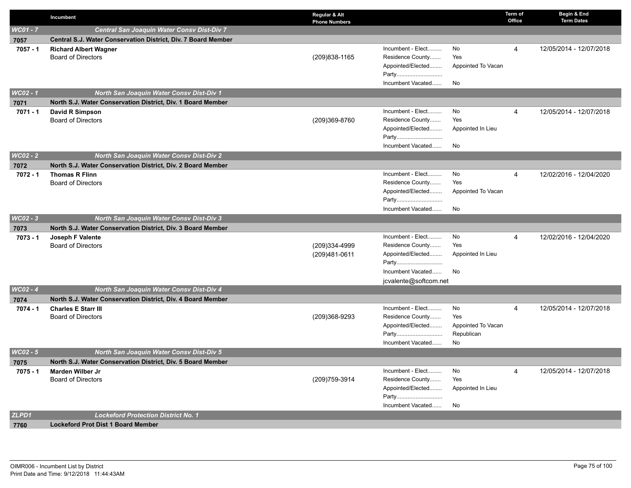|            | Incumbent                                                     | Regular & Alt<br><b>Phone Numbers</b> |                                       |                                  | Term of<br>Office | Begin & End<br><b>Term Dates</b> |
|------------|---------------------------------------------------------------|---------------------------------------|---------------------------------------|----------------------------------|-------------------|----------------------------------|
| WC01 - 7   | Central San Joaquin Water Consv Dist-Div 7                    |                                       |                                       |                                  |                   |                                  |
| 7057       | Central S.J. Water Conservation District, Div. 7 Board Member |                                       |                                       |                                  |                   |                                  |
| $7057 - 1$ | <b>Richard Albert Wagner</b>                                  |                                       | Incumbent - Elect                     | No                               | 4                 | 12/05/2014 - 12/07/2018          |
|            | <b>Board of Directors</b>                                     | (209) 838-1165                        | Residence County                      | Yes                              |                   |                                  |
|            |                                                               |                                       | Appointed/Elected                     | Appointed To Vacan               |                   |                                  |
|            |                                                               |                                       | Party                                 |                                  |                   |                                  |
|            |                                                               |                                       | Incumbent Vacated                     | No                               |                   |                                  |
| WC02 - 1   | North San Joaquin Water Consv Dist-Div 1                      |                                       |                                       |                                  |                   |                                  |
| 7071       | North S.J. Water Conservation District, Div. 1 Board Member   |                                       |                                       |                                  |                   |                                  |
| 7071 - 1   | David R Simpson                                               |                                       | Incumbent - Elect                     | No                               | 4                 | 12/05/2014 - 12/07/2018          |
|            | <b>Board of Directors</b>                                     | (209)369-8760                         | Residence County                      | Yes                              |                   |                                  |
|            |                                                               |                                       | Appointed/Elected                     | Appointed In Lieu                |                   |                                  |
|            |                                                               |                                       | Party<br>Incumbent Vacated            | No                               |                   |                                  |
| $WC02 - 2$ | North San Joaquin Water Consv Dist-Div 2                      |                                       |                                       |                                  |                   |                                  |
|            | North S.J. Water Conservation District, Div. 2 Board Member   |                                       |                                       |                                  |                   |                                  |
| 7072       |                                                               |                                       | Incumbent - Elect                     | No                               | $\overline{4}$    | 12/02/2016 - 12/04/2020          |
| 7072 - 1   | <b>Thomas R Flinn</b><br><b>Board of Directors</b>            |                                       | Residence County                      | Yes                              |                   |                                  |
|            |                                                               |                                       | Appointed/Elected                     | Appointed To Vacan               |                   |                                  |
|            |                                                               |                                       | Party                                 |                                  |                   |                                  |
|            |                                                               |                                       | Incumbent Vacated                     | No                               |                   |                                  |
| WC02 - 3   | <b>North San Joaquin Water Consv Dist-Div 3</b>               |                                       |                                       |                                  |                   |                                  |
| 7073       | North S.J. Water Conservation District, Div. 3 Board Member   |                                       |                                       |                                  |                   |                                  |
| $7073 - 1$ | Joseph F Valente                                              |                                       | Incumbent - Elect                     | No                               | 4                 | 12/02/2016 - 12/04/2020          |
|            | <b>Board of Directors</b>                                     | (209)334-4999                         | Residence County                      | Yes                              |                   |                                  |
|            |                                                               | (209)481-0611                         | Appointed/Elected                     | Appointed In Lieu                |                   |                                  |
|            |                                                               |                                       | Party                                 |                                  |                   |                                  |
|            |                                                               |                                       | Incumbent Vacated                     | No                               |                   |                                  |
|            |                                                               |                                       | jcvalente@softcom.net                 |                                  |                   |                                  |
| $WCO2 - 4$ | North San Joaquin Water Consv Dist-Div 4                      |                                       |                                       |                                  |                   |                                  |
| 7074       | North S.J. Water Conservation District, Div. 4 Board Member   |                                       |                                       |                                  |                   |                                  |
| 7074 - 1   | <b>Charles E Starr III</b>                                    |                                       | Incumbent - Elect                     | No                               | $\overline{4}$    | 12/05/2014 - 12/07/2018          |
|            | <b>Board of Directors</b>                                     | (209)368-9293                         | Residence County<br>Appointed/Elected | Yes                              |                   |                                  |
|            |                                                               |                                       | Party                                 | Appointed To Vacan<br>Republican |                   |                                  |
|            |                                                               |                                       | Incumbent Vacated                     | No                               |                   |                                  |
| $WC02 - 5$ | <b>North San Joaquin Water Consv Dist-Div 5</b>               |                                       |                                       |                                  |                   |                                  |
| 7075       | North S.J. Water Conservation District, Div. 5 Board Member   |                                       |                                       |                                  |                   |                                  |
| 7075 - 1   | Marden Wilber Jr                                              |                                       | Incumbent - Elect                     | No                               | 4                 | 12/05/2014 - 12/07/2018          |
|            | <b>Board of Directors</b>                                     | (209) 759-3914                        | Residence County                      | Yes                              |                   |                                  |
|            |                                                               |                                       | Appointed/Elected                     | Appointed In Lieu                |                   |                                  |
|            |                                                               |                                       | Party                                 |                                  |                   |                                  |
|            |                                                               |                                       | Incumbent Vacated                     | No                               |                   |                                  |
| ZLPD1      | <b>Lockeford Protection District No. 1</b>                    |                                       |                                       |                                  |                   |                                  |
| 7760       | <b>Lockeford Prot Dist 1 Board Member</b>                     |                                       |                                       |                                  |                   |                                  |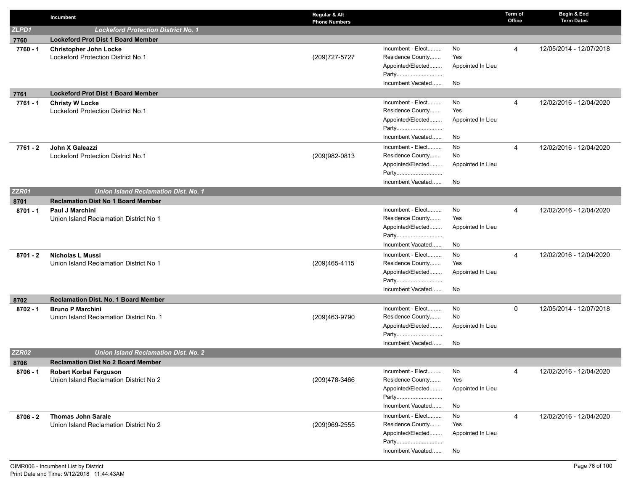|            | Incumbent                                                           | Regular & Alt<br><b>Phone Numbers</b> |                                                            |                                 | Term of<br>Office | Begin & End<br><b>Term Dates</b> |
|------------|---------------------------------------------------------------------|---------------------------------------|------------------------------------------------------------|---------------------------------|-------------------|----------------------------------|
| ZLPD1      | <b>Lockeford Protection District No. 1</b>                          |                                       |                                                            |                                 |                   |                                  |
| 7760       | <b>Lockeford Prot Dist 1 Board Member</b>                           |                                       |                                                            |                                 |                   |                                  |
| 7760 - 1   | <b>Christopher John Locke</b><br>Lockeford Protection District No.1 | (209) 727-5727                        | Incumbent - Elect<br>Residence County<br>Appointed/Elected | No.<br>Yes<br>Appointed In Lieu | 4                 | 12/05/2014 - 12/07/2018          |
|            |                                                                     |                                       | Party<br>Incumbent Vacated                                 | No                              |                   |                                  |
| 7761       | <b>Lockeford Prot Dist 1 Board Member</b>                           |                                       |                                                            |                                 |                   |                                  |
| 7761 - 1   | <b>Christy W Locke</b><br>Lockeford Protection District No.1        |                                       | Incumbent - Elect<br>Residence County<br>Appointed/Elected | No<br>Yes<br>Appointed In Lieu  | 4                 | 12/02/2016 - 12/04/2020          |
|            |                                                                     |                                       | Party<br>Incumbent Vacated                                 | No                              |                   |                                  |
| 7761 - 2   | John X Galeazzi                                                     |                                       | Incumbent - Elect                                          | No                              | 4                 | 12/02/2016 - 12/04/2020          |
|            | Lockeford Protection District No.1                                  | (209) 982-0813                        | Residence County                                           | No                              |                   |                                  |
|            |                                                                     |                                       | Appointed/Elected<br>Party                                 | Appointed In Lieu               |                   |                                  |
|            |                                                                     |                                       | Incumbent Vacated                                          | No                              |                   |                                  |
| ZZR01      | <b>Union Island Reclamation Dist. No. 1</b>                         |                                       |                                                            |                                 |                   |                                  |
| 8701       | <b>Reclamation Dist No 1 Board Member</b>                           |                                       |                                                            |                                 |                   |                                  |
| $8701 - 1$ | Paul J Marchini                                                     |                                       | Incumbent - Elect                                          | No                              | 4                 | 12/02/2016 - 12/04/2020          |
|            | Union Island Reclamation District No 1                              |                                       | Residence County                                           | Yes                             |                   |                                  |
|            |                                                                     |                                       | Appointed/Elected                                          | Appointed In Lieu               |                   |                                  |
|            |                                                                     |                                       | Party                                                      |                                 |                   |                                  |
|            |                                                                     |                                       | Incumbent Vacated                                          | No                              |                   |                                  |
| $8701 - 2$ | <b>Nicholas L Mussi</b>                                             |                                       | Incumbent - Elect                                          | No                              | 4                 | 12/02/2016 - 12/04/2020          |
|            | Union Island Reclamation District No 1                              | (209)465-4115                         | Residence County<br>Appointed/Elected                      | Yes                             |                   |                                  |
|            |                                                                     |                                       | Party                                                      | Appointed In Lieu               |                   |                                  |
|            |                                                                     |                                       | Incumbent Vacated                                          | No                              |                   |                                  |
| 8702       | <b>Reclamation Dist. No. 1 Board Member</b>                         |                                       |                                                            |                                 |                   |                                  |
| $8702 - 1$ | <b>Bruno P Marchini</b>                                             |                                       | Incumbent - Elect                                          | No                              | $\mathbf 0$       | 12/05/2014 - 12/07/2018          |
|            | Union Island Reclamation District No. 1                             | (209)463-9790                         | Residence County                                           | No                              |                   |                                  |
|            |                                                                     |                                       | Appointed/Elected                                          | Appointed In Lieu               |                   |                                  |
|            |                                                                     |                                       | Party                                                      |                                 |                   |                                  |
|            |                                                                     |                                       | Incumbent Vacated                                          | No                              |                   |                                  |
| ZZR02      | <b>Union Island Reclamation Dist. No. 2</b>                         |                                       |                                                            |                                 |                   |                                  |
| 8706       | <b>Reclamation Dist No 2 Board Member</b>                           |                                       |                                                            |                                 |                   |                                  |
| 8706 - 1   | Robert Korbel Ferguson                                              |                                       | Incumbent - Elect                                          | No                              | 4                 | 12/02/2016 - 12/04/2020          |
|            | Union Island Reclamation District No 2                              | (209)478-3466                         | Residence County<br>Appointed/Elected                      | Yes<br>Appointed In Lieu        |                   |                                  |
|            |                                                                     |                                       | Party                                                      |                                 |                   |                                  |
|            |                                                                     |                                       | Incumbent Vacated                                          | No                              |                   |                                  |
| $8706 - 2$ | <b>Thomas John Sarale</b>                                           |                                       | Incumbent - Elect                                          | No                              | 4                 | 12/02/2016 - 12/04/2020          |
|            | Union Island Reclamation District No 2                              | (209)969-2555                         | Residence County                                           | Yes                             |                   |                                  |
|            |                                                                     |                                       | Appointed/Elected                                          | Appointed In Lieu               |                   |                                  |
|            |                                                                     |                                       | Party                                                      |                                 |                   |                                  |
|            |                                                                     |                                       | Incumbent Vacated                                          | No                              |                   |                                  |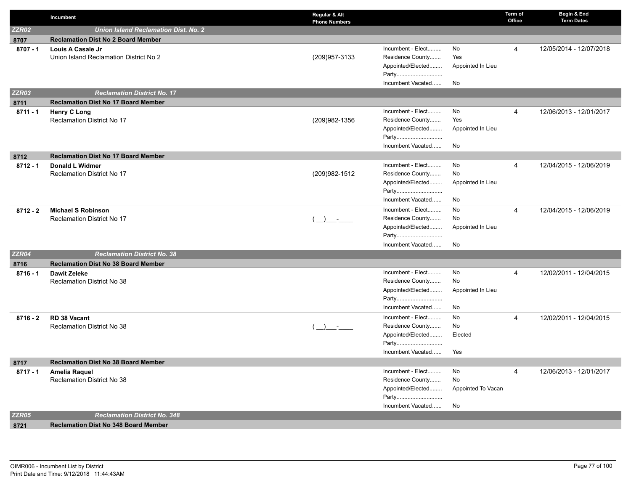|              | Incumbent                                   | Regular & Alt<br><b>Phone Numbers</b> |                            |                    | Term of<br>Office | Begin & End<br><b>Term Dates</b> |
|--------------|---------------------------------------------|---------------------------------------|----------------------------|--------------------|-------------------|----------------------------------|
| <b>ZZR02</b> | <b>Union Island Reclamation Dist. No. 2</b> |                                       |                            |                    |                   |                                  |
| 8707         | <b>Reclamation Dist No 2 Board Member</b>   |                                       |                            |                    |                   |                                  |
| $8707 - 1$   | Louis A Casale Jr                           |                                       | Incumbent - Elect          | No                 | 4                 | 12/05/2014 - 12/07/2018          |
|              | Union Island Reclamation District No 2      | (209) 957-3133                        | Residence County           | Yes                |                   |                                  |
|              |                                             |                                       | Appointed/Elected          | Appointed In Lieu  |                   |                                  |
|              |                                             |                                       | Party                      |                    |                   |                                  |
|              |                                             |                                       | Incumbent Vacated          | No                 |                   |                                  |
| <b>ZZR03</b> | <b>Reclamation District No. 17</b>          |                                       |                            |                    |                   |                                  |
| 8711         | <b>Reclamation Dist No 17 Board Member</b>  |                                       |                            |                    |                   |                                  |
| $8711 - 1$   | <b>Henry C Long</b>                         |                                       | Incumbent - Elect          | No                 | 4                 | 12/06/2013 - 12/01/2017          |
|              | <b>Reclamation District No 17</b>           | (209) 982-1356                        | Residence County           | Yes                |                   |                                  |
|              |                                             |                                       | Appointed/Elected          | Appointed In Lieu  |                   |                                  |
|              |                                             |                                       | Party                      |                    |                   |                                  |
|              |                                             |                                       | Incumbent Vacated          | No                 |                   |                                  |
| 8712         | <b>Reclamation Dist No 17 Board Member</b>  |                                       |                            |                    |                   |                                  |
| $8712 - 1$   | Donald L Widmer                             |                                       | Incumbent - Elect          | No                 | 4                 | 12/04/2015 - 12/06/2019          |
|              | <b>Reclamation District No 17</b>           | (209) 982-1512                        | Residence County           | No                 |                   |                                  |
|              |                                             |                                       | Appointed/Elected          | Appointed In Lieu  |                   |                                  |
|              |                                             |                                       | Party                      |                    |                   |                                  |
|              |                                             |                                       | Incumbent Vacated          | No                 |                   |                                  |
| $8712 - 2$   | <b>Michael S Robinson</b>                   |                                       | Incumbent - Elect          | No                 | 4                 | 12/04/2015 - 12/06/2019          |
|              | Reclamation District No 17                  |                                       | Residence County           | No                 |                   |                                  |
|              |                                             |                                       | Appointed/Elected<br>Party | Appointed In Lieu  |                   |                                  |
|              |                                             |                                       | Incumbent Vacated          | No                 |                   |                                  |
| <b>ZZR04</b> | <b>Reclamation District No. 38</b>          |                                       |                            |                    |                   |                                  |
| 8716         | <b>Reclamation Dist No 38 Board Member</b>  |                                       |                            |                    |                   |                                  |
| $8716 - 1$   | <b>Dawit Zeleke</b>                         |                                       | Incumbent - Elect          | No                 | 4                 | 12/02/2011 - 12/04/2015          |
|              | Reclamation District No 38                  |                                       | Residence County           | No                 |                   |                                  |
|              |                                             |                                       | Appointed/Elected          | Appointed In Lieu  |                   |                                  |
|              |                                             |                                       | Party                      |                    |                   |                                  |
|              |                                             |                                       | Incumbent Vacated          | No                 |                   |                                  |
| $8716 - 2$   | RD 38 Vacant                                |                                       | Incumbent - Elect          | No                 | 4                 | 12/02/2011 - 12/04/2015          |
|              | <b>Reclamation District No 38</b>           | $\rightarrow$                         | Residence County           | No                 |                   |                                  |
|              |                                             |                                       | Appointed/Elected          | Elected            |                   |                                  |
|              |                                             |                                       | Party                      |                    |                   |                                  |
|              |                                             |                                       | Incumbent Vacated          | Yes                |                   |                                  |
| 8717         | <b>Reclamation Dist No 38 Board Member</b>  |                                       |                            |                    |                   |                                  |
| $8717 - 1$   | <b>Amelia Raquel</b>                        |                                       | Incumbent - Elect          | No                 | 4                 | 12/06/2013 - 12/01/2017          |
|              | Reclamation District No 38                  |                                       | Residence County           | No                 |                   |                                  |
|              |                                             |                                       | Appointed/Elected          | Appointed To Vacan |                   |                                  |
|              |                                             |                                       | Party                      |                    |                   |                                  |
|              |                                             |                                       | Incumbent Vacated          | No                 |                   |                                  |
| <b>ZZR05</b> | <b>Reclamation District No. 348</b>         |                                       |                            |                    |                   |                                  |
| 8721         | <b>Reclamation Dist No 348 Board Member</b> |                                       |                            |                    |                   |                                  |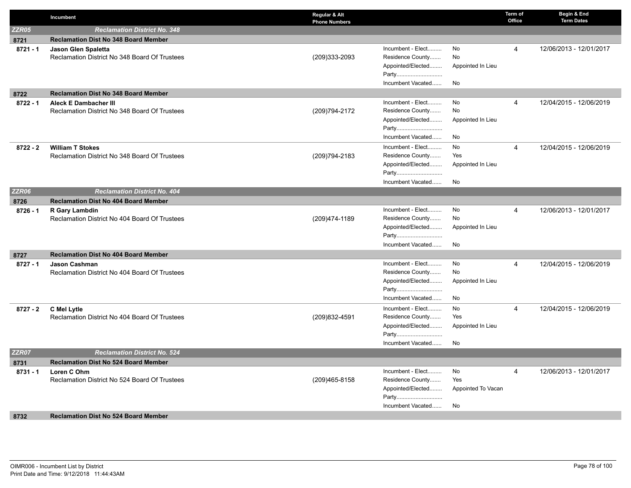|              | Incumbent                                                              | Regular & Alt<br><b>Phone Numbers</b> |                            |                    | Term of<br>Office | Begin & End<br><b>Term Dates</b> |
|--------------|------------------------------------------------------------------------|---------------------------------------|----------------------------|--------------------|-------------------|----------------------------------|
| <b>ZZR05</b> | <b>Reclamation District No. 348</b>                                    |                                       |                            |                    |                   |                                  |
| 8721         | <b>Reclamation Dist No 348 Board Member</b>                            |                                       |                            |                    |                   |                                  |
| $8721 - 1$   | Jason Glen Spaletta                                                    |                                       | Incumbent - Elect          | No                 | $\overline{4}$    | 12/06/2013 - 12/01/2017          |
|              | Reclamation District No 348 Board Of Trustees                          | (209)333-2093                         | Residence County           | No                 |                   |                                  |
|              |                                                                        |                                       | Appointed/Elected          | Appointed In Lieu  |                   |                                  |
|              |                                                                        |                                       | Party                      |                    |                   |                                  |
|              |                                                                        |                                       | Incumbent Vacated          | No                 |                   |                                  |
| 8722         | <b>Reclamation Dist No 348 Board Member</b>                            |                                       |                            |                    |                   |                                  |
| $8722 - 1$   | <b>Aleck E Dambacher III</b>                                           |                                       | Incumbent - Elect          | No                 | $\overline{4}$    | 12/04/2015 - 12/06/2019          |
|              | Reclamation District No 348 Board Of Trustees                          | (209) 794-2172                        | Residence County           | No                 |                   |                                  |
|              |                                                                        |                                       | Appointed/Elected          | Appointed In Lieu  |                   |                                  |
|              |                                                                        |                                       | Party                      |                    |                   |                                  |
|              |                                                                        |                                       | Incumbent Vacated          | No                 |                   |                                  |
| $8722 - 2$   | <b>William T Stokes</b>                                                |                                       | Incumbent - Elect          | No                 | $\overline{4}$    | 12/04/2015 - 12/06/2019          |
|              | Reclamation District No 348 Board Of Trustees                          | (209) 794-2183                        | Residence County           | Yes                |                   |                                  |
|              |                                                                        |                                       | Appointed/Elected<br>Party | Appointed In Lieu  |                   |                                  |
|              |                                                                        |                                       | Incumbent Vacated          | No                 |                   |                                  |
| <b>ZZR06</b> | <b>Reclamation District No. 404</b>                                    |                                       |                            |                    |                   |                                  |
|              | <b>Reclamation Dist No 404 Board Member</b>                            |                                       |                            |                    |                   |                                  |
| 8726         |                                                                        |                                       | Incumbent - Elect          | No                 | $\overline{4}$    | 12/06/2013 - 12/01/2017          |
| $8726 - 1$   | <b>R Gary Lambdin</b><br>Reclamation District No 404 Board Of Trustees | (209) 474-1189                        | Residence County           | No                 |                   |                                  |
|              |                                                                        |                                       | Appointed/Elected          | Appointed In Lieu  |                   |                                  |
|              |                                                                        |                                       | Party                      |                    |                   |                                  |
|              |                                                                        |                                       | Incumbent Vacated          | No                 |                   |                                  |
| 8727         | <b>Reclamation Dist No 404 Board Member</b>                            |                                       |                            |                    |                   |                                  |
| $8727 - 1$   | <b>Jason Cashman</b>                                                   |                                       | Incumbent - Elect          | No                 | $\overline{4}$    | 12/04/2015 - 12/06/2019          |
|              | Reclamation District No 404 Board Of Trustees                          |                                       | Residence County           | No                 |                   |                                  |
|              |                                                                        |                                       | Appointed/Elected          | Appointed In Lieu  |                   |                                  |
|              |                                                                        |                                       | Party                      |                    |                   |                                  |
|              |                                                                        |                                       | Incumbent Vacated          | No                 |                   |                                  |
| $8727 - 2$   | C Mel Lytle                                                            |                                       | Incumbent - Elect          | No                 | $\overline{4}$    | 12/04/2015 - 12/06/2019          |
|              | Reclamation District No 404 Board Of Trustees                          | (209) 832-4591                        | Residence County           | Yes                |                   |                                  |
|              |                                                                        |                                       | Appointed/Elected          | Appointed In Lieu  |                   |                                  |
|              |                                                                        |                                       | Party                      |                    |                   |                                  |
|              |                                                                        |                                       | Incumbent Vacated          | No                 |                   |                                  |
| <b>ZZR07</b> | <b>Reclamation District No. 524</b>                                    |                                       |                            |                    |                   |                                  |
| 8731         | <b>Reclamation Dist No 524 Board Member</b>                            |                                       |                            |                    |                   |                                  |
| $8731 - 1$   | Loren C Ohm                                                            |                                       | Incumbent - Elect          | No                 | $\overline{4}$    | 12/06/2013 - 12/01/2017          |
|              | Reclamation District No 524 Board Of Trustees                          | (209)465-8158                         | Residence County           | Yes                |                   |                                  |
|              |                                                                        |                                       | Appointed/Elected          | Appointed To Vacan |                   |                                  |
|              |                                                                        |                                       | Party                      |                    |                   |                                  |
|              |                                                                        |                                       | Incumbent Vacated          | No                 |                   |                                  |
| 8732         | <b>Reclamation Dist No 524 Board Member</b>                            |                                       |                            |                    |                   |                                  |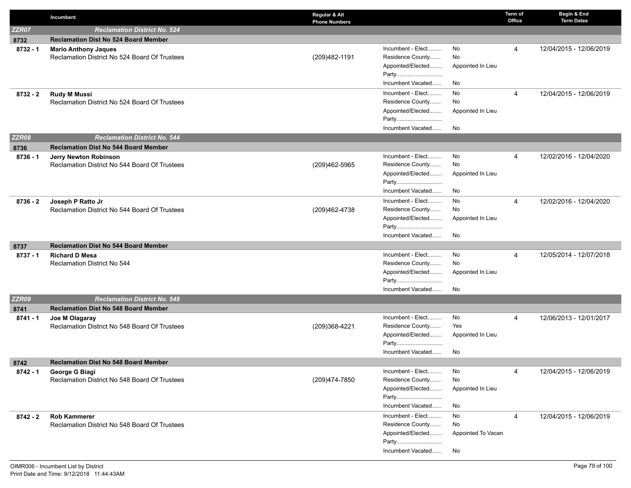|              | Incumbent                                     | Regular & Alt<br><b>Phone Numbers</b> |                    | Term of<br>Office | Begin & End<br><b>Term Dates</b> |
|--------------|-----------------------------------------------|---------------------------------------|--------------------|-------------------|----------------------------------|
| <b>ZZR07</b> | <b>Reclamation District No. 524</b>           |                                       |                    |                   |                                  |
| 8732         | <b>Reclamation Dist No 524 Board Member</b>   |                                       |                    |                   |                                  |
| $8732 - 1$   | <b>Mario Anthony Jaques</b>                   | Incumbent - Elect                     | No                 | 4                 | 12/04/2015 - 12/06/2019          |
|              | Reclamation District No 524 Board Of Trustees | Residence County<br>(209)482-1191     | No                 |                   |                                  |
|              |                                               | Appointed/Elected                     | Appointed In Lieu  |                   |                                  |
|              |                                               | Party<br>Incumbent Vacated            |                    |                   |                                  |
|              |                                               |                                       | No                 |                   |                                  |
| $8732 - 2$   | <b>Rudy M Mussi</b>                           | Incumbent - Elect<br>Residence County | No<br>No           | 4                 | 12/04/2015 - 12/06/2019          |
|              | Reclamation District No 524 Board Of Trustees | Appointed/Elected                     | Appointed In Lieu  |                   |                                  |
|              |                                               | Party                                 |                    |                   |                                  |
|              |                                               | Incumbent Vacated                     | No                 |                   |                                  |
| <b>ZZR08</b> | <b>Reclamation District No. 544</b>           |                                       |                    |                   |                                  |
| 8736         | <b>Reclamation Dist No 544 Board Member</b>   |                                       |                    |                   |                                  |
| $8736 - 1$   | Jerry Newton Robinson                         | Incumbent - Elect                     | No                 | $\overline{4}$    | 12/02/2016 - 12/04/2020          |
|              | Reclamation District No 544 Board Of Trustees | Residence County<br>(209)462-5965     | No                 |                   |                                  |
|              |                                               | Appointed/Elected                     | Appointed In Lieu  |                   |                                  |
|              |                                               | Party                                 |                    |                   |                                  |
|              |                                               | Incumbent Vacated                     | No                 |                   |                                  |
| $8736 - 2$   | Joseph P Ratto Jr                             | Incumbent - Elect                     | No                 | $\overline{4}$    | 12/02/2016 - 12/04/2020          |
|              | Reclamation District No 544 Board Of Trustees | Residence County<br>(209)462-4738     | No                 |                   |                                  |
|              |                                               | Appointed/Elected<br>Party            | Appointed In Lieu  |                   |                                  |
|              |                                               | Incumbent Vacated                     | No                 |                   |                                  |
| 8737         | <b>Reclamation Dist No 544 Board Member</b>   |                                       |                    |                   |                                  |
| $8737 - 1$   | <b>Richard D Mesa</b>                         | Incumbent - Elect                     | No                 | 4                 | 12/05/2014 - 12/07/2018          |
|              | Reclamation District No 544                   | Residence County                      | No                 |                   |                                  |
|              |                                               | Appointed/Elected                     | Appointed In Lieu  |                   |                                  |
|              |                                               | Party                                 |                    |                   |                                  |
|              |                                               | Incumbent Vacated                     | No                 |                   |                                  |
| <b>ZZR09</b> | <b>Reclamation District No. 548</b>           |                                       |                    |                   |                                  |
| 8741         | <b>Reclamation Dist No 548 Board Member</b>   |                                       |                    |                   |                                  |
| $8741 - 1$   | Joe M Olagaray                                | Incumbent - Elect<br>Residence County | No<br>Yes          | 4                 | 12/06/2013 - 12/01/2017          |
|              | Reclamation District No 548 Board Of Trustees | (209)368-4221<br>Appointed/Elected    | Appointed In Lieu  |                   |                                  |
|              |                                               | Party                                 |                    |                   |                                  |
|              |                                               | Incumbent Vacated                     | No                 |                   |                                  |
| 8742         | <b>Reclamation Dist No 548 Board Member</b>   |                                       |                    |                   |                                  |
| 8742 - 1     | George G Biagi                                | Incumbent - Elect                     | No                 | 4                 | 12/04/2015 - 12/06/2019          |
|              | Reclamation District No 548 Board Of Trustees | Residence County<br>(209)474-7850     | No                 |                   |                                  |
|              |                                               | Appointed/Elected                     | Appointed In Lieu  |                   |                                  |
|              |                                               | Party                                 |                    |                   |                                  |
|              |                                               | Incumbent Vacated                     | No                 |                   |                                  |
| 8742 - 2     | <b>Rob Kammerer</b>                           | Incumbent - Elect                     | No                 | 4                 | 12/04/2015 - 12/06/2019          |
|              | Reclamation District No 548 Board Of Trustees | Residence County                      | No                 |                   |                                  |
|              |                                               | Appointed/Elected                     | Appointed To Vacan |                   |                                  |
|              |                                               | Party                                 |                    |                   |                                  |
|              |                                               | Incumbent Vacated                     | No                 |                   |                                  |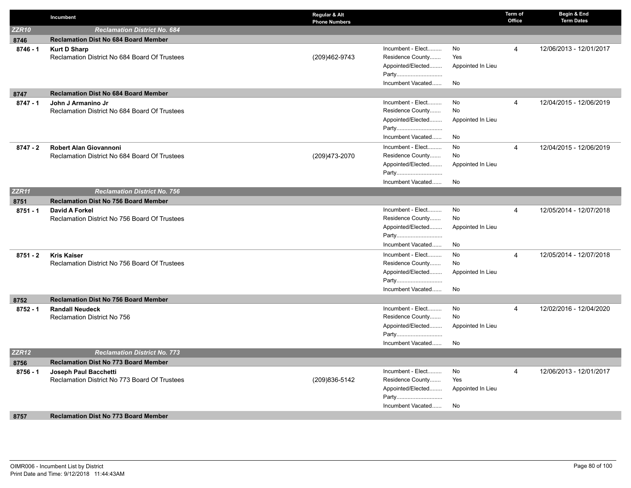|              | Incumbent                                                           | Regular & Alt<br><b>Phone Numbers</b> |                                       |                   | Term of<br>Office | Begin & End<br><b>Term Dates</b> |
|--------------|---------------------------------------------------------------------|---------------------------------------|---------------------------------------|-------------------|-------------------|----------------------------------|
| <b>ZZR10</b> | <b>Reclamation District No. 684</b>                                 |                                       |                                       |                   |                   |                                  |
| 8746         | <b>Reclamation Dist No 684 Board Member</b>                         |                                       |                                       |                   |                   |                                  |
| $8746 - 1$   | <b>Kurt D Sharp</b>                                                 |                                       | Incumbent - Elect                     | No                | 4                 | 12/06/2013 - 12/01/2017          |
|              | Reclamation District No 684 Board Of Trustees                       | (209)462-9743                         | Residence County                      | Yes               |                   |                                  |
|              |                                                                     |                                       | Appointed/Elected                     | Appointed In Lieu |                   |                                  |
|              |                                                                     |                                       | Party                                 |                   |                   |                                  |
|              |                                                                     |                                       | Incumbent Vacated                     | No                |                   |                                  |
| 8747         | <b>Reclamation Dist No 684 Board Member</b>                         |                                       |                                       |                   |                   |                                  |
| $8747 - 1$   | John J Armanino Jr                                                  |                                       | Incumbent - Elect                     | No                | 4                 | 12/04/2015 - 12/06/2019          |
|              | Reclamation District No 684 Board Of Trustees                       |                                       | Residence County                      | No                |                   |                                  |
|              |                                                                     |                                       | Appointed/Elected                     | Appointed In Lieu |                   |                                  |
|              |                                                                     |                                       | Party                                 |                   |                   |                                  |
|              |                                                                     |                                       | Incumbent Vacated                     | No                |                   |                                  |
| $8747 - 2$   | <b>Robert Alan Giovannoni</b>                                       |                                       | Incumbent - Elect                     | No                | 4                 | 12/04/2015 - 12/06/2019          |
|              | Reclamation District No 684 Board Of Trustees                       | (209) 473-2070                        | Residence County                      | No                |                   |                                  |
|              |                                                                     |                                       | Appointed/Elected                     | Appointed In Lieu |                   |                                  |
|              |                                                                     |                                       | Party                                 |                   |                   |                                  |
|              |                                                                     |                                       | Incumbent Vacated                     | No                |                   |                                  |
| <b>ZZR11</b> | <b>Reclamation District No. 756</b>                                 |                                       |                                       |                   |                   |                                  |
| 8751         | <b>Reclamation Dist No 756 Board Member</b>                         |                                       |                                       |                   |                   |                                  |
| $8751 - 1$   | David A Forkel                                                      |                                       | Incumbent - Elect                     | No                | $\overline{4}$    | 12/05/2014 - 12/07/2018          |
|              | Reclamation District No 756 Board Of Trustees                       |                                       | Residence County<br>Appointed/Elected | No                |                   |                                  |
|              |                                                                     |                                       | Party                                 | Appointed In Lieu |                   |                                  |
|              |                                                                     |                                       | Incumbent Vacated                     | No                |                   |                                  |
|              |                                                                     |                                       | Incumbent - Elect                     |                   |                   |                                  |
| $8751 - 2$   | <b>Kris Kaiser</b><br>Reclamation District No 756 Board Of Trustees |                                       | Residence County                      | No<br>No          | 4                 | 12/05/2014 - 12/07/2018          |
|              |                                                                     |                                       | Appointed/Elected                     | Appointed In Lieu |                   |                                  |
|              |                                                                     |                                       | Party                                 |                   |                   |                                  |
|              |                                                                     |                                       | Incumbent Vacated                     | <b>No</b>         |                   |                                  |
| 8752         | <b>Reclamation Dist No 756 Board Member</b>                         |                                       |                                       |                   |                   |                                  |
| $8752 - 1$   | <b>Randall Neudeck</b>                                              |                                       | Incumbent - Elect                     | No                | $\overline{4}$    | 12/02/2016 - 12/04/2020          |
|              | Reclamation District No 756                                         |                                       | Residence County                      | No                |                   |                                  |
|              |                                                                     |                                       | Appointed/Elected                     | Appointed In Lieu |                   |                                  |
|              |                                                                     |                                       | Party                                 |                   |                   |                                  |
|              |                                                                     |                                       | Incumbent Vacated                     | No                |                   |                                  |
| <b>ZZR12</b> | <b>Reclamation District No. 773</b>                                 |                                       |                                       |                   |                   |                                  |
| 8756         | <b>Reclamation Dist No 773 Board Member</b>                         |                                       |                                       |                   |                   |                                  |
| $8756 - 1$   | Joseph Paul Bacchetti                                               |                                       | Incumbent - Elect                     | No                | 4                 | 12/06/2013 - 12/01/2017          |
|              | Reclamation District No 773 Board Of Trustees                       | (209) 836-5142                        | Residence County                      | Yes               |                   |                                  |
|              |                                                                     |                                       | Appointed/Elected                     | Appointed In Lieu |                   |                                  |
|              |                                                                     |                                       | Party                                 |                   |                   |                                  |
|              |                                                                     |                                       | Incumbent Vacated                     | No.               |                   |                                  |
| 8757         | <b>Reclamation Dist No 773 Board Member</b>                         |                                       |                                       |                   |                   |                                  |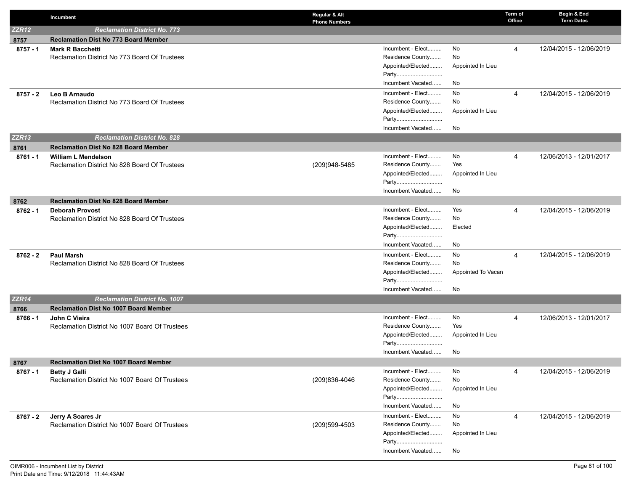|                    | Incumbent                                                                | Regular & Alt<br><b>Phone Numbers</b> |                                                            |                               | Term of<br>Office | Begin & End<br><b>Term Dates</b> |
|--------------------|--------------------------------------------------------------------------|---------------------------------------|------------------------------------------------------------|-------------------------------|-------------------|----------------------------------|
| <b>ZZR12</b>       | <b>Reclamation District No. 773</b>                                      |                                       |                                                            |                               |                   |                                  |
| 8757               | <b>Reclamation Dist No 773 Board Member</b>                              |                                       |                                                            |                               |                   |                                  |
| $8757 - 1$         | <b>Mark R Bacchetti</b><br>Reclamation District No 773 Board Of Trustees |                                       | Incumbent - Elect<br>Residence County<br>Appointed/Elected | No<br>No<br>Appointed In Lieu | 4                 | 12/04/2015 - 12/06/2019          |
|                    |                                                                          |                                       | Party<br>Incumbent Vacated                                 | No                            |                   |                                  |
| $8757 - 2$         | Leo B Arnaudo<br>Reclamation District No 773 Board Of Trustees           |                                       | Incumbent - Elect<br>Residence County                      | No<br>No                      | $\overline{4}$    | 12/04/2015 - 12/06/2019          |
|                    |                                                                          |                                       | Appointed/Elected<br>Party<br>Incumbent Vacated            | Appointed In Lieu<br>No       |                   |                                  |
| <b>ZZR13</b>       | <b>Reclamation District No. 828</b>                                      |                                       |                                                            |                               |                   |                                  |
|                    | <b>Reclamation Dist No 828 Board Member</b>                              |                                       |                                                            |                               |                   |                                  |
| 8761<br>$8761 - 1$ | <b>William L Mendelson</b>                                               |                                       | Incumbent - Elect                                          | No                            | 4                 | 12/06/2013 - 12/01/2017          |
|                    | Reclamation District No 828 Board Of Trustees                            | (209)948-5485                         | Residence County                                           | Yes                           |                   |                                  |
|                    |                                                                          |                                       | Appointed/Elected<br>Party                                 | Appointed In Lieu             |                   |                                  |
|                    |                                                                          |                                       | Incumbent Vacated                                          | No                            |                   |                                  |
| 8762               | <b>Reclamation Dist No 828 Board Member</b>                              |                                       |                                                            |                               |                   |                                  |
| $8762 - 1$         | <b>Deborah Provost</b>                                                   |                                       | Incumbent - Elect                                          | Yes                           | 4                 | 12/04/2015 - 12/06/2019          |
|                    | Reclamation District No 828 Board Of Trustees                            |                                       | Residence County                                           | No                            |                   |                                  |
|                    |                                                                          |                                       | Appointed/Elected                                          | Elected                       |                   |                                  |
|                    |                                                                          |                                       | Party                                                      |                               |                   |                                  |
|                    |                                                                          |                                       | Incumbent Vacated                                          | No                            |                   |                                  |
| $8762 - 2$         | <b>Paul Marsh</b>                                                        |                                       | Incumbent - Elect                                          | No                            | 4                 | 12/04/2015 - 12/06/2019          |
|                    | Reclamation District No 828 Board Of Trustees                            |                                       | Residence County<br>Appointed/Elected                      | No<br>Appointed To Vacan      |                   |                                  |
|                    |                                                                          |                                       | Party                                                      |                               |                   |                                  |
|                    |                                                                          |                                       | Incumbent Vacated                                          | No                            |                   |                                  |
| <b>ZZR14</b>       | <b>Reclamation District No. 1007</b>                                     |                                       |                                                            |                               |                   |                                  |
| 8766               | <b>Reclamation Dist No 1007 Board Member</b>                             |                                       |                                                            |                               |                   |                                  |
| 8766 - 1           | John C Vieira                                                            |                                       | Incumbent - Elect                                          | No                            | $\overline{4}$    | 12/06/2013 - 12/01/2017          |
|                    | Reclamation District No 1007 Board Of Trustees                           |                                       | Residence County                                           | Yes                           |                   |                                  |
|                    |                                                                          |                                       | Appointed/Elected                                          | Appointed In Lieu             |                   |                                  |
|                    |                                                                          |                                       | Party                                                      |                               |                   |                                  |
|                    |                                                                          |                                       | Incumbent Vacated                                          | No                            |                   |                                  |
| 8767               | <b>Reclamation Dist No 1007 Board Member</b>                             |                                       |                                                            |                               |                   |                                  |
| $8767 - 1$         | <b>Betty J Galli</b><br>Reclamation District No 1007 Board Of Trustees   | (209)836-4046                         | Incumbent - Elect<br>Residence County                      | No<br>No                      | 4                 | 12/04/2015 - 12/06/2019          |
|                    |                                                                          |                                       | Appointed/Elected                                          | Appointed In Lieu             |                   |                                  |
|                    |                                                                          |                                       | Party                                                      |                               |                   |                                  |
|                    |                                                                          |                                       | Incumbent Vacated                                          | No                            |                   |                                  |
| 8767 - 2           | Jerry A Soares Jr                                                        |                                       | Incumbent - Elect                                          | No                            | 4                 | 12/04/2015 - 12/06/2019          |
|                    | Reclamation District No 1007 Board Of Trustees                           | (209)599-4503                         | Residence County                                           | No                            |                   |                                  |
|                    |                                                                          |                                       | Appointed/Elected                                          | Appointed In Lieu             |                   |                                  |
|                    |                                                                          |                                       | Party                                                      |                               |                   |                                  |
|                    |                                                                          |                                       | Incumbent Vacated                                          | No                            |                   |                                  |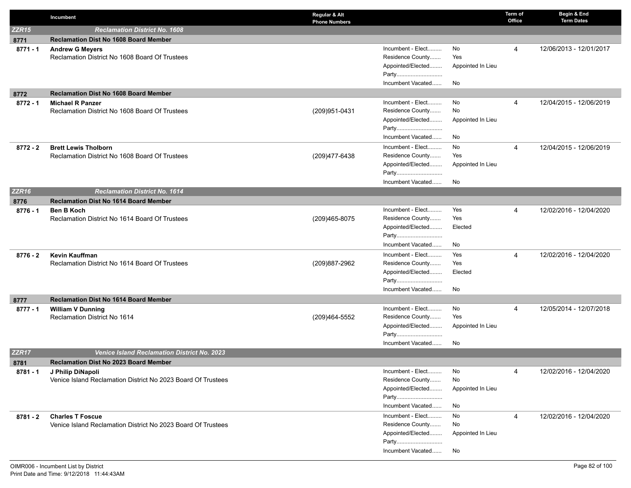|                    | Incumbent                                                                               | Regular & Alt<br><b>Phone Numbers</b> |                                       |                   | Term of<br>Office | Begin & End<br><b>Term Dates</b> |
|--------------------|-----------------------------------------------------------------------------------------|---------------------------------------|---------------------------------------|-------------------|-------------------|----------------------------------|
| <b>ZZR15</b>       | <b>Reclamation District No. 1608</b>                                                    |                                       |                                       |                   |                   |                                  |
| 8771               | <b>Reclamation Dist No 1608 Board Member</b>                                            |                                       |                                       |                   |                   |                                  |
| $8771 - 1$         | <b>Andrew G Meyers</b>                                                                  |                                       | Incumbent - Elect                     | No                | 4                 | 12/06/2013 - 12/01/2017          |
|                    | Reclamation District No 1608 Board Of Trustees                                          |                                       | Residence County                      | Yes               |                   |                                  |
|                    |                                                                                         |                                       | Appointed/Elected                     | Appointed In Lieu |                   |                                  |
|                    |                                                                                         |                                       | Party                                 |                   |                   |                                  |
|                    |                                                                                         |                                       | Incumbent Vacated                     | No                |                   |                                  |
| 8772               | <b>Reclamation Dist No 1608 Board Member</b>                                            |                                       |                                       |                   |                   |                                  |
| $8772 - 1$         | <b>Michael R Panzer</b>                                                                 |                                       | Incumbent - Elect                     | No                | 4                 | 12/04/2015 - 12/06/2019          |
|                    | Reclamation District No 1608 Board Of Trustees                                          | (209)951-0431                         | Residence County                      | No                |                   |                                  |
|                    |                                                                                         |                                       | Appointed/Elected                     | Appointed In Lieu |                   |                                  |
|                    |                                                                                         |                                       | Party<br>Incumbent Vacated            | No                |                   |                                  |
|                    |                                                                                         |                                       |                                       |                   |                   |                                  |
| $8772 - 2$         | <b>Brett Lewis Tholborn</b>                                                             |                                       | Incumbent - Elect                     | No                | 4                 | 12/04/2015 - 12/06/2019          |
|                    | Reclamation District No 1608 Board Of Trustees                                          | (209)477-6438                         | Residence County                      | Yes               |                   |                                  |
|                    |                                                                                         |                                       | Appointed/Elected<br>Party            | Appointed In Lieu |                   |                                  |
|                    |                                                                                         |                                       | Incumbent Vacated                     | No                |                   |                                  |
| <b>ZZR16</b>       | <b>Reclamation District No. 1614</b>                                                    |                                       |                                       |                   |                   |                                  |
|                    | <b>Reclamation Dist No 1614 Board Member</b>                                            |                                       |                                       |                   |                   |                                  |
| 8776<br>$8776 - 1$ | <b>Ben B Koch</b>                                                                       |                                       | Incumbent - Elect                     | Yes               | 4                 | 12/02/2016 - 12/04/2020          |
|                    | Reclamation District No 1614 Board Of Trustees                                          | (209)465-8075                         | Residence County                      | Yes               |                   |                                  |
|                    |                                                                                         |                                       | Appointed/Elected                     | Elected           |                   |                                  |
|                    |                                                                                         |                                       | Party                                 |                   |                   |                                  |
|                    |                                                                                         |                                       | Incumbent Vacated                     | No                |                   |                                  |
| $8776 - 2$         | Kevin Kauffman                                                                          |                                       | Incumbent - Elect                     | Yes               | 4                 | 12/02/2016 - 12/04/2020          |
|                    | Reclamation District No 1614 Board Of Trustees                                          | (209)887-2962                         | Residence County                      | Yes               |                   |                                  |
|                    |                                                                                         |                                       | Appointed/Elected                     | Elected           |                   |                                  |
|                    |                                                                                         |                                       | Party                                 |                   |                   |                                  |
|                    |                                                                                         |                                       | Incumbent Vacated                     | No                |                   |                                  |
| 8777               | <b>Reclamation Dist No 1614 Board Member</b>                                            |                                       |                                       |                   |                   |                                  |
| 8777 - 1           | <b>William V Dunning</b>                                                                |                                       | Incumbent - Elect                     | No                | 4                 | 12/05/2014 - 12/07/2018          |
|                    | Reclamation District No 1614                                                            | (209)464-5552                         | Residence County                      | Yes               |                   |                                  |
|                    |                                                                                         |                                       | Appointed/Elected                     | Appointed In Lieu |                   |                                  |
|                    |                                                                                         |                                       | Party                                 |                   |                   |                                  |
|                    |                                                                                         |                                       | Incumbent Vacated                     | No                |                   |                                  |
| ZZR17              | <b>Venice Island Reclamation District No. 2023</b>                                      |                                       |                                       |                   |                   |                                  |
| 8781               | <b>Reclamation Dist No 2023 Board Member</b>                                            |                                       |                                       |                   |                   |                                  |
| 8781 - 1           | J Philip DiNapoli                                                                       |                                       | Incumbent - Elect<br>Residence County | No                | 4                 | 12/02/2016 - 12/04/2020          |
|                    | Venice Island Reclamation District No 2023 Board Of Trustees                            |                                       | Appointed/Elected                     | No                |                   |                                  |
|                    |                                                                                         |                                       | Party                                 | Appointed In Lieu |                   |                                  |
|                    |                                                                                         |                                       | Incumbent Vacated                     | No                |                   |                                  |
|                    |                                                                                         |                                       | Incumbent - Elect                     | No                |                   | 12/02/2016 - 12/04/2020          |
| 8781 - 2           | <b>Charles T Foscue</b><br>Venice Island Reclamation District No 2023 Board Of Trustees |                                       | Residence County                      | No                | 4                 |                                  |
|                    |                                                                                         |                                       | Appointed/Elected                     | Appointed In Lieu |                   |                                  |
|                    |                                                                                         |                                       | Party                                 |                   |                   |                                  |
|                    |                                                                                         |                                       | Incumbent Vacated                     | No                |                   |                                  |
|                    |                                                                                         |                                       |                                       |                   |                   |                                  |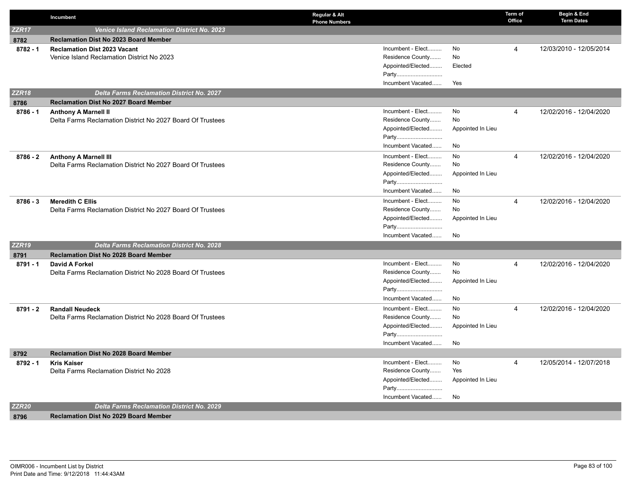|                   | Incumbent                                                  | Regular & Alt<br><b>Phone Numbers</b> |                   | Term of<br>Office | Begin & End<br><b>Term Dates</b> |
|-------------------|------------------------------------------------------------|---------------------------------------|-------------------|-------------------|----------------------------------|
| ZZR <sub>17</sub> | <b>Venice Island Reclamation District No. 2023</b>         |                                       |                   |                   |                                  |
| 8782              | <b>Reclamation Dist No 2023 Board Member</b>               |                                       |                   |                   |                                  |
| $8782 - 1$        | <b>Reclamation Dist 2023 Vacant</b>                        | Incumbent - Elect                     | No                | $\overline{4}$    | 12/03/2010 - 12/05/2014          |
|                   | Venice Island Reclamation District No 2023                 | Residence County                      | No                |                   |                                  |
|                   |                                                            | Appointed/Elected                     | Elected           |                   |                                  |
|                   |                                                            | Party                                 |                   |                   |                                  |
|                   |                                                            | Incumbent Vacated                     | Yes               |                   |                                  |
| <b>ZZR18</b>      | <b>Delta Farms Reclamation District No. 2027</b>           |                                       |                   |                   |                                  |
| 8786              | <b>Reclamation Dist No 2027 Board Member</b>               |                                       |                   |                   |                                  |
| $8786 - 1$        | <b>Anthony A Marnell II</b>                                | Incumbent - Elect                     | No                | 4                 | 12/02/2016 - 12/04/2020          |
|                   | Delta Farms Reclamation District No 2027 Board Of Trustees | Residence County                      | No                |                   |                                  |
|                   |                                                            | Appointed/Elected                     | Appointed In Lieu |                   |                                  |
|                   |                                                            | Party                                 |                   |                   |                                  |
|                   |                                                            | Incumbent Vacated                     | No                |                   |                                  |
| $8786 - 2$        | <b>Anthony A Marnell III</b>                               | Incumbent - Elect                     | No                | $\overline{4}$    | 12/02/2016 - 12/04/2020          |
|                   | Delta Farms Reclamation District No 2027 Board Of Trustees | Residence County                      | No                |                   |                                  |
|                   |                                                            | Appointed/Elected                     | Appointed In Lieu |                   |                                  |
|                   |                                                            | Party                                 |                   |                   |                                  |
|                   |                                                            | Incumbent Vacated                     | No                |                   |                                  |
| $8786 - 3$        | <b>Meredith C Ellis</b>                                    | Incumbent - Elect                     | No                | $\overline{4}$    | 12/02/2016 - 12/04/2020          |
|                   | Delta Farms Reclamation District No 2027 Board Of Trustees | Residence County                      | No                |                   |                                  |
|                   |                                                            | Appointed/Elected                     | Appointed In Lieu |                   |                                  |
|                   |                                                            | Party                                 |                   |                   |                                  |
|                   |                                                            | Incumbent Vacated                     | No                |                   |                                  |
| ZZR <sub>19</sub> | <b>Delta Farms Reclamation District No. 2028</b>           |                                       |                   |                   |                                  |
| 8791              | <b>Reclamation Dist No 2028 Board Member</b>               |                                       |                   |                   |                                  |
| $8791 - 1$        | <b>David A Forkel</b>                                      | Incumbent - Elect                     | No<br>No          | $\overline{4}$    | 12/02/2016 - 12/04/2020          |
|                   | Delta Farms Reclamation District No 2028 Board Of Trustees | Residence County                      |                   |                   |                                  |
|                   |                                                            | Appointed/Elected<br>Party            | Appointed In Lieu |                   |                                  |
|                   |                                                            | Incumbent Vacated                     | No                |                   |                                  |
|                   |                                                            |                                       |                   |                   |                                  |
| $8791 - 2$        | <b>Randall Neudeck</b>                                     | Incumbent - Elect<br>Residence County | No<br>No          | $\overline{4}$    | 12/02/2016 - 12/04/2020          |
|                   | Delta Farms Reclamation District No 2028 Board Of Trustees | Appointed/Elected                     | Appointed In Lieu |                   |                                  |
|                   |                                                            | Party                                 |                   |                   |                                  |
|                   |                                                            | Incumbent Vacated                     | No                |                   |                                  |
|                   | <b>Reclamation Dist No 2028 Board Member</b>               |                                       |                   |                   |                                  |
| 8792              | <b>Kris Kaiser</b>                                         | Incumbent - Elect                     | No                | $\overline{4}$    | 12/05/2014 - 12/07/2018          |
| $8792 - 1$        | Delta Farms Reclamation District No 2028                   | Residence County                      | Yes               |                   |                                  |
|                   |                                                            | Appointed/Elected                     | Appointed In Lieu |                   |                                  |
|                   |                                                            | Party                                 |                   |                   |                                  |
|                   |                                                            | Incumbent Vacated                     | No                |                   |                                  |
| <b>ZZR20</b>      | <b>Delta Farms Reclamation District No. 2029</b>           |                                       |                   |                   |                                  |
| 8796              | <b>Reclamation Dist No 2029 Board Member</b>               |                                       |                   |                   |                                  |
|                   |                                                            |                                       |                   |                   |                                  |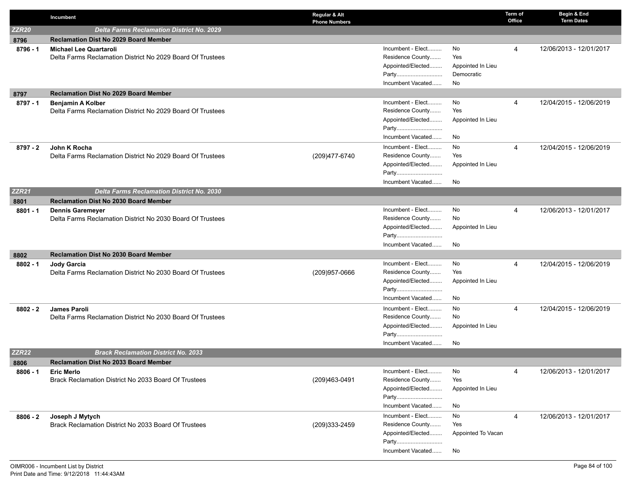|                   | Incumbent                                                                        | Regular & Alt<br><b>Phone Numbers</b> |                    | Term of<br>Office | Begin & End<br><b>Term Dates</b> |
|-------------------|----------------------------------------------------------------------------------|---------------------------------------|--------------------|-------------------|----------------------------------|
| ZZR <sub>20</sub> | <b>Delta Farms Reclamation District No. 2029</b>                                 |                                       |                    |                   |                                  |
| 8796              | <b>Reclamation Dist No 2029 Board Member</b>                                     |                                       |                    |                   |                                  |
| 8796 - 1          | <b>Michael Lee Quartaroli</b>                                                    | Incumbent - Elect                     | No                 | 4                 | 12/06/2013 - 12/01/2017          |
|                   | Delta Farms Reclamation District No 2029 Board Of Trustees                       | Residence County                      | Yes                |                   |                                  |
|                   |                                                                                  | Appointed/Elected                     | Appointed In Lieu  |                   |                                  |
|                   |                                                                                  | Party                                 | Democratic         |                   |                                  |
|                   |                                                                                  | Incumbent Vacated                     | No.                |                   |                                  |
| 8797              | <b>Reclamation Dist No 2029 Board Member</b>                                     |                                       |                    |                   |                                  |
| $8797 - 1$        | <b>Benjamin A Kolber</b>                                                         | Incumbent - Elect                     | No                 | 4                 | 12/04/2015 - 12/06/2019          |
|                   | Delta Farms Reclamation District No 2029 Board Of Trustees                       | Residence County                      | Yes                |                   |                                  |
|                   |                                                                                  | Appointed/Elected<br>Party            | Appointed In Lieu  |                   |                                  |
|                   |                                                                                  | Incumbent Vacated                     | No                 |                   |                                  |
|                   |                                                                                  | Incumbent - Elect                     | No                 |                   |                                  |
| 8797 - 2          | John K Rocha<br>Delta Farms Reclamation District No 2029 Board Of Trustees       | Residence County<br>(209)477-6740     | Yes                | $\overline{4}$    | 12/04/2015 - 12/06/2019          |
|                   |                                                                                  | Appointed/Elected                     | Appointed In Lieu  |                   |                                  |
|                   |                                                                                  | Party                                 |                    |                   |                                  |
|                   |                                                                                  | Incumbent Vacated                     | No                 |                   |                                  |
| ZZR <sub>21</sub> | <b>Delta Farms Reclamation District No. 2030</b>                                 |                                       |                    |                   |                                  |
| 8801              | <b>Reclamation Dist No 2030 Board Member</b>                                     |                                       |                    |                   |                                  |
| $8801 - 1$        | <b>Dennis Garemeyer</b>                                                          | Incumbent - Elect                     | No                 | 4                 | 12/06/2013 - 12/01/2017          |
|                   | Delta Farms Reclamation District No 2030 Board Of Trustees                       | Residence County                      | No                 |                   |                                  |
|                   |                                                                                  | Appointed/Elected                     | Appointed In Lieu  |                   |                                  |
|                   |                                                                                  | Party                                 |                    |                   |                                  |
|                   |                                                                                  | Incumbent Vacated                     | No                 |                   |                                  |
| 8802              | Reclamation Dist No 2030 Board Member                                            |                                       |                    |                   |                                  |
| $8802 - 1$        | <b>Jody Garcia</b><br>Delta Farms Reclamation District No 2030 Board Of Trustees | Incumbent - Elect<br>Residence County | No<br>Yes          | 4                 | 12/04/2015 - 12/06/2019          |
|                   |                                                                                  | (209) 957-0666<br>Appointed/Elected   | Appointed In Lieu  |                   |                                  |
|                   |                                                                                  | Party                                 |                    |                   |                                  |
|                   |                                                                                  | Incumbent Vacated                     | No.                |                   |                                  |
| $8802 - 2$        | <b>James Paroli</b>                                                              | Incumbent - Elect                     | No                 | 4                 | 12/04/2015 - 12/06/2019          |
|                   | Delta Farms Reclamation District No 2030 Board Of Trustees                       | Residence County                      | No                 |                   |                                  |
|                   |                                                                                  | Appointed/Elected                     | Appointed In Lieu  |                   |                                  |
|                   |                                                                                  | Party                                 |                    |                   |                                  |
|                   |                                                                                  | Incumbent Vacated                     | No                 |                   |                                  |
| ZZR <sub>22</sub> | <b>Brack Reclamation District No. 2033</b>                                       |                                       |                    |                   |                                  |
| 8806              | <b>Reclamation Dist No 2033 Board Member</b>                                     |                                       |                    |                   |                                  |
| $8806 - 1$        | <b>Eric Merlo</b>                                                                | Incumbent - Elect                     | No                 | 4                 | 12/06/2013 - 12/01/2017          |
|                   | Brack Reclamation District No 2033 Board Of Trustees                             | Residence County<br>(209)463-0491     | Yes                |                   |                                  |
|                   |                                                                                  | Appointed/Elected                     | Appointed In Lieu  |                   |                                  |
|                   |                                                                                  | Party<br>Incumbent Vacated            | No                 |                   |                                  |
|                   |                                                                                  | Incumbent - Elect                     | No                 |                   | 12/06/2013 - 12/01/2017          |
| $8806 - 2$        | Joseph J Mytych<br>Brack Reclamation District No 2033 Board Of Trustees          | Residence County<br>(209)333-2459     | Yes                | 4                 |                                  |
|                   |                                                                                  | Appointed/Elected                     | Appointed To Vacan |                   |                                  |
|                   |                                                                                  | Party                                 |                    |                   |                                  |
|                   |                                                                                  | Incumbent Vacated                     | No                 |                   |                                  |
|                   |                                                                                  |                                       |                    |                   |                                  |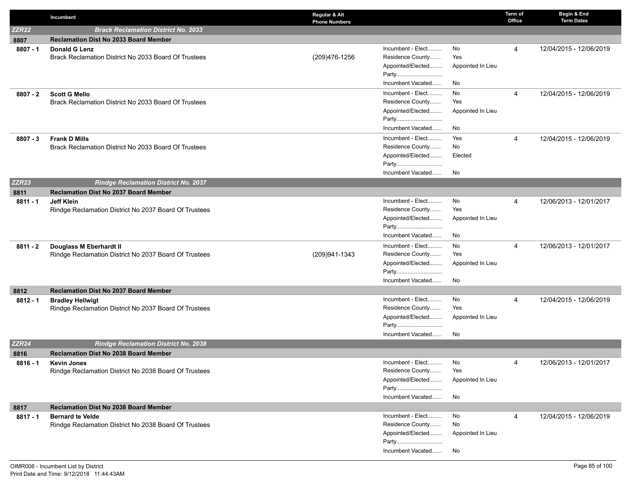|              | Incumbent                                                                        | Regular & Alt<br><b>Phone Numbers</b> |                                                                                          |                                      | Term of<br>Office | Begin & End<br><b>Term Dates</b> |
|--------------|----------------------------------------------------------------------------------|---------------------------------------|------------------------------------------------------------------------------------------|--------------------------------------|-------------------|----------------------------------|
| <b>ZZR22</b> | <b>Brack Reclamation District No. 2033</b>                                       |                                       |                                                                                          |                                      |                   |                                  |
| 8807         | <b>Reclamation Dist No 2033 Board Member</b>                                     |                                       |                                                                                          |                                      |                   |                                  |
| $8807 - 1$   | <b>Donald G Lenz</b><br>Brack Reclamation District No 2033 Board Of Trustees     | (209)476-1256                         | Incumbent - Elect<br>Residence County<br>Appointed/Elected<br>Party<br>Incumbent Vacated | No<br>Yes<br>Appointed In Lieu<br>No | 4                 | 12/04/2015 - 12/06/2019          |
| $8807 - 2$   | <b>Scott G Mello</b><br>Brack Reclamation District No 2033 Board Of Trustees     |                                       | Incumbent - Elect<br>Residence County<br>Appointed/Elected<br>Party<br>Incumbent Vacated | No<br>Yes<br>Appointed In Lieu<br>No | 4                 | 12/04/2015 - 12/06/2019          |
| $8807 - 3$   | <b>Frank D Mills</b><br>Brack Reclamation District No 2033 Board Of Trustees     |                                       | Incumbent - Elect<br>Residence County<br>Appointed/Elected<br>Party<br>Incumbent Vacated | Yes<br>No<br>Elected<br>No           | 4                 | 12/04/2015 - 12/06/2019          |
| <b>ZZR23</b> | <b>Rindge Reclamation District No. 2037</b>                                      |                                       |                                                                                          |                                      |                   |                                  |
| 8811         | <b>Reclamation Dist No 2037 Board Member</b>                                     |                                       |                                                                                          |                                      |                   |                                  |
| $8811 - 1$   | <b>Jeff Klein</b><br>Rindge Reclamation District No 2037 Board Of Trustees       |                                       | Incumbent - Elect<br>Residence County<br>Appointed/Elected<br>Party<br>Incumbent Vacated | No<br>Yes<br>Appointed In Lieu<br>No | 4                 | 12/06/2013 - 12/01/2017          |
| $8811 - 2$   | Douglass M Eberhardt II<br>Rindge Reclamation District No 2037 Board Of Trustees | (209)941-1343                         | Incumbent - Elect<br>Residence County<br>Appointed/Elected<br>Party<br>Incumbent Vacated | No<br>Yes<br>Appointed In Lieu<br>No | $\overline{4}$    | 12/06/2013 - 12/01/2017          |
| 8812         | <b>Reclamation Dist No 2037 Board Member</b>                                     |                                       |                                                                                          |                                      |                   |                                  |
| $8812 - 1$   | <b>Bradley Hellwigt</b><br>Rindge Reclamation District No 2037 Board Of Trustees |                                       | Incumbent - Elect<br>Residence County<br>Appointed/Elected<br>Party<br>Incumbent Vacated | No<br>Yes<br>Appointed In Lieu<br>No | $\overline{4}$    | 12/04/2015 - 12/06/2019          |
| <b>ZZR24</b> | <b>Rindge Reclamation District No. 2038</b>                                      |                                       |                                                                                          |                                      |                   |                                  |
| 8816         | <b>Reclamation Dist No 2038 Board Member</b>                                     |                                       |                                                                                          |                                      |                   |                                  |
| $8816 - 1$   | <b>Kevin Jones</b><br>Rindge Reclamation District No 2038 Board Of Trustees      |                                       | Incumbent - Elect<br>Residence County<br>Appointed/Elected<br>Party<br>Incumbent Vacated | No<br>Yes<br>Appointed In Lieu<br>No | 4                 | 12/06/2013 - 12/01/2017          |
| 8817         | <b>Reclamation Dist No 2038 Board Member</b>                                     |                                       |                                                                                          |                                      |                   |                                  |
| $8817 - 1$   | <b>Bernard te Velde</b><br>Rindge Reclamation District No 2038 Board Of Trustees |                                       | Incumbent - Elect<br>Residence County<br>Appointed/Elected<br>Party<br>Incumbent Vacated | No<br>No<br>Appointed In Lieu<br>No  | 4                 | 12/04/2015 - 12/06/2019          |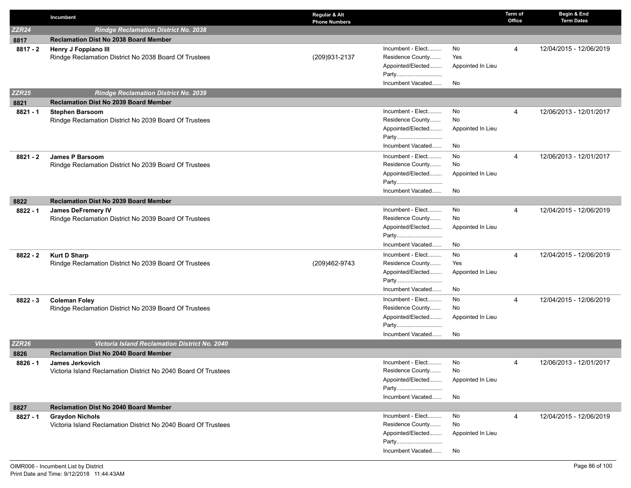|                   | Incumbent                                                                          | Regular & Alt<br><b>Phone Numbers</b> |                   | Term of<br>Office | Begin & End<br><b>Term Dates</b> |
|-------------------|------------------------------------------------------------------------------------|---------------------------------------|-------------------|-------------------|----------------------------------|
| ZZR <sub>24</sub> | <b>Rindge Reclamation District No. 2038</b>                                        |                                       |                   |                   |                                  |
| 8817              | <b>Reclamation Dist No 2038 Board Member</b>                                       |                                       |                   |                   |                                  |
| $8817 - 2$        | Henry J Foppiano III                                                               | Incumbent - Elect                     | No                | 4                 | 12/04/2015 - 12/06/2019          |
|                   | Rindge Reclamation District No 2038 Board Of Trustees                              | Residence County<br>(209) 931-2137    | Yes               |                   |                                  |
|                   |                                                                                    | Appointed/Elected                     | Appointed In Lieu |                   |                                  |
|                   |                                                                                    | Party                                 |                   |                   |                                  |
|                   |                                                                                    | Incumbent Vacated                     | No                |                   |                                  |
| <b>ZZR25</b>      | <b>Rindge Reclamation District No. 2039</b>                                        |                                       |                   |                   |                                  |
| 8821              | <b>Reclamation Dist No 2039 Board Member</b>                                       |                                       |                   |                   |                                  |
| $8821 - 1$        | <b>Stephen Barsoom</b>                                                             | Incumbent - Elect                     | No                | $\overline{4}$    | 12/06/2013 - 12/01/2017          |
|                   | Rindge Reclamation District No 2039 Board Of Trustees                              | Residence County                      | No                |                   |                                  |
|                   |                                                                                    | Appointed/Elected                     | Appointed In Lieu |                   |                                  |
|                   |                                                                                    | Party                                 |                   |                   |                                  |
|                   |                                                                                    | Incumbent Vacated                     | No                |                   |                                  |
| 8821 - 2          | <b>James P Barsoom</b>                                                             | Incumbent - Elect                     | No                | 4                 | 12/06/2013 - 12/01/2017          |
|                   | Rindge Reclamation District No 2039 Board Of Trustees                              | Residence County                      | No                |                   |                                  |
|                   |                                                                                    | Appointed/Elected<br>Party            | Appointed In Lieu |                   |                                  |
|                   |                                                                                    | Incumbent Vacated                     | No                |                   |                                  |
|                   |                                                                                    |                                       |                   |                   |                                  |
| 8822              | <b>Reclamation Dist No 2039 Board Member</b>                                       | Incumbent - Elect                     | No                |                   | 12/04/2015 - 12/06/2019          |
| 8822 - 1          | <b>James DeFremery IV</b><br>Rindge Reclamation District No 2039 Board Of Trustees | Residence County                      | No                | 4                 |                                  |
|                   |                                                                                    | Appointed/Elected                     | Appointed In Lieu |                   |                                  |
|                   |                                                                                    | Party                                 |                   |                   |                                  |
|                   |                                                                                    | Incumbent Vacated                     | No                |                   |                                  |
| $8822 - 2$        | <b>Kurt D Sharp</b>                                                                | Incumbent - Elect                     | No                | $\overline{4}$    | 12/04/2015 - 12/06/2019          |
|                   | Rindge Reclamation District No 2039 Board Of Trustees                              | Residence County<br>(209)462-9743     | Yes               |                   |                                  |
|                   |                                                                                    | Appointed/Elected                     | Appointed In Lieu |                   |                                  |
|                   |                                                                                    | Party                                 |                   |                   |                                  |
|                   |                                                                                    | Incumbent Vacated                     | No                |                   |                                  |
| $8822 - 3$        | <b>Coleman Foley</b>                                                               | Incumbent - Elect                     | No                | 4                 | 12/04/2015 - 12/06/2019          |
|                   | Rindge Reclamation District No 2039 Board Of Trustees                              | Residence County                      | No                |                   |                                  |
|                   |                                                                                    | Appointed/Elected                     | Appointed In Lieu |                   |                                  |
|                   |                                                                                    | Party                                 |                   |                   |                                  |
|                   |                                                                                    | Incumbent Vacated                     | No                |                   |                                  |
| <b>ZZR26</b>      | <b>Victoria Island Reclamation District No. 2040</b>                               |                                       |                   |                   |                                  |
| 8826              | <b>Reclamation Dist No 2040 Board Member</b>                                       |                                       |                   |                   |                                  |
| $8826 - 1$        | <b>James Jerkovich</b>                                                             | Incumbent - Elect                     | No                | 4                 | 12/06/2013 - 12/01/2017          |
|                   | Victoria Island Reclamation District No 2040 Board Of Trustees                     | Residence County                      | No                |                   |                                  |
|                   |                                                                                    | Appointed/Elected                     | Appointed In Lieu |                   |                                  |
|                   |                                                                                    | Party                                 |                   |                   |                                  |
|                   |                                                                                    | Incumbent Vacated                     | No                |                   |                                  |
| 8827              | <b>Reclamation Dist No 2040 Board Member</b>                                       |                                       |                   |                   |                                  |
| $8827 - 1$        | <b>Graydon Nichols</b>                                                             | Incumbent - Elect                     | No                | 4                 | 12/04/2015 - 12/06/2019          |
|                   | Victoria Island Reclamation District No 2040 Board Of Trustees                     | Residence County<br>Appointed/Elected | No                |                   |                                  |
|                   |                                                                                    | Party                                 | Appointed In Lieu |                   |                                  |
|                   |                                                                                    | Incumbent Vacated                     | No                |                   |                                  |
|                   |                                                                                    |                                       |                   |                   |                                  |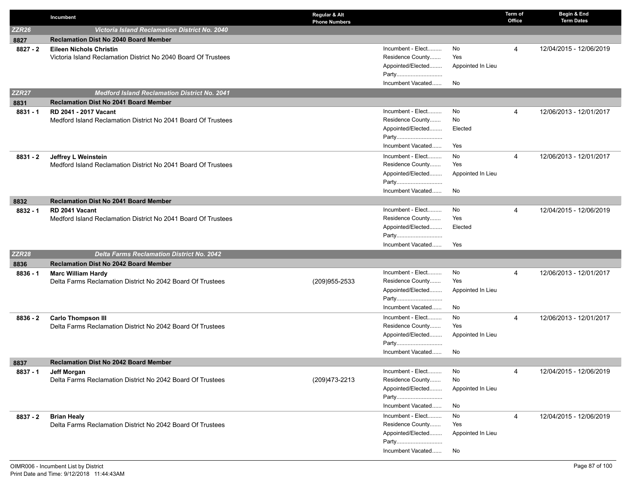|              | Incumbent                                                                            | Regular & Alt<br><b>Phone Numbers</b> |                   | Term of<br>Office | Begin & End<br><b>Term Dates</b> |
|--------------|--------------------------------------------------------------------------------------|---------------------------------------|-------------------|-------------------|----------------------------------|
| <b>ZZR26</b> | <b>Victoria Island Reclamation District No. 2040</b>                                 |                                       |                   |                   |                                  |
| 8827         | <b>Reclamation Dist No 2040 Board Member</b>                                         |                                       |                   |                   |                                  |
| $8827 - 2$   | <b>Eileen Nichols Christin</b>                                                       | Incumbent - Elect                     | No                | 4                 | 12/04/2015 - 12/06/2019          |
|              | Victoria Island Reclamation District No 2040 Board Of Trustees                       | Residence County                      | Yes               |                   |                                  |
|              |                                                                                      | Appointed/Elected                     | Appointed In Lieu |                   |                                  |
|              |                                                                                      | Party                                 |                   |                   |                                  |
|              |                                                                                      | Incumbent Vacated                     | No                |                   |                                  |
| <b>ZZR27</b> | <b>Medford Island Reclamation District No. 2041</b>                                  |                                       |                   |                   |                                  |
| 8831         | <b>Reclamation Dist No 2041 Board Member</b>                                         |                                       |                   |                   |                                  |
| $8831 - 1$   | <b>RD 2041 - 2017 Vacant</b>                                                         | Incumbent - Elect                     | No                | 4                 | 12/06/2013 - 12/01/2017          |
|              | Medford Island Reclamation District No 2041 Board Of Trustees                        | Residence County<br>Appointed/Elected | No<br>Elected     |                   |                                  |
|              |                                                                                      | Party                                 |                   |                   |                                  |
|              |                                                                                      | Incumbent Vacated                     | Yes               |                   |                                  |
|              |                                                                                      | Incumbent - Elect                     | No                |                   |                                  |
| 8831 - 2     | Jeffrey L Weinstein<br>Medford Island Reclamation District No 2041 Board Of Trustees | Residence County                      | Yes               | $\overline{4}$    | 12/06/2013 - 12/01/2017          |
|              |                                                                                      | Appointed/Elected                     | Appointed In Lieu |                   |                                  |
|              |                                                                                      | Party                                 |                   |                   |                                  |
|              |                                                                                      | Incumbent Vacated                     | No                |                   |                                  |
| 8832         | <b>Reclamation Dist No 2041 Board Member</b>                                         |                                       |                   |                   |                                  |
| $8832 - 1$   | RD 2041 Vacant                                                                       | Incumbent - Elect                     | No                | $\overline{4}$    | 12/04/2015 - 12/06/2019          |
|              | Medford Island Reclamation District No 2041 Board Of Trustees                        | Residence County                      | Yes               |                   |                                  |
|              |                                                                                      | Appointed/Elected                     | Elected           |                   |                                  |
|              |                                                                                      | Party                                 |                   |                   |                                  |
|              |                                                                                      | Incumbent Vacated                     | Yes               |                   |                                  |
| <b>ZZR28</b> | <b>Delta Farms Reclamation District No. 2042</b>                                     |                                       |                   |                   |                                  |
| 8836         | <b>Reclamation Dist No 2042 Board Member</b>                                         |                                       |                   |                   |                                  |
| $8836 - 1$   | <b>Marc William Hardy</b>                                                            | Incumbent - Elect                     | No                | 4                 | 12/06/2013 - 12/01/2017          |
|              | Delta Farms Reclamation District No 2042 Board Of Trustees                           | Residence County<br>(209)955-2533     | Yes               |                   |                                  |
|              |                                                                                      | Appointed/Elected                     | Appointed In Lieu |                   |                                  |
|              |                                                                                      | Party                                 |                   |                   |                                  |
|              |                                                                                      | Incumbent Vacated                     | No                |                   |                                  |
| $8836 - 2$   | <b>Carlo Thompson III</b>                                                            | Incumbent - Elect                     | No                | $\overline{4}$    | 12/06/2013 - 12/01/2017          |
|              | Delta Farms Reclamation District No 2042 Board Of Trustees                           | Residence County                      | Yes               |                   |                                  |
|              |                                                                                      | Appointed/Elected<br>Party            | Appointed In Lieu |                   |                                  |
|              |                                                                                      | Incumbent Vacated                     | No                |                   |                                  |
| 8837         | <b>Reclamation Dist No 2042 Board Member</b>                                         |                                       |                   |                   |                                  |
| 8837 - 1     | <b>Jeff Morgan</b>                                                                   | Incumbent - Elect                     | No                | 4                 | 12/04/2015 - 12/06/2019          |
|              | Delta Farms Reclamation District No 2042 Board Of Trustees                           | Residence County<br>(209) 473-2213    | No                |                   |                                  |
|              |                                                                                      | Appointed/Elected                     | Appointed In Lieu |                   |                                  |
|              |                                                                                      | Party                                 |                   |                   |                                  |
|              |                                                                                      | Incumbent Vacated                     | No                |                   |                                  |
| 8837 - 2     | <b>Brian Healy</b>                                                                   | Incumbent - Elect                     | No                | 4                 | 12/04/2015 - 12/06/2019          |
|              | Delta Farms Reclamation District No 2042 Board Of Trustees                           | Residence County                      | Yes               |                   |                                  |
|              |                                                                                      | Appointed/Elected                     | Appointed In Lieu |                   |                                  |
|              |                                                                                      | Party                                 |                   |                   |                                  |
|              |                                                                                      | Incumbent Vacated                     | No                |                   |                                  |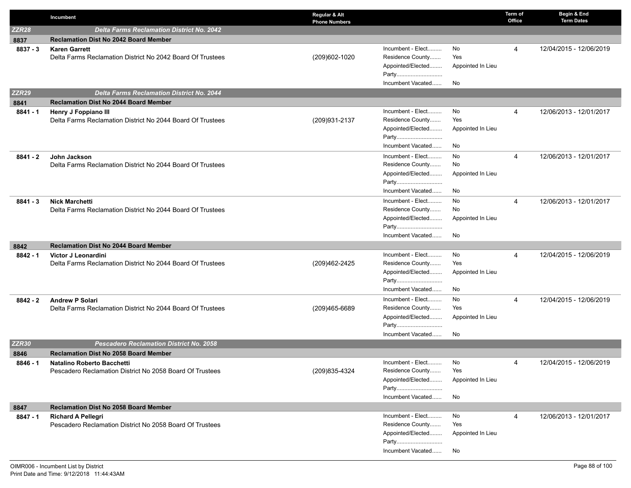|                   | Incumbent                                                                           | Regular & Alt<br><b>Phone Numbers</b> |                                       |                   | Term of<br>Office | Begin & End<br><b>Term Dates</b> |
|-------------------|-------------------------------------------------------------------------------------|---------------------------------------|---------------------------------------|-------------------|-------------------|----------------------------------|
| ZZR <sub>28</sub> | <b>Delta Farms Reclamation District No. 2042</b>                                    |                                       |                                       |                   |                   |                                  |
| 8837              | <b>Reclamation Dist No 2042 Board Member</b>                                        |                                       |                                       |                   |                   |                                  |
| $8837 - 3$        | <b>Karen Garrett</b>                                                                |                                       | Incumbent - Elect                     | No                | 4                 | 12/04/2015 - 12/06/2019          |
|                   | Delta Farms Reclamation District No 2042 Board Of Trustees                          | (209)602-1020                         | Residence County                      | Yes               |                   |                                  |
|                   |                                                                                     |                                       | Appointed/Elected                     | Appointed In Lieu |                   |                                  |
|                   |                                                                                     |                                       | Party                                 |                   |                   |                                  |
|                   |                                                                                     |                                       | Incumbent Vacated                     | No                |                   |                                  |
| <b>ZZR29</b>      | <b>Delta Farms Reclamation District No. 2044</b>                                    |                                       |                                       |                   |                   |                                  |
| 8841              | <b>Reclamation Dist No 2044 Board Member</b>                                        |                                       |                                       |                   |                   |                                  |
| $8841 - 1$        | Henry J Foppiano III                                                                |                                       | Incumbent - Elect                     | No                | 4                 | 12/06/2013 - 12/01/2017          |
|                   | Delta Farms Reclamation District No 2044 Board Of Trustees                          | (209) 931-2137                        | Residence County                      | Yes               |                   |                                  |
|                   |                                                                                     |                                       | Appointed/Elected                     | Appointed In Lieu |                   |                                  |
|                   |                                                                                     |                                       | Party<br>Incumbent Vacated            | No                |                   |                                  |
|                   |                                                                                     |                                       |                                       |                   |                   |                                  |
| 8841 - 2          | John Jackson                                                                        |                                       | Incumbent - Elect                     | No                | 4                 | 12/06/2013 - 12/01/2017          |
|                   | Delta Farms Reclamation District No 2044 Board Of Trustees                          |                                       | Residence County                      | No                |                   |                                  |
|                   |                                                                                     |                                       | Appointed/Elected<br>Party            | Appointed In Lieu |                   |                                  |
|                   |                                                                                     |                                       | Incumbent Vacated                     | No                |                   |                                  |
|                   |                                                                                     |                                       |                                       |                   |                   |                                  |
| $8841 - 3$        | <b>Nick Marchetti</b><br>Delta Farms Reclamation District No 2044 Board Of Trustees |                                       | Incumbent - Elect<br>Residence County | No<br>No          | 4                 | 12/06/2013 - 12/01/2017          |
|                   |                                                                                     |                                       | Appointed/Elected                     | Appointed In Lieu |                   |                                  |
|                   |                                                                                     |                                       | Party                                 |                   |                   |                                  |
|                   |                                                                                     |                                       | Incumbent Vacated                     | No                |                   |                                  |
| 8842              | <b>Reclamation Dist No 2044 Board Member</b>                                        |                                       |                                       |                   |                   |                                  |
| $8842 - 1$        | Victor J Leonardini                                                                 |                                       | Incumbent - Elect                     | No                | 4                 | 12/04/2015 - 12/06/2019          |
|                   | Delta Farms Reclamation District No 2044 Board Of Trustees                          | (209)462-2425                         | Residence County                      | Yes               |                   |                                  |
|                   |                                                                                     |                                       | Appointed/Elected                     | Appointed In Lieu |                   |                                  |
|                   |                                                                                     |                                       | Party                                 |                   |                   |                                  |
|                   |                                                                                     |                                       | Incumbent Vacated                     | No                |                   |                                  |
| $8842 - 2$        | <b>Andrew P Solari</b>                                                              |                                       | Incumbent - Elect                     | No                | 4                 | 12/04/2015 - 12/06/2019          |
|                   | Delta Farms Reclamation District No 2044 Board Of Trustees                          | (209)465-6689                         | Residence County                      | Yes               |                   |                                  |
|                   |                                                                                     |                                       | Appointed/Elected                     | Appointed In Lieu |                   |                                  |
|                   |                                                                                     |                                       | Party                                 |                   |                   |                                  |
|                   |                                                                                     |                                       | Incumbent Vacated                     | No                |                   |                                  |
| <b>ZZR30</b>      | <b>Pescadero Reclamation District No. 2058</b>                                      |                                       |                                       |                   |                   |                                  |
| 8846              | <b>Reclamation Dist No 2058 Board Member</b>                                        |                                       |                                       |                   |                   |                                  |
| 8846 - 1          | <b>Natalino Roberto Bacchetti</b>                                                   |                                       | Incumbent - Elect                     | No                | 4                 | 12/04/2015 - 12/06/2019          |
|                   | Pescadero Reclamation District No 2058 Board Of Trustees                            | (209) 835-4324                        | Residence County                      | Yes               |                   |                                  |
|                   |                                                                                     |                                       | Appointed/Elected                     | Appointed In Lieu |                   |                                  |
|                   |                                                                                     |                                       | Party                                 |                   |                   |                                  |
|                   |                                                                                     |                                       | Incumbent Vacated                     | No                |                   |                                  |
| 8847              | <b>Reclamation Dist No 2058 Board Member</b>                                        |                                       |                                       |                   |                   |                                  |
| $8847 - 1$        | <b>Richard A Pellegri</b>                                                           |                                       | Incumbent - Elect                     | No                | 4                 | 12/06/2013 - 12/01/2017          |
|                   | Pescadero Reclamation District No 2058 Board Of Trustees                            |                                       | Residence County                      | Yes               |                   |                                  |
|                   |                                                                                     |                                       | Appointed/Elected                     | Appointed In Lieu |                   |                                  |
|                   |                                                                                     |                                       | Party<br>Incumbent Vacated            | No                |                   |                                  |
|                   |                                                                                     |                                       |                                       |                   |                   |                                  |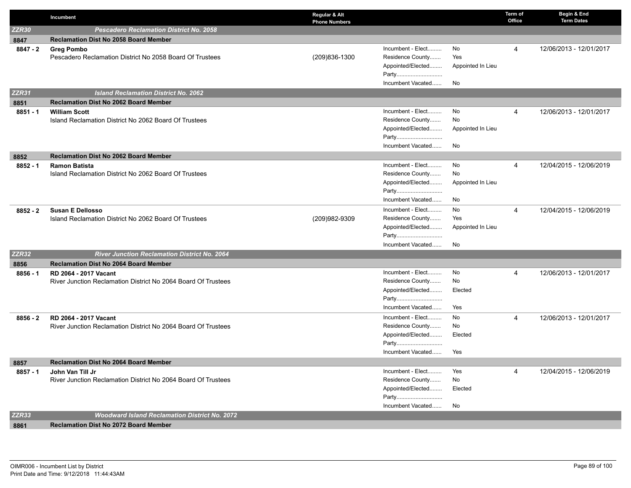|              | Incumbent                                                     | Regular & Alt<br><b>Phone Numbers</b> |                                       |                   | Term of<br>Office | Begin & End<br><b>Term Dates</b> |
|--------------|---------------------------------------------------------------|---------------------------------------|---------------------------------------|-------------------|-------------------|----------------------------------|
| <b>ZZR30</b> | <b>Pescadero Reclamation District No. 2058</b>                |                                       |                                       |                   |                   |                                  |
| 8847         | <b>Reclamation Dist No 2058 Board Member</b>                  |                                       |                                       |                   |                   |                                  |
| $8847 - 2$   | <b>Greg Pombo</b>                                             |                                       | Incumbent - Elect                     | No                | 4                 | 12/06/2013 - 12/01/2017          |
|              | Pescadero Reclamation District No 2058 Board Of Trustees      | (209)836-1300                         | Residence County                      | Yes               |                   |                                  |
|              |                                                               |                                       | Appointed/Elected                     | Appointed In Lieu |                   |                                  |
|              |                                                               |                                       | Party                                 |                   |                   |                                  |
|              |                                                               |                                       | Incumbent Vacated                     | No                |                   |                                  |
| <b>ZZR31</b> | <b>Island Reclamation District No. 2062</b>                   |                                       |                                       |                   |                   |                                  |
| 8851         | <b>Reclamation Dist No 2062 Board Member</b>                  |                                       |                                       |                   |                   |                                  |
| $8851 - 1$   | <b>William Scott</b>                                          |                                       | Incumbent - Elect<br>Residence County | No                | 4                 | 12/06/2013 - 12/01/2017          |
|              | Island Reclamation District No 2062 Board Of Trustees         |                                       |                                       | No                |                   |                                  |
|              |                                                               |                                       | Appointed/Elected<br>Party            | Appointed In Lieu |                   |                                  |
|              |                                                               |                                       | Incumbent Vacated                     | No                |                   |                                  |
| 8852         | <b>Reclamation Dist No 2062 Board Member</b>                  |                                       |                                       |                   |                   |                                  |
| $8852 - 1$   | <b>Ramon Batista</b>                                          |                                       | Incumbent - Elect                     | No                | 4                 | 12/04/2015 - 12/06/2019          |
|              | Island Reclamation District No 2062 Board Of Trustees         |                                       | Residence County                      | No                |                   |                                  |
|              |                                                               |                                       | Appointed/Elected                     | Appointed In Lieu |                   |                                  |
|              |                                                               |                                       | Party                                 |                   |                   |                                  |
|              |                                                               |                                       | Incumbent Vacated                     | No                |                   |                                  |
| 8852 - 2     | <b>Susan E Dellosso</b>                                       |                                       | Incumbent - Elect                     | No                | 4                 | 12/04/2015 - 12/06/2019          |
|              | Island Reclamation District No 2062 Board Of Trustees         | (209)982-9309                         | Residence County                      | Yes               |                   |                                  |
|              |                                                               |                                       | Appointed/Elected                     | Appointed In Lieu |                   |                                  |
|              |                                                               |                                       | Party                                 |                   |                   |                                  |
|              |                                                               |                                       | Incumbent Vacated                     | No                |                   |                                  |
| ZZR32        | <b>River Junction Reclamation District No. 2064</b>           |                                       |                                       |                   |                   |                                  |
| 8856         | <b>Reclamation Dist No 2064 Board Member</b>                  |                                       |                                       |                   |                   |                                  |
| $8856 - 1$   | RD 2064 - 2017 Vacant                                         |                                       | Incumbent - Elect                     | No                | $\overline{4}$    | 12/06/2013 - 12/01/2017          |
|              | River Junction Reclamation District No 2064 Board Of Trustees |                                       | Residence County                      | No                |                   |                                  |
|              |                                                               |                                       | Appointed/Elected                     | Elected           |                   |                                  |
|              |                                                               |                                       | Party<br>Incumbent Vacated            |                   |                   |                                  |
|              |                                                               |                                       |                                       | Yes               |                   |                                  |
| $8856 - 2$   | RD 2064 - 2017 Vacant                                         |                                       | Incumbent - Elect<br>Residence County | No<br>No          | 4                 | 12/06/2013 - 12/01/2017          |
|              | River Junction Reclamation District No 2064 Board Of Trustees |                                       | Appointed/Elected                     | Elected           |                   |                                  |
|              |                                                               |                                       | Party                                 |                   |                   |                                  |
|              |                                                               |                                       | Incumbent Vacated                     | Yes               |                   |                                  |
| 8857         | <b>Reclamation Dist No 2064 Board Member</b>                  |                                       |                                       |                   |                   |                                  |
| 8857 - 1     | John Van Till Jr                                              |                                       | Incumbent - Elect                     | Yes               | 4                 | 12/04/2015 - 12/06/2019          |
|              | River Junction Reclamation District No 2064 Board Of Trustees |                                       | Residence County                      | No                |                   |                                  |
|              |                                                               |                                       | Appointed/Elected                     | Elected           |                   |                                  |
|              |                                                               |                                       | Party                                 |                   |                   |                                  |
|              |                                                               |                                       | Incumbent Vacated                     | No                |                   |                                  |
| <b>ZZR33</b> | <b>Woodward Island Reclamation District No. 2072</b>          |                                       |                                       |                   |                   |                                  |
| 8861         | <b>Reclamation Dist No 2072 Board Member</b>                  |                                       |                                       |                   |                   |                                  |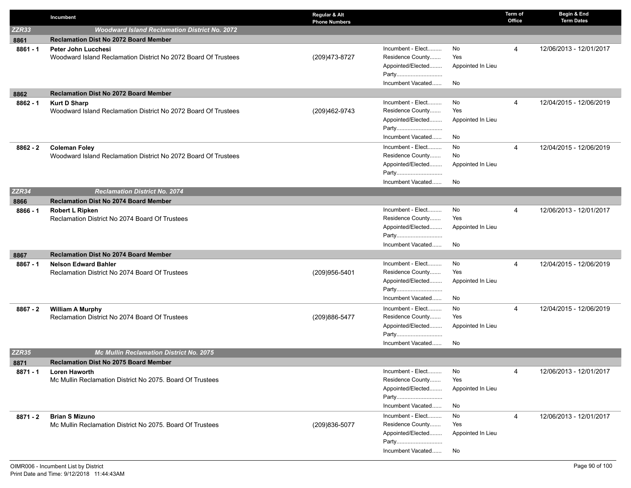|            | Incumbent                                                                 | Regular & Alt<br><b>Phone Numbers</b> |                                       |                   | Term of<br>Office | Begin & End<br><b>Term Dates</b> |
|------------|---------------------------------------------------------------------------|---------------------------------------|---------------------------------------|-------------------|-------------------|----------------------------------|
| ZZR33      | <b>Woodward Island Reclamation District No. 2072</b>                      |                                       |                                       |                   |                   |                                  |
| 8861       | <b>Reclamation Dist No 2072 Board Member</b>                              |                                       |                                       |                   |                   |                                  |
| $8861 - 1$ | <b>Peter John Lucchesi</b>                                                |                                       | Incumbent - Elect                     | No                | 4                 | 12/06/2013 - 12/01/2017          |
|            | Woodward Island Reclamation District No 2072 Board Of Trustees            | (209) 473-8727                        | Residence County                      | Yes               |                   |                                  |
|            |                                                                           |                                       | Appointed/Elected                     | Appointed In Lieu |                   |                                  |
|            |                                                                           |                                       | Party                                 |                   |                   |                                  |
|            |                                                                           |                                       | Incumbent Vacated                     | No                |                   |                                  |
| 8862       | <b>Reclamation Dist No 2072 Board Member</b>                              |                                       |                                       |                   |                   |                                  |
| $8862 - 1$ | <b>Kurt D Sharp</b>                                                       |                                       | Incumbent - Elect                     | No<br>Yes         | 4                 | 12/04/2015 - 12/06/2019          |
|            | Woodward Island Reclamation District No 2072 Board Of Trustees            | (209)462-9743                         | Residence County<br>Appointed/Elected |                   |                   |                                  |
|            |                                                                           |                                       | Party                                 | Appointed In Lieu |                   |                                  |
|            |                                                                           |                                       | Incumbent Vacated                     | No                |                   |                                  |
|            | <b>Coleman Foley</b>                                                      |                                       | Incumbent - Elect                     | No                | 4                 | 12/04/2015 - 12/06/2019          |
| $8862 - 2$ | Woodward Island Reclamation District No 2072 Board Of Trustees            |                                       | Residence County                      | No                |                   |                                  |
|            |                                                                           |                                       | Appointed/Elected                     | Appointed In Lieu |                   |                                  |
|            |                                                                           |                                       | Party                                 |                   |                   |                                  |
|            |                                                                           |                                       | Incumbent Vacated                     | No                |                   |                                  |
| ZZR34      | <b>Reclamation District No. 2074</b>                                      |                                       |                                       |                   |                   |                                  |
| 8866       | <b>Reclamation Dist No 2074 Board Member</b>                              |                                       |                                       |                   |                   |                                  |
| 8866 - 1   | <b>Robert L Ripken</b>                                                    |                                       | Incumbent - Elect                     | No                | 4                 | 12/06/2013 - 12/01/2017          |
|            | Reclamation District No 2074 Board Of Trustees                            |                                       | Residence County                      | Yes               |                   |                                  |
|            |                                                                           |                                       | Appointed/Elected                     | Appointed In Lieu |                   |                                  |
|            |                                                                           |                                       | Party                                 |                   |                   |                                  |
|            |                                                                           |                                       | Incumbent Vacated                     | No                |                   |                                  |
| 8867       | <b>Reclamation Dist No 2074 Board Member</b>                              |                                       |                                       |                   |                   |                                  |
| $8867 - 1$ | <b>Nelson Edward Bahler</b>                                               |                                       | Incumbent - Elect                     | No                | 4                 | 12/04/2015 - 12/06/2019          |
|            | Reclamation District No 2074 Board Of Trustees                            | (209)956-5401                         | Residence County                      | Yes               |                   |                                  |
|            |                                                                           |                                       | Appointed/Elected<br>Party            | Appointed In Lieu |                   |                                  |
|            |                                                                           |                                       | Incumbent Vacated                     | No                |                   |                                  |
|            |                                                                           |                                       | Incumbent - Elect                     | No                | 4                 | 12/04/2015 - 12/06/2019          |
| $8867 - 2$ | <b>William A Murphy</b><br>Reclamation District No 2074 Board Of Trustees | (209)886-5477                         | Residence County                      | Yes               |                   |                                  |
|            |                                                                           |                                       | Appointed/Elected                     | Appointed In Lieu |                   |                                  |
|            |                                                                           |                                       | Party                                 |                   |                   |                                  |
|            |                                                                           |                                       | Incumbent Vacated                     | No                |                   |                                  |
| ZZR35      | <b>Mc Mullin Reclamation District No. 2075</b>                            |                                       |                                       |                   |                   |                                  |
| 8871       | <b>Reclamation Dist No 2075 Board Member</b>                              |                                       |                                       |                   |                   |                                  |
| $8871 - 1$ | <b>Loren Haworth</b>                                                      |                                       | Incumbent - Elect                     | No                | 4                 | 12/06/2013 - 12/01/2017          |
|            | Mc Mullin Reclamation District No 2075. Board Of Trustees                 |                                       | Residence County                      | Yes               |                   |                                  |
|            |                                                                           |                                       | Appointed/Elected                     | Appointed In Lieu |                   |                                  |
|            |                                                                           |                                       | Party                                 |                   |                   |                                  |
|            |                                                                           |                                       | Incumbent Vacated                     | No                |                   |                                  |
| 8871 - 2   | <b>Brian S Mizuno</b>                                                     |                                       | Incumbent - Elect                     | No                | 4                 | 12/06/2013 - 12/01/2017          |
|            | Mc Mullin Reclamation District No 2075. Board Of Trustees                 | (209) 836-5077                        | Residence County                      | Yes               |                   |                                  |
|            |                                                                           |                                       | Appointed/Elected                     | Appointed In Lieu |                   |                                  |
|            |                                                                           |                                       | Party                                 |                   |                   |                                  |
|            |                                                                           |                                       | Incumbent Vacated                     | No                |                   |                                  |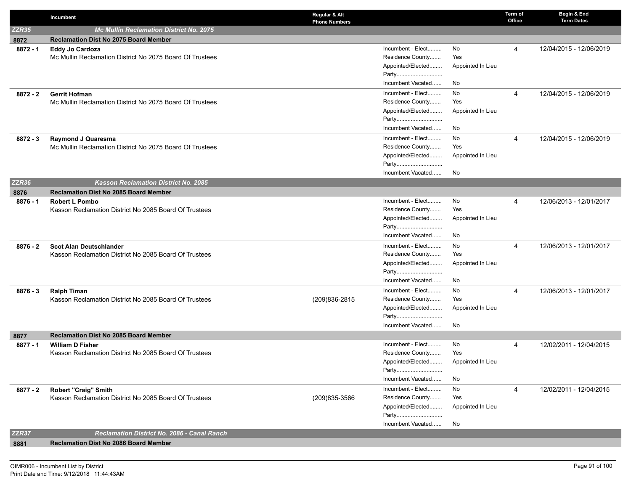|                   | Incumbent                                                | Regular & Alt<br><b>Phone Numbers</b> |                   | Term of<br>Office | Begin & End<br><b>Term Dates</b> |
|-------------------|----------------------------------------------------------|---------------------------------------|-------------------|-------------------|----------------------------------|
| ZZR35             | <b>Mc Mullin Reclamation District No. 2075</b>           |                                       |                   |                   |                                  |
| 8872              | <b>Reclamation Dist No 2075 Board Member</b>             |                                       |                   |                   |                                  |
| $8872 - 1$        | Eddy Jo Cardoza                                          | Incumbent - Elect                     | No                | 4                 | 12/04/2015 - 12/06/2019          |
|                   | Mc Mullin Reclamation District No 2075 Board Of Trustees | Residence County                      | Yes               |                   |                                  |
|                   |                                                          | Appointed/Elected                     | Appointed In Lieu |                   |                                  |
|                   |                                                          | Party                                 |                   |                   |                                  |
|                   |                                                          | Incumbent Vacated                     | No                |                   |                                  |
| $8872 - 2$        | <b>Gerrit Hofman</b>                                     | Incumbent - Elect                     | No                | 4                 | 12/04/2015 - 12/06/2019          |
|                   | Mc Mullin Reclamation District No 2075 Board Of Trustees | Residence County                      | Yes               |                   |                                  |
|                   |                                                          | Appointed/Elected<br>Party            | Appointed In Lieu |                   |                                  |
|                   |                                                          | Incumbent Vacated                     | No                |                   |                                  |
| $8872 - 3$        | <b>Raymond J Quaresma</b>                                | Incumbent - Elect                     | No                | 4                 | 12/04/2015 - 12/06/2019          |
|                   | Mc Mullin Reclamation District No 2075 Board Of Trustees | Residence County                      | Yes               |                   |                                  |
|                   |                                                          | Appointed/Elected                     | Appointed In Lieu |                   |                                  |
|                   |                                                          | Party                                 |                   |                   |                                  |
|                   |                                                          | Incumbent Vacated                     | No                |                   |                                  |
| ZZR <sub>36</sub> | <b>Kasson Reclamation District No. 2085</b>              |                                       |                   |                   |                                  |
| 8876              | <b>Reclamation Dist No 2085 Board Member</b>             |                                       |                   |                   |                                  |
| $8876 - 1$        | <b>Robert L Pombo</b>                                    | Incumbent - Elect                     | No                | 4                 | 12/06/2013 - 12/01/2017          |
|                   | Kasson Reclamation District No 2085 Board Of Trustees    | Residence County                      | Yes               |                   |                                  |
|                   |                                                          | Appointed/Elected                     | Appointed In Lieu |                   |                                  |
|                   |                                                          | Party                                 |                   |                   |                                  |
|                   |                                                          | Incumbent Vacated                     | No                |                   |                                  |
| $8876 - 2$        | <b>Scot Alan Deutschlander</b>                           | Incumbent - Elect                     | No                | 4                 | 12/06/2013 - 12/01/2017          |
|                   | Kasson Reclamation District No 2085 Board Of Trustees    | Residence County                      | Yes               |                   |                                  |
|                   |                                                          | Appointed/Elected<br>Party            | Appointed In Lieu |                   |                                  |
|                   |                                                          | Incumbent Vacated                     | No                |                   |                                  |
| $8876 - 3$        | <b>Ralph Timan</b>                                       | Incumbent - Elect                     | No                | 4                 | 12/06/2013 - 12/01/2017          |
|                   | Kasson Reclamation District No 2085 Board Of Trustees    | Residence County<br>(209) 836-2815    | Yes               |                   |                                  |
|                   |                                                          | Appointed/Elected                     | Appointed In Lieu |                   |                                  |
|                   |                                                          | Party                                 |                   |                   |                                  |
|                   |                                                          | Incumbent Vacated                     | No                |                   |                                  |
| 8877              | <b>Reclamation Dist No 2085 Board Member</b>             |                                       |                   |                   |                                  |
| $8877 - 1$        | <b>William D Fisher</b>                                  | Incumbent - Elect                     | No                | 4                 | 12/02/2011 - 12/04/2015          |
|                   | Kasson Reclamation District No 2085 Board Of Trustees    | Residence County                      | Yes               |                   |                                  |
|                   |                                                          | Appointed/Elected                     | Appointed In Lieu |                   |                                  |
|                   |                                                          | Party                                 |                   |                   |                                  |
|                   |                                                          | Incumbent Vacated                     | No                |                   |                                  |
| 8877 - 2          | Robert "Craig" Smith                                     | Incumbent - Elect<br>Residence County | No<br>Yes         | $\overline{4}$    | 12/02/2011 - 12/04/2015          |
|                   | Kasson Reclamation District No 2085 Board Of Trustees    | (209) 835-3566                        |                   |                   |                                  |
|                   |                                                          | Appointed/Elected<br>Party            | Appointed In Lieu |                   |                                  |
|                   |                                                          | Incumbent Vacated                     | No                |                   |                                  |
| ZZR37             | <b>Reclamation District No. 2086 - Canal Ranch</b>       |                                       |                   |                   |                                  |
| 8881              | <b>Reclamation Dist No 2086 Board Member</b>             |                                       |                   |                   |                                  |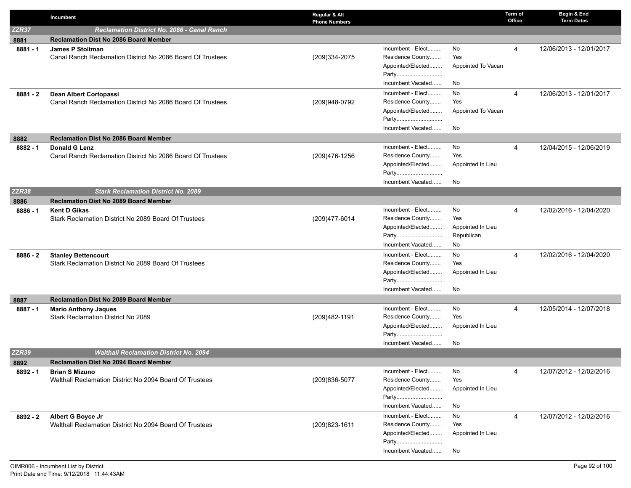|            | Incumbent                                                                             | Regular & Alt<br><b>Phone Numbers</b> |                                                                                          |                                                    | Term of<br>Office | Begin & End<br><b>Term Dates</b> |
|------------|---------------------------------------------------------------------------------------|---------------------------------------|------------------------------------------------------------------------------------------|----------------------------------------------------|-------------------|----------------------------------|
| ZZR37      | <b>Reclamation District No. 2086 - Canal Ranch</b>                                    |                                       |                                                                                          |                                                    |                   |                                  |
| 8881       | <b>Reclamation Dist No 2086 Board Member</b>                                          |                                       |                                                                                          |                                                    |                   |                                  |
| $8881 - 1$ | <b>James P Stoltman</b><br>Canal Ranch Reclamation District No 2086 Board Of Trustees | (209)334-2075                         | Incumbent - Elect<br>Residence County<br>Appointed/Elected<br>Party<br>Incumbent Vacated | No<br>Yes<br>Appointed To Vacan<br>No              | 4                 | 12/06/2013 - 12/01/2017          |
| $8881 - 2$ | Dean Albert Cortopassi<br>Canal Ranch Reclamation District No 2086 Board Of Trustees  | (209)948-0792                         | Incumbent - Elect<br>Residence County<br>Appointed/Elected<br>Party<br>Incumbent Vacated | No<br>Yes<br>Appointed To Vacan<br>No              | 4                 | 12/06/2013 - 12/01/2017          |
| 8882       | <b>Reclamation Dist No 2086 Board Member</b>                                          |                                       |                                                                                          |                                                    |                   |                                  |
| $8882 - 1$ | <b>Donald G Lenz</b><br>Canal Ranch Reclamation District No 2086 Board Of Trustees    | (209) 476-1256                        | Incumbent - Elect<br>Residence County<br>Appointed/Elected<br>Party<br>Incumbent Vacated | No<br>Yes<br>Appointed In Lieu<br>No               | 4                 | 12/04/2015 - 12/06/2019          |
| ZZR38      | <b>Stark Reclamation District No. 2089</b>                                            |                                       |                                                                                          |                                                    |                   |                                  |
| 8886       | <b>Reclamation Dist No 2089 Board Member</b>                                          |                                       |                                                                                          |                                                    |                   |                                  |
| $8886 - 1$ | <b>Kent D Gikas</b><br>Stark Reclamation District No 2089 Board Of Trustees           | (209)477-6014                         | Incumbent - Elect<br>Residence County<br>Appointed/Elected<br>Party<br>Incumbent Vacated | No<br>Yes<br>Appointed In Lieu<br>Republican<br>No | 4                 | 12/02/2016 - 12/04/2020          |
| $8886 - 2$ | <b>Stanley Bettencourt</b><br>Stark Reclamation District No 2089 Board Of Trustees    |                                       | Incumbent - Elect<br>Residence County<br>Appointed/Elected<br>Party<br>Incumbent Vacated | No<br>Yes<br>Appointed In Lieu<br>No               | 4                 | 12/02/2016 - 12/04/2020          |
| 8887       | <b>Reclamation Dist No 2089 Board Member</b>                                          |                                       |                                                                                          |                                                    |                   |                                  |
| $8887 - 1$ | <b>Mario Anthony Jaques</b><br>Stark Reclamation District No 2089                     | (209)482-1191                         | Incumbent - Elect<br>Residence County<br>Appointed/Elected<br>Party<br>Incumbent Vacated | No<br>Yes<br>Appointed In Lieu<br>No               | 4                 | 12/05/2014 - 12/07/2018          |
| ZZR39      | <b>Walthall Reclamation District No. 2094</b>                                         |                                       |                                                                                          |                                                    |                   |                                  |
| 8892       | <b>Reclamation Dist No 2094 Board Member</b>                                          |                                       |                                                                                          |                                                    |                   |                                  |
| 8892 - 1   | <b>Brian S Mizuno</b><br>Walthall Reclamation District No 2094 Board Of Trustees      | (209) 836-5077                        | Incumbent - Elect<br>Residence County<br>Appointed/Elected<br>Party<br>Incumbent Vacated | No<br>Yes<br>Appointed In Lieu<br>No               | 4                 | 12/07/2012 - 12/02/2016          |
| 8892 - 2   | Albert G Boyce Jr<br>Walthall Reclamation District No 2094 Board Of Trustees          | (209) 823-1611                        | Incumbent - Elect<br>Residence County<br>Appointed/Elected<br>Party<br>Incumbent Vacated | No<br>Yes<br>Appointed In Lieu<br>No               | 4                 | 12/07/2012 - 12/02/2016          |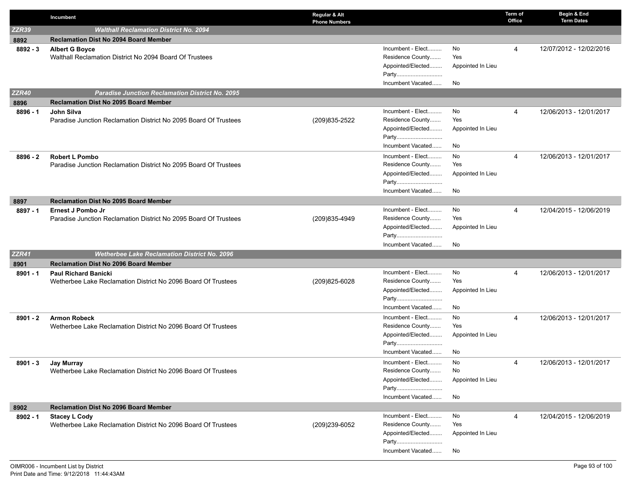|              | Incumbent                                                                                 | Regular & Alt<br><b>Phone Numbers</b> |                                       |                   | Term of<br>Office | Begin & End<br><b>Term Dates</b> |
|--------------|-------------------------------------------------------------------------------------------|---------------------------------------|---------------------------------------|-------------------|-------------------|----------------------------------|
| <b>ZZR39</b> | <b>Walthall Reclamation District No. 2094</b>                                             |                                       |                                       |                   |                   |                                  |
| 8892         | <b>Reclamation Dist No 2094 Board Member</b>                                              |                                       |                                       |                   |                   |                                  |
| $8892 - 3$   | <b>Albert G Boyce</b>                                                                     |                                       | Incumbent - Elect                     | No                | 4                 | 12/07/2012 - 12/02/2016          |
|              | Walthall Reclamation District No 2094 Board Of Trustees                                   |                                       | Residence County                      | Yes               |                   |                                  |
|              |                                                                                           |                                       | Appointed/Elected                     | Appointed In Lieu |                   |                                  |
|              |                                                                                           |                                       | Party                                 |                   |                   |                                  |
|              |                                                                                           |                                       | Incumbent Vacated                     | No                |                   |                                  |
| <b>ZZR40</b> | <b>Paradise Junction Reclamation District No. 2095</b>                                    |                                       |                                       |                   |                   |                                  |
| 8896         | <b>Reclamation Dist No 2095 Board Member</b>                                              |                                       |                                       |                   |                   |                                  |
| $8896 - 1$   | John Silva                                                                                |                                       | Incumbent - Elect                     | No<br>Yes         | 4                 | 12/06/2013 - 12/01/2017          |
|              | Paradise Junction Reclamation District No 2095 Board Of Trustees                          | (209) 835-2522                        | Residence County<br>Appointed/Elected | Appointed In Lieu |                   |                                  |
|              |                                                                                           |                                       | Party                                 |                   |                   |                                  |
|              |                                                                                           |                                       | Incumbent Vacated                     | No                |                   |                                  |
|              |                                                                                           |                                       | Incumbent - Elect                     | No                | 4                 | 12/06/2013 - 12/01/2017          |
| $8896 - 2$   | <b>Robert L Pombo</b><br>Paradise Junction Reclamation District No 2095 Board Of Trustees |                                       | Residence County                      | Yes               |                   |                                  |
|              |                                                                                           |                                       | Appointed/Elected                     | Appointed In Lieu |                   |                                  |
|              |                                                                                           |                                       | Party                                 |                   |                   |                                  |
|              |                                                                                           |                                       | Incumbent Vacated                     | No                |                   |                                  |
| 8897         | <b>Reclamation Dist No 2095 Board Member</b>                                              |                                       |                                       |                   |                   |                                  |
| 8897 - 1     | <b>Ernest J Pombo Jr</b>                                                                  |                                       | Incumbent - Elect                     | No                | 4                 | 12/04/2015 - 12/06/2019          |
|              | Paradise Junction Reclamation District No 2095 Board Of Trustees                          | (209)835-4949                         | Residence County                      | Yes               |                   |                                  |
|              |                                                                                           |                                       | Appointed/Elected                     | Appointed In Lieu |                   |                                  |
|              |                                                                                           |                                       | Party                                 |                   |                   |                                  |
|              |                                                                                           |                                       | Incumbent Vacated                     | No                |                   |                                  |
| <b>ZZR41</b> | <b>Wetherbee Lake Reclamation District No. 2096</b>                                       |                                       |                                       |                   |                   |                                  |
| 8901         | <b>Reclamation Dist No 2096 Board Member</b>                                              |                                       |                                       |                   |                   |                                  |
| $8901 - 1$   | <b>Paul Richard Banicki</b>                                                               |                                       | Incumbent - Elect                     | No                | 4                 | 12/06/2013 - 12/01/2017          |
|              | Wetherbee Lake Reclamation District No 2096 Board Of Trustees                             | (209)825-6028                         | Residence County                      | Yes               |                   |                                  |
|              |                                                                                           |                                       | Appointed/Elected                     | Appointed In Lieu |                   |                                  |
|              |                                                                                           |                                       | Party                                 |                   |                   |                                  |
|              |                                                                                           |                                       | Incumbent Vacated                     | No.               |                   |                                  |
| $8901 - 2$   | <b>Armon Robeck</b>                                                                       |                                       | Incumbent - Elect                     | No                | 4                 | 12/06/2013 - 12/01/2017          |
|              | Wetherbee Lake Reclamation District No 2096 Board Of Trustees                             |                                       | Residence County                      | Yes               |                   |                                  |
|              |                                                                                           |                                       | Appointed/Elected                     | Appointed In Lieu |                   |                                  |
|              |                                                                                           |                                       | Party<br>Incumbent Vacated            | No                |                   |                                  |
|              |                                                                                           |                                       |                                       |                   |                   |                                  |
| $8901 - 3$   | <b>Jay Murray</b><br>Wetherbee Lake Reclamation District No 2096 Board Of Trustees        |                                       | Incumbent - Elect<br>Residence County | No<br>No          | 4                 | 12/06/2013 - 12/01/2017          |
|              |                                                                                           |                                       | Appointed/Elected                     | Appointed In Lieu |                   |                                  |
|              |                                                                                           |                                       | Party                                 |                   |                   |                                  |
|              |                                                                                           |                                       | Incumbent Vacated                     | No                |                   |                                  |
| 8902         | <b>Reclamation Dist No 2096 Board Member</b>                                              |                                       |                                       |                   |                   |                                  |
| 8902 - 1     | <b>Stacey L Cody</b>                                                                      |                                       | Incumbent - Elect                     | No                | 4                 | 12/04/2015 - 12/06/2019          |
|              | Wetherbee Lake Reclamation District No 2096 Board Of Trustees                             | (209)239-6052                         | Residence County                      | Yes               |                   |                                  |
|              |                                                                                           |                                       | Appointed/Elected                     | Appointed In Lieu |                   |                                  |
|              |                                                                                           |                                       | Party                                 |                   |                   |                                  |
|              |                                                                                           |                                       | Incumbent Vacated                     | No                |                   |                                  |
|              |                                                                                           |                                       |                                       |                   |                   |                                  |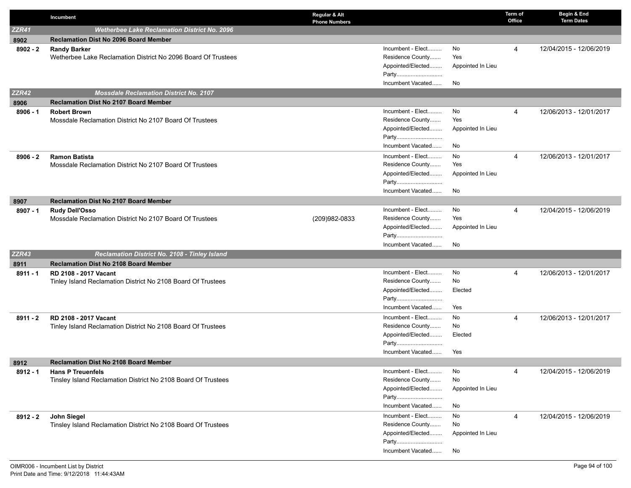|              | Incumbent                                                                       | Regular & Alt<br><b>Phone Numbers</b> |                   | <b>Term of</b><br>Office | Begin & End<br><b>Term Dates</b> |
|--------------|---------------------------------------------------------------------------------|---------------------------------------|-------------------|--------------------------|----------------------------------|
| <b>ZZR41</b> | <b>Wetherbee Lake Reclamation District No. 2096</b>                             |                                       |                   |                          |                                  |
| 8902         | <b>Reclamation Dist No 2096 Board Member</b>                                    |                                       |                   |                          |                                  |
| $8902 - 2$   | <b>Randy Barker</b>                                                             | Incumbent - Elect                     | No                | 4                        | 12/04/2015 - 12/06/2019          |
|              | Wetherbee Lake Reclamation District No 2096 Board Of Trustees                   | Residence County                      | Yes               |                          |                                  |
|              |                                                                                 | Appointed/Elected                     | Appointed In Lieu |                          |                                  |
|              |                                                                                 | Party                                 |                   |                          |                                  |
|              |                                                                                 | Incumbent Vacated                     | No                |                          |                                  |
| <b>ZZR42</b> | <b>Mossdale Reclamation District No. 2107</b>                                   |                                       |                   |                          |                                  |
| 8906         | <b>Reclamation Dist No 2107 Board Member</b>                                    |                                       |                   |                          |                                  |
| $8906 - 1$   | <b>Robert Brown</b>                                                             | Incumbent - Elect<br>Residence County | No<br>Yes         | $\overline{4}$           | 12/06/2013 - 12/01/2017          |
|              | Mossdale Reclamation District No 2107 Board Of Trustees                         | Appointed/Elected                     |                   |                          |                                  |
|              |                                                                                 | Party                                 | Appointed In Lieu |                          |                                  |
|              |                                                                                 | Incumbent Vacated                     | No                |                          |                                  |
|              |                                                                                 | Incumbent - Elect                     | No                | $\overline{4}$           | 12/06/2013 - 12/01/2017          |
| $8906 - 2$   | <b>Ramon Batista</b><br>Mossdale Reclamation District No 2107 Board Of Trustees | Residence County                      | Yes               |                          |                                  |
|              |                                                                                 | Appointed/Elected                     | Appointed In Lieu |                          |                                  |
|              |                                                                                 | Party                                 |                   |                          |                                  |
|              |                                                                                 | Incumbent Vacated                     | No                |                          |                                  |
| 8907         | <b>Reclamation Dist No 2107 Board Member</b>                                    |                                       |                   |                          |                                  |
| $8907 - 1$   | <b>Rudy Dell'Osso</b>                                                           | Incumbent - Elect                     | No                | 4                        | 12/04/2015 - 12/06/2019          |
|              | Mossdale Reclamation District No 2107 Board Of Trustees                         | Residence County<br>(209)982-0833     | Yes               |                          |                                  |
|              |                                                                                 | Appointed/Elected                     | Appointed In Lieu |                          |                                  |
|              |                                                                                 | Party                                 |                   |                          |                                  |
|              |                                                                                 | Incumbent Vacated                     | No                |                          |                                  |
| <b>ZZR43</b> | <b>Reclamation District No. 2108 - Tinley Island</b>                            |                                       |                   |                          |                                  |
| 8911         | <b>Reclamation Dist No 2108 Board Member</b>                                    |                                       |                   |                          |                                  |
| $8911 - 1$   | RD 2108 - 2017 Vacant                                                           | Incumbent - Elect                     | No                | 4                        | 12/06/2013 - 12/01/2017          |
|              | Tinley Island Reclamation District No 2108 Board Of Trustees                    | Residence County                      | No                |                          |                                  |
|              |                                                                                 | Appointed/Elected                     | Elected           |                          |                                  |
|              |                                                                                 | Party<br>Incumbent Vacated            | Yes               |                          |                                  |
|              |                                                                                 |                                       | No                |                          |                                  |
| $8911 - 2$   | RD 2108 - 2017 Vacant                                                           | Incumbent - Elect<br>Residence County | No                | 4                        | 12/06/2013 - 12/01/2017          |
|              | Tinley Island Reclamation District No 2108 Board Of Trustees                    | Appointed/Elected                     | Elected           |                          |                                  |
|              |                                                                                 | Party                                 |                   |                          |                                  |
|              |                                                                                 | Incumbent Vacated                     | Yes               |                          |                                  |
| 8912         | <b>Reclamation Dist No 2108 Board Member</b>                                    |                                       |                   |                          |                                  |
| $8912 - 1$   | <b>Hans P Treuenfels</b>                                                        | Incumbent - Elect                     | No                | 4                        | 12/04/2015 - 12/06/2019          |
|              | Tinsley Island Reclamation District No 2108 Board Of Trustees                   | Residence County                      | No                |                          |                                  |
|              |                                                                                 | Appointed/Elected                     | Appointed In Lieu |                          |                                  |
|              |                                                                                 | Party                                 |                   |                          |                                  |
|              |                                                                                 | Incumbent Vacated                     | No                |                          |                                  |
| 8912 - 2     | John Siegel                                                                     | Incumbent - Elect                     | No                | 4                        | 12/04/2015 - 12/06/2019          |
|              | Tinsley Island Reclamation District No 2108 Board Of Trustees                   | Residence County                      | No                |                          |                                  |
|              |                                                                                 | Appointed/Elected                     | Appointed In Lieu |                          |                                  |
|              |                                                                                 | Party                                 |                   |                          |                                  |
|              |                                                                                 | Incumbent Vacated                     | No                |                          |                                  |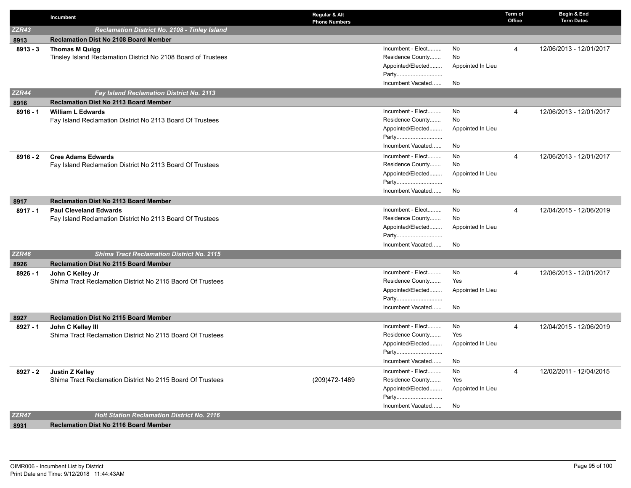|              | Incumbent                                                     | Regular & Alt<br><b>Phone Numbers</b> |                   | Term of<br>Office | Begin & End<br><b>Term Dates</b> |
|--------------|---------------------------------------------------------------|---------------------------------------|-------------------|-------------------|----------------------------------|
| ZZR43        | Reclamation District No. 2108 - Tinley Island                 |                                       |                   |                   |                                  |
| 8913         | <b>Reclamation Dist No 2108 Board Member</b>                  |                                       |                   |                   |                                  |
| $8913 - 3$   | <b>Thomas M Quigg</b>                                         | Incumbent - Elect                     | No                | 4                 | 12/06/2013 - 12/01/2017          |
|              | Tinsley Island Reclamation District No 2108 Board of Trustees | Residence County                      | No                |                   |                                  |
|              |                                                               | Appointed/Elected                     | Appointed In Lieu |                   |                                  |
|              |                                                               | Party                                 |                   |                   |                                  |
|              |                                                               | Incumbent Vacated                     | No                |                   |                                  |
| ZZR44        | <b>Fay Island Reclamation District No. 2113</b>               |                                       |                   |                   |                                  |
| 8916         | <b>Reclamation Dist No 2113 Board Member</b>                  |                                       |                   |                   |                                  |
| $8916 - 1$   | <b>William L Edwards</b>                                      | Incumbent - Elect                     | No                | 4                 | 12/06/2013 - 12/01/2017          |
|              | Fay Island Reclamation District No 2113 Board Of Trustees     | Residence County                      | No                |                   |                                  |
|              |                                                               | Appointed/Elected                     | Appointed In Lieu |                   |                                  |
|              |                                                               | Party                                 |                   |                   |                                  |
|              |                                                               | Incumbent Vacated                     | No                |                   |                                  |
| $8916 - 2$   | <b>Cree Adams Edwards</b>                                     | Incumbent - Elect                     | No                | 4                 | 12/06/2013 - 12/01/2017          |
|              | Fay Island Reclamation District No 2113 Board Of Trustees     | Residence County                      | No                |                   |                                  |
|              |                                                               | Appointed/Elected                     | Appointed In Lieu |                   |                                  |
|              |                                                               | Party                                 |                   |                   |                                  |
|              |                                                               | Incumbent Vacated                     | No                |                   |                                  |
| 8917         | <b>Reclamation Dist No 2113 Board Member</b>                  |                                       |                   |                   |                                  |
| $8917 - 1$   | <b>Paul Cleveland Edwards</b>                                 | Incumbent - Elect                     | No                | 4                 | 12/04/2015 - 12/06/2019          |
|              | Fay Island Reclamation District No 2113 Board Of Trustees     | Residence County                      | No                |                   |                                  |
|              |                                                               | Appointed/Elected<br>Party            | Appointed In Lieu |                   |                                  |
|              |                                                               | Incumbent Vacated                     | No                |                   |                                  |
| <b>ZZR46</b> | <b>Shima Tract Reclamation District No. 2115</b>              |                                       |                   |                   |                                  |
| 8926         | <b>Reclamation Dist No 2115 Board Member</b>                  |                                       |                   |                   |                                  |
| $8926 - 1$   | John C Kelley Jr                                              | Incumbent - Elect                     | No                | 4                 | 12/06/2013 - 12/01/2017          |
|              | Shima Tract Reclamation District No 2115 Baord Of Trustees    | Residence County                      | Yes               |                   |                                  |
|              |                                                               | Appointed/Elected                     | Appointed In Lieu |                   |                                  |
|              |                                                               | Party                                 |                   |                   |                                  |
|              |                                                               | Incumbent Vacated                     | No                |                   |                                  |
| 8927         | <b>Reclamation Dist No 2115 Board Member</b>                  |                                       |                   |                   |                                  |
| 8927 - 1     | John C Kelley III                                             | Incumbent - Elect                     | No                | 4                 | 12/04/2015 - 12/06/2019          |
|              | Shima Tract Reclamation District No 2115 Board Of Trustees    | Residence County                      | Yes               |                   |                                  |
|              |                                                               | Appointed/Elected                     | Appointed In Lieu |                   |                                  |
|              |                                                               | Party                                 |                   |                   |                                  |
|              |                                                               | Incumbent Vacated                     | No                |                   |                                  |
| 8927 - 2     | Justin Z Kelley                                               | Incumbent - Elect                     | No                | 4                 | 12/02/2011 - 12/04/2015          |
|              | Shima Tract Reclamation District No 2115 Board Of Trustees    | Residence County<br>(209)472-1489     | Yes               |                   |                                  |
|              |                                                               | Appointed/Elected                     | Appointed In Lieu |                   |                                  |
|              |                                                               | Party                                 |                   |                   |                                  |
|              |                                                               | Incumbent Vacated                     | No                |                   |                                  |
| <b>ZZR47</b> | <b>Holt Station Reclamation District No. 2116</b>             |                                       |                   |                   |                                  |
| 8931         | <b>Reclamation Dist No 2116 Board Member</b>                  |                                       |                   |                   |                                  |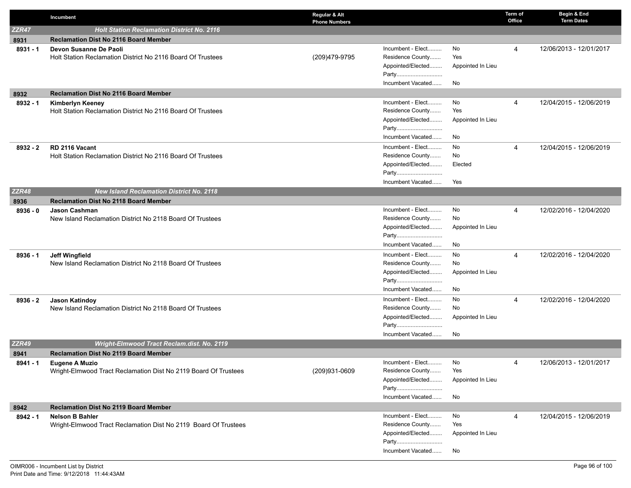|              | Incumbent                                                                   | Regular & Alt<br><b>Phone Numbers</b> |                                       |                   | Term of<br>Office | Begin & End<br><b>Term Dates</b> |
|--------------|-----------------------------------------------------------------------------|---------------------------------------|---------------------------------------|-------------------|-------------------|----------------------------------|
| ZZR47        | <b>Holt Station Reclamation District No. 2116</b>                           |                                       |                                       |                   |                   |                                  |
| 8931         | <b>Reclamation Dist No 2116 Board Member</b>                                |                                       |                                       |                   |                   |                                  |
| $8931 - 1$   | Devon Susanne De Paoli                                                      |                                       | Incumbent - Elect                     | No                | 4                 | 12/06/2013 - 12/01/2017          |
|              | Holt Station Reclamation District No 2116 Board Of Trustees                 | (209)479-9795                         | Residence County                      | Yes               |                   |                                  |
|              |                                                                             |                                       | Appointed/Elected                     | Appointed In Lieu |                   |                                  |
|              |                                                                             |                                       | Party                                 |                   |                   |                                  |
|              |                                                                             |                                       | Incumbent Vacated                     | No                |                   |                                  |
| 8932         | <b>Reclamation Dist No 2116 Board Member</b>                                |                                       |                                       |                   |                   |                                  |
| $8932 - 1$   | Kimberlyn Keeney                                                            |                                       | Incumbent - Elect                     | No                | 4                 | 12/04/2015 - 12/06/2019          |
|              | Holt Station Reclamation District No 2116 Board Of Trustees                 |                                       | Residence County                      | Yes               |                   |                                  |
|              |                                                                             |                                       | Appointed/Elected                     | Appointed In Lieu |                   |                                  |
|              |                                                                             |                                       | Party                                 |                   |                   |                                  |
|              |                                                                             |                                       | Incumbent Vacated                     | No                |                   |                                  |
| $8932 - 2$   | RD 2116 Vacant                                                              |                                       | Incumbent - Elect                     | No                | 4                 | 12/04/2015 - 12/06/2019          |
|              | Holt Station Reclamation District No 2116 Board Of Trustees                 |                                       | Residence County                      | No                |                   |                                  |
|              |                                                                             |                                       | Appointed/Elected                     | Elected           |                   |                                  |
|              |                                                                             |                                       | Party                                 |                   |                   |                                  |
|              |                                                                             |                                       | Incumbent Vacated                     | Yes               |                   |                                  |
| <b>ZZR48</b> | <b>New Island Reclamation District No. 2118</b>                             |                                       |                                       |                   |                   |                                  |
| 8936         | <b>Reclamation Dist No 2118 Board Member</b>                                |                                       |                                       |                   |                   |                                  |
| $8936 - 0$   | <b>Jason Cashman</b>                                                        |                                       | Incumbent - Elect<br>Residence County | No<br>No          | 4                 | 12/02/2016 - 12/04/2020          |
|              | New Island Reclamation District No 2118 Board Of Trustees                   |                                       | Appointed/Elected                     |                   |                   |                                  |
|              |                                                                             |                                       | Party                                 | Appointed In Lieu |                   |                                  |
|              |                                                                             |                                       | Incumbent Vacated                     | No                |                   |                                  |
|              |                                                                             |                                       | Incumbent - Elect                     | No                |                   |                                  |
| $8936 - 1$   | Jeff Wingfield<br>New Island Reclamation District No 2118 Board Of Trustees |                                       | Residence County                      | No                | 4                 | 12/02/2016 - 12/04/2020          |
|              |                                                                             |                                       | Appointed/Elected                     | Appointed In Lieu |                   |                                  |
|              |                                                                             |                                       | Party                                 |                   |                   |                                  |
|              |                                                                             |                                       | Incumbent Vacated                     | No                |                   |                                  |
| $8936 - 2$   | <b>Jason Katindoy</b>                                                       |                                       | Incumbent - Elect                     | No                | 4                 | 12/02/2016 - 12/04/2020          |
|              | New Island Reclamation District No 2118 Board Of Trustees                   |                                       | Residence County                      | No                |                   |                                  |
|              |                                                                             |                                       | Appointed/Elected                     | Appointed In Lieu |                   |                                  |
|              |                                                                             |                                       | Party                                 |                   |                   |                                  |
|              |                                                                             |                                       | Incumbent Vacated                     | No                |                   |                                  |
| ZZR49        | Wright-Elmwood Tract Reclam.dist. No. 2119                                  |                                       |                                       |                   |                   |                                  |
| 8941         | <b>Reclamation Dist No 2119 Board Member</b>                                |                                       |                                       |                   |                   |                                  |
| 8941 - 1     | <b>Eugene A Muzio</b>                                                       |                                       | Incumbent - Elect                     | No.               | 4                 | 12/06/2013 - 12/01/2017          |
|              | Wright-Elmwood Tract Reclamation Dist No 2119 Board Of Trustees             | (209)931-0609                         | Residence County                      | Yes               |                   |                                  |
|              |                                                                             |                                       | Appointed/Elected                     | Appointed In Lieu |                   |                                  |
|              |                                                                             |                                       | Party                                 |                   |                   |                                  |
|              |                                                                             |                                       | Incumbent Vacated                     | No                |                   |                                  |
| 8942         | <b>Reclamation Dist No 2119 Board Member</b>                                |                                       |                                       |                   |                   |                                  |
| $8942 - 1$   | <b>Nelson B Bahler</b>                                                      |                                       | Incumbent - Elect                     | No                | 4                 | 12/04/2015 - 12/06/2019          |
|              | Wright-Elmwood Tract Reclamation Dist No 2119 Board Of Trustees             |                                       | Residence County                      | Yes               |                   |                                  |
|              |                                                                             |                                       | Appointed/Elected                     | Appointed In Lieu |                   |                                  |
|              |                                                                             |                                       | Party                                 |                   |                   |                                  |
|              |                                                                             |                                       | Incumbent Vacated                     | No                |                   |                                  |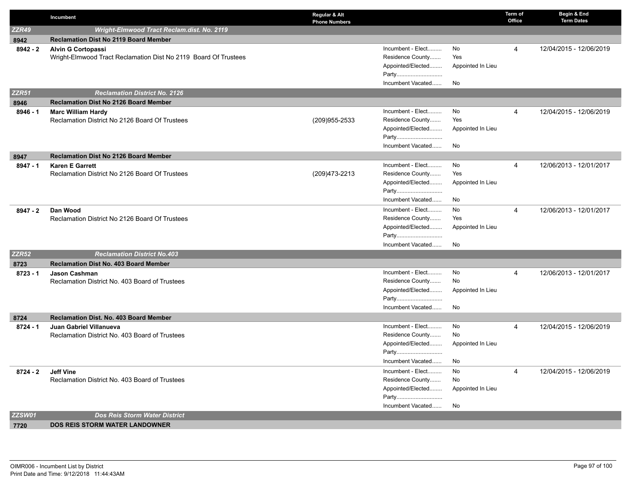|              | Incumbent                                                                 | Regular & Alt<br><b>Phone Numbers</b> |                            |                   | Term of<br>Office | Begin & End<br><b>Term Dates</b> |
|--------------|---------------------------------------------------------------------------|---------------------------------------|----------------------------|-------------------|-------------------|----------------------------------|
| <b>ZZR49</b> | Wright-Elmwood Tract Reclam.dist. No. 2119                                |                                       |                            |                   |                   |                                  |
| 8942         | <b>Reclamation Dist No 2119 Board Member</b>                              |                                       |                            |                   |                   |                                  |
| $8942 - 2$   | <b>Alvin G Cortopassi</b>                                                 |                                       | Incumbent - Elect          | No                | 4                 | 12/04/2015 - 12/06/2019          |
|              | Wright-Elmwood Tract Reclamation Dist No 2119 Board Of Trustees           |                                       | Residence County           | Yes               |                   |                                  |
|              |                                                                           |                                       | Appointed/Elected          | Appointed In Lieu |                   |                                  |
|              |                                                                           |                                       | Party                      |                   |                   |                                  |
|              |                                                                           |                                       | Incumbent Vacated          | No                |                   |                                  |
| <b>ZZR51</b> | <b>Reclamation District No. 2126</b>                                      |                                       |                            |                   |                   |                                  |
| 8946         | Reclamation Dist No 2126 Board Member                                     |                                       |                            |                   |                   |                                  |
| $8946 - 1$   | <b>Marc William Hardy</b>                                                 |                                       | Incumbent - Elect          | No                | 4                 | 12/04/2015 - 12/06/2019          |
|              | Reclamation District No 2126 Board Of Trustees                            | (209) 955-2533                        | Residence County           | Yes               |                   |                                  |
|              |                                                                           |                                       | Appointed/Elected          | Appointed In Lieu |                   |                                  |
|              |                                                                           |                                       | Party<br>Incumbent Vacated |                   |                   |                                  |
|              |                                                                           |                                       |                            | No                |                   |                                  |
| 8947         | <b>Reclamation Dist No 2126 Board Member</b>                              |                                       | Incumbent - Elect          | No                |                   |                                  |
| $8947 - 1$   | <b>Karen E Garrett</b><br>Reclamation District No 2126 Board Of Trustees  | (209)473-2213                         | Residence County           | Yes               | $\overline{4}$    | 12/06/2013 - 12/01/2017          |
|              |                                                                           |                                       | Appointed/Elected          | Appointed In Lieu |                   |                                  |
|              |                                                                           |                                       | Party                      |                   |                   |                                  |
|              |                                                                           |                                       | Incumbent Vacated          | No                |                   |                                  |
| 8947 - 2     | Dan Wood                                                                  |                                       | Incumbent - Elect          | No                | 4                 | 12/06/2013 - 12/01/2017          |
|              | Reclamation District No 2126 Board Of Trustees                            |                                       | Residence County           | Yes               |                   |                                  |
|              |                                                                           |                                       | Appointed/Elected          | Appointed In Lieu |                   |                                  |
|              |                                                                           |                                       | Party                      |                   |                   |                                  |
|              |                                                                           |                                       | Incumbent Vacated          | No                |                   |                                  |
| <b>ZZR52</b> | <b>Reclamation District No.403</b>                                        |                                       |                            |                   |                   |                                  |
| 8723         | Reclamation Dist No. 403 Board Member                                     |                                       |                            |                   |                   |                                  |
| $8723 - 1$   | <b>Jason Cashman</b>                                                      |                                       | Incumbent - Elect          | No                | 4                 | 12/06/2013 - 12/01/2017          |
|              | Reclamation District No. 403 Board of Trustees                            |                                       | Residence County           | No                |                   |                                  |
|              |                                                                           |                                       | Appointed/Elected          | Appointed In Lieu |                   |                                  |
|              |                                                                           |                                       | Party                      |                   |                   |                                  |
|              |                                                                           |                                       | Incumbent Vacated          | No                |                   |                                  |
| 8724         | <b>Reclamation Dist. No. 403 Board Member</b>                             |                                       | Incumbent - Elect          | No                |                   | 12/04/2015 - 12/06/2019          |
| $8724 - 1$   | Juan Gabriel Villanueva<br>Reclamation District No. 403 Board of Trustees |                                       | Residence County           | No                | 4                 |                                  |
|              |                                                                           |                                       | Appointed/Elected          | Appointed In Lieu |                   |                                  |
|              |                                                                           |                                       | Party                      |                   |                   |                                  |
|              |                                                                           |                                       | Incumbent Vacated          | No                |                   |                                  |
| 8724 - 2     | <b>Jeff Vine</b>                                                          |                                       | Incumbent - Elect          | No                | 4                 | 12/04/2015 - 12/06/2019          |
|              | Reclamation District No. 403 Board of Trustees                            |                                       | Residence County           | No                |                   |                                  |
|              |                                                                           |                                       | Appointed/Elected          | Appointed In Lieu |                   |                                  |
|              |                                                                           |                                       | Party                      |                   |                   |                                  |
|              |                                                                           |                                       | Incumbent Vacated          | No                |                   |                                  |
| ZZSW01       | Dos Reis Storm Water District                                             |                                       |                            |                   |                   |                                  |
| 7720         | <b>DOS REIS STORM WATER LANDOWNER</b>                                     |                                       |                            |                   |                   |                                  |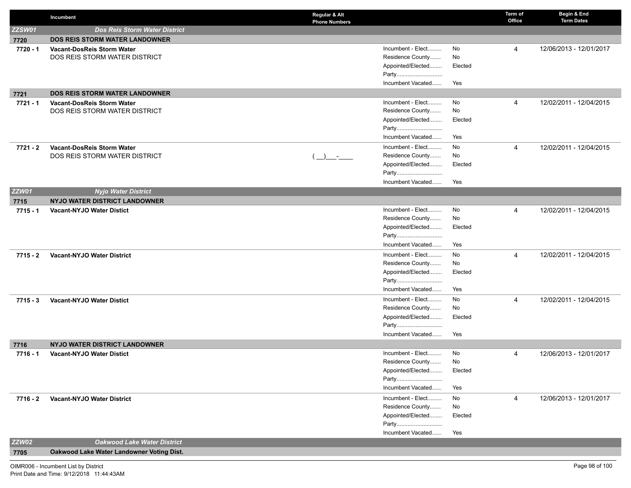|              | Incumbent                                 | Regular & Alt<br><b>Phone Numbers</b> |          | Term of<br>Office | Begin & End<br><b>Term Dates</b> |
|--------------|-------------------------------------------|---------------------------------------|----------|-------------------|----------------------------------|
| ZZSW01       | <b>Dos Reis Storm Water District</b>      |                                       |          |                   |                                  |
| 7720         | <b>DOS REIS STORM WATER LANDOWNER</b>     |                                       |          |                   |                                  |
| 7720 - 1     | <b>Vacant-DosReis Storm Water</b>         | Incumbent - Elect                     | No       | 4                 | 12/06/2013 - 12/01/2017          |
|              | DOS REIS STORM WATER DISTRICT             | Residence County                      | No       |                   |                                  |
|              |                                           | Appointed/Elected                     | Elected  |                   |                                  |
|              |                                           | Party                                 |          |                   |                                  |
|              |                                           | Incumbent Vacated                     | Yes      |                   |                                  |
| 7721         | <b>DOS REIS STORM WATER LANDOWNER</b>     |                                       |          |                   |                                  |
| 7721 - 1     | Vacant-DosReis Storm Water                | Incumbent - Elect                     | No       | 4                 | 12/02/2011 - 12/04/2015          |
|              | DOS REIS STORM WATER DISTRICT             | Residence County                      | No       |                   |                                  |
|              |                                           | Appointed/Elected                     | Elected  |                   |                                  |
|              |                                           | Party                                 |          |                   |                                  |
|              |                                           | Incumbent Vacated                     | Yes      |                   |                                  |
| 7721 - 2     | <b>Vacant-DosReis Storm Water</b>         | Incumbent - Elect                     | No       | 4                 | 12/02/2011 - 12/04/2015          |
|              | DOS REIS STORM WATER DISTRICT             | Residence County<br>$\rightarrow$     | No       |                   |                                  |
|              |                                           | Appointed/Elected                     | Elected  |                   |                                  |
|              |                                           | Party<br>Incumbent Vacated            |          |                   |                                  |
|              |                                           |                                       | Yes      |                   |                                  |
| <b>ZZW01</b> | <b>Nyjo Water District</b>                |                                       |          |                   |                                  |
| 7715         | NYJO WATER DISTRICT LANDOWNER             |                                       |          |                   |                                  |
| $7715 - 1$   | <b>Vacant-NYJO Water Distict</b>          | Incumbent - Elect<br>Residence County | No<br>No | 4                 | 12/02/2011 - 12/04/2015          |
|              |                                           | Appointed/Elected                     | Elected  |                   |                                  |
|              |                                           | Party                                 |          |                   |                                  |
|              |                                           | Incumbent Vacated                     | Yes      |                   |                                  |
| $7715 - 2$   | <b>Vacant-NYJO Water District</b>         | Incumbent - Elect                     | No       | 4                 | 12/02/2011 - 12/04/2015          |
|              |                                           | Residence County                      | No       |                   |                                  |
|              |                                           | Appointed/Elected                     | Elected  |                   |                                  |
|              |                                           |                                       |          |                   |                                  |
|              |                                           | Incumbent Vacated                     | Yes      |                   |                                  |
| 7715 - 3     | <b>Vacant-NYJO Water Distict</b>          | Incumbent - Elect                     | No       | 4                 | 12/02/2011 - 12/04/2015          |
|              |                                           | Residence County                      | No       |                   |                                  |
|              |                                           | Appointed/Elected                     | Elected  |                   |                                  |
|              |                                           | Party                                 |          |                   |                                  |
|              |                                           | Incumbent Vacated                     | Yes      |                   |                                  |
| 7716         | NYJO WATER DISTRICT LANDOWNER             |                                       |          |                   |                                  |
| 7716 - 1     | <b>Vacant-NYJO Water Distict</b>          | Incumbent - Elect                     | No       | $\overline{4}$    | 12/06/2013 - 12/01/2017          |
|              |                                           | Residence County                      | No       |                   |                                  |
|              |                                           | Appointed/Elected                     | Elected  |                   |                                  |
|              |                                           | Party                                 |          |                   |                                  |
|              |                                           | Incumbent Vacated                     | Yes      |                   |                                  |
| 7716 - 2     | <b>Vacant-NYJO Water District</b>         | Incumbent - Elect                     | No       | 4                 | 12/06/2013 - 12/01/2017          |
|              |                                           | Residence County                      | No       |                   |                                  |
|              |                                           | Appointed/Elected                     | Elected  |                   |                                  |
|              |                                           | Party<br>Incumbent Vacated            |          |                   |                                  |
|              |                                           |                                       | Yes      |                   |                                  |
| <b>ZZW02</b> | <b>Oakwood Lake Water District</b>        |                                       |          |                   |                                  |
| 7705         | Oakwood Lake Water Landowner Voting Dist. |                                       |          |                   |                                  |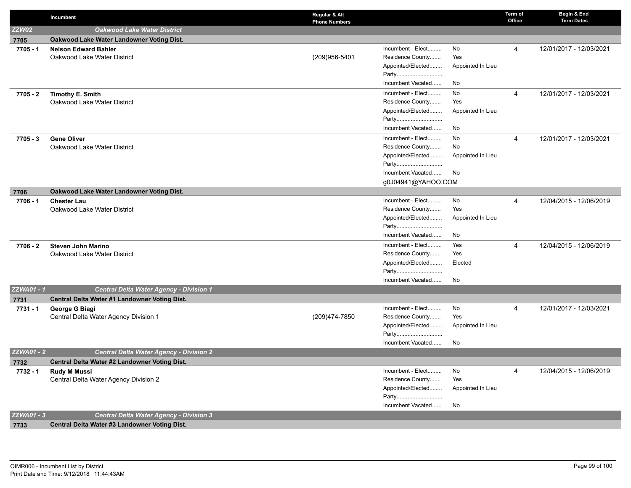|                   | Incumbent                                                | Regular & Alt<br><b>Phone Numbers</b> |                            |                   | Term of<br>Office | Begin & End<br><b>Term Dates</b> |
|-------------------|----------------------------------------------------------|---------------------------------------|----------------------------|-------------------|-------------------|----------------------------------|
| ZZW02             | <b>Oakwood Lake Water District</b>                       |                                       |                            |                   |                   |                                  |
| 7705              | Oakwood Lake Water Landowner Voting Dist.                |                                       |                            |                   |                   |                                  |
| 7705 - 1          | <b>Nelson Edward Bahler</b>                              |                                       | Incumbent - Elect          | No                | 4                 | 12/01/2017 - 12/03/2021          |
|                   | Oakwood Lake Water District                              | (209)956-5401                         | Residence County           | Yes               |                   |                                  |
|                   |                                                          |                                       | Appointed/Elected          | Appointed In Lieu |                   |                                  |
|                   |                                                          |                                       | Party                      |                   |                   |                                  |
|                   |                                                          |                                       | Incumbent Vacated          | No                |                   |                                  |
| 7705 - 2          | Timothy E. Smith                                         |                                       | Incumbent - Elect          | No                | 4                 | 12/01/2017 - 12/03/2021          |
|                   | Oakwood Lake Water District                              |                                       | Residence County           | Yes               |                   |                                  |
|                   |                                                          |                                       | Appointed/Elected          | Appointed In Lieu |                   |                                  |
|                   |                                                          |                                       | Party                      |                   |                   |                                  |
|                   |                                                          |                                       | Incumbent Vacated          | No                |                   |                                  |
| 7705 - 3          | <b>Gene Oliver</b>                                       |                                       | Incumbent - Elect          | No                | 4                 | 12/01/2017 - 12/03/2021          |
|                   | Oakwood Lake Water District                              |                                       | Residence County           | No                |                   |                                  |
|                   |                                                          |                                       | Appointed/Elected          | Appointed In Lieu |                   |                                  |
|                   |                                                          |                                       | Party                      |                   |                   |                                  |
|                   |                                                          |                                       | Incumbent Vacated          | No                |                   |                                  |
|                   |                                                          |                                       | g0J04941@YAHOO.COM         |                   |                   |                                  |
| 7706              | Oakwood Lake Water Landowner Voting Dist.                |                                       |                            |                   |                   |                                  |
| 7706 - 1          | <b>Chester Lau</b>                                       |                                       | Incumbent - Elect          | No                | 4                 | 12/04/2015 - 12/06/2019          |
|                   | Oakwood Lake Water District                              |                                       | Residence County           | Yes               |                   |                                  |
|                   |                                                          |                                       | Appointed/Elected<br>Party | Appointed In Lieu |                   |                                  |
|                   |                                                          |                                       | Incumbent Vacated          | No                |                   |                                  |
|                   |                                                          |                                       | Incumbent - Elect          | Yes               | 4                 |                                  |
| 7706 - 2          | <b>Steven John Marino</b><br>Oakwood Lake Water District |                                       | Residence County           | Yes               |                   | 12/04/2015 - 12/06/2019          |
|                   |                                                          |                                       | Appointed/Elected          | Elected           |                   |                                  |
|                   |                                                          |                                       | Party                      |                   |                   |                                  |
|                   |                                                          |                                       | Incumbent Vacated          | No                |                   |                                  |
| ZZWA01 - 1        | <b>Central Delta Water Agency - Division 1</b>           |                                       |                            |                   |                   |                                  |
| 7731              | Central Delta Water #1 Landowner Voting Dist.            |                                       |                            |                   |                   |                                  |
| 7731 - 1          | George G Biagi                                           |                                       | Incumbent - Elect          | No                | 4                 | 12/01/2017 - 12/03/2021          |
|                   | Central Delta Water Agency Division 1                    | (209)474-7850                         | Residence County           | Yes               |                   |                                  |
|                   |                                                          |                                       | Appointed/Elected          | Appointed In Lieu |                   |                                  |
|                   |                                                          |                                       | Party                      |                   |                   |                                  |
|                   |                                                          |                                       | Incumbent Vacated          | No                |                   |                                  |
| <b>ZZWA01 - 2</b> | <b>Central Delta Water Agency - Division 2</b>           |                                       |                            |                   |                   |                                  |
| 7732              | Central Delta Water #2 Landowner Voting Dist.            |                                       |                            |                   |                   |                                  |
| 7732 - 1          | <b>Rudy M Mussi</b>                                      |                                       | Incumbent - Elect          | No                | 4                 | 12/04/2015 - 12/06/2019          |
|                   | Central Delta Water Agency Division 2                    |                                       | Residence County           | Yes               |                   |                                  |
|                   |                                                          |                                       | Appointed/Elected          | Appointed In Lieu |                   |                                  |
|                   |                                                          |                                       | Party                      |                   |                   |                                  |
|                   |                                                          |                                       | Incumbent Vacated          | No                |                   |                                  |
| <b>ZZWA01 - 3</b> | <b>Central Delta Water Agency - Division 3</b>           |                                       |                            |                   |                   |                                  |
| 7733              | Central Delta Water #3 Landowner Voting Dist.            |                                       |                            |                   |                   |                                  |